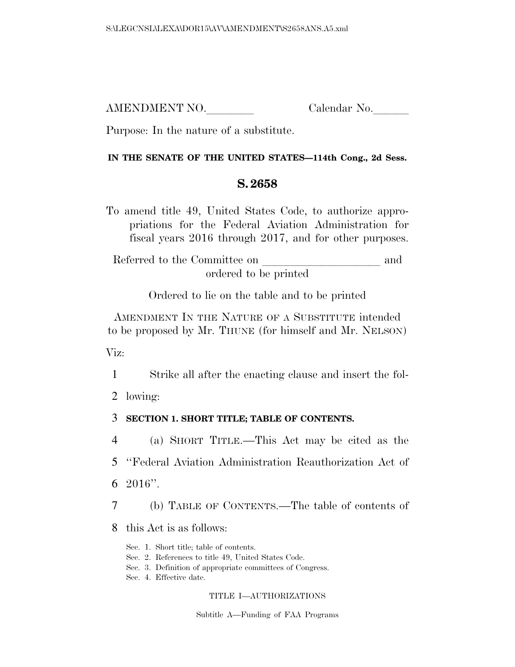AMENDMENT NO. Calendar No.

Purpose: In the nature of a substitute.

## **IN THE SENATE OF THE UNITED STATES—114th Cong., 2d Sess.**

## **S. 2658**

To amend title 49, United States Code, to authorize appropriations for the Federal Aviation Administration for fiscal years 2016 through 2017, and for other purposes.

Referred to the Committee on and ordered to be printed

Ordered to lie on the table and to be printed

AMENDMENT IN THE NATURE OF A SUBSTITUTE intended to be proposed by Mr. THUNE (for himself and Mr. NELSON)

Viz:

1 Strike all after the enacting clause and insert the fol-

2 lowing:

## 3 **SECTION 1. SHORT TITLE; TABLE OF CONTENTS.**

4 (a) SHORT TITLE.—This Act may be cited as the

5 ''Federal Aviation Administration Reauthorization Act of

6 2016''.

7 (b) TABLE OF CONTENTS.—The table of contents of

8 this Act is as follows:

- Sec. 1. Short title; table of contents.
- Sec. 2. References to title 49, United States Code.
- Sec. 3. Definition of appropriate committees of Congress.
- Sec. 4. Effective date.

## TITLE I—AUTHORIZATIONS

Subtitle A—Funding of FAA Programs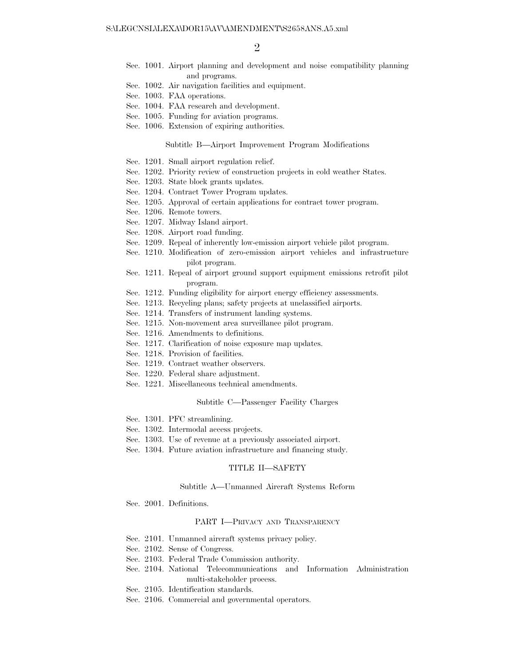- Sec. 1001. Airport planning and development and noise compatibility planning and programs.
- Sec. 1002. Air navigation facilities and equipment.
- Sec. 1003. FAA operations.
- Sec. 1004. FAA research and development.
- Sec. 1005. Funding for aviation programs.
- Sec. 1006. Extension of expiring authorities.

#### Subtitle B—Airport Improvement Program Modifications

- Sec. 1201. Small airport regulation relief.
- Sec. 1202. Priority review of construction projects in cold weather States.
- Sec. 1203. State block grants updates.
- Sec. 1204. Contract Tower Program updates.
- Sec. 1205. Approval of certain applications for contract tower program.
- Sec. 1206. Remote towers.
- Sec. 1207. Midway Island airport.
- Sec. 1208. Airport road funding.
- Sec. 1209. Repeal of inherently low-emission airport vehicle pilot program.
- Sec. 1210. Modification of zero-emission airport vehicles and infrastructure pilot program.
- Sec. 1211. Repeal of airport ground support equipment emissions retrofit pilot program.
- Sec. 1212. Funding eligibility for airport energy efficiency assessments.
- Sec. 1213. Recycling plans; safety projects at unclassified airports.
- Sec. 1214. Transfers of instrument landing systems.
- Sec. 1215. Non-movement area surveillance pilot program.
- Sec. 1216. Amendments to definitions.
- Sec. 1217. Clarification of noise exposure map updates.
- Sec. 1218. Provision of facilities.
- Sec. 1219. Contract weather observers.
- Sec. 1220. Federal share adjustment.
- Sec. 1221. Miscellaneous technical amendments.

#### Subtitle C—Passenger Facility Charges

- Sec. 1301. PFC streamlining.
- Sec. 1302. Intermodal access projects.
- Sec. 1303. Use of revenue at a previously associated airport.
- Sec. 1304. Future aviation infrastructure and financing study.

#### TITLE II—SAFETY

#### Subtitle A—Unmanned Aircraft Systems Reform

Sec. 2001. Definitions.

#### PART I—PRIVACY AND TRANSPARENCY

- Sec. 2101. Unmanned aircraft systems privacy policy.
- Sec. 2102. Sense of Congress.
- Sec. 2103. Federal Trade Commission authority.
- Sec. 2104. National Telecommunications and Information Administration multi-stakeholder process.
- Sec. 2105. Identification standards.
- Sec. 2106. Commercial and governmental operators.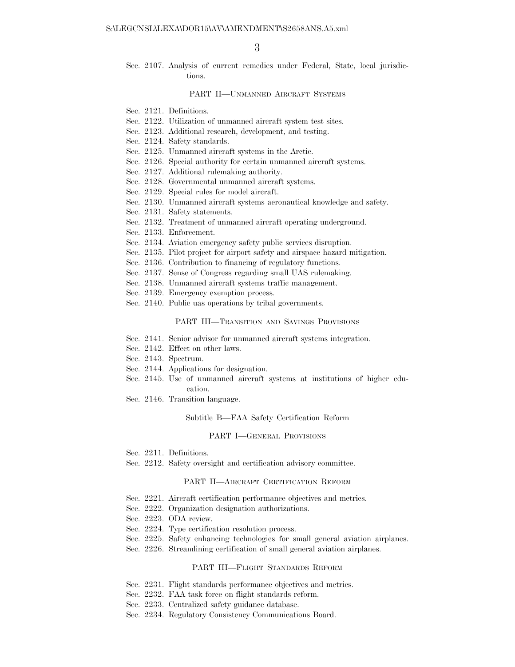Sec. 2107. Analysis of current remedies under Federal, State, local jurisdictions.

#### PART II—UNMANNED AIRCRAFT SYSTEMS

- Sec. 2121. Definitions.
- Sec. 2122. Utilization of unmanned aircraft system test sites.
- Sec. 2123. Additional research, development, and testing.
- Sec. 2124. Safety standards.
- Sec. 2125. Unmanned aircraft systems in the Arctic.
- Sec. 2126. Special authority for certain unmanned aircraft systems.
- Sec. 2127. Additional rulemaking authority.
- Sec. 2128. Governmental unmanned aircraft systems.
- Sec. 2129. Special rules for model aircraft.
- Sec. 2130. Unmanned aircraft systems aeronautical knowledge and safety.
- Sec. 2131. Safety statements.
- Sec. 2132. Treatment of unmanned aircraft operating underground.
- Sec. 2133. Enforcement.
- Sec. 2134. Aviation emergency safety public services disruption.
- Sec. 2135. Pilot project for airport safety and airspace hazard mitigation.
- Sec. 2136. Contribution to financing of regulatory functions.
- Sec. 2137. Sense of Congress regarding small UAS rulemaking.
- Sec. 2138. Unmanned aircraft systems traffic management.
- Sec. 2139. Emergency exemption process.
- Sec. 2140. Public uas operations by tribal governments.

#### PART III—TRANSITION AND SAVINGS PROVISIONS

- Sec. 2141. Senior advisor for unmanned aircraft systems integration.
- Sec. 2142. Effect on other laws.
- Sec. 2143. Spectrum.
- Sec. 2144. Applications for designation.
- Sec. 2145. Use of unmanned aircraft systems at institutions of higher education.
- Sec. 2146. Transition language.

#### Subtitle B—FAA Safety Certification Reform

#### PART I—GENERAL PROVISIONS

- Sec. 2211. Definitions.
- Sec. 2212. Safety oversight and certification advisory committee.

#### PART II—AIRCRAFT CERTIFICATION REFORM

- Sec. 2221. Aircraft certification performance objectives and metrics.
- Sec. 2222. Organization designation authorizations.
- Sec. 2223. ODA review.
- Sec. 2224. Type certification resolution process.
- Sec. 2225. Safety enhancing technologies for small general aviation airplanes.
- Sec. 2226. Streamlining certification of small general aviation airplanes.

#### PART III—FLIGHT STANDARDS REFORM

- Sec. 2231. Flight standards performance objectives and metrics.
- Sec. 2232. FAA task force on flight standards reform.
- Sec. 2233. Centralized safety guidance database.
- Sec. 2234. Regulatory Consistency Communications Board.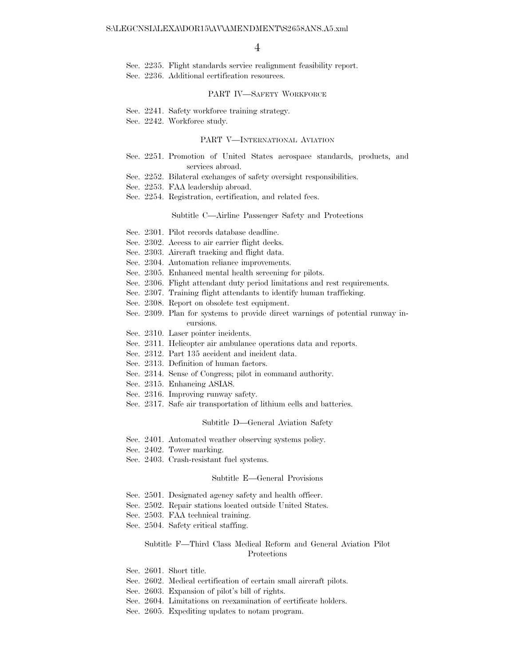Sec. 2235. Flight standards service realignment feasibility report.

Sec. 2236. Additional certification resources.

#### PART IV—SAFETY WORKFORCE

Sec. 2241. Safety workforce training strategy.

Sec. 2242. Workforce study.

#### PART V—INTERNATIONAL AVIATION

- Sec. 2251. Promotion of United States aerospace standards, products, and services abroad.
- Sec. 2252. Bilateral exchanges of safety oversight responsibilities.
- Sec. 2253. FAA leadership abroad.
- Sec. 2254. Registration, certification, and related fees.

#### Subtitle C—Airline Passenger Safety and Protections

- Sec. 2301. Pilot records database deadline.
- Sec. 2302. Access to air carrier flight decks.
- Sec. 2303. Aircraft tracking and flight data.
- Sec. 2304. Automation reliance improvements.
- Sec. 2305. Enhanced mental health screening for pilots.
- Sec. 2306. Flight attendant duty period limitations and rest requirements.
- Sec. 2307. Training flight attendants to identify human trafficking.
- Sec. 2308. Report on obsolete test equipment.
- Sec. 2309. Plan for systems to provide direct warnings of potential runway incursions.
- Sec. 2310. Laser pointer incidents.
- Sec. 2311. Helicopter air ambulance operations data and reports.
- Sec. 2312. Part 135 accident and incident data.
- Sec. 2313. Definition of human factors.
- Sec. 2314. Sense of Congress; pilot in command authority.
- Sec. 2315. Enhancing ASIAS.
- Sec. 2316. Improving runway safety.
- Sec. 2317. Safe air transportation of lithium cells and batteries.

#### Subtitle D—General Aviation Safety

- Sec. 2401. Automated weather observing systems policy.
- Sec. 2402. Tower marking.
- Sec. 2403. Crash-resistant fuel systems.

#### Subtitle E—General Provisions

- Sec. 2501. Designated agency safety and health officer.
- Sec. 2502. Repair stations located outside United States.
- Sec. 2503. FAA technical training.
- Sec. 2504. Safety critical staffing.

#### Subtitle F—Third Class Medical Reform and General Aviation Pilot Protections

- Sec. 2601. Short title.
- Sec. 2602. Medical certification of certain small aircraft pilots.
- Sec. 2603. Expansion of pilot's bill of rights.
- Sec. 2604. Limitations on reexamination of certificate holders.
- Sec. 2605. Expediting updates to notam program.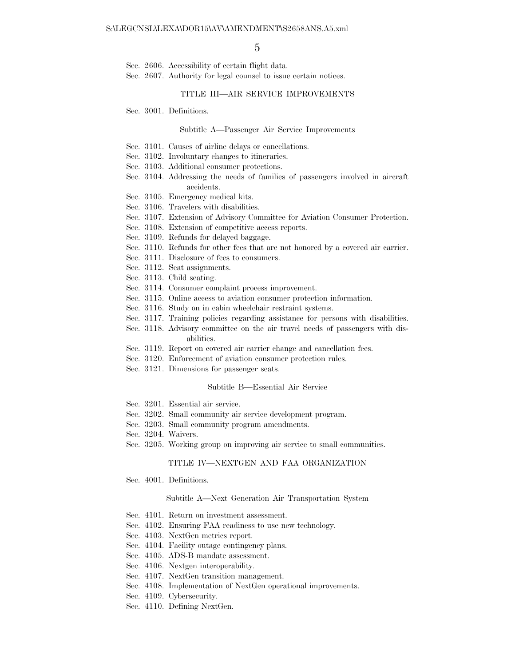- Sec. 2606. Accessibility of certain flight data.
- Sec. 2607. Authority for legal counsel to issue certain notices.

#### TITLE III—AIR SERVICE IMPROVEMENTS

Sec. 3001. Definitions.

#### Subtitle A—Passenger Air Service Improvements

- Sec. 3101. Causes of airline delays or cancellations.
- Sec. 3102. Involuntary changes to itineraries.
- Sec. 3103. Additional consumer protections.
- Sec. 3104. Addressing the needs of families of passengers involved in aircraft accidents.
- Sec. 3105. Emergency medical kits.
- Sec. 3106. Travelers with disabilities.
- Sec. 3107. Extension of Advisory Committee for Aviation Consumer Protection.
- Sec. 3108. Extension of competitive access reports.
- Sec. 3109. Refunds for delayed baggage.
- Sec. 3110. Refunds for other fees that are not honored by a covered air carrier.
- Sec. 3111. Disclosure of fees to consumers.
- Sec. 3112. Seat assignments.
- Sec. 3113. Child seating.
- Sec. 3114. Consumer complaint process improvement.
- Sec. 3115. Online access to aviation consumer protection information.
- Sec. 3116. Study on in cabin wheelchair restraint systems.
- Sec. 3117. Training policies regarding assistance for persons with disabilities.
- Sec. 3118. Advisory committee on the air travel needs of passengers with disabilities.
- Sec. 3119. Report on covered air carrier change and cancellation fees.
- Sec. 3120. Enforcement of aviation consumer protection rules.
- Sec. 3121. Dimensions for passenger seats.

#### Subtitle B—Essential Air Service

- Sec. 3201. Essential air service.
- Sec. 3202. Small community air service development program.
- Sec. 3203. Small community program amendments.
- Sec. 3204. Waivers.
- Sec. 3205. Working group on improving air service to small communities.

#### TITLE IV—NEXTGEN AND FAA ORGANIZATION

Sec. 4001. Definitions.

#### Subtitle A—Next Generation Air Transportation System

- Sec. 4101. Return on investment assessment.
- Sec. 4102. Ensuring FAA readiness to use new technology.
- Sec. 4103. NextGen metrics report.
- Sec. 4104. Facility outage contingency plans.
- Sec. 4105. ADS-B mandate assessment.
- Sec. 4106. Nextgen interoperability.
- Sec. 4107. NextGen transition management.
- Sec. 4108. Implementation of NextGen operational improvements.
- Sec. 4109. Cybersecurity.
- Sec. 4110. Defining NextGen.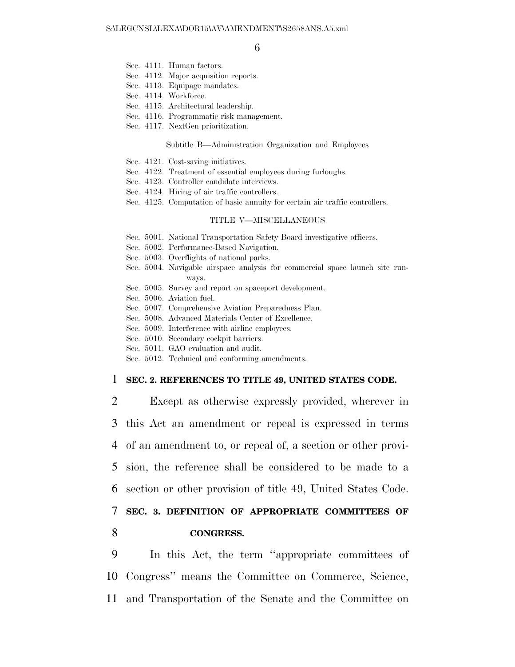- Sec. 4111. Human factors.
- Sec. 4112. Major acquisition reports.
- Sec. 4113. Equipage mandates.
- Sec. 4114. Workforce.
- Sec. 4115. Architectural leadership.
- Sec. 4116. Programmatic risk management.
- Sec. 4117. NextGen prioritization.

#### Subtitle B—Administration Organization and Employees

- Sec. 4121. Cost-saving initiatives.
- Sec. 4122. Treatment of essential employees during furloughs.
- Sec. 4123. Controller candidate interviews.
- Sec. 4124. Hiring of air traffic controllers.
- Sec. 4125. Computation of basic annuity for certain air traffic controllers.

#### TITLE V—MISCELLANEOUS

- Sec. 5001. National Transportation Safety Board investigative officers.
- Sec. 5002. Performance-Based Navigation.
- Sec. 5003. Overflights of national parks.
- Sec. 5004. Navigable airspace analysis for commercial space launch site runways.
- Sec. 5005. Survey and report on spaceport development.
- Sec. 5006. Aviation fuel.
- Sec. 5007. Comprehensive Aviation Preparedness Plan.
- Sec. 5008. Advanced Materials Center of Excellence.
- Sec. 5009. Interference with airline employees.
- Sec. 5010. Secondary cockpit barriers.
- Sec. 5011. GAO evaluation and audit.
- Sec. 5012. Technical and conforming amendments.

#### 1 **SEC. 2. REFERENCES TO TITLE 49, UNITED STATES CODE.**

 Except as otherwise expressly provided, wherever in this Act an amendment or repeal is expressed in terms of an amendment to, or repeal of, a section or other provi- sion, the reference shall be considered to be made to a section or other provision of title 49, United States Code. **SEC. 3. DEFINITION OF APPROPRIATE COMMITTEES OF** 

## 8 **CONGRESS.**

9 In this Act, the term ''appropriate committees of 10 Congress'' means the Committee on Commerce, Science, 11 and Transportation of the Senate and the Committee on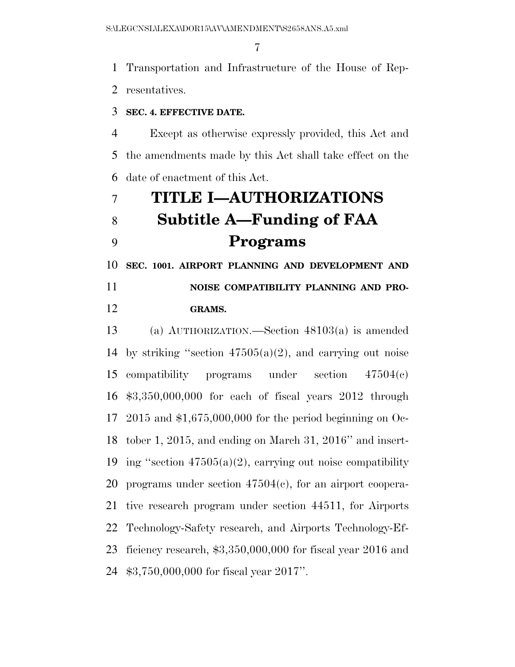Transportation and Infrastructure of the House of Rep-

resentatives.

## **SEC. 4. EFFECTIVE DATE.**

 Except as otherwise expressly provided, this Act and the amendments made by this Act shall take effect on the date of enactment of this Act.

# **TITLE I—AUTHORIZATIONS Subtitle A—Funding of FAA Programs**

 **SEC. 1001. AIRPORT PLANNING AND DEVELOPMENT AND NOISE COMPATIBILITY PLANNING AND PRO-**

## **GRAMS.**

 (a) AUTHORIZATION.—Section 48103(a) is amended 14 by striking "section  $47505(a)(2)$ , and carrying out noise compatibility programs under section 47504(c) \$3,350,000,000 for each of fiscal years 2012 through 2015 and \$1,675,000,000 for the period beginning on Oc- tober 1, 2015, and ending on March 31, 2016'' and insert-19 ing "section  $47505(a)(2)$ , carrying out noise compatibility programs under section 47504(c), for an airport coopera- tive research program under section 44511, for Airports Technology-Safety research, and Airports Technology-Ef- ficiency research, \$3,350,000,000 for fiscal year 2016 and \$3,750,000,000 for fiscal year 2017''.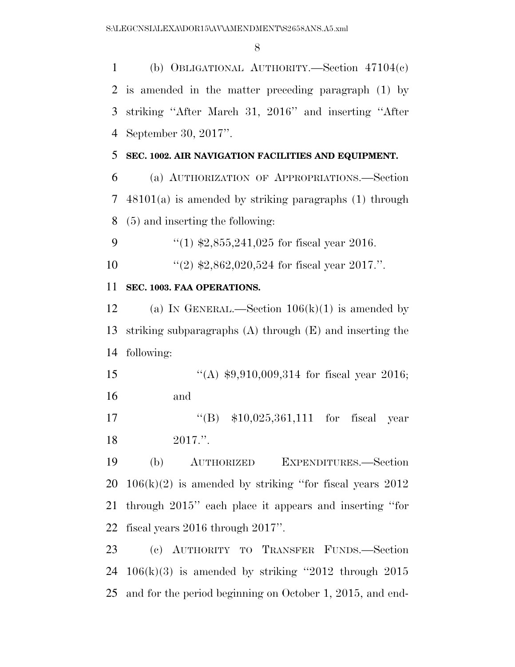(b) OBLIGATIONAL AUTHORITY.—Section 47104(c) is amended in the matter preceding paragraph (1) by striking ''After March 31, 2016'' and inserting ''After September 30, 2017''.

## **SEC. 1002. AIR NAVIGATION FACILITIES AND EQUIPMENT.**

 (a) AUTHORIZATION OF APPROPRIATIONS.—Section 48101(a) is amended by striking paragraphs (1) through (5) and inserting the following:

9  $\frac{4}{1}$  \$2,855,241,025 for fiscal year 2016.

''(2) \$2,862,020,524 for fiscal year 2017.''.

## **SEC. 1003. FAA OPERATIONS.**

12 (a) IN GENERAL.—Section  $106(k)(1)$  is amended by striking subparagraphs (A) through (E) and inserting the following:

15 "(A) \$9,910,009,314 for fiscal year 2016; and

 ''(B) \$10,025,361,111 for fiscal year 2017.''.

 (b) AUTHORIZED EXPENDITURES.—Section  $20\quad106(k)(2)$  is amended by striking "for fiscal years  $2012$  through 2015'' each place it appears and inserting ''for fiscal years 2016 through 2017''.

 (c) AUTHORITY TO TRANSFER FUNDS.—Section 24 106 $(k)(3)$  is amended by striking "2012 through 2015 and for the period beginning on October 1, 2015, and end-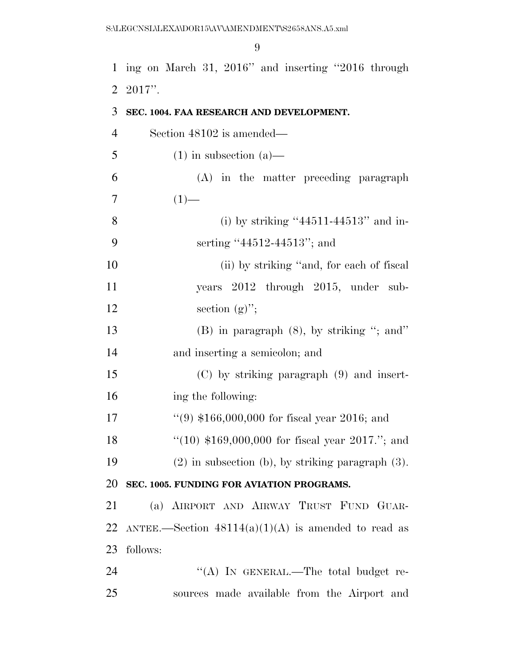ing on March 31, 2016'' and inserting ''2016 through 2017''.

| 3  | SEC. 1004. FAA RESEARCH AND DEVELOPMENT.               |
|----|--------------------------------------------------------|
| 4  | Section 48102 is amended—                              |
| 5  | $(1)$ in subsection $(a)$ —                            |
| 6  | (A) in the matter preceding paragraph                  |
| 7  | $(1)$ —                                                |
| 8  | (i) by striking " $44511-44513$ " and in-              |
| 9  | serting "44512-44513"; and                             |
| 10 | (ii) by striking "and, for each of fiscal              |
| 11 | years 2012 through 2015, under sub-                    |
| 12 | section $(g)$ ";                                       |
| 13 | $(B)$ in paragraph $(8)$ , by striking "; and"         |
| 14 | and inserting a semicolon; and                         |
| 15 | $(C)$ by striking paragraph $(9)$ and insert-          |
| 16 | ing the following:                                     |
| 17 | "(9) $$166,000,000$ for fiscal year 2016; and          |
| 18 | "(10) $$169,000,000$ for fiscal year 2017."; and       |
| 19 | $(2)$ in subsection (b), by striking paragraph $(3)$ . |
|    | 20 SEC. 1005. FUNDING FOR AVIATION PROGRAMS.           |
| 21 | (a) AIRPORT AND AIRWAY TRUST FUND GUAR-                |
| 22 | ANTEE.—Section $48114(a)(1)(A)$ is amended to read as  |
| 23 | follows:                                               |
| 24 | "(A) IN GENERAL.—The total budget re-                  |
| 25 | sources made available from the Airport and            |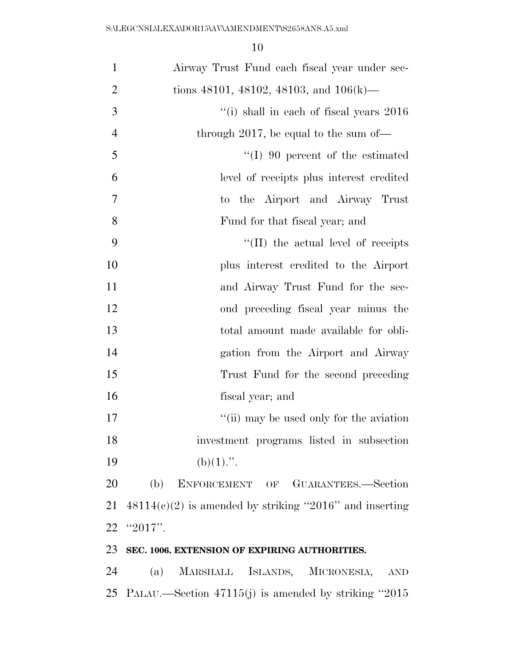| $\mathbf{1}$   | Airway Trust Fund each fiscal year under sec-             |
|----------------|-----------------------------------------------------------|
| $\overline{2}$ | tions 48101, 48102, 48103, and $106(k)$ —                 |
| 3              | "(i) shall in each of fiscal years 2016                   |
| $\overline{4}$ | through 2017, be equal to the sum of-                     |
| 5              | $\lq (I)$ 90 percent of the estimated                     |
| 6              | level of receipts plus interest credited                  |
| $\tau$         | the Airport and Airway Trust<br>to.                       |
| 8              | Fund for that fiscal year; and                            |
| 9              | $\lq$ (II) the actual level of receipts                   |
| 10             | plus interest credited to the Airport                     |
| 11             | and Airway Trust Fund for the sec-                        |
| 12             | ond preceding fiscal year minus the                       |
| 13             | total amount made available for obli-                     |
| 14             | gation from the Airport and Airway                        |
| 15             | Trust Fund for the second preceding                       |
| 16             | fiscal year; and                                          |
| 17             | "(ii) may be used only for the aviation                   |
| 18             | investment programs listed in subsection                  |
| 19             | $(b)(1)$ .".                                              |
| 20             | (b) ENFORCEMENT OF GUARANTEES.-Section                    |
| 21             | $48114(c)(2)$ is amended by striking "2016" and inserting |
| 22             | "2017".                                                   |
| 23             | SEC. 1006. EXTENSION OF EXPIRING AUTHORITIES.             |
| 24             | MARSHALL ISLANDS, MICRONESIA,<br>(a)<br><b>AND</b>        |

PALAU.—Section 47115(j) is amended by striking ''2015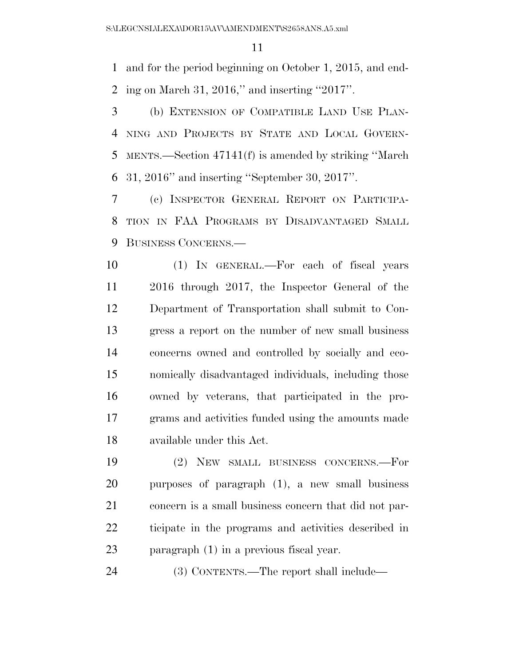and for the period beginning on October 1, 2015, and end-ing on March 31, 2016,'' and inserting ''2017''.

 (b) EXTENSION OF COMPATIBLE LAND USE PLAN- NING AND PROJECTS BY STATE AND LOCAL GOVERN- MENTS.—Section 47141(f) is amended by striking ''March 31, 2016'' and inserting ''September 30, 2017''.

 (c) INSPECTOR GENERAL REPORT ON PARTICIPA- TION IN FAA PROGRAMS BY DISADVANTAGED SMALL BUSINESS CONCERNS.—

 (1) IN GENERAL.—For each of fiscal years 2016 through 2017, the Inspector General of the Department of Transportation shall submit to Con- gress a report on the number of new small business concerns owned and controlled by socially and eco- nomically disadvantaged individuals, including those owned by veterans, that participated in the pro- grams and activities funded using the amounts made available under this Act.

 (2) NEW SMALL BUSINESS CONCERNS.—For purposes of paragraph (1), a new small business concern is a small business concern that did not par- ticipate in the programs and activities described in paragraph (1) in a previous fiscal year.

(3) CONTENTS.—The report shall include—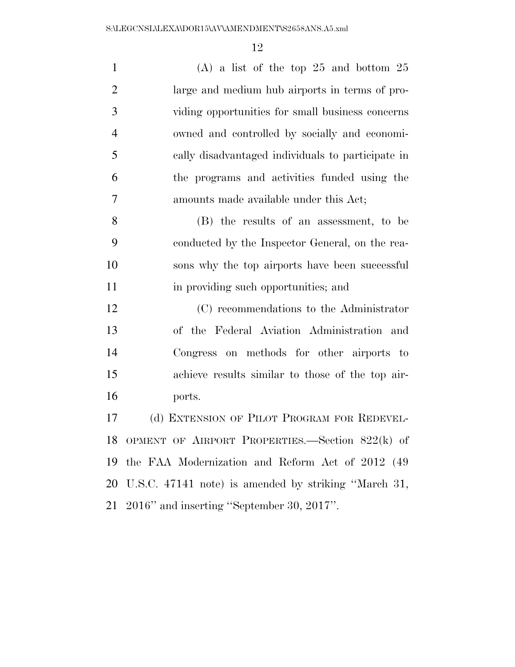| $\mathbf{1}$   | (A) a list of the top 25 and bottom $25$          |
|----------------|---------------------------------------------------|
| $\overline{2}$ | large and medium hub airports in terms of pro-    |
| 3              | viding opportunities for small business concerns  |
| $\overline{4}$ | owned and controlled by socially and economi-     |
| 5              | cally disadvantaged individuals to participate in |
| 6              | the programs and activities funded using the      |
| 7              | amounts made available under this Act;            |
| 8              | (B) the results of an assessment, to be           |
| 9              | conducted by the Inspector General, on the rea-   |
| 10             | sons why the top airports have been successful    |
| 11             | in providing such opportunities; and              |
| 12             | (C) recommendations to the Administrator          |
| 13             | of the Federal Aviation Administration and        |
| 14             | Congress on methods for other airports to         |
| 15             | achieve results similar to those of the top air-  |
| 16             | ports.                                            |
| 17             | (d) EXTENSION OF PILOT PROGRAM FOR REDEVEL-       |
| 18             | OPMENT OF AIRPORT PROPERTIES.—Section 822(k) of   |
| 19             | the FAA Modernization and Reform Act of 2012 (49) |

2016'' and inserting ''September 30, 2017''.

U.S.C. 47141 note) is amended by striking ''March 31,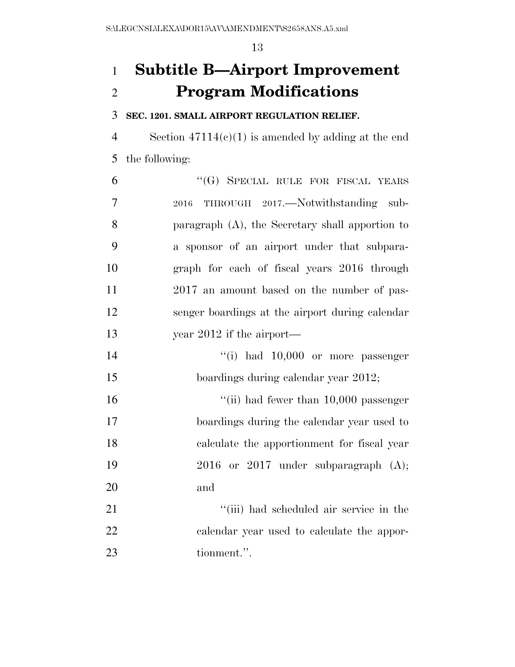# **Subtitle B—Airport Improvement Program Modifications**

## **SEC. 1201. SMALL AIRPORT REGULATION RELIEF.**

 Section 47114(c)(1) is amended by adding at the end the following:

| 6  | "(G) SPECIAL RULE FOR FISCAL YEARS              |
|----|-------------------------------------------------|
| 7  | THROUGH 2017.—Notwithstanding sub-<br>2016      |
| 8  | paragraph (A), the Secretary shall apportion to |
| 9  | a sponsor of an airport under that subpara-     |
| 10 | graph for each of fiscal years 2016 through     |
| 11 | 2017 an amount based on the number of pas-      |
| 12 | senger boardings at the airport during calendar |
| 13 | year $2012$ if the airport—                     |
| 14 | "(i) had $10,000$ or more passenger             |
| 15 | boardings during calendar year 2012;            |
| 16 | "(ii) had fewer than $10,000$ passenger         |
| 17 | boardings during the calendar year used to      |
| 18 | calculate the apportionment for fiscal year     |
| 19 | $2016$ or $2017$ under subparagraph $(A);$      |
| 20 | and                                             |
| 21 | "(iii) had scheduled air service in the         |
| 22 | calendar year used to calculate the appor-      |
| 23 | tionment.".                                     |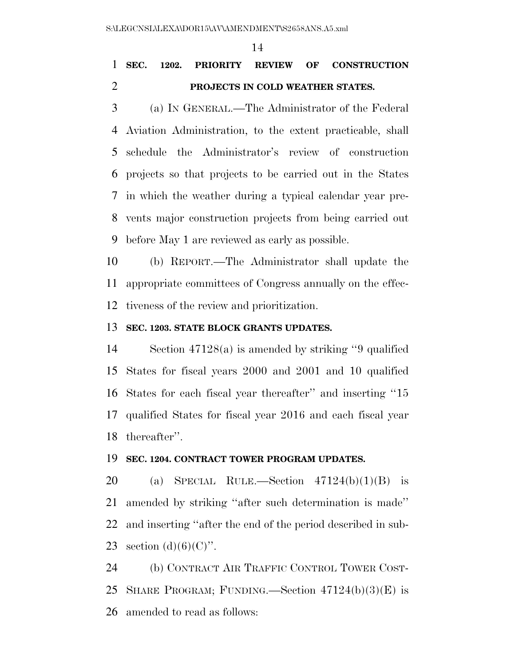# **SEC. 1202. PRIORITY REVIEW OF CONSTRUCTION PROJECTS IN COLD WEATHER STATES.**

 (a) IN GENERAL.—The Administrator of the Federal Aviation Administration, to the extent practicable, shall schedule the Administrator's review of construction projects so that projects to be carried out in the States in which the weather during a typical calendar year pre- vents major construction projects from being carried out before May 1 are reviewed as early as possible.

 (b) REPORT.—The Administrator shall update the appropriate committees of Congress annually on the effec-tiveness of the review and prioritization.

## **SEC. 1203. STATE BLOCK GRANTS UPDATES.**

 Section 47128(a) is amended by striking ''9 qualified States for fiscal years 2000 and 2001 and 10 qualified States for each fiscal year thereafter'' and inserting ''15 qualified States for fiscal year 2016 and each fiscal year thereafter''.

## **SEC. 1204. CONTRACT TOWER PROGRAM UPDATES.**

20 (a) SPECIAL RULE.—Section  $47124(b)(1)(B)$  is amended by striking ''after such determination is made'' and inserting ''after the end of the period described in sub-23 section  $(d)(6)(C)$ ".

 (b) CONTRACT AIR TRAFFIC CONTROL TOWER COST- SHARE PROGRAM; FUNDING.—Section 47124(b)(3)(E) is amended to read as follows: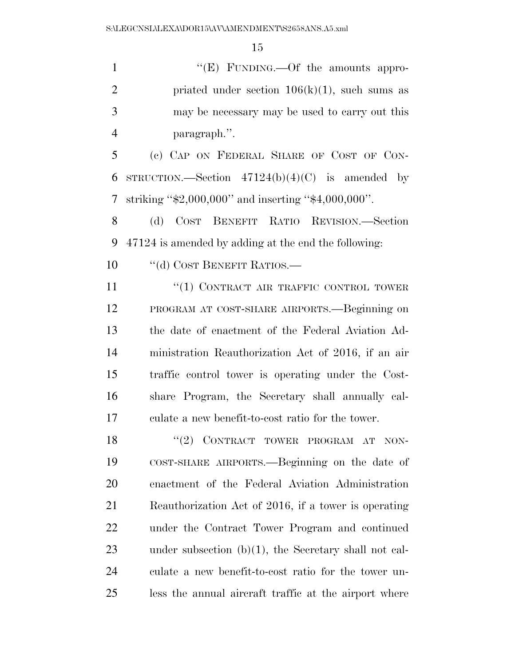1 ''(E) FUNDING.—Of the amounts appro-2 priated under section  $106(k)(1)$ , such sums as may be necessary may be used to carry out this paragraph.''.

 (c) CAP ON FEDERAL SHARE OF COST OF CON-6 STRUCTION.—Section  $47124(b)(4)(C)$  is amended by striking ''\$2,000,000'' and inserting ''\$4,000,000''.

 (d) COST BENEFIT RATIO REVISION.—Section 47124 is amended by adding at the end the following:

10 <sup>"</sup>(d) COST BENEFIT RATIOS.—

**''(1) CONTRACT AIR TRAFFIC CONTROL TOWER**  PROGRAM AT COST-SHARE AIRPORTS.—Beginning on the date of enactment of the Federal Aviation Ad- ministration Reauthorization Act of 2016, if an air traffic control tower is operating under the Cost- share Program, the Secretary shall annually cal-culate a new benefit-to-cost ratio for the tower.

18 "(2) CONTRACT TOWER PROGRAM AT NON- COST-SHARE AIRPORTS.—Beginning on the date of enactment of the Federal Aviation Administration Reauthorization Act of 2016, if a tower is operating under the Contract Tower Program and continued under subsection (b)(1), the Secretary shall not cal- culate a new benefit-to-cost ratio for the tower un-less the annual aircraft traffic at the airport where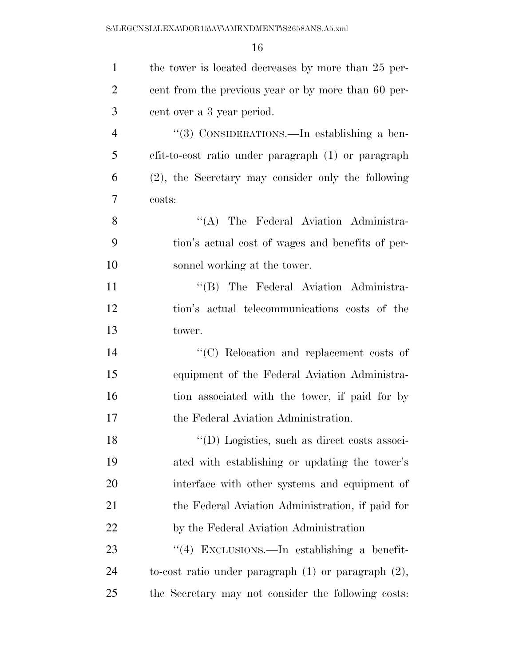| $\mathbf{1}$   | the tower is located decreases by more than 25 per-      |
|----------------|----------------------------------------------------------|
| $\overline{2}$ | cent from the previous year or by more than 60 per-      |
| 3              | cent over a 3 year period.                               |
| $\overline{4}$ | "(3) CONSIDERATIONS.—In establishing a ben-              |
| 5              | efit-to-cost ratio under paragraph (1) or paragraph      |
| 6              | (2), the Secretary may consider only the following       |
| 7              | costs:                                                   |
| 8              | "(A) The Federal Aviation Administra-                    |
| 9              | tion's actual cost of wages and benefits of per-         |
| 10             | sonnel working at the tower.                             |
| 11             | "(B) The Federal Aviation Administra-                    |
| 12             | tion's actual telecommunications costs of the            |
| 13             | tower.                                                   |
| 14             | "(C) Relocation and replacement costs of                 |
| 15             | equipment of the Federal Aviation Administra-            |
| 16             | tion associated with the tower, if paid for by           |
| 17             | the Federal Aviation Administration.                     |
| 18             | "(D) Logistics, such as direct costs associ-             |
| 19             | ated with establishing or updating the tower's           |
| 20             | interface with other systems and equipment of            |
| 21             | the Federal Aviation Administration, if paid for         |
| 22             | by the Federal Aviation Administration                   |
| 23             | "(4) EXCLUSIONS.—In establishing a benefit-              |
| 24             | to-cost ratio under paragraph $(1)$ or paragraph $(2)$ , |
| 25             | the Secretary may not consider the following costs:      |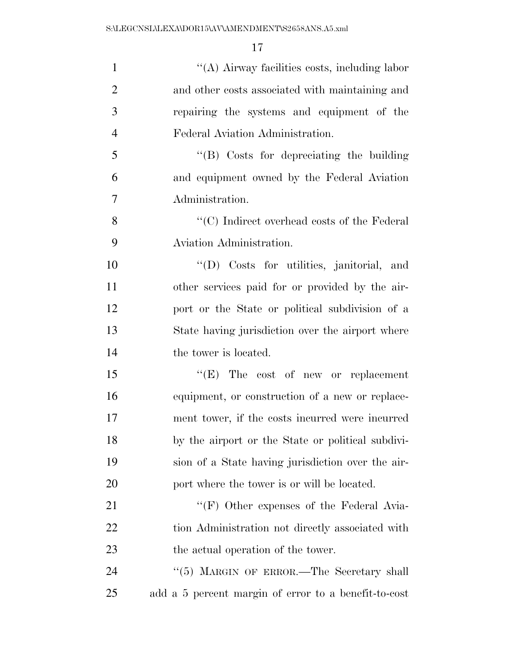| $\mathbf{1}$   | "(A) Airway facilities costs, including labor        |
|----------------|------------------------------------------------------|
| $\overline{2}$ | and other costs associated with maintaining and      |
| 3              | repairing the systems and equipment of the           |
| $\overline{4}$ | Federal Aviation Administration.                     |
| 5              | $\lq\lq$ Costs for depreciating the building         |
| 6              | and equipment owned by the Federal Aviation          |
| 7              | Administration.                                      |
| 8              | $\lq\lq$ (C) Indirect overhead costs of the Federal  |
| 9              | Aviation Administration.                             |
| 10             | "(D) Costs for utilities, janitorial, and            |
| 11             | other services paid for or provided by the air-      |
| 12             | port or the State or political subdivision of a      |
| 13             | State having jurisdiction over the airport where     |
| 14             | the tower is located.                                |
| 15             | " $(E)$ The cost of new or replacement               |
| 16             | equipment, or construction of a new or replace-      |
| 17             | ment tower, if the costs incurred were incurred      |
| 18             | by the airport or the State or political subdivi-    |
| 19             | sion of a State having jurisdiction over the air-    |
| 20             | port where the tower is or will be located.          |
| 21             | "(F) Other expenses of the Federal Avia-             |
| 22             | tion Administration not directly associated with     |
| 23             | the actual operation of the tower.                   |
| 24             | "(5) MARGIN OF ERROR.—The Secretary shall            |
| 25             | add a 5 percent margin of error to a benefit-to-cost |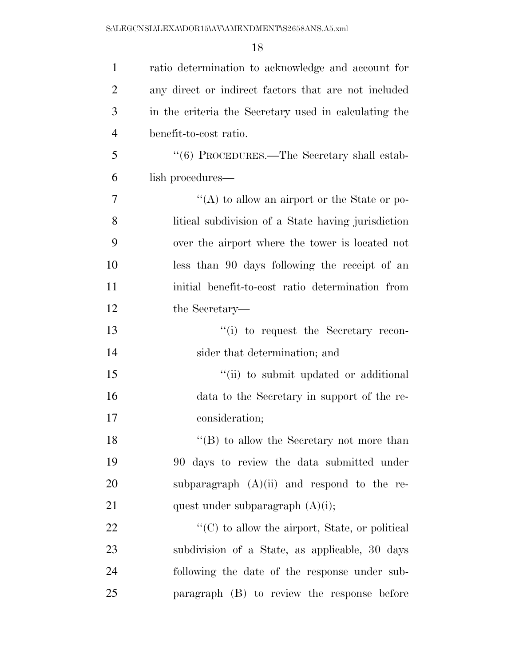| $\mathbf{1}$   | ratio determination to acknowledge and account for     |
|----------------|--------------------------------------------------------|
| $\overline{2}$ | any direct or indirect factors that are not included   |
| 3              | in the criteria the Secretary used in calculating the  |
| $\overline{4}$ | benefit-to-cost ratio.                                 |
| 5              | "(6) PROCEDURES.—The Secretary shall estab-            |
| 6              | lish procedures—                                       |
| 7              | "(A) to allow an airport or the State or po-           |
| 8              | litical subdivision of a State having jurisdiction     |
| 9              | over the airport where the tower is located not        |
| 10             | less than 90 days following the receipt of an          |
| 11             | initial benefit-to-cost ratio determination from       |
| 12             | the Secretary—                                         |
| 13             | "(i) to request the Secretary recon-                   |
| 14             | sider that determination; and                          |
| 15             | "(ii) to submit updated or additional                  |
| 16             | data to the Secretary in support of the re-            |
| 17             | consideration;                                         |
| 18             | $\lq\lq (B)$ to allow the Secretary not more than      |
| 19             | 90 days to review the data submitted under             |
| 20             | subparagraph $(A)(ii)$ and respond to the re-          |
| 21             | quest under subparagraph $(A)(i)$ ;                    |
| 22             | $\lq\lq$ (C) to allow the airport, State, or political |
| 23             | subdivision of a State, as applicable, 30 days         |
| 24             | following the date of the response under sub-          |
| 25             | paragraph (B) to review the response before            |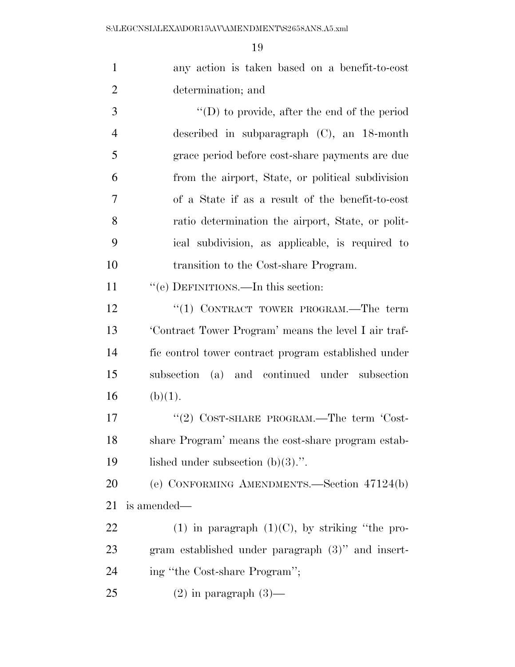| $\mathbf{1}$   | any action is taken based on a benefit-to-cost       |
|----------------|------------------------------------------------------|
| $\overline{2}$ | determination; and                                   |
| 3              | $\lq\lq$ to provide, after the end of the period     |
| $\overline{4}$ | described in subparagraph $(C)$ , an 18-month        |
| 5              | grace period before cost-share payments are due      |
| 6              | from the airport, State, or political subdivision    |
| 7              | of a State if as a result of the benefit-to-cost     |
| 8              | ratio determination the airport, State, or polit-    |
| 9              | ical subdivision, as applicable, is required to      |
| 10             | transition to the Cost-share Program.                |
| 11             | "(e) DEFINITIONS.—In this section:                   |
| 12             | "(1) CONTRACT TOWER PROGRAM.—The term                |
| 13             | 'Contract Tower Program' means the level I air traf- |
| 14             | fic control tower contract program established under |
| 15             | subsection (a) and continued under subsection        |
| 16             | (b)(1).                                              |
| 17             | "(2) COST-SHARE PROGRAM.—The term 'Cost-             |
| 18             | share Program' means the cost-share program estab-   |
| 19             | lished under subsection $(b)(3)$ .".                 |
| 20             | (e) CONFORMING AMENDMENTS.—Section 47124(b)          |
| 21             | is amended—                                          |
| 22             | $(1)$ in paragraph $(1)(C)$ , by striking "the pro-  |
| 23             | gram established under paragraph (3)" and insert-    |
| 24             | ing "the Cost-share Program";                        |
| 25             | $(2)$ in paragraph $(3)$ —                           |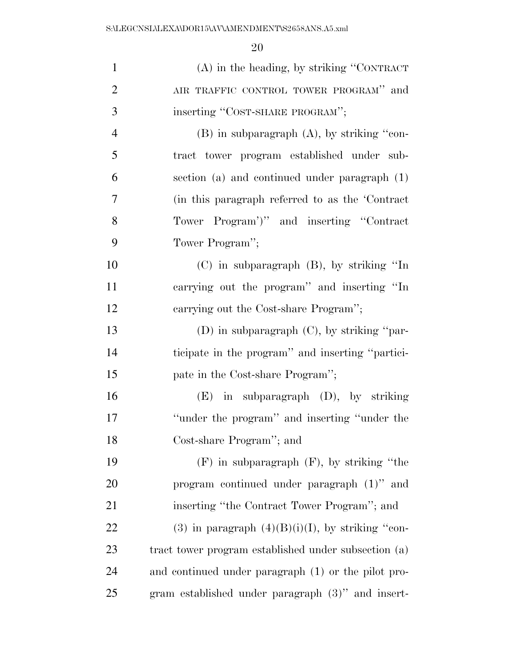| $\mathbf{1}$   | $(A)$ in the heading, by striking "CONTRACT"         |
|----------------|------------------------------------------------------|
| $\overline{2}$ | AIR TRAFFIC CONTROL TOWER PROGRAM" and               |
| 3              | inserting "COST-SHARE PROGRAM";                      |
| $\overline{4}$ | $(B)$ in subparagraph $(A)$ , by striking "con-      |
| 5              | tract tower program established under sub-           |
| 6              | section (a) and continued under paragraph (1)        |
| 7              | (in this paragraph referred to as the 'Contract      |
| 8              | Tower Program')" and inserting "Contract"            |
| 9              | Tower Program";                                      |
| 10             | $(C)$ in subparagraph $(B)$ , by striking "In        |
| 11             | carrying out the program" and inserting "In          |
| 12             | carrying out the Cost-share Program";                |
| 13             | (D) in subparagraph $(C)$ , by striking "par-        |
| 14             | ticipate in the program" and inserting "partici-     |
| 15             | pate in the Cost-share Program";                     |
| 16             | $(E)$ in subparagraph $(D)$ , by striking            |
| 17             | "under the program" and inserting "under the         |
| 18             | Cost-share Program"; and                             |
| 19             | $(F)$ in subparagraph $(F)$ , by striking "the       |
| 20             | program continued under paragraph $(1)$ " and        |
| 21             | inserting "the Contract Tower Program"; and          |
| 22             | (3) in paragraph $(4)(B)(i)(I)$ , by striking "con-  |
| 23             | tract tower program established under subsection (a) |
| 24             | and continued under paragraph (1) or the pilot pro-  |
| 25             | gram established under paragraph $(3)$ " and insert- |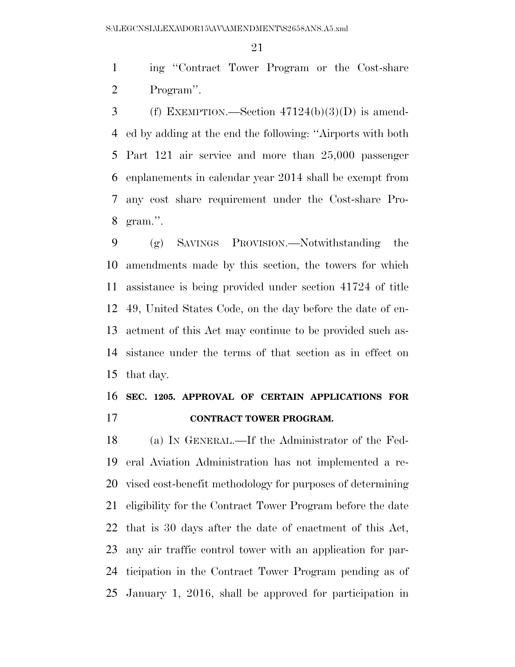ing ''Contract Tower Program or the Cost-share Program''.

3 (f) EXEMPTION.—Section  $47124(b)(3)(D)$  is amend- ed by adding at the end the following: ''Airports with both Part 121 air service and more than 25,000 passenger enplanements in calendar year 2014 shall be exempt from any cost share requirement under the Cost-share Pro-gram.''.

 (g) SAVINGS PROVISION.—Notwithstanding the amendments made by this section, the towers for which assistance is being provided under section 41724 of title 49, United States Code, on the day before the date of en- actment of this Act may continue to be provided such as- sistance under the terms of that section as in effect on that day.

# **SEC. 1205. APPROVAL OF CERTAIN APPLICATIONS FOR CONTRACT TOWER PROGRAM.**

 (a) IN GENERAL.—If the Administrator of the Fed- eral Aviation Administration has not implemented a re- vised cost-benefit methodology for purposes of determining eligibility for the Contract Tower Program before the date that is 30 days after the date of enactment of this Act, any air traffic control tower with an application for par- ticipation in the Contract Tower Program pending as of January 1, 2016, shall be approved for participation in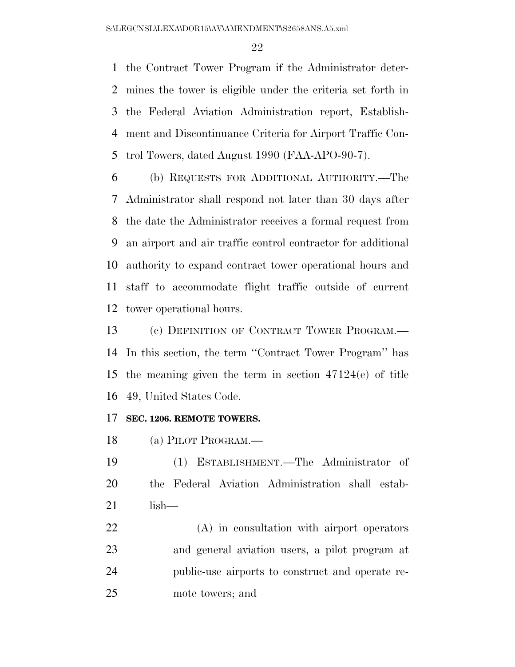the Contract Tower Program if the Administrator deter- mines the tower is eligible under the criteria set forth in the Federal Aviation Administration report, Establish- ment and Discontinuance Criteria for Airport Traffic Con-trol Towers, dated August 1990 (FAA-APO-90-7).

 (b) REQUESTS FOR ADDITIONAL AUTHORITY.—The Administrator shall respond not later than 30 days after the date the Administrator receives a formal request from an airport and air traffic control contractor for additional authority to expand contract tower operational hours and staff to accommodate flight traffic outside of current tower operational hours.

 (c) DEFINITION OF CONTRACT TOWER PROGRAM.— In this section, the term ''Contract Tower Program'' has the meaning given the term in section 47124(e) of title 49, United States Code.

## **SEC. 1206. REMOTE TOWERS.**

(a) PILOT PROGRAM.—

 (1) ESTABLISHMENT.—The Administrator of the Federal Aviation Administration shall estab-lish—

 (A) in consultation with airport operators and general aviation users, a pilot program at public-use airports to construct and operate re-mote towers; and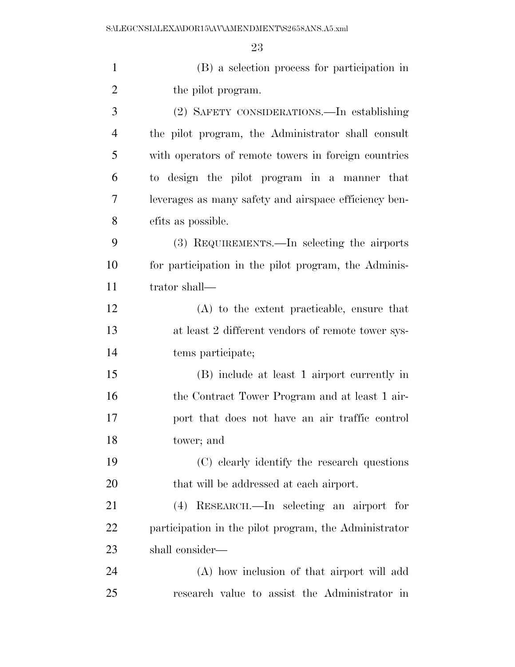(B) a selection process for participation in 2 the pilot program. (2) SAFETY CONSIDERATIONS.—In establishing the pilot program, the Administrator shall consult with operators of remote towers in foreign countries to design the pilot program in a manner that leverages as many safety and airspace efficiency ben- efits as possible. (3) REQUIREMENTS.—In selecting the airports for participation in the pilot program, the Adminis- trator shall— (A) to the extent practicable, ensure that at least 2 different vendors of remote tower sys- tems participate; (B) include at least 1 airport currently in the Contract Tower Program and at least 1 air- port that does not have an air traffic control tower; and (C) clearly identify the research questions 20 that will be addressed at each airport. (4) RESEARCH.—In selecting an airport for participation in the pilot program, the Administrator shall consider— (A) how inclusion of that airport will add

research value to assist the Administrator in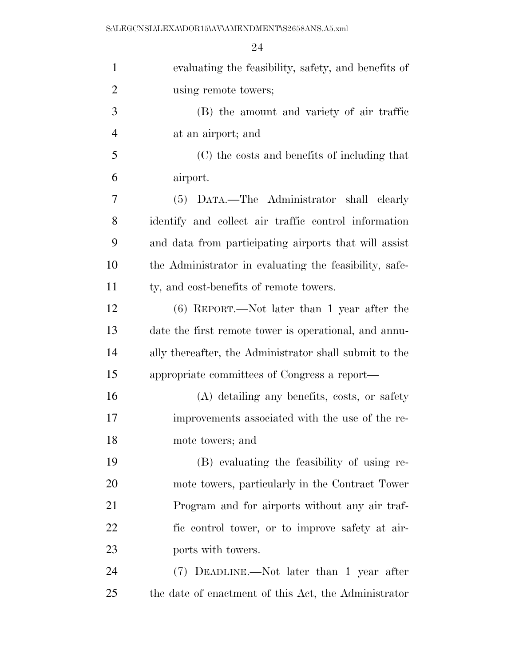| $\mathbf{1}$   | evaluating the feasibility, safety, and benefits of    |
|----------------|--------------------------------------------------------|
| $\overline{2}$ | using remote towers;                                   |
| 3              | (B) the amount and variety of air traffic              |
| $\overline{4}$ | at an airport; and                                     |
| 5              | (C) the costs and benefits of including that           |
| 6              | airport.                                               |
| 7              | (5) DATA.—The Administrator shall clearly              |
| 8              | identify and collect air traffic control information   |
| 9              | and data from participating airports that will assist  |
| 10             | the Administrator in evaluating the feasibility, safe- |
| 11             | ty, and cost-benefits of remote towers.                |
| 12             | $(6)$ REPORT.—Not later than 1 year after the          |
| 13             | date the first remote tower is operational, and annu-  |
| 14             | ally thereafter, the Administrator shall submit to the |
| 15             | appropriate committees of Congress a report—           |
| 16             | (A) detailing any benefits, costs, or safety           |
| 17             | improvements associated with the use of the re-        |
| 18             | mote towers; and                                       |
| 19             | (B) evaluating the feasibility of using re-            |
| 20             | mote towers, particularly in the Contract Tower        |
| 21             | Program and for airports without any air traf-         |
| 22             | fic control tower, or to improve safety at air-        |
| 23             | ports with towers.                                     |
| 24             | (7) DEADLINE.—Not later than 1 year after              |
| 25             | the date of enactment of this Act, the Administrator   |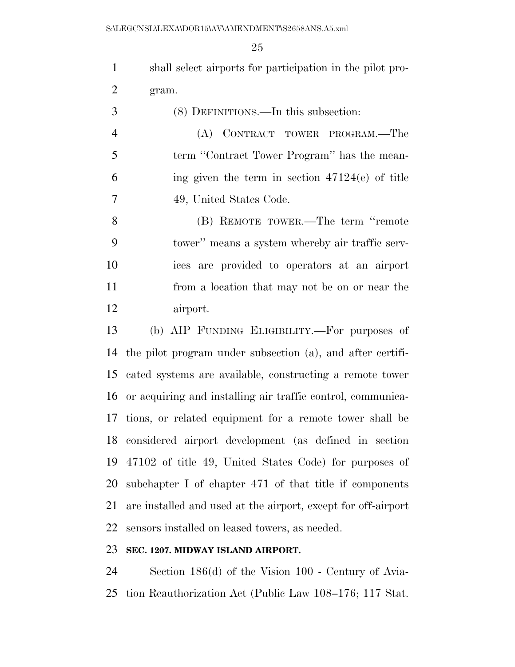shall select airports for participation in the pilot pro-gram.

 (8) DEFINITIONS.—In this subsection: (A) CONTRACT TOWER PROGRAM.—The term ''Contract Tower Program'' has the mean- ing given the term in section 47124(e) of title 49, United States Code. (B) REMOTE TOWER.—The term ''remote tower'' means a system whereby air traffic serv- ices are provided to operators at an airport from a location that may not be on or near the airport.

 (b) AIP FUNDING ELIGIBILITY.—For purposes of the pilot program under subsection (a), and after certifi- cated systems are available, constructing a remote tower or acquiring and installing air traffic control, communica- tions, or related equipment for a remote tower shall be considered airport development (as defined in section 47102 of title 49, United States Code) for purposes of subchapter I of chapter 471 of that title if components are installed and used at the airport, except for off-airport sensors installed on leased towers, as needed.

## **SEC. 1207. MIDWAY ISLAND AIRPORT.**

 Section 186(d) of the Vision 100 - Century of Avia-tion Reauthorization Act (Public Law 108–176; 117 Stat.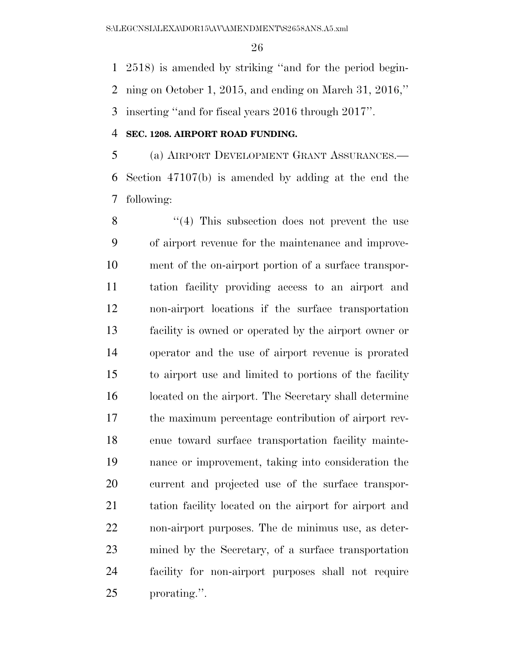2518) is amended by striking ''and for the period begin- ning on October 1, 2015, and ending on March 31, 2016,'' inserting ''and for fiscal years 2016 through 2017''.

## **SEC. 1208. AIRPORT ROAD FUNDING.**

 (a) AIRPORT DEVELOPMENT GRANT ASSURANCES.— Section 47107(b) is amended by adding at the end the following:

8 "(4) This subsection does not prevent the use of airport revenue for the maintenance and improve- ment of the on-airport portion of a surface transpor- tation facility providing access to an airport and non-airport locations if the surface transportation facility is owned or operated by the airport owner or operator and the use of airport revenue is prorated to airport use and limited to portions of the facility located on the airport. The Secretary shall determine the maximum percentage contribution of airport rev- enue toward surface transportation facility mainte- nance or improvement, taking into consideration the current and projected use of the surface transpor- tation facility located on the airport for airport and non-airport purposes. The de minimus use, as deter- mined by the Secretary, of a surface transportation facility for non-airport purposes shall not require prorating.''.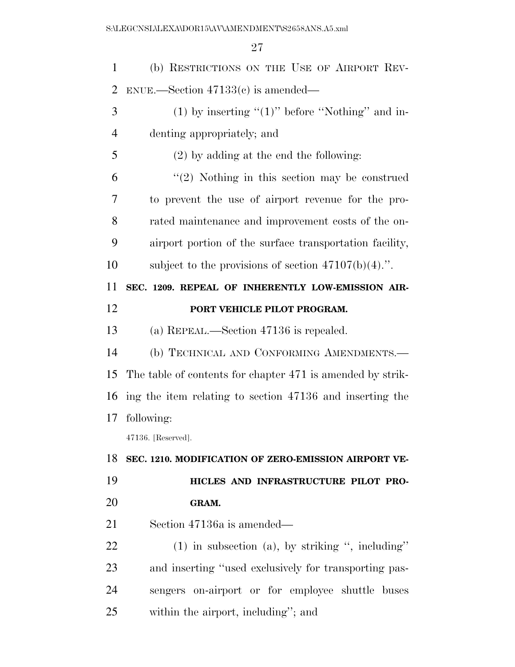| 1              | (b) RESTRICTIONS ON THE USE OF AIRPORT REV-                |
|----------------|------------------------------------------------------------|
| $\overline{2}$ | $ENUE.$ Section $47133(c)$ is amended—                     |
| 3              | (1) by inserting " $(1)$ " before "Nothing" and in-        |
| 4              | denting appropriately; and                                 |
| 5              | $(2)$ by adding at the end the following:                  |
| 6              | $\lq(2)$ Nothing in this section may be construed          |
| 7              | to prevent the use of airport revenue for the pro-         |
| 8              | rated maintenance and improvement costs of the on-         |
| 9              | airport portion of the surface transportation facility,    |
| 10             | subject to the provisions of section $47107(b)(4)$ .".     |
| 11             | SEC. 1209. REPEAL OF INHERENTLY LOW-EMISSION AIR-          |
| 12             | PORT VEHICLE PILOT PROGRAM.                                |
| 13             | (a) REPEAL.—Section 47136 is repealed.                     |
| 14             | (b) TECHNICAL AND CONFORMING AMENDMENTS.-                  |
| 15             | The table of contents for chapter 471 is amended by strik- |
| 16             | ing the item relating to section 47136 and inserting the   |
| 17             | following:                                                 |
|                | 47136. [Reserved].                                         |
| 18             | SEC. 1210. MODIFICATION OF ZERO-EMISSION AIRPORT VE-       |
| 19             | HICLES AND INFRASTRUCTURE PILOT PRO-                       |
| 20             | GRAM.                                                      |
| 21             | Section 47136a is amended—                                 |
| 22             | $(1)$ in subsection $(a)$ , by striking ", including"      |
| 23             | and inserting "used exclusively for transporting pas-      |
| 24             | sengers on-airport or for employee shuttle buses           |
| 25             | within the airport, including"; and                        |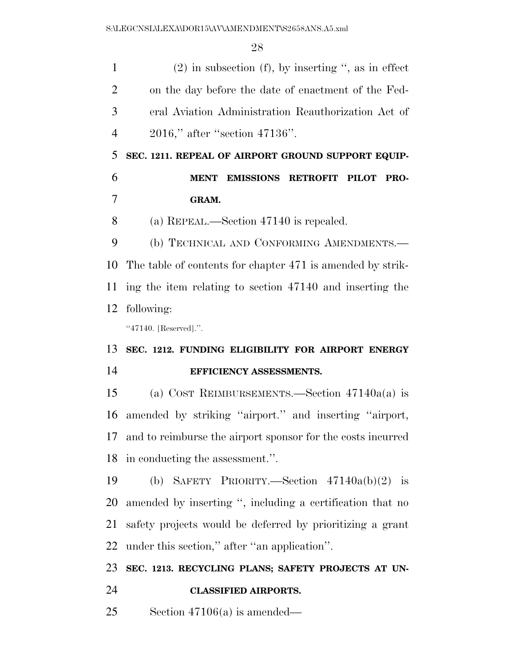| $\mathbf{1}$   | $(2)$ in subsection $(f)$ , by inserting ", as in effect    |
|----------------|-------------------------------------------------------------|
| $\overline{2}$ | on the day before the date of enactment of the Fed-         |
| 3              | eral Aviation Administration Reauthorization Act of         |
| $\overline{4}$ | 2016," after "section 47136".                               |
| 5              | SEC. 1211. REPEAL OF AIRPORT GROUND SUPPORT EQUIP-          |
| 6              | <b>EMISSIONS RETROFIT PILOT</b><br><b>MENT</b><br>PRO-      |
| 7              | GRAM.                                                       |
| 8              | (a) REPEAL.—Section $47140$ is repealed.                    |
| 9              | (b) TECHNICAL AND CONFORMING AMENDMENTS.-                   |
| 10             | The table of contents for chapter 471 is amended by strik-  |
| 11             | ing the item relating to section 47140 and inserting the    |
| 12             | following:                                                  |
|                | "47140. [Reserved].".                                       |
| 13             | SEC. 1212. FUNDING ELIGIBILITY FOR AIRPORT ENERGY           |
| 14             | EFFICIENCY ASSESSMENTS.                                     |
| 15             | (a) COST REIMBURSEMENTS.—Section $47140a(a)$ is             |
| 16             | amended by striking "airport." and inserting "airport,      |
| 17             | and to reimburse the airport sponsor for the costs incurred |
| 18             | in conducting the assessment.".                             |
| 19             | (b) SAFETY PRIORITY.—Section $47140a(b)(2)$ is              |
| <b>20</b>      | amended by inserting ", including a certification that no   |
| 21             | safety projects would be deferred by prioritizing a grant   |
| 22             | under this section," after "an application".                |
| 23             | SEC. 1213. RECYCLING PLANS; SAFETY PROJECTS AT UN-          |
| 24             | <b>CLASSIFIED AIRPORTS.</b>                                 |

Section 47106(a) is amended—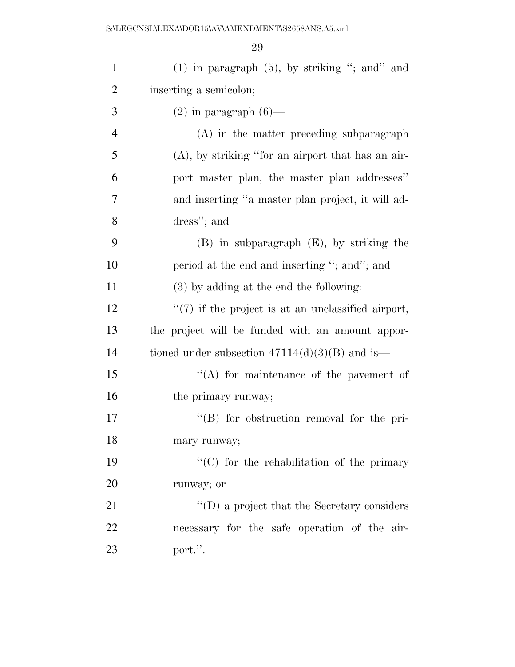| $\mathbf{1}$   | $(1)$ in paragraph $(5)$ , by striking "; and" and     |
|----------------|--------------------------------------------------------|
| $\overline{2}$ | inserting a semicolon;                                 |
| 3              | $(2)$ in paragraph $(6)$ —                             |
| $\overline{4}$ | (A) in the matter preceding subparagraph               |
| 5              | $(A)$ , by striking "for an airport that has an air-   |
| 6              | port master plan, the master plan addresses"           |
| 7              | and inserting "a master plan project, it will ad-      |
| 8              | dress"; and                                            |
| 9              | $(B)$ in subparagraph $(E)$ , by striking the          |
| 10             | period at the end and inserting "; and"; and           |
| 11             | $(3)$ by adding at the end the following:              |
| 12             | $\lq(7)$ if the project is at an unclassified airport, |
| 13             | the project will be funded with an amount appor-       |
| 14             | tioned under subsection $47114(d)(3)(B)$ and is—       |
| 15             | $\lq\lq$ for maintenance of the pavement of            |
| 16             | the primary runway;                                    |
| 17             | $\lq\lq (B)$ for obstruction removal for the pri-      |
| 18             | mary runway;                                           |
| 19             | "(C) for the rehabilitation of the primary             |
| 20             | runway; or                                             |
| 21             | $\lq\lq$ (D) a project that the Secretary considers    |
| 22             | necessary for the safe operation of the air-           |
| 23             | port.".                                                |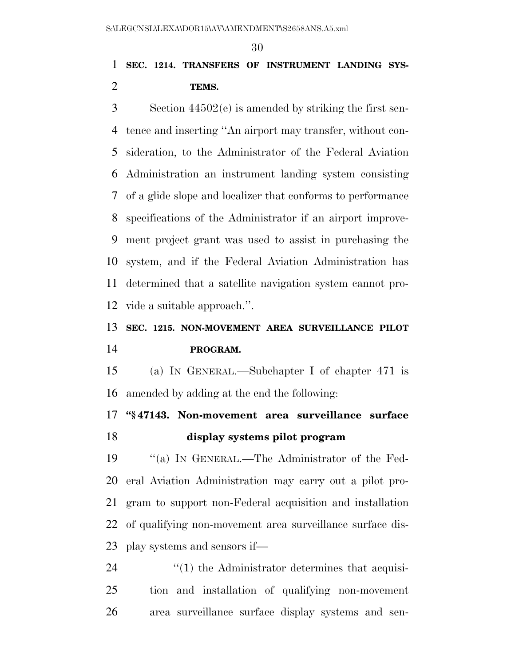## **SEC. 1214. TRANSFERS OF INSTRUMENT LANDING SYS-TEMS.**

 Section 44502(e) is amended by striking the first sen- tence and inserting ''An airport may transfer, without con- sideration, to the Administrator of the Federal Aviation Administration an instrument landing system consisting of a glide slope and localizer that conforms to performance specifications of the Administrator if an airport improve- ment project grant was used to assist in purchasing the system, and if the Federal Aviation Administration has determined that a satellite navigation system cannot pro-vide a suitable approach.''.

# **SEC. 1215. NON-MOVEMENT AREA SURVEILLANCE PILOT PROGRAM.**

 (a) IN GENERAL.—Subchapter I of chapter 471 is amended by adding at the end the following:

 **''§ 47143. Non-movement area surveillance surface display systems pilot program** 

 ''(a) IN GENERAL.—The Administrator of the Fed- eral Aviation Administration may carry out a pilot pro- gram to support non-Federal acquisition and installation of qualifying non-movement area surveillance surface dis-play systems and sensors if—

  $\qquad$   $\qquad$   $\qquad$   $\qquad$   $\qquad$   $\qquad$   $\qquad$   $\qquad$   $\qquad$   $\qquad$   $\qquad$   $\qquad$   $\qquad$   $\qquad$   $\qquad$   $\qquad$   $\qquad$   $\qquad$   $\qquad$   $\qquad$   $\qquad$   $\qquad$   $\qquad$   $\qquad$   $\qquad$   $\qquad$   $\qquad$   $\qquad$   $\qquad$   $\qquad$   $\qquad$   $\qquad$   $\qquad$   $\qquad$   $\qquad$   $\qquad$  tion and installation of qualifying non-movement area surveillance surface display systems and sen-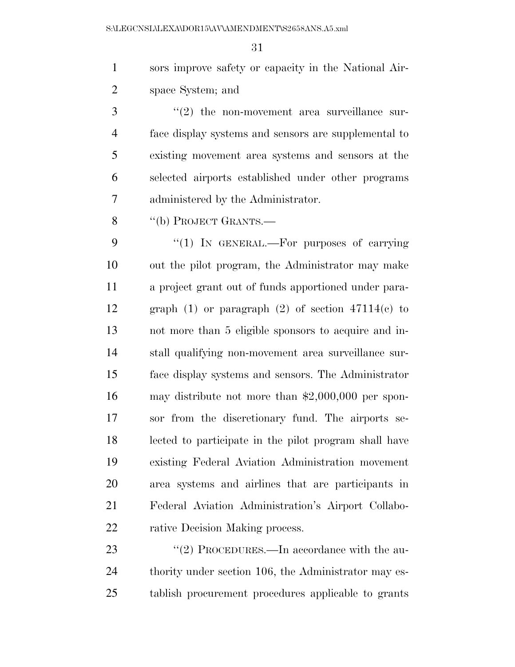sors improve safety or capacity in the National Air-space System; and

 ''(2) the non-movement area surveillance sur- face display systems and sensors are supplemental to existing movement area systems and sensors at the selected airports established under other programs administered by the Administrator.

8 "(b) PROJECT GRANTS.—

9 "(1) IN GENERAL.—For purposes of carrying out the pilot program, the Administrator may make a project grant out of funds apportioned under para-12 graph (1) or paragraph (2) of section  $47114(e)$  to not more than 5 eligible sponsors to acquire and in- stall qualifying non-movement area surveillance sur- face display systems and sensors. The Administrator may distribute not more than \$2,000,000 per spon- sor from the discretionary fund. The airports se- lected to participate in the pilot program shall have existing Federal Aviation Administration movement area systems and airlines that are participants in Federal Aviation Administration's Airport Collabo-22 rative Decision Making process.

23 "(2) PROCEDURES.—In accordance with the au-24 thority under section 106, the Administrator may es-tablish procurement procedures applicable to grants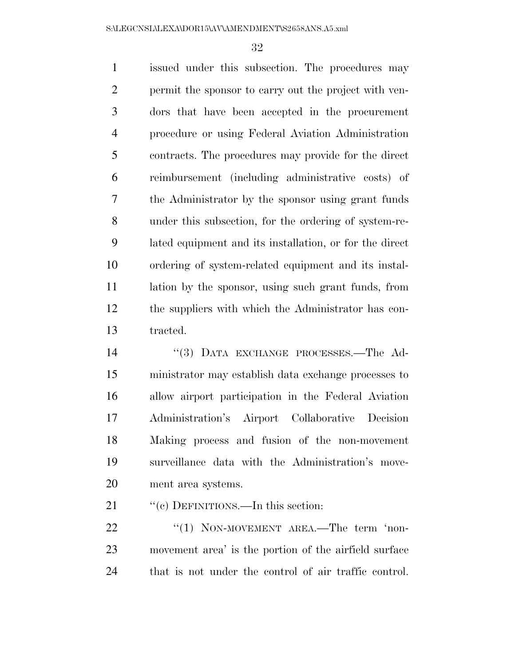issued under this subsection. The procedures may permit the sponsor to carry out the project with ven- dors that have been accepted in the procurement procedure or using Federal Aviation Administration contracts. The procedures may provide for the direct reimbursement (including administrative costs) of the Administrator by the sponsor using grant funds under this subsection, for the ordering of system-re- lated equipment and its installation, or for the direct ordering of system-related equipment and its instal- lation by the sponsor, using such grant funds, from the suppliers with which the Administrator has con-tracted.

14 ''(3) DATA EXCHANGE PROCESSES.—The Ad- ministrator may establish data exchange processes to allow airport participation in the Federal Aviation Administration's Airport Collaborative Decision Making process and fusion of the non-movement surveillance data with the Administration's move-ment area systems.

21 "'(c) DEFINITIONS.—In this section:

22 "(1) NON-MOVEMENT AREA.—The term 'non- movement area' is the portion of the airfield surface that is not under the control of air traffic control.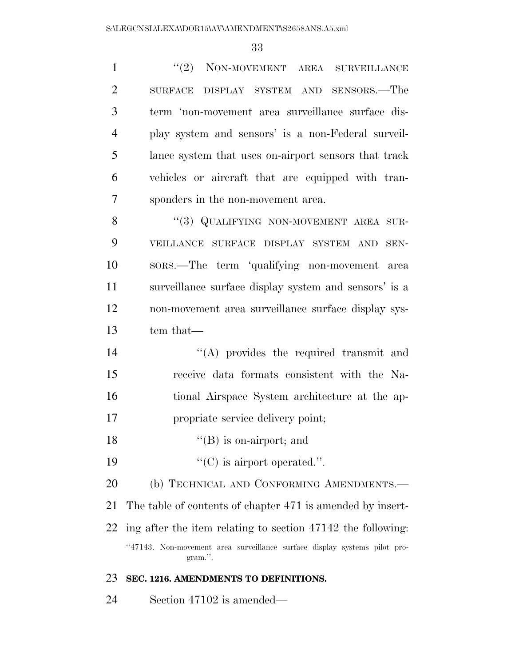1 ''(2) NON-MOVEMENT AREA SURVEILLANCE SURFACE DISPLAY SYSTEM AND SENSORS.—The term 'non-movement area surveillance surface dis- play system and sensors' is a non-Federal surveil- lance system that uses on-airport sensors that track vehicles or aircraft that are equipped with tran- sponders in the non-movement area. 8 "(3) QUALIFYING NON-MOVEMENT AREA SUR-VEILLANCE SURFACE DISPLAY SYSTEM AND SEN-

 SORS.—The term 'qualifying non-movement area surveillance surface display system and sensors' is a non-movement area surveillance surface display sys-tem that—

14 ''(A) provides the required transmit and receive data formats consistent with the Na- tional Airspace System architecture at the ap-propriate service delivery point;

- 18 ''(B) is on-airport; and
- 19  $\text{``(C)}$  is airport operated.".

20 (b) TECHNICAL AND CONFORMING AMENDMENTS.—

The table of contents of chapter 471 is amended by insert-

ing after the item relating to section 47142 the following:

''47143. Non-movement area surveillance surface display systems pilot program.''.

### **SEC. 1216. AMENDMENTS TO DEFINITIONS.**

Section 47102 is amended—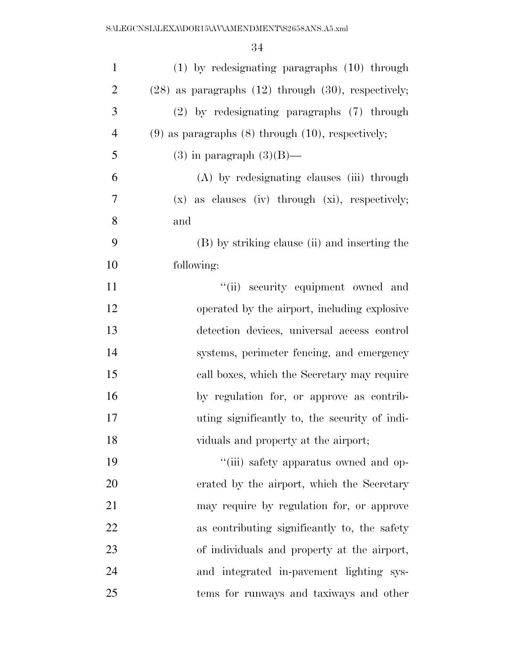| $\mathbf{1}$   | $(1)$ by redesignating paragraphs $(10)$ through           |
|----------------|------------------------------------------------------------|
| $\overline{2}$ | $(28)$ as paragraphs $(12)$ through $(30)$ , respectively; |
| 3              | (2) by redesignating paragraphs (7) through                |
| $\overline{4}$ | $(9)$ as paragraphs $(8)$ through $(10)$ , respectively;   |
| 5              | $(3)$ in paragraph $(3)(B)$ —                              |
| 6              | (A) by redesignating clauses (iii) through                 |
| 7              | $(x)$ as clauses (iv) through $(xi)$ , respectively;       |
| 8              | and                                                        |
| 9              | (B) by striking clause (ii) and inserting the              |
| 10             | following:                                                 |
| 11             | "(ii) security equipment owned and                         |
| 12             | operated by the airport, including explosive               |
| 13             | detection devices, universal access control                |
| 14             | systems, perimeter fencing, and emergency                  |
| 15             | call boxes, which the Secretary may require                |
| 16             | by regulation for, or approve as contrib-                  |
| 17             | uting significantly to, the security of indi-              |
| 18             | viduals and property at the airport;                       |
| 19             | "(iii) safety apparatus owned and op-                      |
| 20             | erated by the airport, which the Secretary                 |
| 21             | may require by regulation for, or approve                  |
| 22             | as contributing significantly to, the safety               |
| 23             | of individuals and property at the airport,                |
| 24             | and integrated in-pavement lighting sys-                   |
| 25             | tems for runways and taxiways and other                    |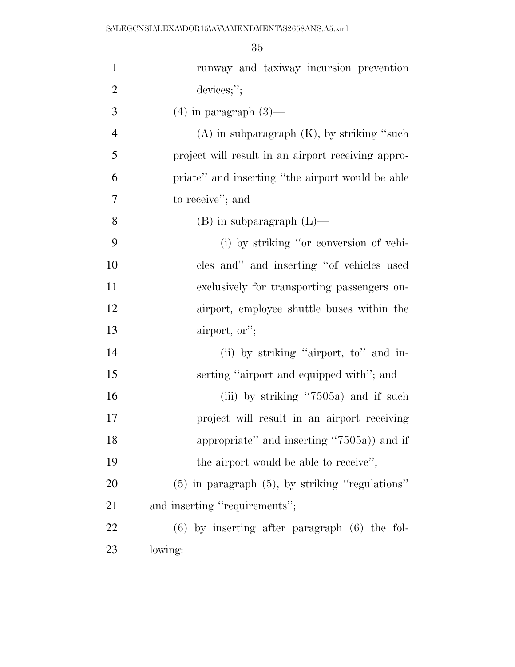| $\mathbf{1}$   | runway and taxiway incursion prevention              |
|----------------|------------------------------------------------------|
| $\overline{2}$ | devices;";                                           |
| 3              | $(4)$ in paragraph $(3)$ —                           |
| $\overline{4}$ | $(A)$ in subparagraph $(K)$ , by striking "such      |
| 5              | project will result in an airport receiving appro-   |
| 6              | priate" and inserting "the airport would be able     |
| 7              | to receive"; and                                     |
| 8              | $(B)$ in subparagraph $(L)$ —                        |
| 9              | (i) by striking "or conversion of vehi-              |
| 10             | cles and" and inserting "of vehicles used            |
| 11             | exclusively for transporting passengers on-          |
| 12             | airport, employee shuttle buses within the           |
| 13             | airport, or";                                        |
| 14             | (ii) by striking "airport, to" and in-               |
| 15             | serting "airport and equipped with"; and             |
| 16             | (iii) by striking $\cdot 7505a$ ) and if such        |
| 17             | project will result in an airport receiving          |
| 18             | appropriate" and inserting "7505a)) and if           |
| 19             | the airport would be able to receive";               |
| 20             | $(5)$ in paragraph $(5)$ , by striking "regulations" |
| 21             | and inserting "requirements";                        |
| 22             | $(6)$ by inserting after paragraph $(6)$ the fol-    |
| 23             | lowing:                                              |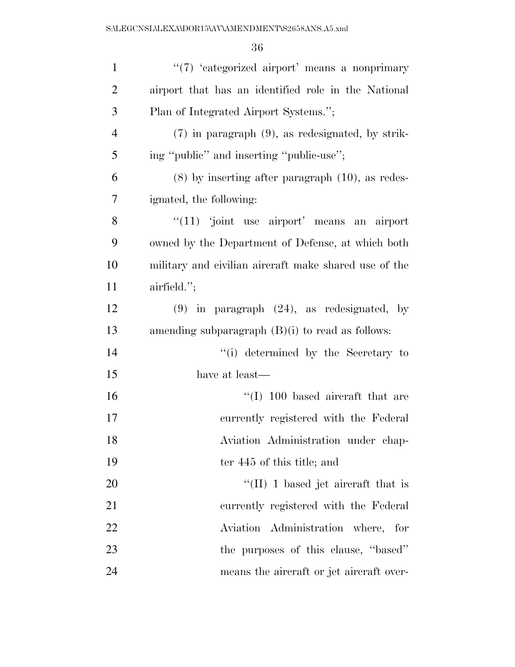| $\mathbf{1}$   | "(7) 'categorized airport' means a nonprimary         |
|----------------|-------------------------------------------------------|
| $\overline{2}$ | airport that has an identified role in the National   |
| 3              | Plan of Integrated Airport Systems.";                 |
| $\overline{4}$ | $(7)$ in paragraph $(9)$ , as redesignated, by strik- |
| 5              | ing "public" and inserting "public-use";              |
| 6              | $(8)$ by inserting after paragraph $(10)$ , as redes- |
| 7              | ignated, the following:                               |
| 8              | $\lq(11)$ joint use airport' means an airport         |
| 9              | owned by the Department of Defense, at which both     |
| 10             | military and civilian aircraft make shared use of the |
| 11             | $airfield.'$ ;                                        |
| 12             | $(9)$ in paragraph $(24)$ , as redesignated, by       |
| 13             | amending subparagraph $(B)(i)$ to read as follows:    |
| 14             | "(i) determined by the Secretary to                   |
| 15             | have at least—                                        |
| 16             | $\lq(1)$ 100 based aircraft that are                  |
| 17             | currently registered with the Federal                 |
| 18             | Aviation Administration under chap-                   |
| 19             | ter 445 of this title; and                            |
| 20             | $\lq$ (II) 1 based jet aircraft that is               |
| 21             | currently registered with the Federal                 |
| 22             | Aviation Administration where, for                    |
| 23             | the purposes of this clause, "based"                  |
| 24             | means the aircraft or jet aircraft over-              |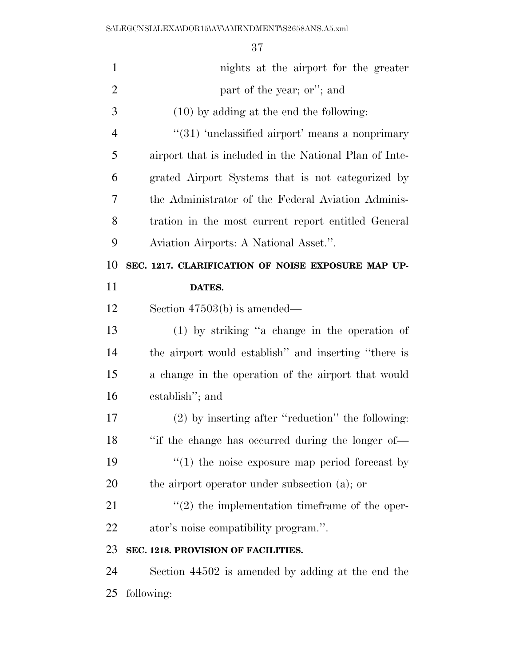| $\mathbf{1}$   | nights at the airport for the greater                      |
|----------------|------------------------------------------------------------|
| $\overline{2}$ | part of the year; or"; and                                 |
| 3              | $(10)$ by adding at the end the following:                 |
| $\overline{4}$ | $\cdot\cdot(31)$ 'unclassified airport' means a nonprimary |
| 5              | airport that is included in the National Plan of Inte-     |
| 6              | grated Airport Systems that is not categorized by          |
| 7              | the Administrator of the Federal Aviation Adminis-         |
| 8              | tration in the most current report entitled General        |
| 9              | Aviation Airports: A National Asset.".                     |
| 10             | SEC. 1217. CLARIFICATION OF NOISE EXPOSURE MAP UP-         |
| 11             | DATES.                                                     |
| 12             | Section $47503(b)$ is amended—                             |
| 13             | $(1)$ by striking "a change in the operation of            |
| 14             | the airport would establish" and inserting "there is       |
| 15             | a change in the operation of the airport that would        |
| 16             | establish"; and                                            |
| 17             | (2) by inserting after "reduction" the following:          |
| 18             | "if the change has occurred during the longer of—          |
| 19             | $\cdot$ (1) the noise exposure map period forecast by      |
| 20             | the airport operator under subsection (a); or              |
| 21             | $\lq(2)$ the implementation timeframe of the oper-         |
| 22             | ator's noise compatibility program.".                      |
| 23             | SEC. 1218. PROVISION OF FACILITIES.                        |
| 24             | Section 44502 is amended by adding at the end the          |
| 25             | following:                                                 |
|                |                                                            |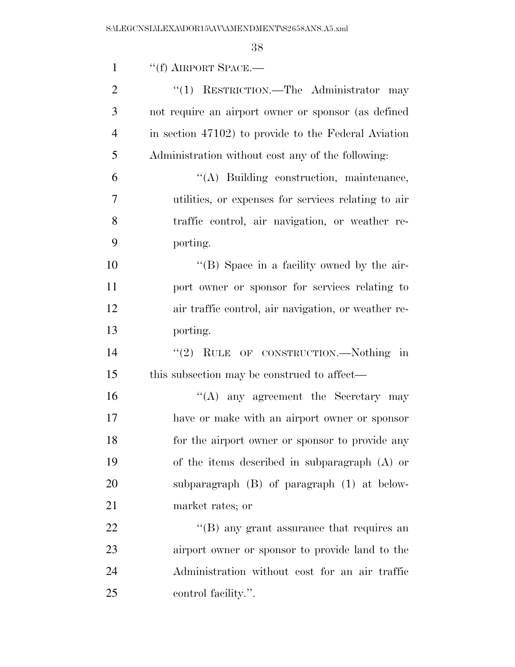| $\mathbf{1}$   | $``(f)$ AIRPORT SPACE.—                              |
|----------------|------------------------------------------------------|
| $\overline{2}$ | "(1) RESTRICTION.—The Administrator may              |
| 3              | not require an airport owner or sponsor (as defined  |
| $\overline{4}$ | in section 47102) to provide to the Federal Aviation |
| 5              | Administration without cost any of the following:    |
| 6              | "(A) Building construction, maintenance,             |
| 7              | utilities, or expenses for services relating to air  |
| 8              | traffic control, air navigation, or weather re-      |
| 9              | porting.                                             |
| 10             | "(B) Space in a facility owned by the air-           |
| 11             | port owner or sponsor for services relating to       |
| 12             | air traffic control, air navigation, or weather re-  |
| 13             | porting.                                             |
| 14             | "(2) RULE OF CONSTRUCTION.—Nothing in                |
| 15             | this subsection may be construed to affect—          |
| 16             | "(A) any agreement the Secretary may                 |
| 17             | have or make with an airport owner or sponsor        |
| 18             | for the airport owner or sponsor to provide any      |
| 19             | of the items described in subparagraph $(A)$ or      |
| 20             | subparagraph $(B)$ of paragraph $(1)$ at below-      |
| 21             | market rates; or                                     |
| 22             | $\cdot$ (B) any grant assurance that requires an     |
| 23             | airport owner or sponsor to provide land to the      |
| 24             | Administration without cost for an air traffic       |
| 25             | control facility.".                                  |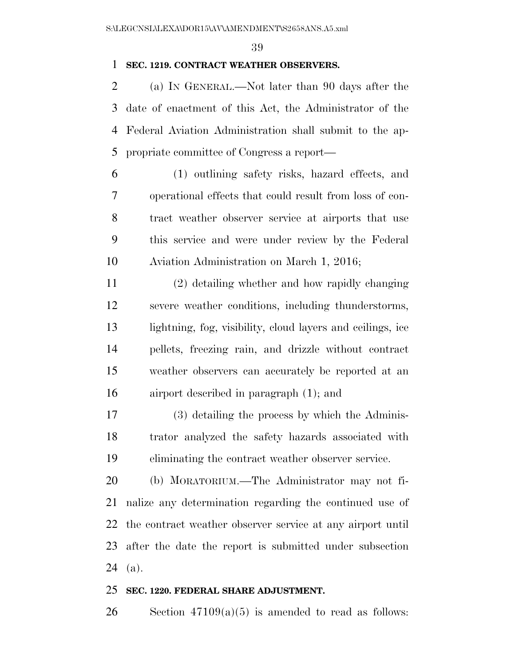# **SEC. 1219. CONTRACT WEATHER OBSERVERS.**

 (a) IN GENERAL.—Not later than 90 days after the date of enactment of this Act, the Administrator of the Federal Aviation Administration shall submit to the ap-propriate committee of Congress a report—

 (1) outlining safety risks, hazard effects, and operational effects that could result from loss of con- tract weather observer service at airports that use this service and were under review by the Federal Aviation Administration on March 1, 2016;

 (2) detailing whether and how rapidly changing severe weather conditions, including thunderstorms, lightning, fog, visibility, cloud layers and ceilings, ice pellets, freezing rain, and drizzle without contract weather observers can accurately be reported at an airport described in paragraph (1); and

 (3) detailing the process by which the Adminis- trator analyzed the safety hazards associated with eliminating the contract weather observer service.

 (b) MORATORIUM.—The Administrator may not fi- nalize any determination regarding the continued use of the contract weather observer service at any airport until after the date the report is submitted under subsection (a).

#### **SEC. 1220. FEDERAL SHARE ADJUSTMENT.**

26 Section  $47109(a)(5)$  is amended to read as follows: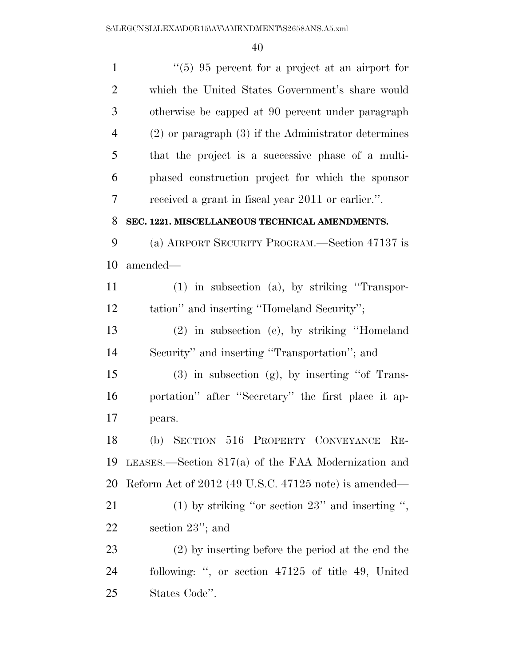| $\mathbf{1}$   | $\lq(5)$ 95 percent for a project at an airport for      |
|----------------|----------------------------------------------------------|
| $\overline{2}$ | which the United States Government's share would         |
| 3              | otherwise be capped at 90 percent under paragraph        |
| $\overline{4}$ | $(2)$ or paragraph $(3)$ if the Administrator determines |
| 5              | that the project is a successive phase of a multi-       |
| 6              | phased construction project for which the sponsor        |
| 7              | received a grant in fiscal year 2011 or earlier.".       |
| 8              | SEC. 1221. MISCELLANEOUS TECHNICAL AMENDMENTS.           |
| 9              | (a) AIRPORT SECURITY PROGRAM.—Section 47137 is           |
| 10             | amended—                                                 |
| 11             | $(1)$ in subsection $(a)$ , by striking "Transpor-       |
| 12             | tation" and inserting "Homeland Security";               |
| 13             | (2) in subsection (e), by striking "Homeland             |
| 14             | Security" and inserting "Transportation"; and            |
| 15             | $(3)$ in subsection $(g)$ , by inserting "of Trans-      |
| 16             | portation" after "Secretary" the first place it ap-      |
| 17             | pears.                                                   |
| 18             | (b) SECTION 516 PROPERTY CONVEYANCE<br>$RE-$             |
| 19             | LEASES.—Section $817(a)$ of the FAA Modernization and    |
| 20             | Reform Act of 2012 (49 U.S.C. 47125 note) is amended—    |
| 21             | $(1)$ by striking "or section 23" and inserting ",       |
| 22             | section $23$ "; and                                      |
| 23             | $(2)$ by inserting before the period at the end the      |
| 24             | following: ", or section 47125 of title 49, United       |
| 25             | States Code".                                            |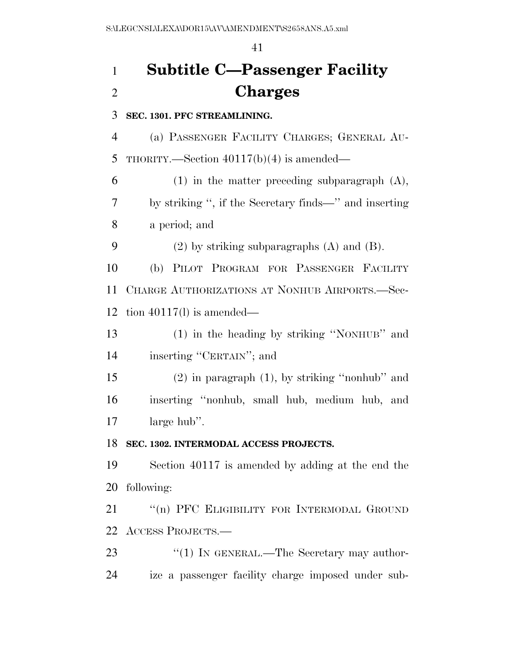# **Subtitle C—Passenger Facility Charges**

**SEC. 1301. PFC STREAMLINING.** 

 (a) PASSENGER FACILITY CHARGES; GENERAL AU-THORITY.—Section 40117(b)(4) is amended—

 (1) in the matter preceding subparagraph (A), by striking '', if the Secretary finds—'' and inserting a period; and

(2) by striking subparagraphs (A) and (B).

 (b) PILOT PROGRAM FOR PASSENGER FACILITY CHARGE AUTHORIZATIONS AT NONHUB AIRPORTS.—Sec-tion 40117(l) is amended—

 (1) in the heading by striking ''NONHUB'' and inserting ''CERTAIN''; and

 (2) in paragraph (1), by striking ''nonhub'' and inserting ''nonhub, small hub, medium hub, and large hub''.

# **SEC. 1302. INTERMODAL ACCESS PROJECTS.**

 Section 40117 is amended by adding at the end the following:

21 "(n) PFC ELIGIBILITY FOR INTERMODAL GROUND ACCESS PROJECTS.—

23 "(1) IN GENERAL.—The Secretary may author-ize a passenger facility charge imposed under sub-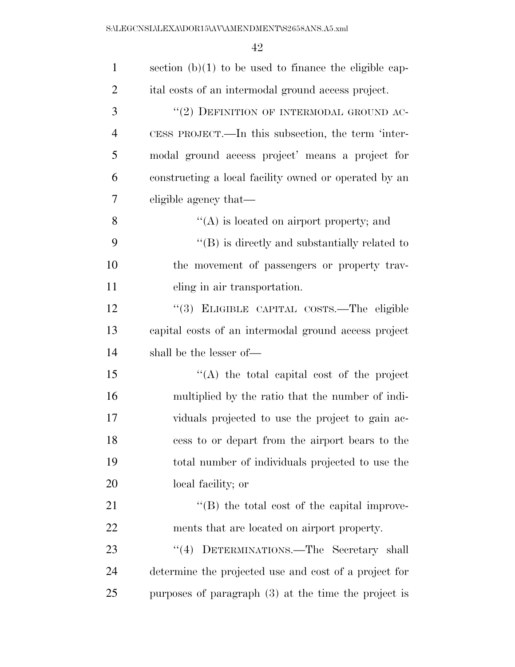| $\mathbf{1}$   | section $(b)(1)$ to be used to finance the eligible cap- |
|----------------|----------------------------------------------------------|
| $\overline{2}$ | ital costs of an intermodal ground access project.       |
| 3              | "(2) DEFINITION OF INTERMODAL GROUND AC-                 |
| $\overline{4}$ | CESS PROJECT.—In this subsection, the term 'inter-       |
| 5              | modal ground access project' means a project for         |
| 6              | constructing a local facility owned or operated by an    |
| 7              | eligible agency that—                                    |
| 8              | $\lq\lq$ is located on airport property; and             |
| 9              | $\lq\lq$ is directly and substantially related to        |
| 10             | the movement of passengers or property trav-             |
| 11             | eling in air transportation.                             |
| 12             | "(3) ELIGIBLE CAPITAL COSTS.—The eligible                |
| 13             | capital costs of an intermodal ground access project     |
| 14             | shall be the lesser of—                                  |
| 15             | $\lq\lq$ the total capital cost of the project           |
| 16             | multiplied by the ratio that the number of indi-         |
| 17             | viduals projected to use the project to gain ac-         |
| 18             | cess to or depart from the airport bears to the          |
| 19             | total number of individuals projected to use the         |
| 20             | local facility; or                                       |
| 21             | $\lq\lq$ the total cost of the capital improve-          |
| 22             | ments that are located on airport property.              |
| 23             | DETERMINATIONS.—The Secretary shall<br>(4)               |
| 24             | determine the projected use and cost of a project for    |
| 25             | purposes of paragraph $(3)$ at the time the project is   |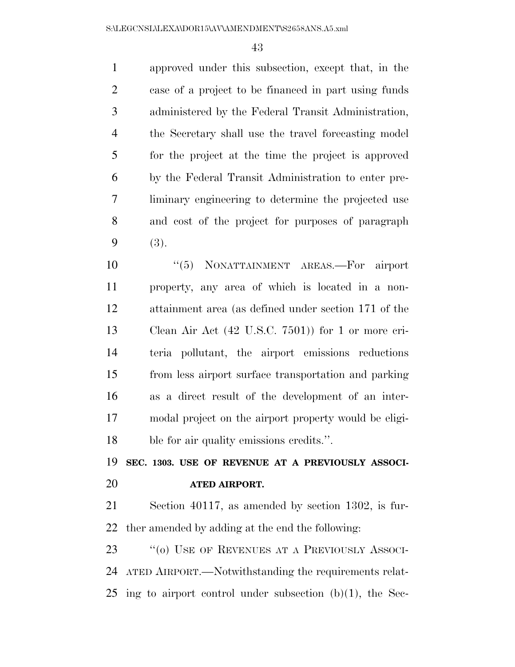approved under this subsection, except that, in the case of a project to be financed in part using funds administered by the Federal Transit Administration, the Secretary shall use the travel forecasting model for the project at the time the project is approved by the Federal Transit Administration to enter pre- liminary engineering to determine the projected use and cost of the project for purposes of paragraph (3).

 $(5)$  NONATTAINMENT AREAS. For airport property, any area of which is located in a non- attainment area (as defined under section 171 of the Clean Air Act (42 U.S.C. 7501)) for 1 or more cri- teria pollutant, the airport emissions reductions from less airport surface transportation and parking as a direct result of the development of an inter- modal project on the airport property would be eligi-ble for air quality emissions credits.''.

 **SEC. 1303. USE OF REVENUE AT A PREVIOUSLY ASSOCI-ATED AIRPORT.** 

 Section 40117, as amended by section 1302, is fur-ther amended by adding at the end the following:

23 "(o) USE OF REVENUES AT A PREVIOUSLY ASSOCI- ATED AIRPORT.—Notwithstanding the requirements relat-ing to airport control under subsection (b)(1), the Sec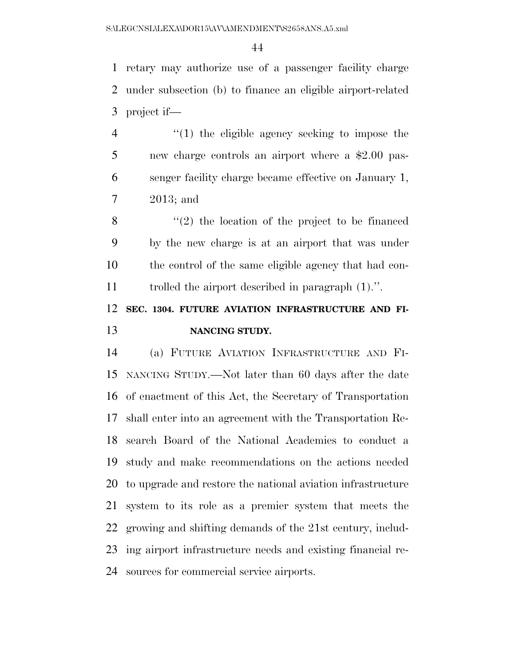retary may authorize use of a passenger facility charge under subsection (b) to finance an eligible airport-related project if—

4 "(1) the eligible agency seeking to impose the new charge controls an airport where a \$2.00 pas- senger facility charge became effective on January 1, 2013; and

 ''(2) the location of the project to be financed by the new charge is at an airport that was under the control of the same eligible agency that had con-trolled the airport described in paragraph (1).''.

# **SEC. 1304. FUTURE AVIATION INFRASTRUCTURE AND FI-NANCING STUDY.**

 (a) FUTURE AVIATION INFRASTRUCTURE AND FI- NANCING STUDY.—Not later than 60 days after the date of enactment of this Act, the Secretary of Transportation shall enter into an agreement with the Transportation Re- search Board of the National Academies to conduct a study and make recommendations on the actions needed to upgrade and restore the national aviation infrastructure system to its role as a premier system that meets the growing and shifting demands of the 21st century, includ- ing airport infrastructure needs and existing financial re-sources for commercial service airports.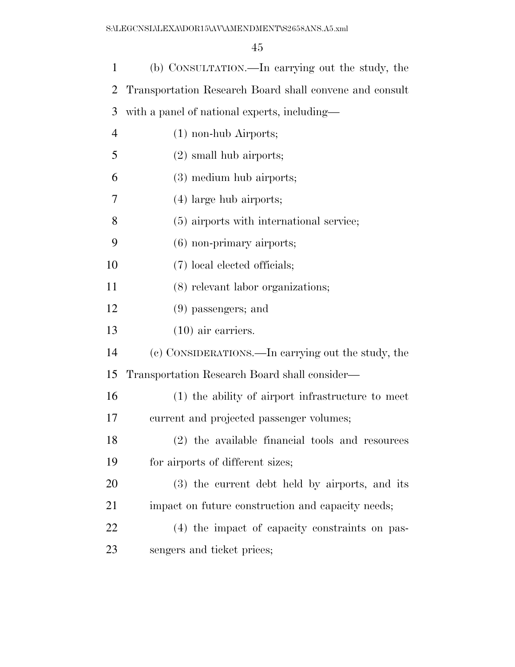| 1              | (b) CONSULTATION.—In carrying out the study, the        |
|----------------|---------------------------------------------------------|
| 2              | Transportation Research Board shall convene and consult |
| 3              | with a panel of national experts, including—            |
| $\overline{4}$ | $(1)$ non-hub Airports;                                 |
| 5              | $(2)$ small hub airports;                               |
| 6              | (3) medium hub airports;                                |
| 7              | $(4)$ large hub airports;                               |
| 8              | (5) airports with international service;                |
| 9              | $(6)$ non-primary airports;                             |
| 10             | (7) local elected officials;                            |
| 11             | (8) relevant labor organizations;                       |
| 12             | $(9)$ passengers; and                                   |
| 13             | $(10)$ air carriers.                                    |
| 14             | (c) CONSIDERATIONS.—In carrying out the study, the      |
| 15             | Transportation Research Board shall consider—           |
| 16             | (1) the ability of airport infrastructure to meet       |
| 17             | current and projected passenger volumes;                |
| 18             | (2) the available financial tools and resources         |
| 19             | for airports of different sizes;                        |
| 20             | (3) the current debt held by airports, and its          |
| 21             | impact on future construction and capacity needs;       |
| 22             | (4) the impact of capacity constraints on pas-          |
| 23             | sengers and ticket prices;                              |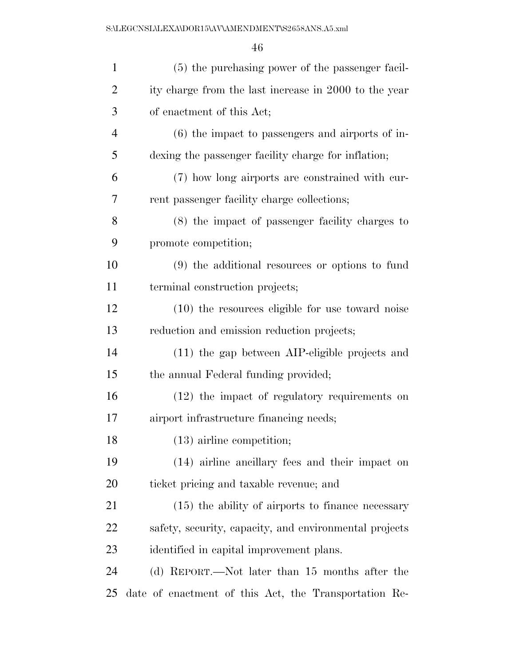| $\mathbf{1}$   | (5) the purchasing power of the passenger facil-       |
|----------------|--------------------------------------------------------|
| $\overline{2}$ | ity charge from the last increase in 2000 to the year  |
| 3              | of enactment of this Act;                              |
| $\overline{4}$ | $(6)$ the impact to passengers and airports of in-     |
| 5              | dexing the passenger facility charge for inflation;    |
| 6              | (7) how long airports are constrained with cur-        |
| 7              | rent passenger facility charge collections;            |
| 8              | (8) the impact of passenger facility charges to        |
| 9              | promote competition;                                   |
| 10             | (9) the additional resources or options to fund        |
| 11             | terminal construction projects;                        |
| 12             | $(10)$ the resources eligible for use toward noise     |
| 13             | reduction and emission reduction projects;             |
| 14             | $(11)$ the gap between AIP-eligible projects and       |
| 15             | the annual Federal funding provided;                   |
| 16             | (12) the impact of regulatory requirements on          |
| 17             | airport infrastructure financing needs;                |
| 18             | $(13)$ airline competition;                            |
| 19             | (14) airline ancillary fees and their impact on        |
| 20             | ticket pricing and taxable revenue; and                |
| 21             | $(15)$ the ability of airports to finance necessary    |
| 22             | safety, security, capacity, and environmental projects |
| 23             | identified in capital improvement plans.               |
| 24             | (d) REPORT.—Not later than 15 months after the         |
| 25             | date of enactment of this Act, the Transportation Re-  |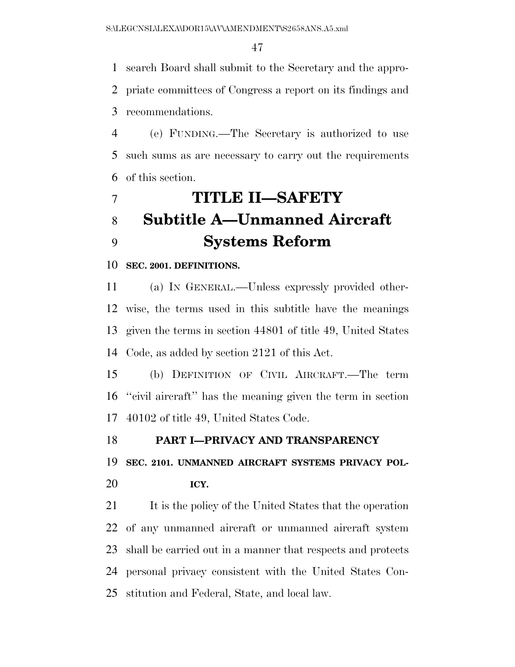search Board shall submit to the Secretary and the appro- priate committees of Congress a report on its findings and recommendations.

 (e) FUNDING.—The Secretary is authorized to use such sums as are necessary to carry out the requirements of this section.

# **TITLE II—SAFETY Subtitle A—Unmanned Aircraft Systems Reform**

# **SEC. 2001. DEFINITIONS.**

 (a) IN GENERAL.—Unless expressly provided other- wise, the terms used in this subtitle have the meanings given the terms in section 44801 of title 49, United States Code, as added by section 2121 of this Act.

 (b) DEFINITION OF CIVIL AIRCRAFT.—The term ''civil aircraft'' has the meaning given the term in section 40102 of title 49, United States Code.

# **PART I—PRIVACY AND TRANSPARENCY**

**SEC. 2101. UNMANNED AIRCRAFT SYSTEMS PRIVACY POL-**

**ICY.** 

21 It is the policy of the United States that the operation of any unmanned aircraft or unmanned aircraft system shall be carried out in a manner that respects and protects personal privacy consistent with the United States Con-stitution and Federal, State, and local law.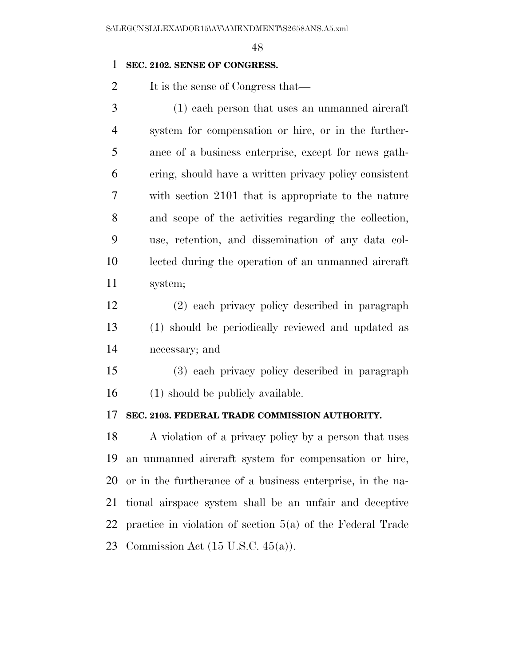# **SEC. 2102. SENSE OF CONGRESS.**

2 It is the sense of Congress that—

| 3              | (1) each person that uses an unmanned aircraft         |
|----------------|--------------------------------------------------------|
| $\overline{4}$ | system for compensation or hire, or in the further-    |
| 5              | ance of a business enterprise, except for news gath-   |
| 6              | ering, should have a written privacy policy consistent |
| 7              | with section 2101 that is appropriate to the nature    |
| 8              | and scope of the activities regarding the collection,  |
| 9              | use, retention, and dissemination of any data col-     |
| 10             | lected during the operation of an unmanned aircraft    |
| 11             | system;                                                |

 (2) each privacy policy described in paragraph (1) should be periodically reviewed and updated as necessary; and

 (3) each privacy policy described in paragraph (1) should be publicly available.

# **SEC. 2103. FEDERAL TRADE COMMISSION AUTHORITY.**

 A violation of a privacy policy by a person that uses an unmanned aircraft system for compensation or hire, or in the furtherance of a business enterprise, in the na- tional airspace system shall be an unfair and deceptive practice in violation of section 5(a) of the Federal Trade Commission Act (15 U.S.C. 45(a)).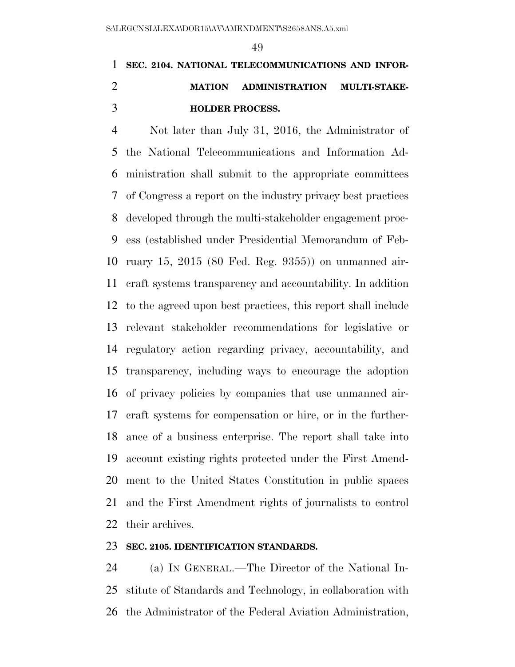# **SEC. 2104. NATIONAL TELECOMMUNICATIONS AND INFOR- MATION ADMINISTRATION MULTI-STAKE-HOLDER PROCESS.**

 Not later than July 31, 2016, the Administrator of the National Telecommunications and Information Ad- ministration shall submit to the appropriate committees of Congress a report on the industry privacy best practices developed through the multi-stakeholder engagement proc- ess (established under Presidential Memorandum of Feb- ruary 15, 2015 (80 Fed. Reg. 9355)) on unmanned air- craft systems transparency and accountability. In addition to the agreed upon best practices, this report shall include relevant stakeholder recommendations for legislative or regulatory action regarding privacy, accountability, and transparency, including ways to encourage the adoption of privacy policies by companies that use unmanned air- craft systems for compensation or hire, or in the further- ance of a business enterprise. The report shall take into account existing rights protected under the First Amend- ment to the United States Constitution in public spaces and the First Amendment rights of journalists to control their archives.

# **SEC. 2105. IDENTIFICATION STANDARDS.**

 (a) IN GENERAL.—The Director of the National In- stitute of Standards and Technology, in collaboration with the Administrator of the Federal Aviation Administration,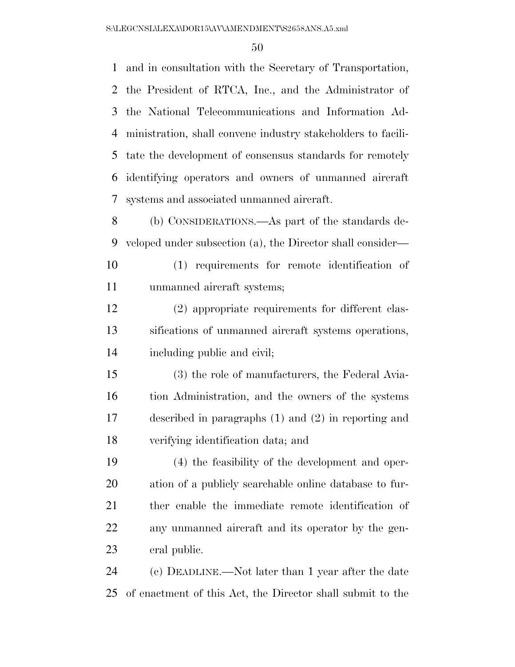and in consultation with the Secretary of Transportation, the President of RTCA, Inc., and the Administrator of the National Telecommunications and Information Ad- ministration, shall convene industry stakeholders to facili- tate the development of consensus standards for remotely identifying operators and owners of unmanned aircraft systems and associated unmanned aircraft.

 (b) CONSIDERATIONS.—As part of the standards de-veloped under subsection (a), the Director shall consider—

 (1) requirements for remote identification of unmanned aircraft systems;

 (2) appropriate requirements for different clas- sifications of unmanned aircraft systems operations, including public and civil;

 (3) the role of manufacturers, the Federal Avia- tion Administration, and the owners of the systems described in paragraphs (1) and (2) in reporting and verifying identification data; and

 (4) the feasibility of the development and oper- ation of a publicly searchable online database to fur- ther enable the immediate remote identification of any unmanned aircraft and its operator by the gen-eral public.

 (c) DEADLINE.—Not later than 1 year after the date of enactment of this Act, the Director shall submit to the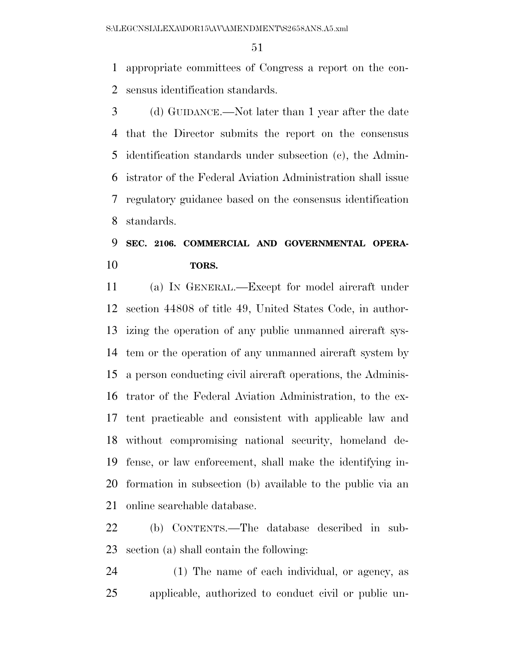appropriate committees of Congress a report on the con-sensus identification standards.

 (d) GUIDANCE.—Not later than 1 year after the date that the Director submits the report on the consensus identification standards under subsection (c), the Admin- istrator of the Federal Aviation Administration shall issue regulatory guidance based on the consensus identification standards.

# **SEC. 2106. COMMERCIAL AND GOVERNMENTAL OPERA-TORS.**

 (a) IN GENERAL.—Except for model aircraft under section 44808 of title 49, United States Code, in author- izing the operation of any public unmanned aircraft sys- tem or the operation of any unmanned aircraft system by a person conducting civil aircraft operations, the Adminis- trator of the Federal Aviation Administration, to the ex- tent practicable and consistent with applicable law and without compromising national security, homeland de- fense, or law enforcement, shall make the identifying in- formation in subsection (b) available to the public via an online searchable database.

 (b) CONTENTS.—The database described in sub-section (a) shall contain the following:

 (1) The name of each individual, or agency, as applicable, authorized to conduct civil or public un-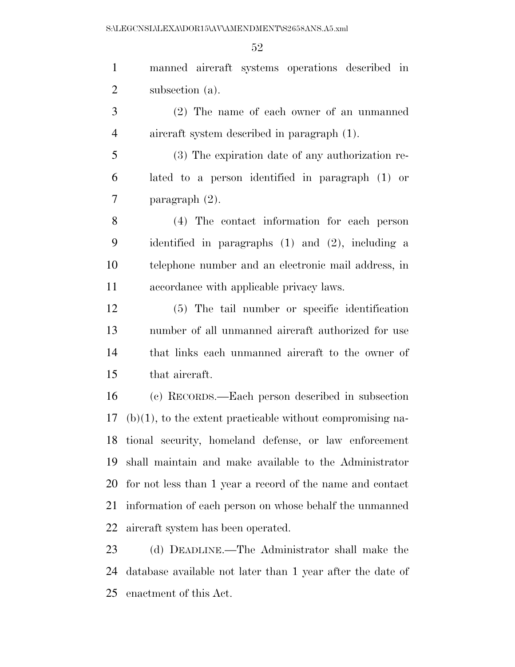manned aircraft systems operations described in subsection (a). (2) The name of each owner of an unmanned aircraft system described in paragraph (1). (3) The expiration date of any authorization re- lated to a person identified in paragraph (1) or paragraph (2). (4) The contact information for each person identified in paragraphs (1) and (2), including a telephone number and an electronic mail address, in accordance with applicable privacy laws. (5) The tail number or specific identification number of all unmanned aircraft authorized for use that links each unmanned aircraft to the owner of that aircraft. (c) RECORDS.—Each person described in subsection (b)(1), to the extent practicable without compromising na- tional security, homeland defense, or law enforcement shall maintain and make available to the Administrator for not less than 1 year a record of the name and contact information of each person on whose behalf the unmanned aircraft system has been operated. (d) DEADLINE.—The Administrator shall make the database available not later than 1 year after the date of enactment of this Act.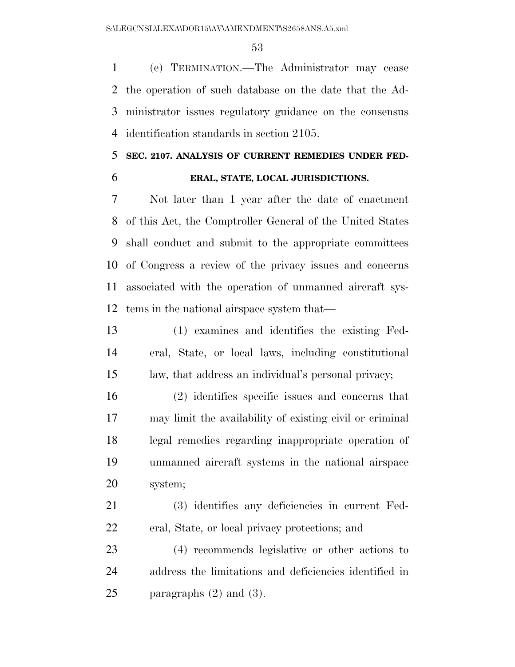(e) TERMINATION.—The Administrator may cease the operation of such database on the date that the Ad- ministrator issues regulatory guidance on the consensus identification standards in section 2105.

# **SEC. 2107. ANALYSIS OF CURRENT REMEDIES UNDER FED-**

### **ERAL, STATE, LOCAL JURISDICTIONS.**

 Not later than 1 year after the date of enactment of this Act, the Comptroller General of the United States shall conduct and submit to the appropriate committees of Congress a review of the privacy issues and concerns associated with the operation of unmanned aircraft sys-tems in the national airspace system that—

 (1) examines and identifies the existing Fed- eral, State, or local laws, including constitutional law, that address an individual's personal privacy;

 (2) identifies specific issues and concerns that may limit the availability of existing civil or criminal legal remedies regarding inappropriate operation of unmanned aircraft systems in the national airspace system;

 (3) identifies any deficiencies in current Fed-eral, State, or local privacy protections; and

 (4) recommends legislative or other actions to address the limitations and deficiencies identified in 25 paragraphs  $(2)$  and  $(3)$ .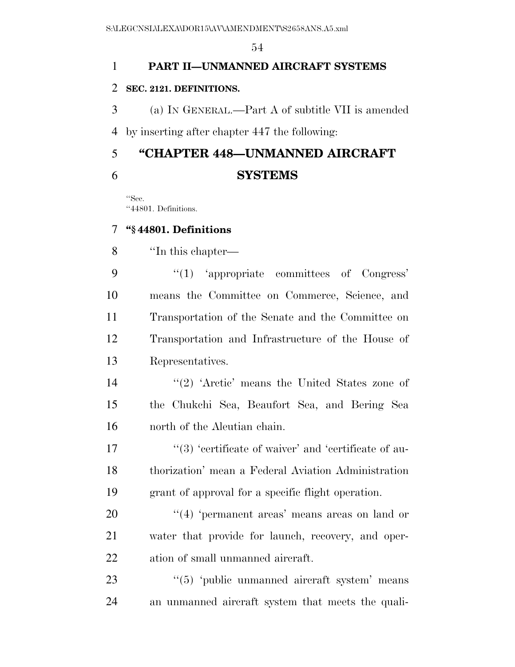# **PART II—UNMANNED AIRCRAFT SYSTEMS**

# **SEC. 2121. DEFINITIONS.**

 (a) IN GENERAL.—Part A of subtitle VII is amended by inserting after chapter 447 the following:

# **''CHAPTER 448—UNMANNED AIRCRAFT SYSTEMS**

''Sec. ''44801. Definitions.

# **''§ 44801. Definitions**

''In this chapter—

9 "(1) 'appropriate committees of Congress' means the Committee on Commerce, Science, and Transportation of the Senate and the Committee on Transportation and Infrastructure of the House of Representatives.

14 ''(2) 'Arctic' means the United States zone of the Chukchi Sea, Beaufort Sea, and Bering Sea north of the Aleutian chain.

17  $\frac{17}{2}$  ''(3) 'eertificate of waiver' and 'eertificate of au- thorization' mean a Federal Aviation Administration grant of approval for a specific flight operation.

20  $\frac{1}{2}$  (4) 'permanent areas' means areas on land or water that provide for launch, recovery, and oper-ation of small unmanned aircraft.

23 "(5) 'public unmanned aircraft system' means an unmanned aircraft system that meets the quali-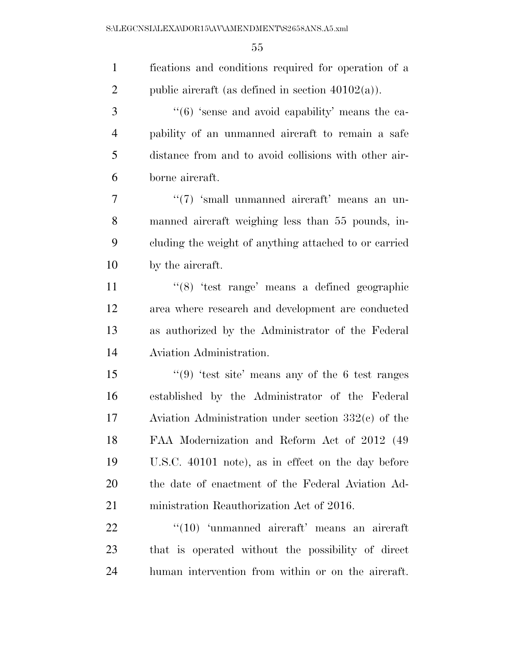| $\mathbf{1}$   | fications and conditions required for operation of a      |
|----------------|-----------------------------------------------------------|
| $\overline{2}$ | public aircraft (as defined in section $40102(a)$ ).      |
| 3              | $``(6)$ 'sense and avoid capability' means the ca-        |
| $\overline{4}$ | pability of an unmanned aircraft to remain a safe         |
| 5              | distance from and to avoid collisions with other air-     |
| 6              | borne aircraft.                                           |
| 7              | " $(7)$ 'small unmanned aircraft' means an un-            |
| 8              | manned aircraft weighing less than 55 pounds, in-         |
| 9              | cluding the weight of anything attached to or carried     |
| 10             | by the aircraft.                                          |
| 11             | " $(8)$ 'test range' means a defined geographic           |
| 12             | area where research and development are conducted         |
| 13             | as authorized by the Administrator of the Federal         |
| 14             | Aviation Administration.                                  |
| 15             | " $(9)$ 'test site' means any of the 6 test ranges        |
| 16             | established by the Administrator of the Federal           |
| 17             | Aviation Administration under section $332(c)$ of the     |
| 18             | FAA Modernization and Reform Act of 2012 (49)             |
| 19             | U.S.C. 40101 note), as in effect on the day before        |
| 20             | the date of enactment of the Federal Aviation Ad-         |
| 21             | ministration Reauthorization Act of 2016.                 |
| 22             | $\cdot$ (10) $\cdot$ unmanned aircraft' means an aircraft |
| 23             | that is operated without the possibility of direct        |
| 24             | human intervention from within or on the aircraft.        |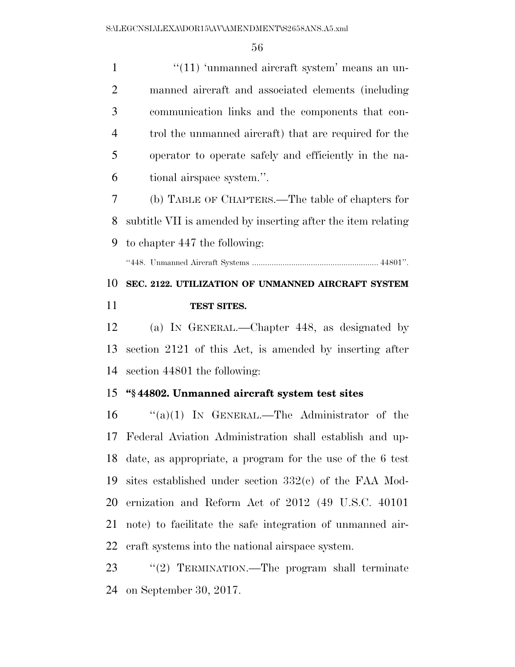''(11) 'unmanned aircraft system' means an un- manned aircraft and associated elements (including communication links and the components that con- trol the unmanned aircraft) that are required for the operator to operate safely and efficiently in the na-tional airspace system.''.

 (b) TABLE OF CHAPTERS.—The table of chapters for subtitle VII is amended by inserting after the item relating to chapter 447 the following:

''448. Unmanned Aircraft Systems .......................................................... 44801''.

# **SEC. 2122. UTILIZATION OF UNMANNED AIRCRAFT SYSTEM TEST SITES.**

 (a) IN GENERAL.—Chapter 448, as designated by section 2121 of this Act, is amended by inserting after section 44801 the following:

#### **''§ 44802. Unmanned aircraft system test sites**

 ''(a)(1) IN GENERAL.—The Administrator of the Federal Aviation Administration shall establish and up- date, as appropriate, a program for the use of the 6 test sites established under section 332(c) of the FAA Mod- ernization and Reform Act of 2012 (49 U.S.C. 40101 note) to facilitate the safe integration of unmanned air-craft systems into the national airspace system.

23 "(2) TERMINATION.—The program shall terminate on September 30, 2017.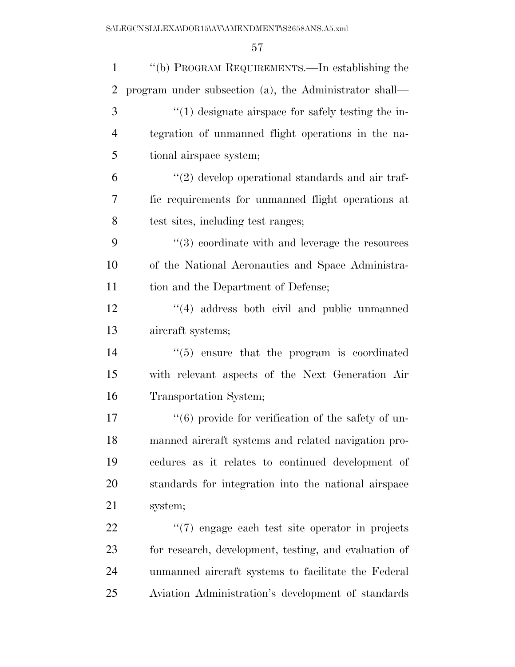| $\mathbf{1}$   | "(b) PROGRAM REQUIREMENTS.—In establishing the          |
|----------------|---------------------------------------------------------|
| $\overline{2}$ | program under subsection (a), the Administrator shall—  |
| 3              | $\lq(1)$ designate airspace for safely testing the in-  |
| $\overline{4}$ | tegration of unmanned flight operations in the na-      |
| 5              | tional airspace system;                                 |
| 6              | $\lq(2)$ develop operational standards and air traf-    |
| 7              | fic requirements for unmanned flight operations at      |
| 8              | test sites, including test ranges;                      |
| 9              | $\cdot$ (3) coordinate with and leverage the resources  |
| 10             | of the National Aeronautics and Space Administra-       |
| 11             | tion and the Department of Defense;                     |
| 12             | $\cdot$ (4) address both civil and public unmanned      |
| 13             | aircraft systems;                                       |
| 14             | $\cdot\cdot$ (5) ensure that the program is coordinated |
| 15             | with relevant aspects of the Next Generation Air        |
| 16             | Transportation System;                                  |
| 17             | $\lq(6)$ provide for verification of the safety of un-  |
| 18             | manned aircraft systems and related navigation pro-     |
| 19             | cedures as it relates to continued development of       |
| 20             | standards for integration into the national airspace    |
| 21             | system;                                                 |
| 22             | $\lq(7)$ engage each test site operator in projects     |
| 23             | for research, development, testing, and evaluation of   |
| 24             | unmanned aircraft systems to facilitate the Federal     |
| 25             | Aviation Administration's development of standards      |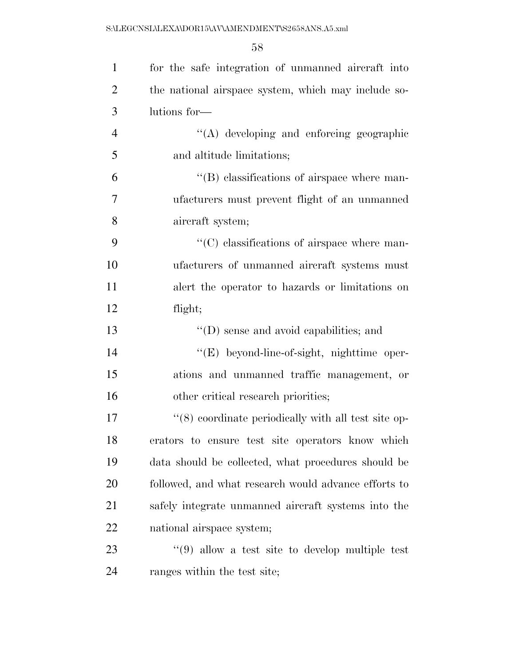| $\mathbf{1}$   | for the safe integration of unmanned aircraft into   |
|----------------|------------------------------------------------------|
| $\overline{2}$ | the national airspace system, which may include so-  |
| 3              | lutions for-                                         |
| $\overline{4}$ | "(A) developing and enforcing geographic             |
| 5              | and altitude limitations;                            |
| 6              | $\lq\lq$ elassifications of airspace where man-      |
| $\tau$         | ufacturers must prevent flight of an unmanned        |
| 8              | aircraft system;                                     |
| 9              | $\lq\lq$ classifications of airspace where man-      |
| 10             | ufacturers of unmanned aircraft systems must         |
| 11             | a a left the operator to hazards or limitations on   |
| 12             | flight;                                              |
| 13             | $\lq\lq$ (D) sense and avoid capabilities; and       |
| 14             | "(E) beyond-line-of-sight, nighttime oper-           |
| 15             | ations and unmanned traffic management, or           |
| 16             | other critical research priorities;                  |
| 17             | "(8) coordinate periodically with all test site op-  |
| 18             | erators to ensure test site operators know which     |
| 19             | data should be collected, what procedures should be  |
| 20             | followed, and what research would advance efforts to |
| 21             | safely integrate unmanned aircraft systems into the  |
| 22             | national airspace system;                            |
| 23             | $\lq(9)$ allow a test site to develop multiple test  |
| 24             | ranges within the test site;                         |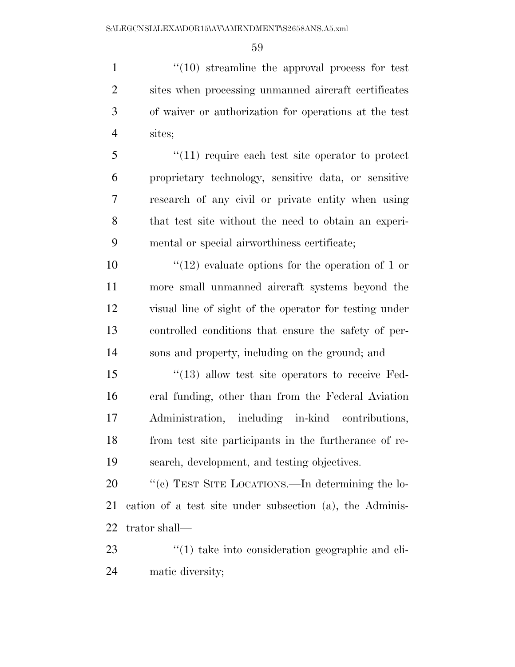$\frac{1}{10}$  streamline the approval process for test sites when processing unmanned aircraft certificates of waiver or authorization for operations at the test sites;

 ''(11) require each test site operator to protect proprietary technology, sensitive data, or sensitive research of any civil or private entity when using that test site without the need to obtain an experi-mental or special airworthiness certificate;

 $\frac{10}{2}$  evaluate options for the operation of 1 or more small unmanned aircraft systems beyond the visual line of sight of the operator for testing under controlled conditions that ensure the safety of per-sons and property, including on the ground; and

 ''(13) allow test site operators to receive Fed- eral funding, other than from the Federal Aviation Administration, including in-kind contributions, from test site participants in the furtherance of re-search, development, and testing objectives.

20 "'(c) TEST SITE LOCATIONS.—In determining the lo- cation of a test site under subsection (a), the Adminis-trator shall—

23 ''(1) take into consideration geographic and cli-matic diversity;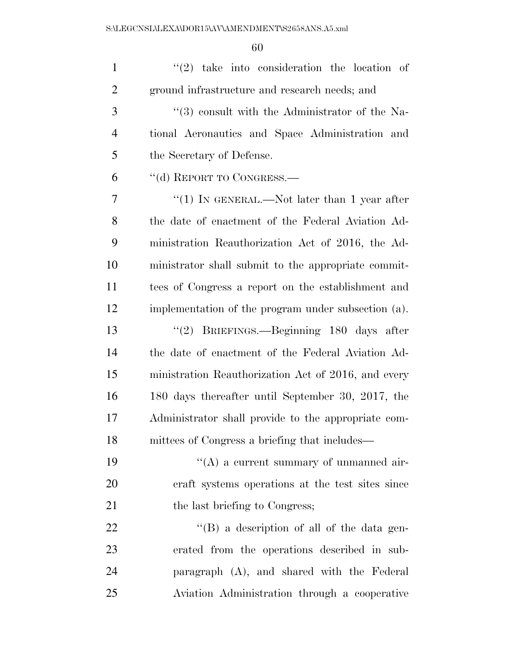| $\mathbf{1}$   | $(2)$ take into consideration the location of       |
|----------------|-----------------------------------------------------|
| $\overline{2}$ | ground infrastructure and research needs; and       |
| 3              | $(3)$ consult with the Administrator of the Na-     |
| $\overline{4}$ | tional Aeronautics and Space Administration and     |
| 5              | the Secretary of Defense.                           |
| 6              | "(d) REPORT TO CONGRESS.—                           |
| 7              | "(1) IN GENERAL.—Not later than 1 year after        |
| 8              | the date of enactment of the Federal Aviation Ad-   |
| 9              | ministration Reauthorization Act of 2016, the Ad-   |
| 10             | ministrator shall submit to the appropriate commit- |
| 11             | tees of Congress a report on the establishment and  |
| 12             | implementation of the program under subsection (a). |
| 13             | "(2) BRIEFINGS.—Beginning 180 days after            |
| 14             | the date of enactment of the Federal Aviation Ad-   |
| 15             | ministration Reauthorization Act of 2016, and every |
| 16             | 180 days thereafter until September 30, 2017, the   |
| 17             | Administrator shall provide to the appropriate com- |
| 18             | mittees of Congress a briefing that includes—       |
| 19             | $\lq\lq$ a current summary of unmanned air-         |
| 20             | eraft systems operations at the test sites since    |
| 21             | the last briefing to Congress;                      |
| 22             | "(B) a description of all of the data gen-          |
| 23             | erated from the operations described in sub-        |
| 24             | paragraph (A), and shared with the Federal          |
| 25             | Aviation Administration through a cooperative       |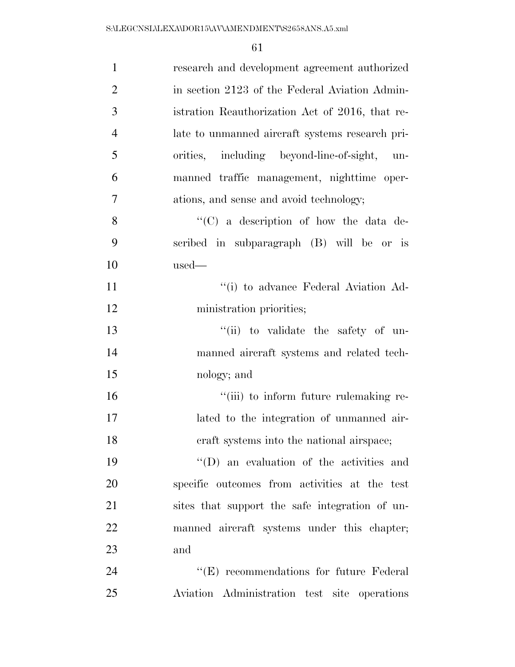| $\mathbf{1}$   | research and development agreement authorized     |
|----------------|---------------------------------------------------|
| $\overline{2}$ | in section 2123 of the Federal Aviation Admin-    |
| 3              | istration Reauthorization Act of 2016, that re-   |
| $\overline{4}$ | late to unmanned aircraft systems research pri-   |
| 5              | orities, including beyond-line-of-sight,<br>$un-$ |
| 6              | manned traffic management, nighttime oper-        |
| $\tau$         | ations, and sense and avoid technology;           |
| 8              | " $(C)$ a description of how the data de-         |
| 9              | scribed in subparagraph (B) will be or is         |
| 10             | $used-$                                           |
| 11             | "(i) to advance Federal Aviation Ad-              |
| 12             | ministration priorities;                          |
| 13             | "(ii) to validate the safety of un-               |
| 14             | manned aircraft systems and related tech-         |
| 15             | nology; and                                       |
| 16             | "(iii) to inform future rulemaking re-            |
| 17             | lated to the integration of unmanned air-         |
| 18             | craft systems into the national airspace;         |
| 19             | $\lq\lq$ (D) an evaluation of the activities and  |
| 20             | specific outcomes from activities at the test     |
| 21             | sites that support the safe integration of un-    |
| 22             | manned aircraft systems under this chapter;       |
| 23             | and                                               |
| 24             | "(E) recommendations for future Federal           |
| 25             | Aviation Administration test site operations      |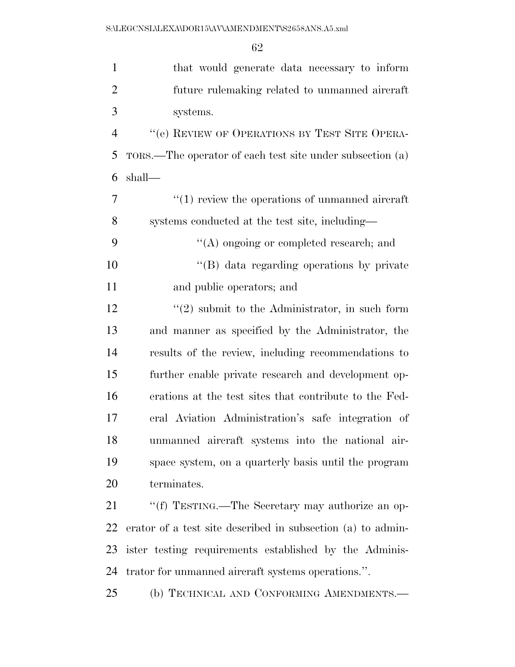| $\mathbf{1}$   | that would generate data necessary to inform                |
|----------------|-------------------------------------------------------------|
| $\overline{2}$ | future rulemaking related to unmanned aircraft              |
| 3              | systems.                                                    |
| $\overline{4}$ | "(e) REVIEW OF OPERATIONS BY TEST SITE OPERA-               |
| 5              | TORS.—The operator of each test site under subsection (a)   |
| 6              | shall—                                                      |
| 7              | $\cdot$ (1) review the operations of unmanned aircraft      |
| 8              | systems conducted at the test site, including—              |
| 9              | $\lq\lq$ ongoing or completed research; and                 |
| 10             | "(B) data regarding operations by private                   |
| 11             | and public operators; and                                   |
| 12             | $\lq(2)$ submit to the Administrator, in such form          |
| 13             | and manner as specified by the Administrator, the           |
| 14             | results of the review, including recommendations to         |
| 15             | further enable private research and development op-         |
| 16             | erations at the test sites that contribute to the Fed-      |
| 17             | eral Aviation Administration's safe integration of          |
| 18             | unmanned aircraft systems into the national air-            |
| 19             | space system, on a quarterly basis until the program        |
| 20             | terminates.                                                 |
| 21             | "(f) TESTING.—The Secretary may authorize an op-            |
| 22             | erator of a test site described in subsection (a) to admin- |
| 23             | ister testing requirements established by the Adminis-      |
| 24             | trator for unmanned aircraft systems operations.".          |
| 25             | (b) TECHNICAL AND CONFORMING AMENDMENTS.-                   |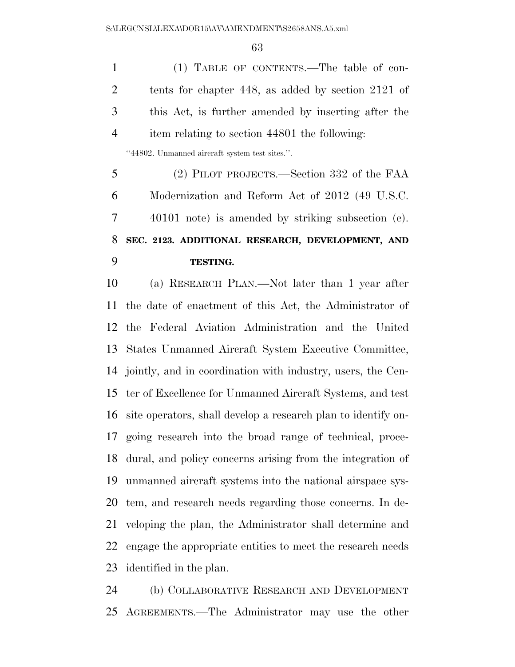(1) TABLE OF CONTENTS.—The table of con- tents for chapter 448, as added by section 2121 of this Act, is further amended by inserting after the item relating to section 44801 the following:

''44802. Unmanned aircraft system test sites.''.

 (2) PILOT PROJECTS.—Section 332 of the FAA Modernization and Reform Act of 2012 (49 U.S.C. 40101 note) is amended by striking subsection (c). **SEC. 2123. ADDITIONAL RESEARCH, DEVELOPMENT, AND TESTING.** 

 (a) RESEARCH PLAN.—Not later than 1 year after the date of enactment of this Act, the Administrator of the Federal Aviation Administration and the United States Unmanned Aircraft System Executive Committee, jointly, and in coordination with industry, users, the Cen- ter of Excellence for Unmanned Aircraft Systems, and test site operators, shall develop a research plan to identify on- going research into the broad range of technical, proce- dural, and policy concerns arising from the integration of unmanned aircraft systems into the national airspace sys- tem, and research needs regarding those concerns. In de- veloping the plan, the Administrator shall determine and engage the appropriate entities to meet the research needs identified in the plan.

 (b) COLLABORATIVE RESEARCH AND DEVELOPMENT AGREEMENTS.—The Administrator may use the other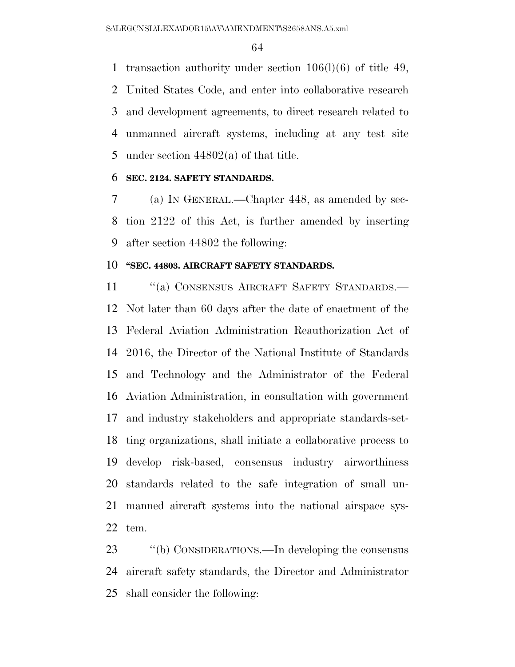transaction authority under section 106(l)(6) of title 49, United States Code, and enter into collaborative research and development agreements, to direct research related to unmanned aircraft systems, including at any test site under section 44802(a) of that title.

# **SEC. 2124. SAFETY STANDARDS.**

 (a) IN GENERAL.—Chapter 448, as amended by sec- tion 2122 of this Act, is further amended by inserting after section 44802 the following:

# **''SEC. 44803. AIRCRAFT SAFETY STANDARDS.**

11 "(a) CONSENSUS AIRCRAFT SAFETY STANDARDS.— Not later than 60 days after the date of enactment of the Federal Aviation Administration Reauthorization Act of 2016, the Director of the National Institute of Standards and Technology and the Administrator of the Federal Aviation Administration, in consultation with government and industry stakeholders and appropriate standards-set- ting organizations, shall initiate a collaborative process to develop risk-based, consensus industry airworthiness standards related to the safe integration of small un- manned aircraft systems into the national airspace sys-tem.

23 "(b) CONSIDERATIONS.—In developing the consensus aircraft safety standards, the Director and Administrator shall consider the following: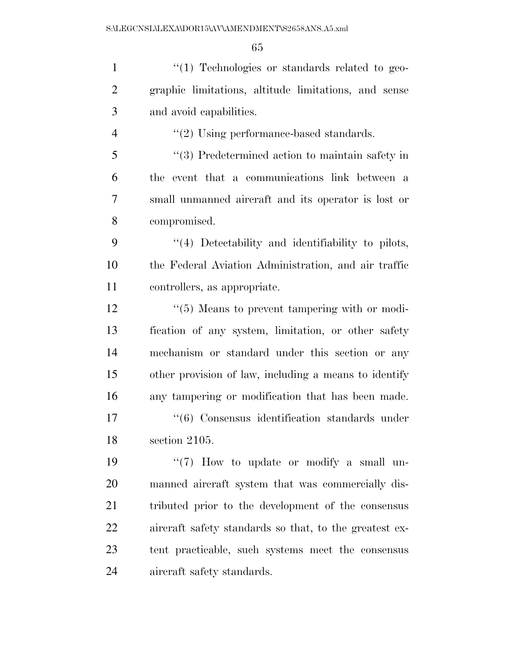$\frac{1}{2}$  Technologies or standards related to geo- graphic limitations, altitude limitations, and sense and avoid capabilities.  $\frac{4}{2}$  Using performance-based standards. ''(3) Predetermined action to maintain safety in the event that a communications link between a small unmanned aircraft and its operator is lost or

compromised.

 ''(4) Detectability and identifiability to pilots, the Federal Aviation Administration, and air traffic controllers, as appropriate.

12 ''(5) Means to prevent tampering with or modi- fication of any system, limitation, or other safety mechanism or standard under this section or any other provision of law, including a means to identify any tampering or modification that has been made. ''(6) Consensus identification standards under

section 2105.

19 ''(7) How to update or modify a small un- manned aircraft system that was commercially dis- tributed prior to the development of the consensus aircraft safety standards so that, to the greatest ex- tent practicable, such systems meet the consensus aircraft safety standards.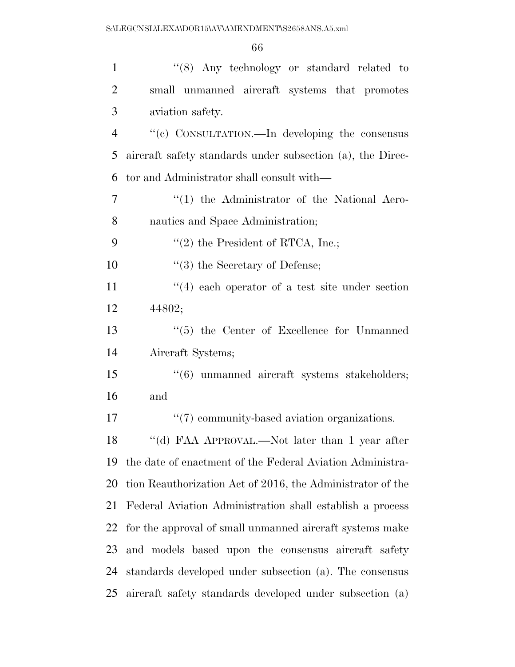| $\mathbf{1}$   | " $(8)$ Any technology or standard related to                |
|----------------|--------------------------------------------------------------|
| $\overline{2}$ | small unmanned aircraft systems that promotes                |
| 3              | aviation safety.                                             |
| $\overline{4}$ | "(c) CONSULTATION.—In developing the consensus               |
| 5              | aircraft safety standards under subsection (a), the Direc-   |
| 6              | tor and Administrator shall consult with—                    |
| 7              | $\lq(1)$ the Administrator of the National Aero-             |
| 8              | nautics and Space Administration;                            |
| 9              | $f'(2)$ the President of RTCA, Inc.;                         |
| 10             | $\lq(3)$ the Secretary of Defense;                           |
| 11             | $(4)$ each operator of a test site under section             |
| 12             | 44802;                                                       |
| 13             | "(5) the Center of Excellence for Unmanned                   |
| 14             | Aircraft Systems;                                            |
| 15             | $\cdot\cdot\cdot(6)$ unmanned aircraft systems stakeholders; |
| 16             | and                                                          |
| 17             | $``(7)$ community-based aviation organizations.              |
| 18             | "(d) FAA APPROVAL.—Not later than 1 year after               |
| 19             | the date of enactment of the Federal Aviation Administra-    |
| 20             | tion Reauthorization Act of 2016, the Administrator of the   |
| 21             | Federal Aviation Administration shall establish a process    |
| 22             | for the approval of small unmanned aircraft systems make     |
| 23             | and models based upon the consensus aircraft safety          |
| 24             | standards developed under subsection (a). The consensus      |
| 25             | aircraft safety standards developed under subsection (a)     |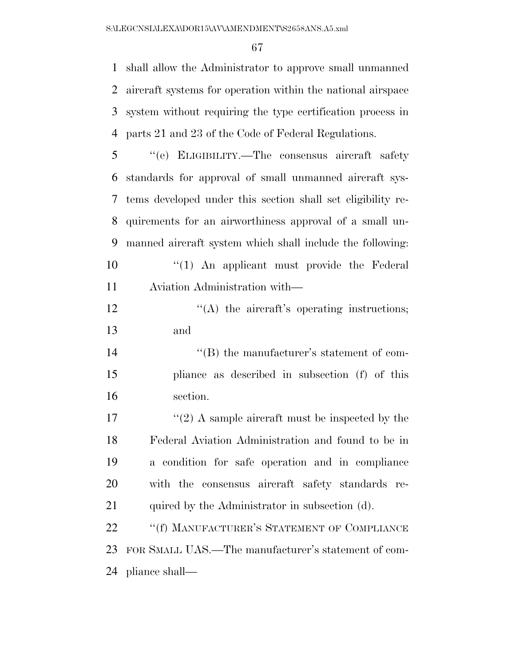shall allow the Administrator to approve small unmanned aircraft systems for operation within the national airspace system without requiring the type certification process in parts 21 and 23 of the Code of Federal Regulations.

 ''(e) ELIGIBILITY.—The consensus aircraft safety standards for approval of small unmanned aircraft sys- tems developed under this section shall set eligibility re- quirements for an airworthiness approval of a small un- manned aircraft system which shall include the following:  $\frac{10}{10}$  An applicant must provide the Federal Aviation Administration with—

12  $\langle (A)$  the aircraft's operating instructions; and

14  $\text{``(B)}$  the manufacturer's statement of com- pliance as described in subsection (f) of this section.

 $\frac{17}{2}$  A sample aircraft must be inspected by the Federal Aviation Administration and found to be in a condition for safe operation and in compliance with the consensus aircraft safety standards re-21 quired by the Administrator in subsection (d).

22 ""(f) MANUFACTURER'S STATEMENT OF COMPLIANCE FOR SMALL UAS.—The manufacturer's statement of com-pliance shall—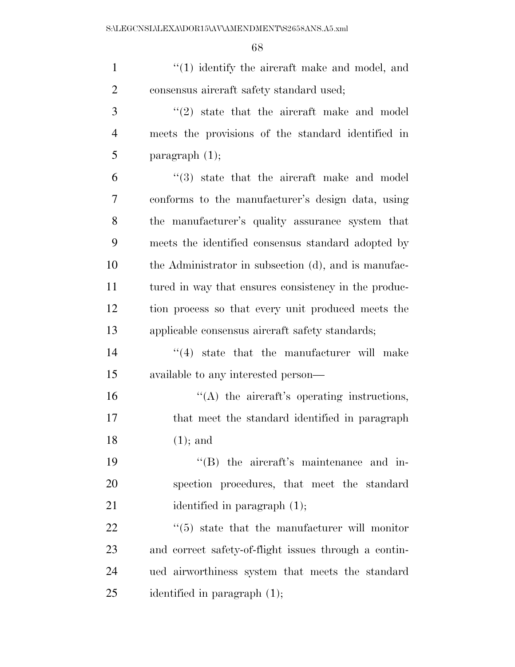| $\mathbf{1}$   | $\cdot$ (1) identify the aircraft make and model, and     |
|----------------|-----------------------------------------------------------|
| $\overline{2}$ | consensus aircraft safety standard used;                  |
| 3              | $\lq(2)$ state that the aircraft make and model           |
| $\overline{4}$ | meets the provisions of the standard identified in        |
| 5              | paragraph $(1)$ ;                                         |
| 6              | $\cdot$ (3) state that the aircraft make and model        |
| 7              | conforms to the manufacturer's design data, using         |
| 8              | the manufacturer's quality assurance system that          |
| 9              | meets the identified consensus standard adopted by        |
| 10             | the Administrator in subsection (d), and is manufac-      |
| 11             | tured in way that ensures consistency in the produc-      |
| 12             | tion process so that every unit produced meets the        |
| 13             | applicable consensus aircraft safety standards;           |
| 14             | $\cdot$ (4) state that the manufacturer will make         |
| 15             | available to any interested person—                       |
| 16             | $\lq\lq$ the aircraft's operating instructions,           |
| 17             | that meet the standard identified in paragraph            |
| 18             | $(1)$ ; and                                               |
| 19             | "(B) the aircraft's maintenance and in-                   |
| 20             | spection procedures, that meet the standard               |
| 21             | identified in paragraph $(1)$ ;                           |
| 22             | $\cdot\cdot$ (5) state that the manufacturer will monitor |
| 23             | and correct safety-of-flight issues through a contin-     |
| 24             | ued airworthiness system that meets the standard          |
| 25             | identified in paragraph $(1)$ ;                           |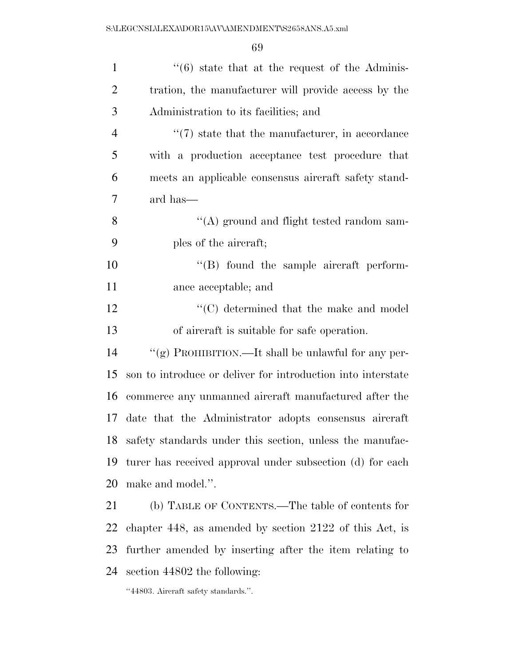| $\mathbf{1}$   | $\cdot\cdot$ (6) state that at the request of the Adminis-   |
|----------------|--------------------------------------------------------------|
| $\overline{2}$ | tration, the manufacturer will provide access by the         |
| 3              | Administration to its facilities; and                        |
| $\overline{4}$ | $\lq(7)$ state that the manufacturer, in accordance          |
| 5              | with a production acceptance test procedure that             |
| 6              | meets an applicable consensus aircraft safety stand-         |
| 7              | ard has—                                                     |
| 8              | "(A) ground and flight tested random sam-                    |
| 9              | ples of the aircraft;                                        |
| 10             | "(B) found the sample aircraft perform-                      |
| 11             | ance acceptable; and                                         |
| 12             | $\lq\lq$ <sup>c</sup> (C) determined that the make and model |
| 13             | of aircraft is suitable for safe operation.                  |
| 14             | "(g) PROHIBITION.—It shall be unlawful for any per-          |
| 15             | son to introduce or deliver for introduction into interstate |
| 16             | commerce any unmanned aircraft manufactured after the        |
| 17             | date that the Administrator adopts consensus aircraft        |
| 18             | safety standards under this section, unless the manufac-     |
| 19             | turer has received approval under subsection (d) for each    |
| 20             | make and model.".                                            |
| 21             | (b) TABLE OF CONTENTS.—The table of contents for             |
| 22             | chapter 448, as amended by section $2122$ of this Act, is    |
| 23             | further amended by inserting after the item relating to      |
| 24             | section 44802 the following:                                 |

''44803. Aircraft safety standards.''.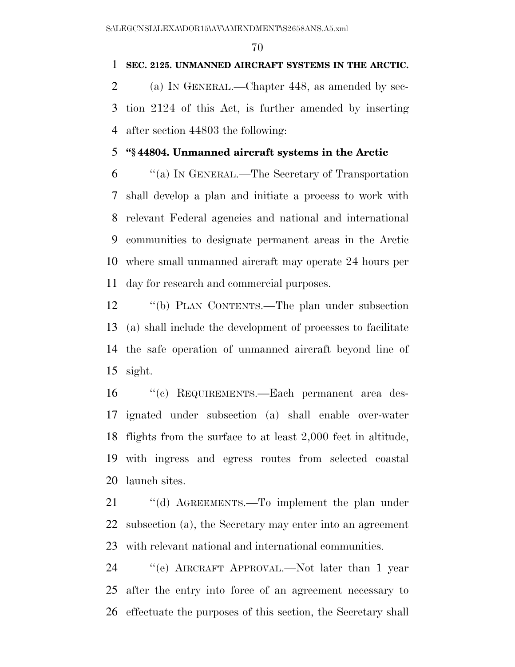# **SEC. 2125. UNMANNED AIRCRAFT SYSTEMS IN THE ARCTIC.**

 (a) IN GENERAL.—Chapter 448, as amended by sec- tion 2124 of this Act, is further amended by inserting after section 44803 the following:

# **''§ 44804. Unmanned aircraft systems in the Arctic**

 ''(a) IN GENERAL.—The Secretary of Transportation shall develop a plan and initiate a process to work with relevant Federal agencies and national and international communities to designate permanent areas in the Arctic where small unmanned aircraft may operate 24 hours per day for research and commercial purposes.

 ''(b) PLAN CONTENTS.—The plan under subsection (a) shall include the development of processes to facilitate the safe operation of unmanned aircraft beyond line of sight.

 ''(c) REQUIREMENTS.—Each permanent area des- ignated under subsection (a) shall enable over-water flights from the surface to at least 2,000 feet in altitude, with ingress and egress routes from selected coastal launch sites.

21 "(d) AGREEMENTS.—To implement the plan under subsection (a), the Secretary may enter into an agreement with relevant national and international communities.

 ''(e) AIRCRAFT APPROVAL.—Not later than 1 year after the entry into force of an agreement necessary to effectuate the purposes of this section, the Secretary shall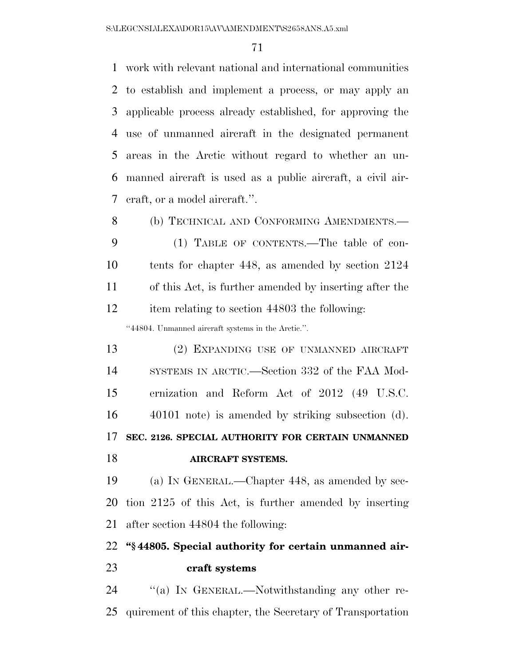work with relevant national and international communities to establish and implement a process, or may apply an applicable process already established, for approving the use of unmanned aircraft in the designated permanent areas in the Arctic without regard to whether an un- manned aircraft is used as a public aircraft, a civil air-craft, or a model aircraft.''.

8 (b) TECHNICAL AND CONFORMING AMENDMENTS.— (1) TABLE OF CONTENTS.—The table of con- tents for chapter 448, as amended by section 2124 of this Act, is further amended by inserting after the item relating to section 44803 the following:

''44804. Unmanned aircraft systems in the Arctic.''.

 (2) EXPANDING USE OF UNMANNED AIRCRAFT SYSTEMS IN ARCTIC.—Section 332 of the FAA Mod- ernization and Reform Act of 2012 (49 U.S.C. 40101 note) is amended by striking subsection (d). **SEC. 2126. SPECIAL AUTHORITY FOR CERTAIN UNMANNED AIRCRAFT SYSTEMS.** 

 (a) IN GENERAL.—Chapter 448, as amended by sec- tion 2125 of this Act, is further amended by inserting after section 44804 the following:

# **''§ 44805. Special authority for certain unmanned air-craft systems**

24 "(a) IN GENERAL.—Notwithstanding any other re-quirement of this chapter, the Secretary of Transportation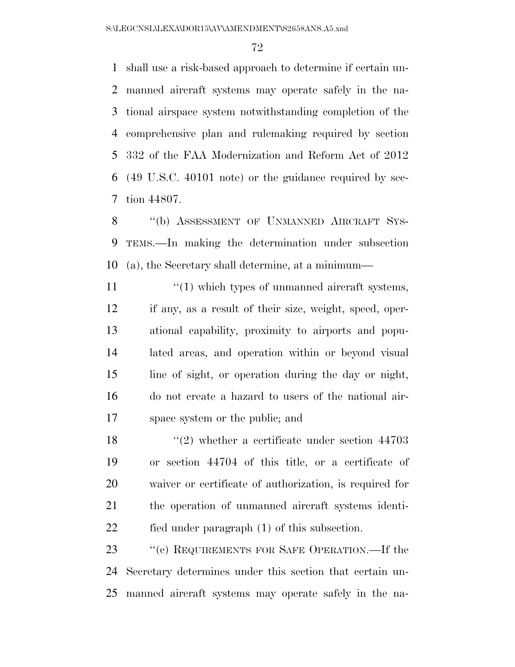shall use a risk-based approach to determine if certain un- manned aircraft systems may operate safely in the na- tional airspace system notwithstanding completion of the comprehensive plan and rulemaking required by section 332 of the FAA Modernization and Reform Act of 2012 (49 U.S.C. 40101 note) or the guidance required by sec-tion 44807.

8 "(b) ASSESSMENT OF UNMANNED AIRCRAFT SYS- TEMS.—In making the determination under subsection (a), the Secretary shall determine, at a minimum—

 $\frac{1}{10}$   $\frac{1}{10}$  which types of unmanned aircraft systems, if any, as a result of their size, weight, speed, oper- ational capability, proximity to airports and popu- lated areas, and operation within or beyond visual line of sight, or operation during the day or night, do not create a hazard to users of the national air-space system or the public; and

18 ''(2) whether a certificate under section 44703 or section 44704 of this title, or a certificate of waiver or certificate of authorization, is required for the operation of unmanned aircraft systems identi-fied under paragraph (1) of this subsection.

23 "(c) REQUIREMENTS FOR SAFE OPERATION.—If the Secretary determines under this section that certain un-manned aircraft systems may operate safely in the na-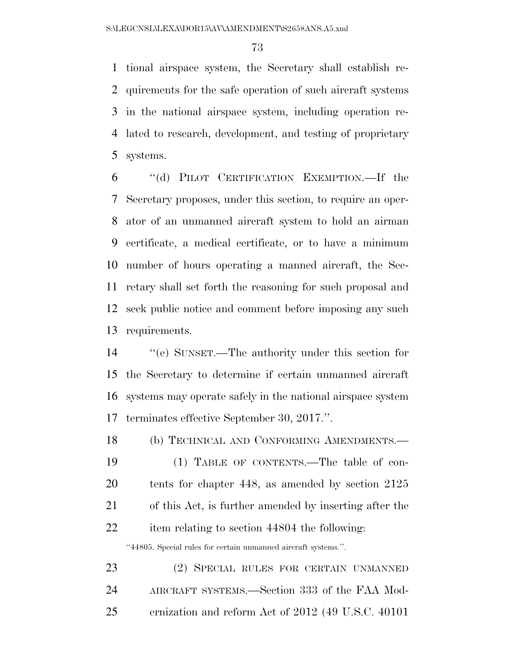tional airspace system, the Secretary shall establish re- quirements for the safe operation of such aircraft systems in the national airspace system, including operation re- lated to research, development, and testing of proprietary systems.

 ''(d) PILOT CERTIFICATION EXEMPTION.—If the Secretary proposes, under this section, to require an oper- ator of an unmanned aircraft system to hold an airman certificate, a medical certificate, or to have a minimum number of hours operating a manned aircraft, the Sec- retary shall set forth the reasoning for such proposal and seek public notice and comment before imposing any such requirements.

 ''(e) SUNSET.—The authority under this section for the Secretary to determine if certain unmanned aircraft systems may operate safely in the national airspace system terminates effective September 30, 2017.''.

 (b) TECHNICAL AND CONFORMING AMENDMENTS.— (1) TABLE OF CONTENTS.—The table of con- tents for chapter 448, as amended by section 2125 of this Act, is further amended by inserting after the item relating to section 44804 the following:

''44805. Special rules for certain unmanned aircraft systems.''.

 (2) SPECIAL RULES FOR CERTAIN UNMANNED AIRCRAFT SYSTEMS.—Section 333 of the FAA Mod-ernization and reform Act of 2012 (49 U.S.C. 40101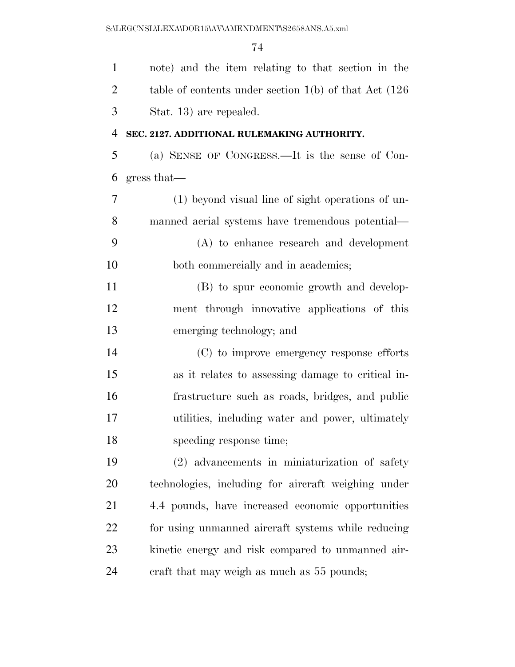| $\mathbf{1}$   | note) and the item relating to that section in the         |
|----------------|------------------------------------------------------------|
| $\overline{2}$ | table of contents under section $1(b)$ of that Act $(126)$ |
| 3              | Stat. 13) are repealed.                                    |
| $\overline{4}$ | SEC. 2127. ADDITIONAL RULEMAKING AUTHORITY.                |
| 5              | (a) SENSE OF CONGRESS.—It is the sense of Con-             |
| 6              | gress that                                                 |
| $\overline{7}$ | (1) beyond visual line of sight operations of un-          |
| 8              | manned aerial systems have tremendous potential—           |
| 9              | (A) to enhance research and development                    |
| 10             | both commercially and in academics;                        |
| 11             | (B) to spur economic growth and develop-                   |
| 12             | ment through innovative applications of this               |
| 13             | emerging technology; and                                   |
| 14             | (C) to improve emergency response efforts                  |
| 15             | as it relates to assessing damage to critical in-          |
| 16             | frastructure such as roads, bridges, and public            |
| 17             | utilities, including water and power, ultimately           |
| 18             | speeding response time;                                    |
| 19             | (2) advancements in miniaturization of safety              |
| 20             | technologies, including for aircraft weighing under        |
| 21             | 4.4 pounds, have increased economic opportunities          |
| 22             | for using unmanned aircraft systems while reducing         |
| 23             | kinetic energy and risk compared to unmanned air-          |
| 24             | eraft that may weigh as much as 55 pounds;                 |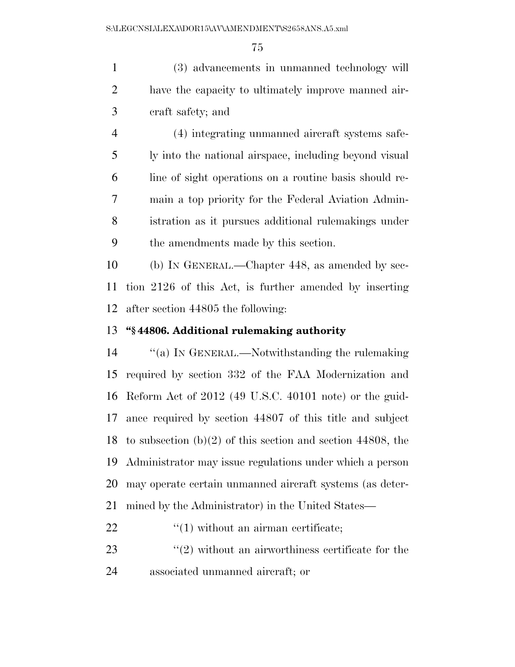(3) advancements in unmanned technology will have the capacity to ultimately improve manned air-craft safety; and

 (4) integrating unmanned aircraft systems safe- ly into the national airspace, including beyond visual line of sight operations on a routine basis should re- main a top priority for the Federal Aviation Admin- istration as it pursues additional rulemakings under the amendments made by this section.

 (b) IN GENERAL.—Chapter 448, as amended by sec- tion 2126 of this Act, is further amended by inserting after section 44805 the following:

## **''§ 44806. Additional rulemaking authority**

 ''(a) IN GENERAL.—Notwithstanding the rulemaking required by section 332 of the FAA Modernization and Reform Act of 2012 (49 U.S.C. 40101 note) or the guid- ance required by section 44807 of this title and subject to subsection (b)(2) of this section and section 44808, the Administrator may issue regulations under which a person may operate certain unmanned aircraft systems (as deter-mined by the Administrator) in the United States—

22  $\frac{1}{2}$   $\frac{1}{2}$  without an airman certificate;

23  $\frac{1}{2}$   $\frac{1}{2}$  without an airworthiness certificate for the associated unmanned aircraft; or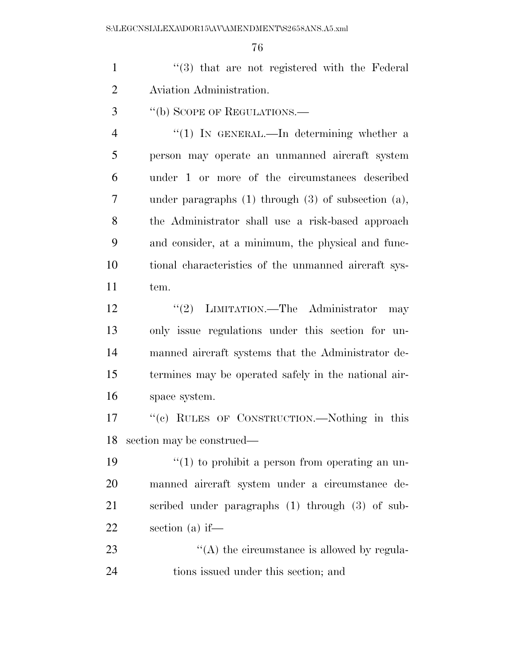S:\LEGCNSL\LEXA\DOR15\AV\AMENDMENT\S2658ANS.A5.xml

1 ''(3) that are not registered with the Federal Aviation Administration.

''(b) SCOPE OF REGULATIONS.—

4 "(1) IN GENERAL.—In determining whether a person may operate an unmanned aircraft system under 1 or more of the circumstances described under paragraphs (1) through (3) of subsection (a), the Administrator shall use a risk-based approach and consider, at a minimum, the physical and func- tional characteristics of the unmanned aircraft sys-tem.

12 "(2) LIMITATION.—The Administrator may only issue regulations under this section for un- manned aircraft systems that the Administrator de- termines may be operated safely in the national air-space system.

 ''(c) RULES OF CONSTRUCTION.—Nothing in this section may be construed—

 $\frac{1}{2}$  (1) to prohibit a person from operating an un- manned aircraft system under a circumstance de- scribed under paragraphs (1) through (3) of sub-section (a) if—

23  $\langle (A)$  the circumstance is allowed by regula-tions issued under this section; and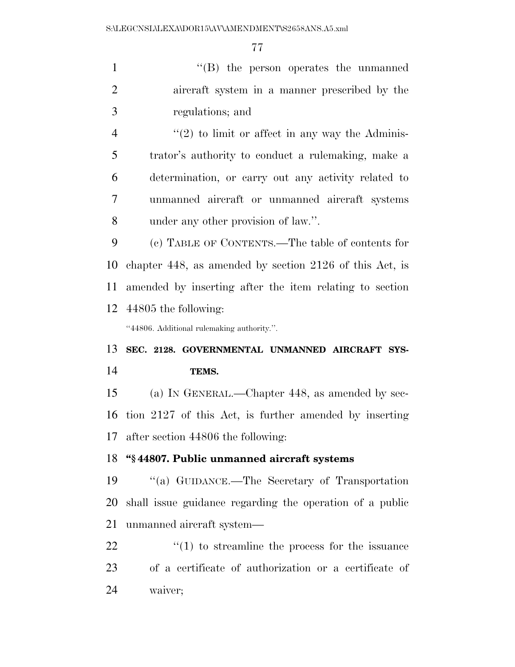1 ''(B) the person operates the unmanned aircraft system in a manner prescribed by the regulations; and  $\frac{4}{2}$  ''(2) to limit or affect in any way the Adminis-

 trator's authority to conduct a rulemaking, make a determination, or carry out any activity related to unmanned aircraft or unmanned aircraft systems under any other provision of law.''.

 (c) TABLE OF CONTENTS.—The table of contents for chapter 448, as amended by section 2126 of this Act, is amended by inserting after the item relating to section 44805 the following:

''44806. Additional rulemaking authority.''.

## **SEC. 2128. GOVERNMENTAL UNMANNED AIRCRAFT SYS-TEMS.**

 (a) IN GENERAL.—Chapter 448, as amended by sec- tion 2127 of this Act, is further amended by inserting after section 44806 the following:

### **''§ 44807. Public unmanned aircraft systems**

 ''(a) GUIDANCE.—The Secretary of Transportation shall issue guidance regarding the operation of a public unmanned aircraft system—

22  $\frac{1}{2}$  (1) to streamline the process for the issuance of a certificate of authorization or a certificate of waiver;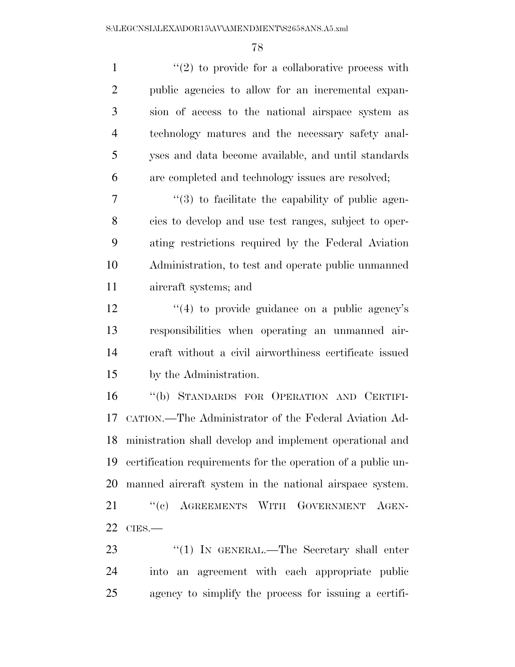| $\mathbf{1}$   | $\lq(2)$ to provide for a collaborative process with              |
|----------------|-------------------------------------------------------------------|
| $\overline{2}$ | public agencies to allow for an incremental expan-                |
| 3              | sion of access to the national airspace system as                 |
| $\overline{4}$ | technology matures and the necessary safety anal-                 |
| 5              | yses and data become available, and until standards               |
| 6              | are completed and technology issues are resolved;                 |
| 7              | $\cdot\cdot\cdot(3)$ to facilitate the capability of public agen- |
| 8              | cies to develop and use test ranges, subject to oper-             |
| 9              | ating restrictions required by the Federal Aviation               |
| 10             | Administration, to test and operate public unmanned               |
| 11             | aircraft systems; and                                             |
| 12             | $\cdot$ (4) to provide guidance on a public agency's              |
| 13             | responsibilities when operating an unmanned air-                  |
| 14             | craft without a civil airworthiness certificate issued            |
| 15             | by the Administration.                                            |
| 16             | "(b) STANDARDS FOR OPERATION AND CERTIFI-                         |
| 17             | CATION.—The Administrator of the Federal Aviation Ad-             |
|                | 18 ministration shall develop and implement operational and       |
| 19             | certification requirements for the operation of a public un-      |
| 20             | manned aircraft system in the national airspace system.           |
| 21             | "(c) AGREEMENTS WITH GOVERNMENT AGEN-                             |
| 22             | CIES.                                                             |
| 23             | "(1) IN GENERAL.—The Secretary shall enter                        |

 into an agreement with each appropriate public agency to simplify the process for issuing a certifi-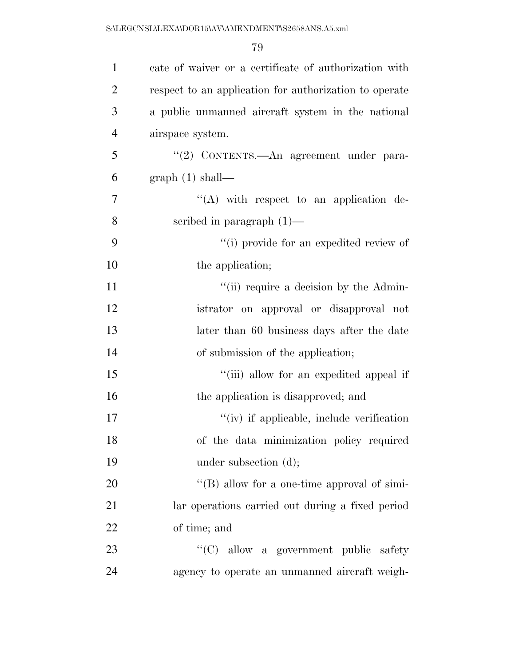| $\mathbf{1}$   | cate of waiver or a certificate of authorization with  |
|----------------|--------------------------------------------------------|
| $\overline{2}$ | respect to an application for authorization to operate |
| $\mathfrak{Z}$ | a public unmanned aircraft system in the national      |
| $\overline{4}$ | airspace system.                                       |
| 5              | "(2) CONTENTS.—An agreement under para-                |
| 6              | graph(1) shall—                                        |
| $\tau$         | $\lq\lq$ with respect to an application de-            |
| 8              | scribed in paragraph $(1)$ —                           |
| 9              | "(i) provide for an expedited review of                |
| 10             | the application;                                       |
| 11             | "(ii) require a decision by the Admin-                 |
| 12             | istrator on approval or disapproval not                |
| 13             | later than 60 business days after the date             |
| 14             | of submission of the application;                      |
| 15             | "(iii) allow for an expedited appeal if                |
| 16             | the application is disapproved; and                    |
| 17             | "(iv) if applicable, include verification              |
| 18             | of the data minimization policy required               |
| 19             | under subsection $(d)$ ;                               |
| 20             | $\lq\lq (B)$ allow for a one-time approval of simi-    |
| 21             | lar operations carried out during a fixed period       |
| 22             | of time; and                                           |
| 23             | "(C) allow a government public safety                  |
| 24             | agency to operate an unmanned aircraft weigh-          |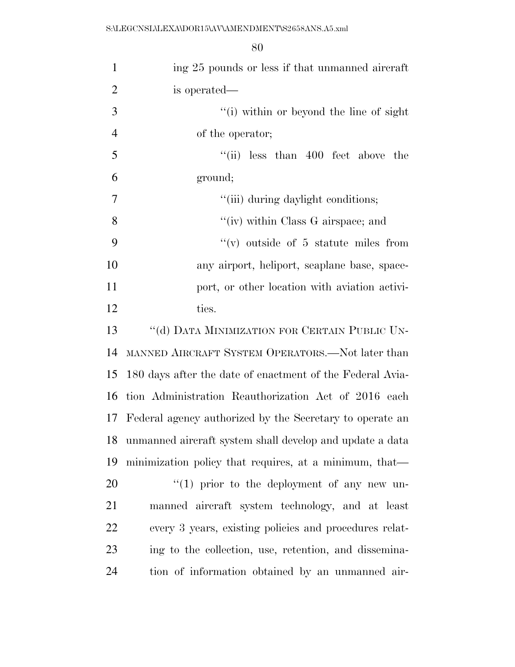| $\mathbf{1}$   | ing 25 pounds or less if that unmanned aircraft           |
|----------------|-----------------------------------------------------------|
| $\overline{2}$ | is operated—                                              |
| 3              | "(i) within or beyond the line of sight                   |
| $\overline{4}$ | of the operator;                                          |
| 5              | "(ii) less than $400$ feet above the                      |
| 6              | ground;                                                   |
| $\overline{7}$ | "(iii) during daylight conditions;                        |
| 8              | "(iv) within Class G airspace; and                        |
| 9              | $``(v)$ outside of 5 statute miles from                   |
| 10             | any airport, heliport, seaplane base, space-              |
| 11             | port, or other location with aviation activi-             |
| 12             | ties.                                                     |
| 13             | "(d) DATA MINIMIZATION FOR CERTAIN PUBLIC UN-             |
| 14             | MANNED AIRCRAFT SYSTEM OPERATORS.—Not later than          |
| 15             | 180 days after the date of enactment of the Federal Avia- |
| 16             | tion Administration Reauthorization Act of 2016 each      |
| 17             | Federal agency authorized by the Secretary to operate an  |
| 18             | unmanned aircraft system shall develop and update a data  |
| 19             | minimization policy that requires, at a minimum, that—    |
| 20             | $"(1)$ prior to the deployment of any new un-             |
| 21             | manned aircraft system technology, and at least           |
| 22             | every 3 years, existing policies and procedures relat-    |
| 23             | ing to the collection, use, retention, and dissemina-     |
| 24             | tion of information obtained by an unmanned air-          |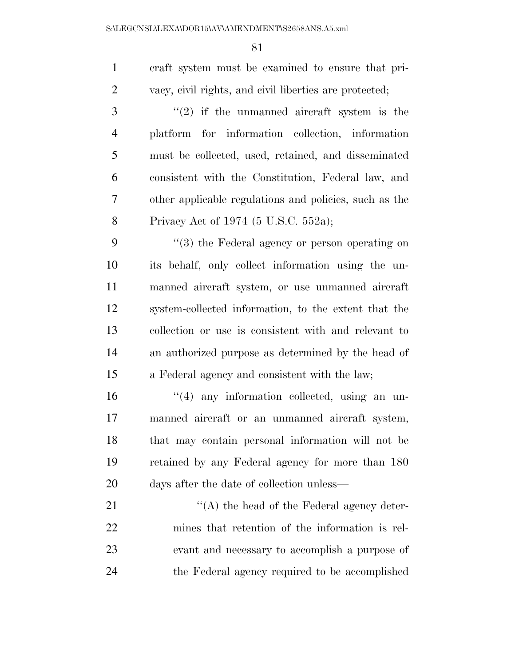craft system must be examined to ensure that pri-vacy, civil rights, and civil liberties are protected;

 ''(2) if the unmanned aircraft system is the platform for information collection, information must be collected, used, retained, and disseminated consistent with the Constitution, Federal law, and other applicable regulations and policies, such as the Privacy Act of 1974 (5 U.S.C. 552a);

9 "(3) the Federal agency or person operating on its behalf, only collect information using the un- manned aircraft system, or use unmanned aircraft system-collected information, to the extent that the collection or use is consistent with and relevant to an authorized purpose as determined by the head of a Federal agency and consistent with the law;

 $\frac{16}{16}$  any information collected, using an un- manned aircraft or an unmanned aircraft system, that may contain personal information will not be retained by any Federal agency for more than 180 days after the date of collection unless—

21 ''(A) the head of the Federal agency deter- mines that retention of the information is rel- evant and necessary to accomplish a purpose of the Federal agency required to be accomplished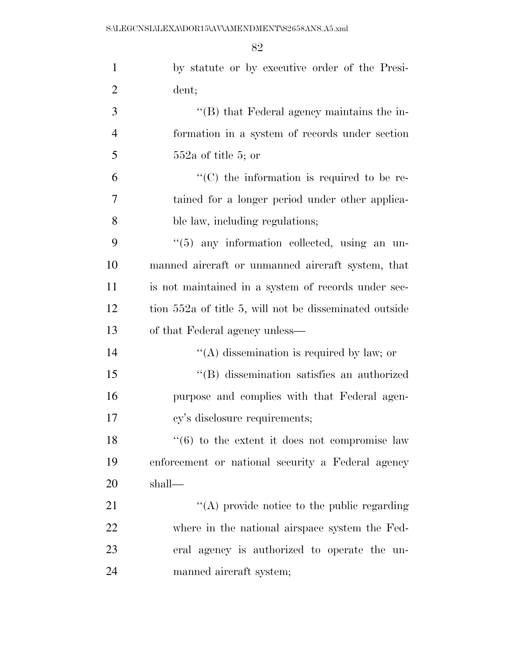| $\mathbf{1}$   | by statute or by executive order of the Presi-         |
|----------------|--------------------------------------------------------|
| $\overline{2}$ | dent;                                                  |
| 3              | "(B) that Federal agency maintains the in-             |
| $\overline{4}$ | formation in a system of records under section         |
| 5              | $552a$ of title 5; or                                  |
| 6              | $\cdot$ (C) the information is required to be re-      |
| $\overline{7}$ | tained for a longer period under other applica-        |
| 8              | ble law, including regulations;                        |
| 9              | "(5) any information collected, using an un-           |
| 10             | manned aircraft or unmanned aircraft system, that      |
| 11             | is not maintained in a system of records under sec-    |
| 12             | tion 552a of title 5, will not be disseminated outside |
| 13             | of that Federal agency unless—                         |
| 14             | "(A) dissemination is required by law; or              |
| 15             | "(B) dissemination satisfies an authorized             |
| 16             | purpose and complies with that Federal agen-           |
| 17             | cy's disclosure requirements;                          |
| 18             | $\lq(6)$ to the extent it does not compromise law      |
| 19             | enforcement or national security a Federal agency      |
| 20             | shall—                                                 |
| 21             | "(A) provide notice to the public regarding            |
| 22             | where in the national airspace system the Fed-         |
| 23             | eral agency is authorized to operate the un-           |
| 24             | manned aircraft system;                                |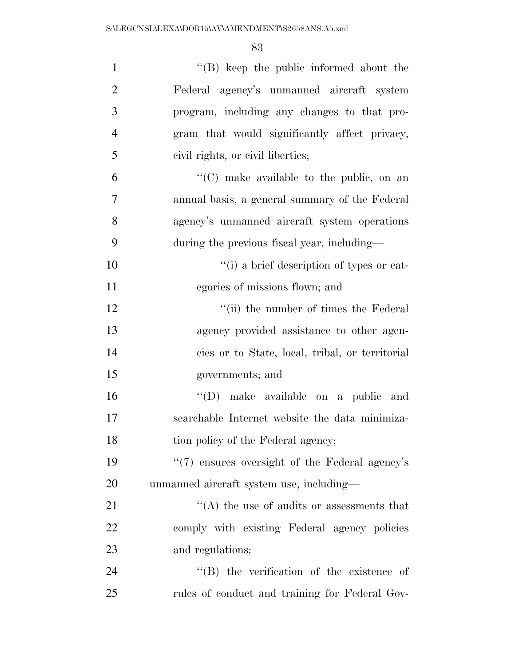| $\mathbf{1}$   | $\lq\lq$ (B) keep the public informed about the   |
|----------------|---------------------------------------------------|
| $\overline{2}$ | Federal agency's unmanned aircraft system         |
| 3              | program, including any changes to that pro-       |
| $\overline{4}$ | gram that would significantly affect privacy,     |
| 5              | civil rights, or civil liberties;                 |
| 6              | $\lq\lq$ (C) make available to the public, on an  |
| $\overline{7}$ | annual basis, a general summary of the Federal    |
| 8              | agency's unmanned aircraft system operations      |
| 9              | during the previous fiscal year, including—       |
| 10             | "(i) a brief description of types or cat-         |
| 11             | egories of missions flown; and                    |
| 12             | "(ii) the number of times the Federal             |
| 13             | agency provided assistance to other agen-         |
| 14             | cies or to State, local, tribal, or territorial   |
| 15             | governments; and                                  |
| 16             | "(D) make available on a public and               |
| 17             | searchable Internet website the data minimiza-    |
| 18             | tion policy of the Federal agency;                |
| 19             | "(7) ensures oversight of the Federal agency's    |
| 20             | unmanned aircraft system use, including—          |
| 21             | $\cdot$ (A) the use of audits or assessments that |
| 22             | comply with existing Federal agency policies      |
| 23             | and regulations;                                  |
| 24             | $\lq\lq$ the verification of the existence of     |
| 25             | rules of conduct and training for Federal Gov-    |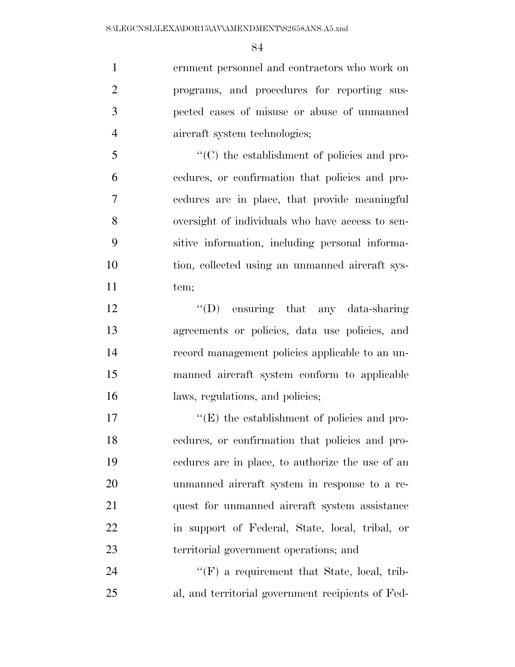ernment personnel and contractors who work on programs, and procedures for reporting sus- pected cases of misuse or abuse of unmanned aircraft system technologies;

 ''(C) the establishment of policies and pro- cedures, or confirmation that policies and pro- cedures are in place, that provide meaningful oversight of individuals who have access to sen- sitive information, including personal informa- tion, collected using an unmanned aircraft sys-11 tem;

12 "(D) ensuring that any data-sharing agreements or policies, data use policies, and record management policies applicable to an un- manned aircraft system conform to applicable 16 laws, regulations, and policies;

 $\langle (E)$  the establishment of policies and pro- cedures, or confirmation that policies and pro- cedures are in place, to authorize the use of an unmanned aircraft system in response to a re-21 quest for unmanned aircraft system assistance in support of Federal, State, local, tribal, or territorial government operations; and

24  $\text{``(F)}$  a requirement that State, local, trib-al, and territorial government recipients of Fed-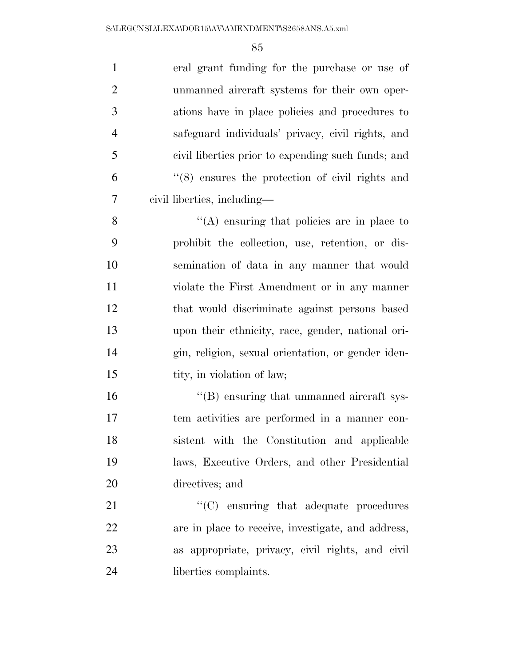| $\mathbf{1}$   | eral grant funding for the purchase or use of      |
|----------------|----------------------------------------------------|
| $\overline{2}$ | unmanned aircraft systems for their own oper-      |
| 3              | ations have in place policies and procedures to    |
| $\overline{4}$ | safeguard individuals' privacy, civil rights, and  |
| 5              | civil liberties prior to expending such funds; and |
| 6              | $(8)$ ensures the protection of civil rights and   |
| 7              | civil liberties, including—                        |
| 8              | $\cdot$ (A) ensuring that policies are in place to |
| 9              | prohibit the collection, use, retention, or dis-   |
| 10             | semination of data in any manner that would        |
| 11             | violate the First Amendment or in any manner       |
| 12             | that would discriminate against persons based      |
| 13             | upon their ethnicity, race, gender, national ori-  |
| 14             | gin, religion, sexual orientation, or gender iden- |
| 15             | tity, in violation of law;                         |
| 16             | "(B) ensuring that unmanned aircraft sys-          |
| 17             | tem activities are performed in a manner con-      |
| 18             | sistent with the Constitution and applicable       |
| 19             | laws, Executive Orders, and other Presidential     |
| 20             | directives; and                                    |
| 21             | $\cdot$ (C) ensuring that adequate procedures      |
| 22             | are in place to receive, investigate, and address, |
| 23             | as appropriate, privacy, civil rights, and civil   |
| 24             | liberties complaints.                              |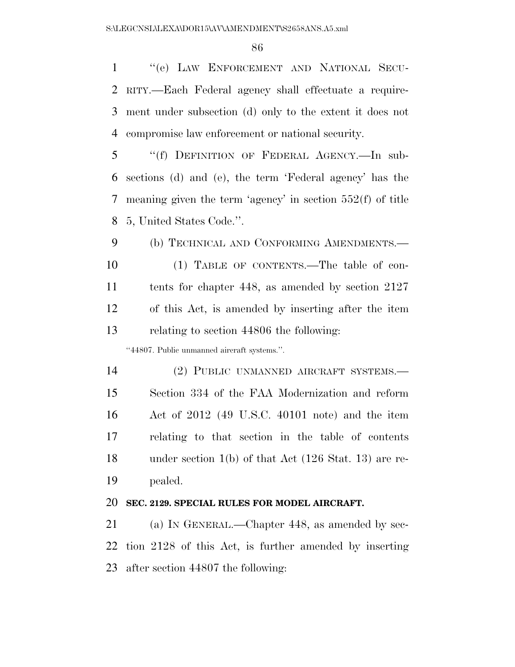''(e) LAW ENFORCEMENT AND NATIONAL SECU- RITY.—Each Federal agency shall effectuate a require- ment under subsection (d) only to the extent it does not compromise law enforcement or national security.

 ''(f) DEFINITION OF FEDERAL AGENCY.—In sub- sections (d) and (e), the term 'Federal agency' has the meaning given the term 'agency' in section 552(f) of title 5, United States Code.''.

 (b) TECHNICAL AND CONFORMING AMENDMENTS.— (1) TABLE OF CONTENTS.—The table of con- tents for chapter 448, as amended by section 2127 of this Act, is amended by inserting after the item relating to section 44806 the following:

''44807. Public unmanned aircraft systems.''.

 (2) PUBLIC UNMANNED AIRCRAFT SYSTEMS.— Section 334 of the FAA Modernization and reform Act of 2012 (49 U.S.C. 40101 note) and the item relating to that section in the table of contents under section 1(b) of that Act (126 Stat. 13) are re-pealed.

#### **SEC. 2129. SPECIAL RULES FOR MODEL AIRCRAFT.**

 (a) IN GENERAL.—Chapter 448, as amended by sec- tion 2128 of this Act, is further amended by inserting after section 44807 the following: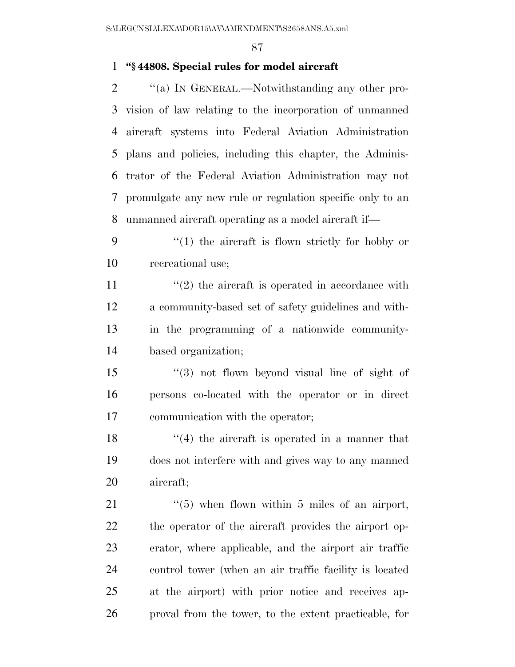## **''§ 44808. Special rules for model aircraft**

 $\gamma$  (a) In GENERAL.—Notwithstanding any other pro- vision of law relating to the incorporation of unmanned aircraft systems into Federal Aviation Administration plans and policies, including this chapter, the Adminis- trator of the Federal Aviation Administration may not promulgate any new rule or regulation specific only to an unmanned aircraft operating as a model aircraft if—

 ''(1) the aircraft is flown strictly for hobby or recreational use;

 $\frac{u(2)}{2}$  the aircraft is operated in accordance with a community-based set of safety guidelines and with- in the programming of a nationwide community-based organization;

 ''(3) not flown beyond visual line of sight of persons co-located with the operator or in direct communication with the operator;

18 ''(4) the aircraft is operated in a manner that does not interfere with and gives way to any manned aircraft;

 $\frac{1}{2}$   $\frac{1}{2}$  when flown within 5 miles of an airport, the operator of the aircraft provides the airport op- erator, where applicable, and the airport air traffic control tower (when an air traffic facility is located at the airport) with prior notice and receives ap-proval from the tower, to the extent practicable, for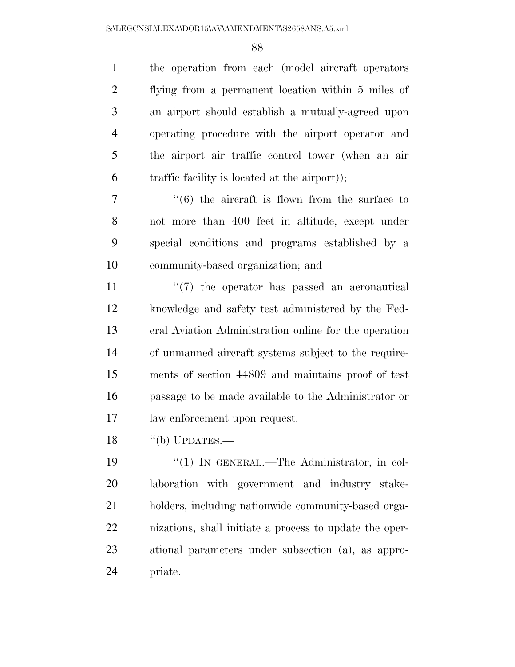the operation from each (model aircraft operators flying from a permanent location within 5 miles of an airport should establish a mutually-agreed upon operating procedure with the airport operator and the airport air traffic control tower (when an air traffic facility is located at the airport));

 ''(6) the aircraft is flown from the surface to not more than 400 feet in altitude, except under special conditions and programs established by a community-based organization; and

 $\frac{1}{2}$  (7) the operator has passed an aeronautical knowledge and safety test administered by the Fed- eral Aviation Administration online for the operation of unmanned aircraft systems subject to the require- ments of section 44809 and maintains proof of test passage to be made available to the Administrator or law enforcement upon request.

18 "(b) UPDATES.—

 $\frac{1}{2}$  (1) In GENERAL.—The Administrator, in col- laboration with government and industry stake- holders, including nationwide community-based orga- nizations, shall initiate a process to update the oper- ational parameters under subsection (a), as appro-priate.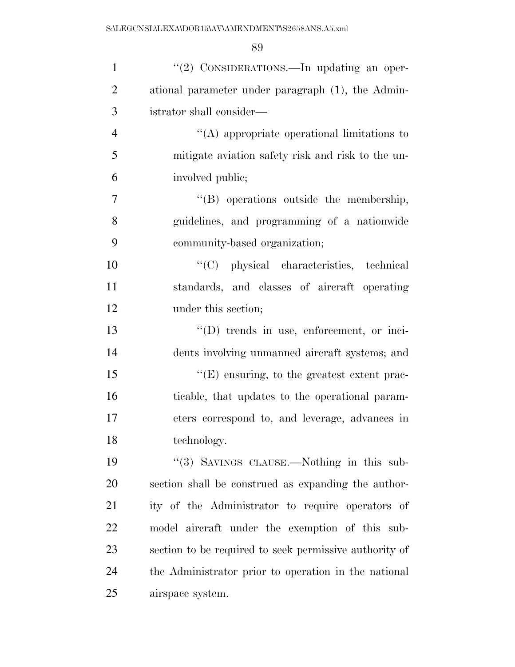| $\mathbf{1}$   | "(2) CONSIDERATIONS.—In updating an oper-              |
|----------------|--------------------------------------------------------|
| $\overline{2}$ | ational parameter under paragraph (1), the Admin-      |
| 3              | istrator shall consider—                               |
| $\overline{4}$ | $\lq\lq$ appropriate operational limitations to        |
| 5              | mitigate aviation safety risk and risk to the un-      |
| 6              | involved public;                                       |
| $\overline{7}$ | "(B) operations outside the membership,                |
| 8              | guidelines, and programming of a nationwide            |
| 9              | community-based organization;                          |
| 10             | "(C) physical characteristics, technical               |
| 11             | standards, and classes of aircraft operating           |
| 12             | under this section;                                    |
| 13             | $\lq\lq$ trends in use, enforcement, or inci-          |
| 14             | dents involving unmanned aircraft systems; and         |
| 15             | $\lq\lq(E)$ ensuring, to the greatest extent prac-     |
| 16             | ticable, that updates to the operational param-        |
| 17             | eters correspond to, and leverage, advances in         |
| 18             | technology.                                            |
| 19             | "(3) SAVINGS CLAUSE.—Nothing in this sub-              |
| 20             | section shall be construed as expanding the author-    |
| 21             | ity of the Administrator to require operators of       |
| 22             | model aircraft under the exemption of this sub-        |
| 23             | section to be required to seek permissive authority of |
| 24             | the Administrator prior to operation in the national   |
| 25             | airspace system.                                       |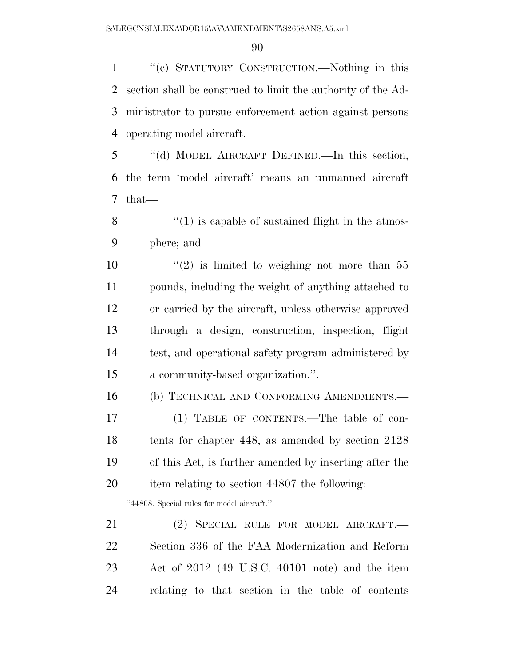''(c) STATUTORY CONSTRUCTION.—Nothing in this section shall be construed to limit the authority of the Ad- ministrator to pursue enforcement action against persons operating model aircraft.

 ''(d) MODEL AIRCRAFT DEFINED.—In this section, the term 'model aircraft' means an unmanned aircraft that—

 $\frac{8}{10}$  ''(1) is capable of sustained flight in the atmos-phere; and

 $\frac{1}{2}$  is limited to weighing not more than 55 pounds, including the weight of anything attached to or carried by the aircraft, unless otherwise approved through a design, construction, inspection, flight test, and operational safety program administered by a community-based organization.''.

(b) TECHNICAL AND CONFORMING AMENDMENTS.—

 (1) TABLE OF CONTENTS.—The table of con- tents for chapter 448, as amended by section 2128 of this Act, is further amended by inserting after the item relating to section 44807 the following:

''44808. Special rules for model aircraft.''.

 (2) SPECIAL RULE FOR MODEL AIRCRAFT.— Section 336 of the FAA Modernization and Reform Act of 2012 (49 U.S.C. 40101 note) and the item relating to that section in the table of contents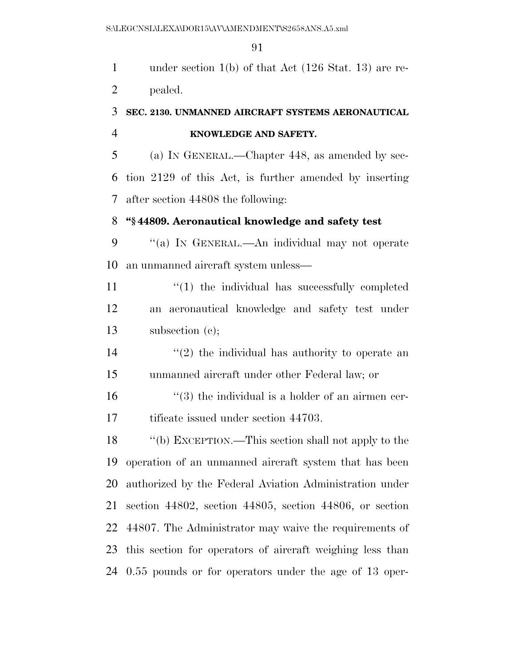under section 1(b) of that Act (126 Stat. 13) are re-pealed.

## **SEC. 2130. UNMANNED AIRCRAFT SYSTEMS AERONAUTICAL KNOWLEDGE AND SAFETY.**

 (a) IN GENERAL.—Chapter 448, as amended by sec- tion 2129 of this Act, is further amended by inserting after section 44808 the following:

## **''§ 44809. Aeronautical knowledge and safety test**

 ''(a) IN GENERAL.—An individual may not operate an unmanned aircraft system unless—

11  $\frac{1}{2}$  (1) the individual has successfully completed an aeronautical knowledge and safety test under subsection (c);

14  $(2)$  the individual has authority to operate an unmanned aircraft under other Federal law; or

 ''(3) the individual is a holder of an airmen cer-17 tificate issued under section 44703.

 ''(b) EXCEPTION.—This section shall not apply to the operation of an unmanned aircraft system that has been authorized by the Federal Aviation Administration under section 44802, section 44805, section 44806, or section 44807. The Administrator may waive the requirements of this section for operators of aircraft weighing less than 0.55 pounds or for operators under the age of 13 oper-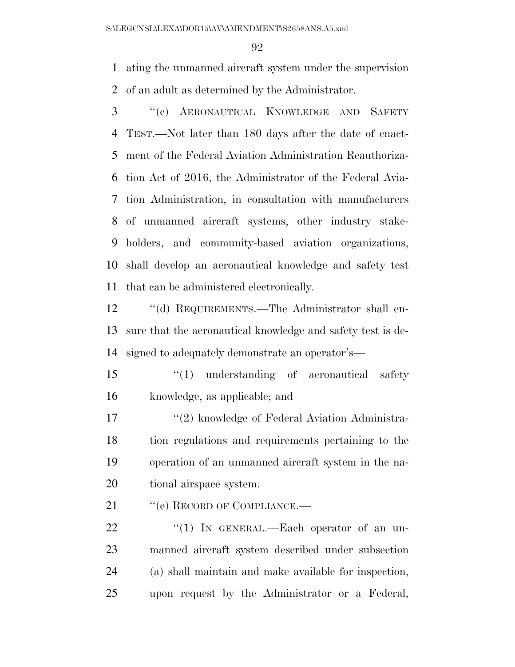ating the unmanned aircraft system under the supervision of an adult as determined by the Administrator.

 ''(c) AERONAUTICAL KNOWLEDGE AND SAFETY TEST.—Not later than 180 days after the date of enact- ment of the Federal Aviation Administration Reauthoriza- tion Act of 2016, the Administrator of the Federal Avia- tion Administration, in consultation with manufacturers of unmanned aircraft systems, other industry stake- holders, and community-based aviation organizations, shall develop an aeronautical knowledge and safety test that can be administered electronically.

 ''(d) REQUIREMENTS.—The Administrator shall en- sure that the aeronautical knowledge and safety test is de-signed to adequately demonstrate an operator's—

15 ''(1) understanding of aeronautical safety knowledge, as applicable; and

17 "(2) knowledge of Federal Aviation Administra- tion regulations and requirements pertaining to the operation of an unmanned aircraft system in the na-tional airspace system.

21 " (e) RECORD OF COMPLIANCE.—

22 "(1) In GENERAL.—Each operator of an un- manned aircraft system described under subsection (a) shall maintain and make available for inspection, upon request by the Administrator or a Federal,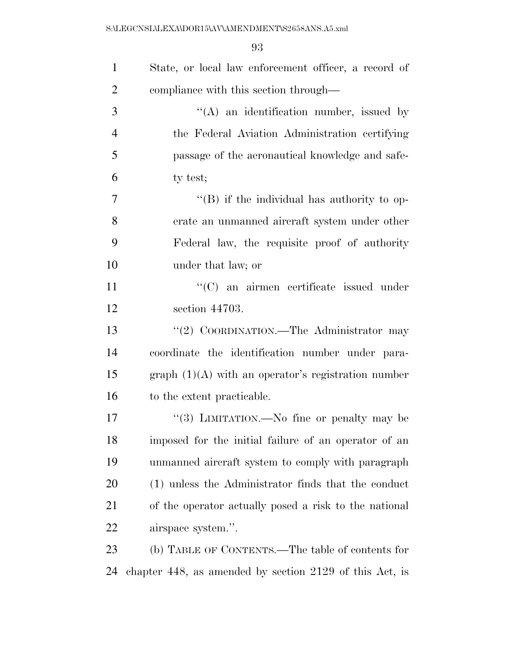S:\LEGCNSL\LEXA\DOR15\AV\AMENDMENT\S2658ANS.A5.xml

| $\mathbf{1}$   | State, or local law enforcement officer, a record of    |
|----------------|---------------------------------------------------------|
| $\overline{2}$ | compliance with this section through—                   |
| 3              | "(A) an identification number, issued by                |
| $\overline{4}$ | the Federal Aviation Administration certifying          |
| 5              | passage of the aeronautical knowledge and safe-         |
| 6              | ty test;                                                |
| $\tau$         | $\lq\lq (B)$ if the individual has authority to op-     |
| 8              | erate an unmanned aircraft system under other           |
| 9              | Federal law, the requisite proof of authority           |
| 10             | under that law; or                                      |
| 11             | "(C) an airmen certificate issued under                 |
| 12             | section 44703.                                          |
| 13             | "(2) COORDINATION.—The Administrator may                |
| 14             | coordinate the identification number under para-        |
| 15             | graph $(1)(A)$ with an operator's registration number   |
| 16             | to the extent practicable.                              |
| 17             | "(3) LIMITATION.—No fine or penalty may be              |
| 18             | imposed for the initial failure of an operator of an    |
| 19             | unmanned aircraft system to comply with paragraph       |
| 20             | (1) unless the Administrator finds that the conduct     |
| 21             | of the operator actually posed a risk to the national   |
| 22             | airspace system.".                                      |
| 23             | (b) TABLE OF CONTENTS.—The table of contents for        |
| 24             | chapter 448, as amended by section 2129 of this Act, is |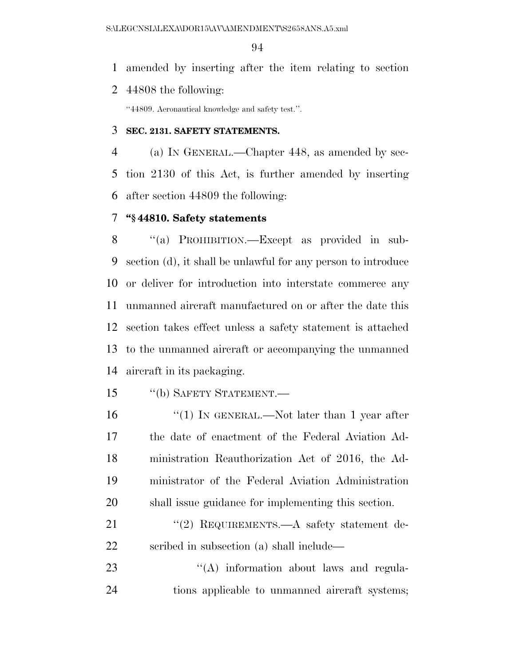amended by inserting after the item relating to section

44808 the following:

''44809. Aeronautical knowledge and safety test.''.

### **SEC. 2131. SAFETY STATEMENTS.**

 (a) IN GENERAL.—Chapter 448, as amended by sec- tion 2130 of this Act, is further amended by inserting after section 44809 the following:

## **''§ 44810. Safety statements**

8 "(a) PROHIBITION.—Except as provided in sub- section (d), it shall be unlawful for any person to introduce or deliver for introduction into interstate commerce any unmanned aircraft manufactured on or after the date this section takes effect unless a safety statement is attached to the unmanned aircraft or accompanying the unmanned aircraft in its packaging.

- ''(b) SAFETY STATEMENT.—
- 16 "(1) IN GENERAL.—Not later than 1 year after the date of enactment of the Federal Aviation Ad- ministration Reauthorization Act of 2016, the Ad- ministrator of the Federal Aviation Administration shall issue guidance for implementing this section.
- 21 "(2) REQUIREMENTS.—A safety statement de-scribed in subsection (a) shall include—
- 23 "(A) information about laws and regula-tions applicable to unmanned aircraft systems;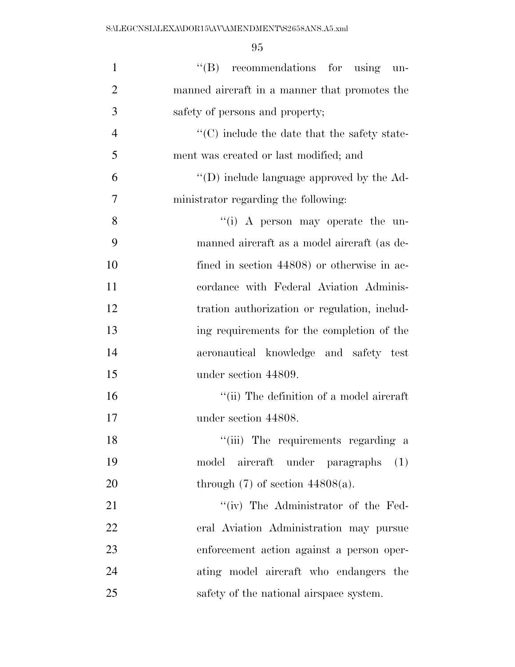| $\mathbf{1}$   | $\lq\lq(B)$ recommendations for using<br>un-        |
|----------------|-----------------------------------------------------|
| $\overline{2}$ | manned aircraft in a manner that promotes the       |
| 3              | safety of persons and property;                     |
| $\overline{4}$ | $\cdot$ (C) include the date that the safety state- |
| 5              | ment was created or last modified; and              |
| 6              | $\lq\lq$ (D) include language approved by the Ad-   |
| 7              | ministrator regarding the following:                |
| 8              | "(i) A person may operate the un-                   |
| 9              | manned aircraft as a model aircraft (as de-         |
| 10             | fined in section 44808) or otherwise in ac-         |
| 11             | cordance with Federal Aviation Adminis-             |
| 12             | tration authorization or regulation, includ-        |
| 13             | ing requirements for the completion of the          |
| 14             | aeronautical knowledge and safety test              |
| 15             | under section 44809.                                |
| 16             | "(ii) The definition of a model aircraft            |
| 17             | under section 44808.                                |
| 18             | "(iii) The requirements regarding a                 |
| 19             | model aircraft under paragraphs<br>(1)              |
| 20             | through $(7)$ of section $44808(a)$ .               |
| 21             | "(iv) The Administrator of the Fed-                 |
| 22             | eral Aviation Administration may pursue             |
| 23             | enforcement action against a person oper-           |
| 24             | ating model aircraft who endangers the              |
| 25             | safety of the national airspace system.             |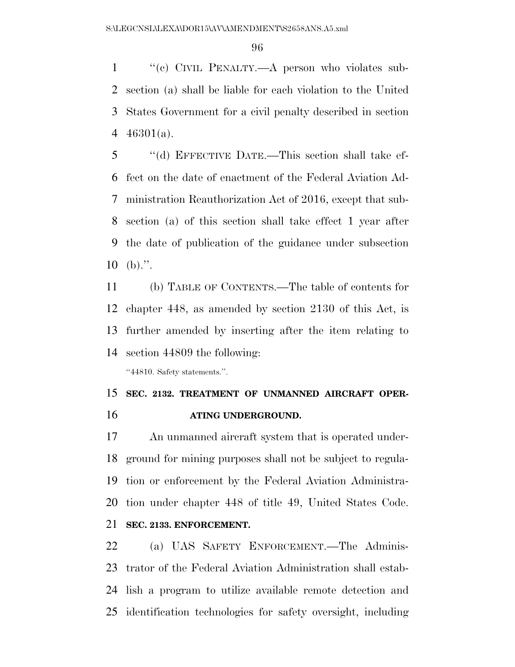''(c) CIVIL PENALTY.—A person who violates sub- section (a) shall be liable for each violation to the United States Government for a civil penalty described in section  $46301(a)$ .

 ''(d) EFFECTIVE DATE.—This section shall take ef- fect on the date of enactment of the Federal Aviation Ad- ministration Reauthorization Act of 2016, except that sub- section (a) of this section shall take effect 1 year after the date of publication of the guidance under subsection (b).".

 (b) TABLE OF CONTENTS.—The table of contents for chapter 448, as amended by section 2130 of this Act, is further amended by inserting after the item relating to section 44809 the following:

''44810. Safety statements.''.

## **SEC. 2132. TREATMENT OF UNMANNED AIRCRAFT OPER-ATING UNDERGROUND.**

 An unmanned aircraft system that is operated under- ground for mining purposes shall not be subject to regula- tion or enforcement by the Federal Aviation Administra- tion under chapter 448 of title 49, United States Code. **SEC. 2133. ENFORCEMENT.** 

 (a) UAS SAFETY ENFORCEMENT.—The Adminis- trator of the Federal Aviation Administration shall estab- lish a program to utilize available remote detection and identification technologies for safety oversight, including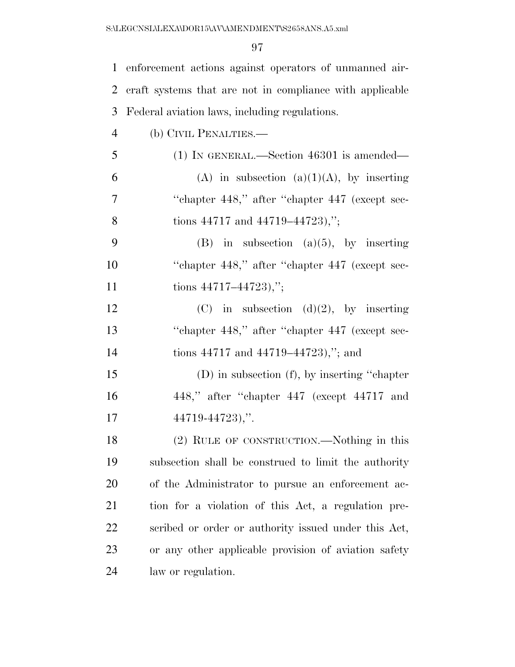| $\mathbf{1}$   | enforcement actions against operators of unmanned air-   |
|----------------|----------------------------------------------------------|
| 2              | eraft systems that are not in compliance with applicable |
| 3              | Federal aviation laws, including regulations.            |
| $\overline{4}$ | (b) CIVIL PENALTIES.—                                    |
| 5              | $(1)$ IN GENERAL.—Section 46301 is amended—              |
| 6              | (A) in subsection (a)(1)(A), by inserting                |
| 7              | "chapter 448," after "chapter 447 (except sec-           |
| 8              | tions $44717$ and $44719-44723$ ,";                      |
| 9              | $(B)$ in subsection $(a)(5)$ , by inserting              |
| 10             | "chapter 448," after "chapter 447 (except sec-           |
| 11             | tions $44717 - 44723$ ,";                                |
| 12             | (C) in subsection (d)(2), by inserting                   |
| 13             | "chapter 448," after "chapter 447 (except sec-           |
| 14             | tions $44717$ and $44719-44723$ ,"; and                  |
| 15             | $(D)$ in subsection $(f)$ , by inserting "chapter"       |
| 16             | 448," after "chapter 447 (except 44717 and               |
| 17             | $44719 - 44723$ ,".                                      |
| 18             | (2) RULE OF CONSTRUCTION.—Nothing in this                |
| 19             | subsection shall be construed to limit the authority     |
| 20             | of the Administrator to pursue an enforcement ac-        |
| 21             | tion for a violation of this Act, a regulation pre-      |
| 22             | scribed or order or authority issued under this Act,     |
| 23             | or any other applicable provision of aviation safety     |
| 24             | law or regulation.                                       |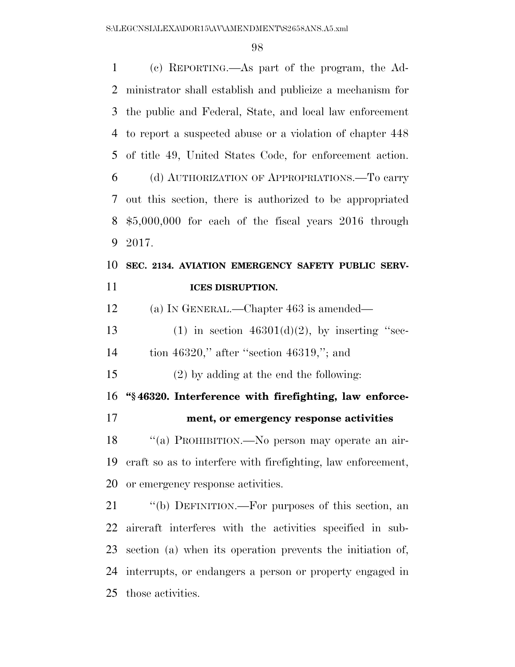| $\mathbf{1}$ | (c) REPORTING.—As part of the program, the Ad-                |
|--------------|---------------------------------------------------------------|
| 2            | ministrator shall establish and publicize a mechanism for     |
| 3            | the public and Federal, State, and local law enforcement      |
| 4            | to report a suspected abuse or a violation of chapter 448     |
| 5            | of title 49, United States Code, for enforcement action.      |
| 6            | (d) AUTHORIZATION OF APPROPRIATIONS.—To carry                 |
| 7            | out this section, there is authorized to be appropriated      |
| 8            | $$5,000,000$ for each of the fiscal years 2016 through        |
| 9            | 2017.                                                         |
| 10           | SEC. 2134. AVIATION EMERGENCY SAFETY PUBLIC SERV-             |
| 11           | <b>ICES DISRUPTION.</b>                                       |
| 12           | (a) IN GENERAL.—Chapter $463$ is amended—                     |
| 13           | (1) in section $46301(d)(2)$ , by inserting "sec-             |
| 14           | tion 46320," after "section 46319,"; and                      |
| 15           | $(2)$ by adding at the end the following:                     |
| 16           | "§46320. Interference with firefighting, law enforce-         |
| 17           | ment, or emergency response activities                        |
| 18           | "(a) PROHIBITION.—No person may operate an air-               |
| 19           | eraft so as to interfere with firefighting, law enforcement,  |
| 20           | or emergency response activities.                             |
| 21           | "(b) DEFINITION.—For purposes of this section, an             |
|              |                                                               |
| 22           | aircraft interferes with the activities specified in sub-     |
|              | 23 section (a) when its operation prevents the initiation of, |
| 24           | interrupts, or endangers a person or property engaged in      |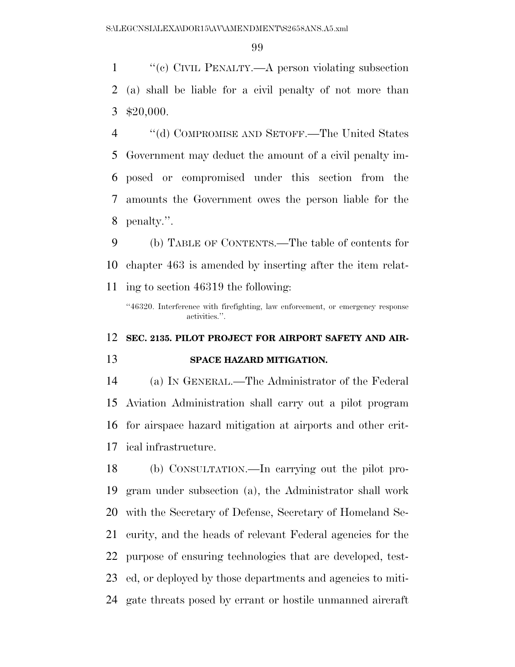''(c) CIVIL PENALTY.—A person violating subsection (a) shall be liable for a civil penalty of not more than \$20,000.

 ''(d) COMPROMISE AND SETOFF.—The United States Government may deduct the amount of a civil penalty im- posed or compromised under this section from the amounts the Government owes the person liable for the penalty.''.

 (b) TABLE OF CONTENTS.—The table of contents for chapter 463 is amended by inserting after the item relat-ing to section 46319 the following:

''46320. Interference with firefighting, law enforcement, or emergency response activities.''.

## **SEC. 2135. PILOT PROJECT FOR AIRPORT SAFETY AND AIR-**

### **SPACE HAZARD MITIGATION.**

 (a) IN GENERAL.—The Administrator of the Federal Aviation Administration shall carry out a pilot program for airspace hazard mitigation at airports and other crit-ical infrastructure.

 (b) CONSULTATION.—In carrying out the pilot pro- gram under subsection (a), the Administrator shall work with the Secretary of Defense, Secretary of Homeland Se- curity, and the heads of relevant Federal agencies for the purpose of ensuring technologies that are developed, test-23 ed, or deployed by those departments and agencies to miti-gate threats posed by errant or hostile unmanned aircraft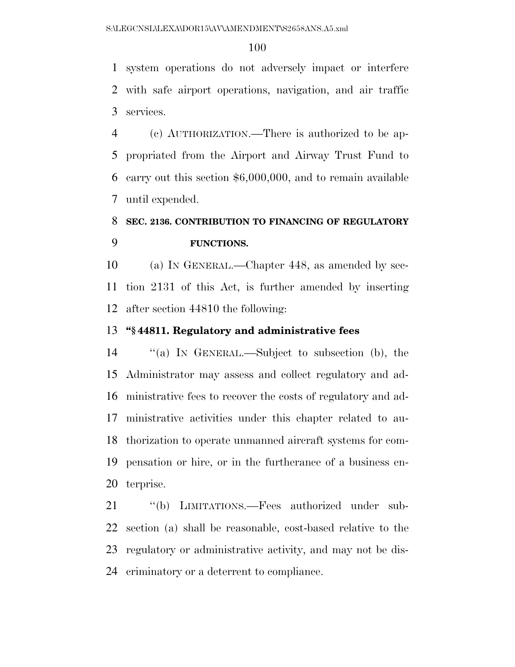system operations do not adversely impact or interfere with safe airport operations, navigation, and air traffic services.

 (c) AUTHORIZATION.—There is authorized to be ap- propriated from the Airport and Airway Trust Fund to carry out this section \$6,000,000, and to remain available until expended.

# **SEC. 2136. CONTRIBUTION TO FINANCING OF REGULATORY FUNCTIONS.**

 (a) IN GENERAL.—Chapter 448, as amended by sec- tion 2131 of this Act, is further amended by inserting after section 44810 the following:

## **''§ 44811. Regulatory and administrative fees**

 ''(a) IN GENERAL.—Subject to subsection (b), the Administrator may assess and collect regulatory and ad- ministrative fees to recover the costs of regulatory and ad- ministrative activities under this chapter related to au- thorization to operate unmanned aircraft systems for com- pensation or hire, or in the furtherance of a business en-terprise.

 ''(b) LIMITATIONS.—Fees authorized under sub- section (a) shall be reasonable, cost-based relative to the regulatory or administrative activity, and may not be dis-criminatory or a deterrent to compliance.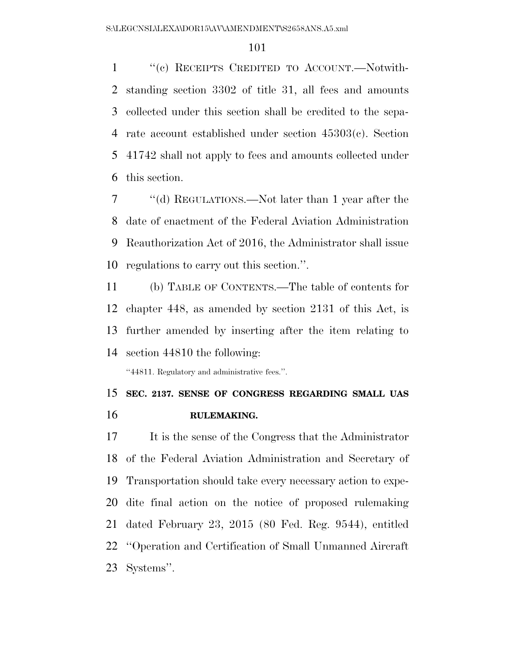''(c) RECEIPTS CREDITED TO ACCOUNT.—Notwith- standing section 3302 of title 31, all fees and amounts collected under this section shall be credited to the sepa- rate account established under section 45303(c). Section 41742 shall not apply to fees and amounts collected under this section.

 ''(d) REGULATIONS.—Not later than 1 year after the date of enactment of the Federal Aviation Administration Reauthorization Act of 2016, the Administrator shall issue regulations to carry out this section.''.

 (b) TABLE OF CONTENTS.—The table of contents for chapter 448, as amended by section 2131 of this Act, is further amended by inserting after the item relating to section 44810 the following:

''44811. Regulatory and administrative fees.''.

## **SEC. 2137. SENSE OF CONGRESS REGARDING SMALL UAS RULEMAKING.**

 It is the sense of the Congress that the Administrator of the Federal Aviation Administration and Secretary of Transportation should take every necessary action to expe- dite final action on the notice of proposed rulemaking dated February 23, 2015 (80 Fed. Reg. 9544), entitled ''Operation and Certification of Small Unmanned Aircraft Systems''.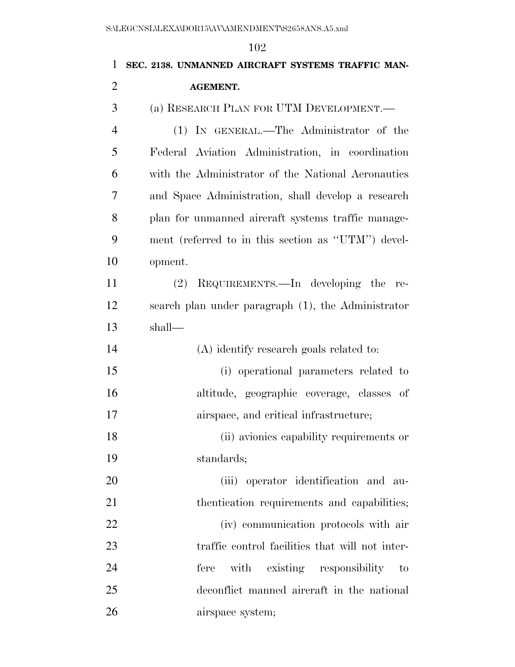| $\mathbf{1}$   | ⊥∪∠<br>SEC. 2138. UNMANNED AIRCRAFT SYSTEMS TRAFFIC MAN- |
|----------------|----------------------------------------------------------|
| $\overline{2}$ | <b>AGEMENT.</b>                                          |
| 3              | (a) RESEARCH PLAN FOR UTM DEVELOPMENT.                   |
| $\overline{4}$ | (1) IN GENERAL.—The Administrator of the                 |
| 5              | Federal Aviation Administration, in coordination         |
| 6              | with the Administrator of the National Aeronautics       |
| 7              | and Space Administration, shall develop a research       |
| 8              | plan for unmanned aircraft systems traffic manage-       |
| 9              | ment (referred to in this section as "UTM") devel-       |
| 10             | opment.                                                  |
| 11             | REQUIREMENTS.—In developing the<br>(2)<br>re-            |
| 12             | search plan under paragraph (1), the Administrator       |
| 13             | shall—                                                   |
| 14             | (A) identify research goals related to:                  |
| 15             | (i) operational parameters related to                    |
| 16             | altitude, geographic coverage, classes of                |
| 17             | airspace, and critical infrastructure;                   |
| 18             | (ii) avionies capability requirements or                 |
| 19             | standards;                                               |
| 20             | (iii) operator identification and au-                    |
| 21             | thentication requirements and capabilities;              |
| 22             | (iv) communication protocols with air                    |
| 23             | traffic control facilities that will not inter-          |
| 24             | with existing responsibility<br>fere<br>to               |
| 25             | deconflict manned aircraft in the national               |
|                |                                                          |

airspace system;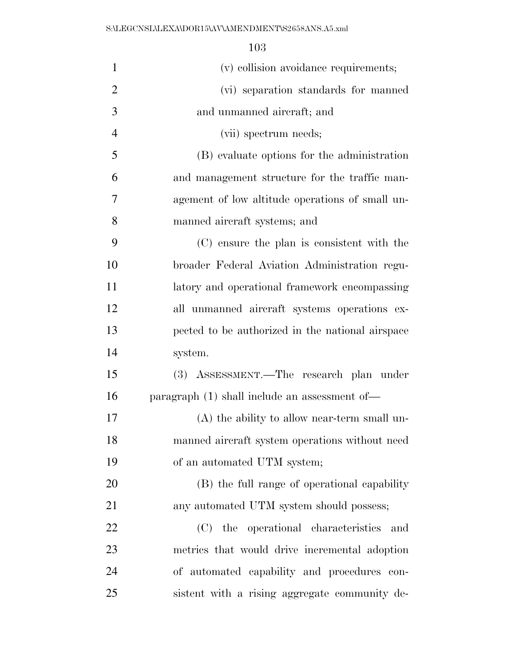| $\mathbf{1}$   | (v) collision avoidance requirements;            |
|----------------|--------------------------------------------------|
| $\overline{2}$ | (vi) separation standards for manned             |
| 3              | and unmanned aircraft; and                       |
| $\overline{4}$ | (vii) spectrum needs;                            |
| 5              | (B) evaluate options for the administration      |
| 6              | and management structure for the traffic man-    |
| 7              | agement of low altitude operations of small un-  |
| 8              | manned aircraft systems; and                     |
| 9              | (C) ensure the plan is consistent with the       |
| 10             | broader Federal Aviation Administration regu-    |
| 11             | latory and operational framework encompassing    |
| 12             | all unmanned aircraft systems operations ex-     |
| 13             | pected to be authorized in the national airspace |
| 14             | system.                                          |
| 15             | (3) ASSESSMENT.—The research plan under          |
| 16             | paragraph $(1)$ shall include an assessment of — |
| 17             | $(A)$ the ability to allow near-term small un-   |
| 18             | manned aircraft system operations without need   |
| 19             | of an automated UTM system;                      |
| 20             | (B) the full range of operational capability     |
| 21             | any automated UTM system should possess;         |
| 22             | the operational characteristics<br>(C)<br>and    |
| 23             | metrics that would drive incremental adoption    |
| 24             | of automated capability and procedures con-      |
| 25             | sistent with a rising aggregate community de-    |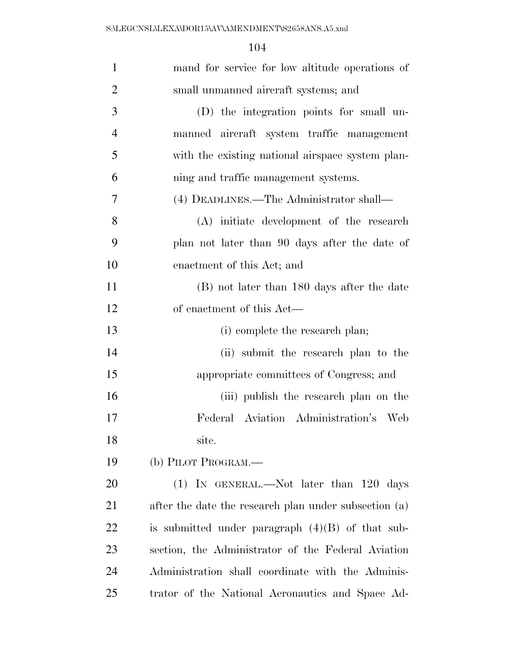| $\mathbf{1}$   | mand for service for low altitude operations of       |
|----------------|-------------------------------------------------------|
| $\overline{2}$ | small unmanned aircraft systems; and                  |
| 3              | (D) the integration points for small un-              |
| $\overline{4}$ | manned aircraft system traffic management             |
| 5              | with the existing national airspace system plan-      |
| 6              | ning and traffic management systems.                  |
| 7              | (4) DEADLINES.—The Administrator shall—               |
| 8              | (A) initiate development of the research              |
| 9              | plan not later than 90 days after the date of         |
| 10             | enactment of this Act; and                            |
| 11             | (B) not later than 180 days after the date            |
| 12             | of enactment of this Act—                             |
| 13             | (i) complete the research plan;                       |
| 14             | (ii) submit the research plan to the                  |
| 15             | appropriate committees of Congress; and               |
| 16             | (iii) publish the research plan on the                |
| 17             | Federal Aviation Administration's Web                 |
| 18             | site.                                                 |
| 19             | (b) PILOT PROGRAM.—                                   |
| <b>20</b>      | $(1)$ IN GENERAL.—Not later than 120 days             |
| 21             | after the date the research plan under subsection (a) |
| 22             | is submitted under paragraph $(4)(B)$ of that sub-    |
| 23             | section, the Administrator of the Federal Aviation    |
| 24             | Administration shall coordinate with the Adminis-     |
| 25             | trator of the National Aeronautics and Space Ad-      |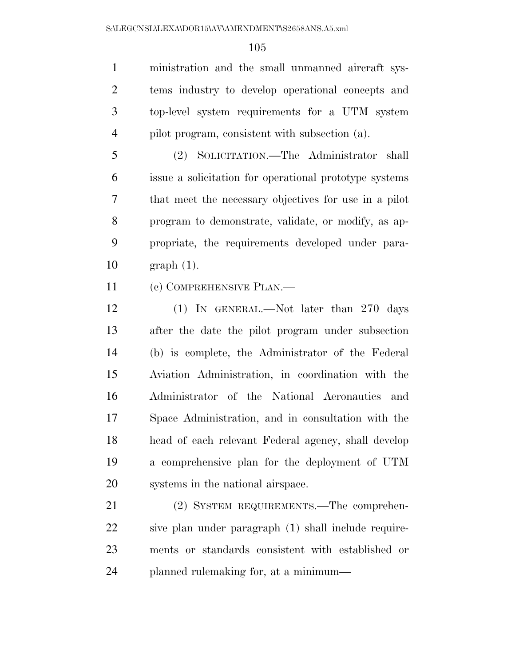ministration and the small unmanned aircraft sys- tems industry to develop operational concepts and top-level system requirements for a UTM system pilot program, consistent with subsection (a).

 (2) SOLICITATION.—The Administrator shall issue a solicitation for operational prototype systems that meet the necessary objectives for use in a pilot program to demonstrate, validate, or modify, as ap- propriate, the requirements developed under para-graph (1).

(c) COMPREHENSIVE PLAN.—

 (1) IN GENERAL.—Not later than 270 days after the date the pilot program under subsection (b) is complete, the Administrator of the Federal Aviation Administration, in coordination with the Administrator of the National Aeronautics and Space Administration, and in consultation with the head of each relevant Federal agency, shall develop a comprehensive plan for the deployment of UTM systems in the national airspace.

 (2) SYSTEM REQUIREMENTS.—The comprehen- sive plan under paragraph (1) shall include require- ments or standards consistent with established or planned rulemaking for, at a minimum—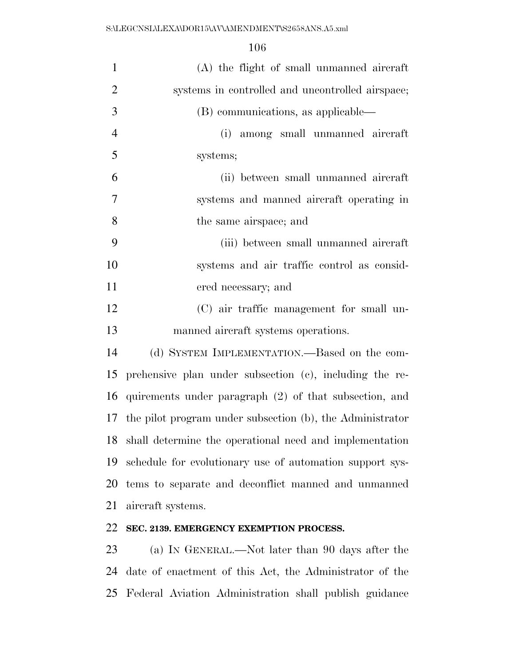| $\mathbf{1}$   | (A) the flight of small unmanned aircraft                  |
|----------------|------------------------------------------------------------|
| $\overline{2}$ | systems in controlled and uncontrolled airspace;           |
| 3              | (B) communications, as applicable—                         |
| $\overline{4}$ | (i) among small unmanned aircraft                          |
| 5              | systems;                                                   |
| 6              | (ii) between small unmanned aircraft                       |
| $\overline{7}$ | systems and manned aircraft operating in                   |
| 8              | the same airspace; and                                     |
| 9              | (iii) between small unmanned aircraft                      |
| 10             | systems and air traffic control as consid-                 |
| 11             | ered necessary; and                                        |
| 12             | (C) air traffic management for small un-                   |
| 13             | manned aircraft systems operations.                        |
| 14             | (d) SYSTEM IMPLEMENTATION.—Based on the com-               |
| 15             | prehensive plan under subsection (c), including the re-    |
| 16             | quirements under paragraph (2) of that subsection, and     |
| 17             | the pilot program under subsection (b), the Administrator  |
|                | 18 shall determine the operational need and implementation |
| 19             | schedule for evolutionary use of automation support sys-   |
| 20             | tems to separate and deconflict manned and unmanned        |
| 21             | aircraft systems.                                          |
| 22             | SEC. 2139. EMERGENCY EXEMPTION PROCESS.                    |

 (a) IN GENERAL.—Not later than 90 days after the date of enactment of this Act, the Administrator of the Federal Aviation Administration shall publish guidance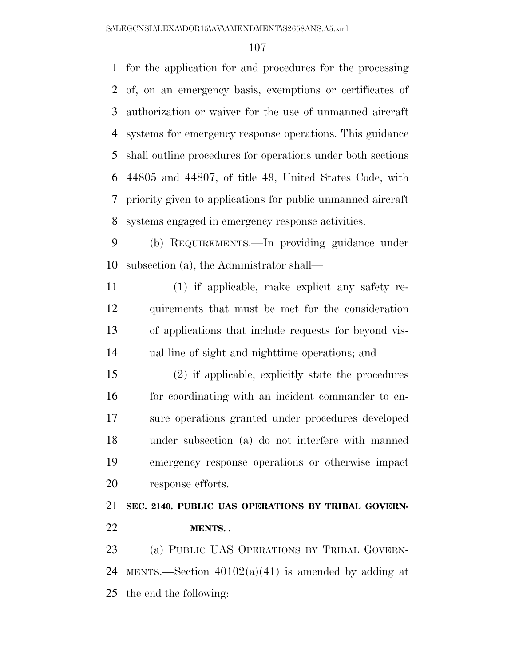for the application for and procedures for the processing of, on an emergency basis, exemptions or certificates of authorization or waiver for the use of unmanned aircraft systems for emergency response operations. This guidance shall outline procedures for operations under both sections 44805 and 44807, of title 49, United States Code, with priority given to applications for public unmanned aircraft systems engaged in emergency response activities.

 (b) REQUIREMENTS.—In providing guidance under subsection (a), the Administrator shall—

 (1) if applicable, make explicit any safety re- quirements that must be met for the consideration of applications that include requests for beyond vis-ual line of sight and nighttime operations; and

 (2) if applicable, explicitly state the procedures 16 for coordinating with an incident commander to en- sure operations granted under procedures developed under subsection (a) do not interfere with manned emergency response operations or otherwise impact response efforts.

 **SEC. 2140. PUBLIC UAS OPERATIONS BY TRIBAL GOVERN-MENTS. .** 

 (a) PUBLIC UAS OPERATIONS BY TRIBAL GOVERN-24 MENTS.—Section  $40102(a)(41)$  is amended by adding at the end the following: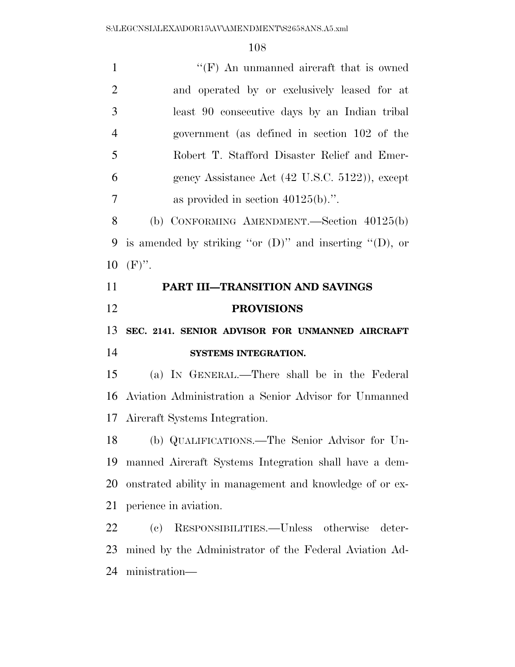| $\mathbf{1}$         | " $(F)$ An unmanned aircraft that is owned                    |
|----------------------|---------------------------------------------------------------|
| $\overline{2}$       | and operated by or exclusively leased for at                  |
| 3                    | least 90 consecutive days by an Indian tribal                 |
| $\overline{4}$       | government (as defined in section 102 of the                  |
| 5                    | Robert T. Stafford Disaster Relief and Emer-                  |
| 6                    | gency Assistance Act (42 U.S.C. 5122)), except                |
| 7                    | as provided in section $40125(b)$ .".                         |
| 8                    | (b) CONFORMING AMENDMENT.—Section $40125(b)$                  |
| 9                    | is amended by striking "or $(D)$ " and inserting " $(D)$ , or |
| 10                   | $(F)$ ".                                                      |
| 11                   | PART III-TRANSITION AND SAVINGS                               |
|                      |                                                               |
|                      | <b>PROVISIONS</b>                                             |
|                      | SEC. 2141. SENIOR ADVISOR FOR UNMANNED AIRCRAFT               |
|                      | SYSTEMS INTEGRATION.                                          |
| 12<br>13<br>14<br>15 | (a) IN GENERAL.—There shall be in the Federal                 |
|                      | Aviation Administration a Senior Advisor for Unmanned         |
| 16                   | 17 Aircraft Systems Integration.                              |
| 18                   | (b) QUALIFICATIONS.—The Senior Advisor for Un-                |
|                      | manned Aircraft Systems Integration shall have a dem-         |
| 19<br>20             | onstrated ability in management and knowledge of or ex-       |
|                      | perience in aviation.                                         |
|                      | RESPONSIBILITIES.—Unless otherwise<br>(e)<br>deter-           |
| 21<br>22<br>23       | mined by the Administrator of the Federal Aviation Ad-        |
| 24                   | ministration—                                                 |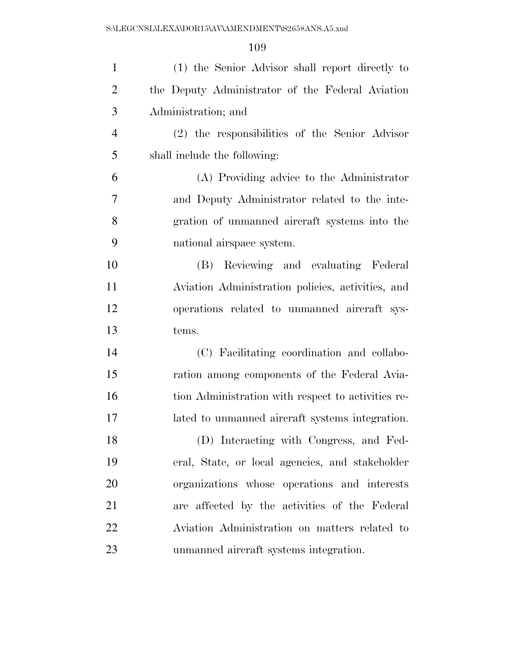| $\mathbf{1}$   | (1) the Senior Advisor shall report directly to    |
|----------------|----------------------------------------------------|
| $\overline{2}$ | the Deputy Administrator of the Federal Aviation   |
| 3              | Administration; and                                |
| $\overline{4}$ | (2) the responsibilities of the Senior Advisor     |
| 5              | shall include the following:                       |
| 6              | (A) Providing advice to the Administrator          |
| 7              | and Deputy Administrator related to the inte-      |
| 8              | gration of unmanned aircraft systems into the      |
| 9              | national airspace system.                          |
| 10             | (B) Reviewing and evaluating Federal               |
| 11             | Aviation Administration policies, activities, and  |
| 12             | operations related to unmanned aircraft sys-       |
| 13             | tems.                                              |
| 14             | (C) Facilitating coordination and collabo-         |
| 15             | ration among components of the Federal Avia-       |
| 16             | tion Administration with respect to activities re- |
| 17             | lated to unmanned aircraft systems integration.    |
| 18             | (D) Interacting with Congress, and Fed-            |
| 19             | eral, State, or local agencies, and stakeholder    |
| 20             | organizations whose operations and interests       |
| 21             | are affected by the activities of the Federal      |
| 22             | Aviation Administration on matters related to      |
| 23             | unmanned aircraft systems integration.             |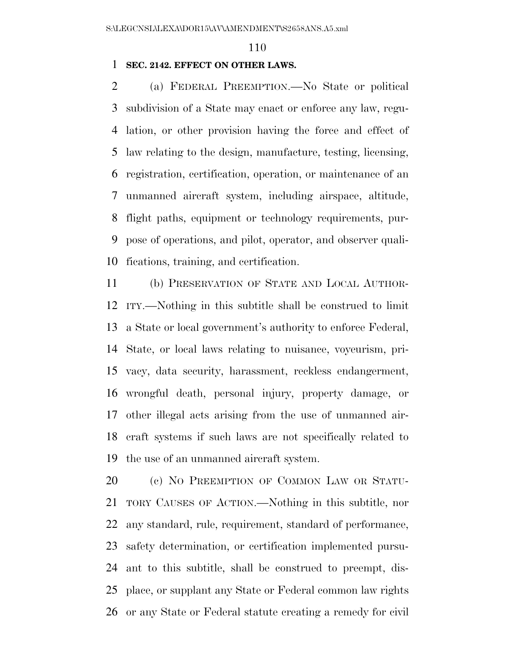#### **SEC. 2142. EFFECT ON OTHER LAWS.**

 (a) FEDERAL PREEMPTION.—No State or political subdivision of a State may enact or enforce any law, regu- lation, or other provision having the force and effect of law relating to the design, manufacture, testing, licensing, registration, certification, operation, or maintenance of an unmanned aircraft system, including airspace, altitude, flight paths, equipment or technology requirements, pur- pose of operations, and pilot, operator, and observer quali-fications, training, and certification.

 (b) PRESERVATION OF STATE AND LOCAL AUTHOR- ITY.—Nothing in this subtitle shall be construed to limit a State or local government's authority to enforce Federal, State, or local laws relating to nuisance, voyeurism, pri- vacy, data security, harassment, reckless endangerment, wrongful death, personal injury, property damage, or other illegal acts arising from the use of unmanned air- craft systems if such laws are not specifically related to the use of an unmanned aircraft system.

20 (c) NO PREEMPTION OF COMMON LAW OR STATU- TORY CAUSES OF ACTION.—Nothing in this subtitle, nor any standard, rule, requirement, standard of performance, safety determination, or certification implemented pursu- ant to this subtitle, shall be construed to preempt, dis- place, or supplant any State or Federal common law rights or any State or Federal statute creating a remedy for civil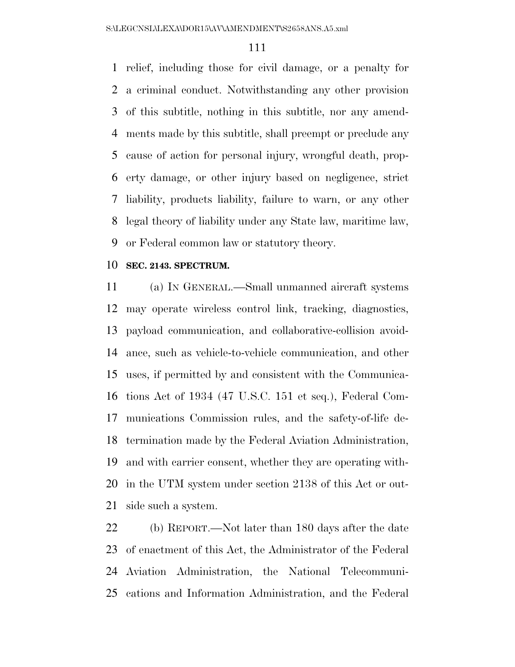relief, including those for civil damage, or a penalty for a criminal conduct. Notwithstanding any other provision of this subtitle, nothing in this subtitle, nor any amend- ments made by this subtitle, shall preempt or preclude any cause of action for personal injury, wrongful death, prop- erty damage, or other injury based on negligence, strict liability, products liability, failure to warn, or any other legal theory of liability under any State law, maritime law, or Federal common law or statutory theory.

#### **SEC. 2143. SPECTRUM.**

 (a) IN GENERAL.—Small unmanned aircraft systems may operate wireless control link, tracking, diagnostics, payload communication, and collaborative-collision avoid- ance, such as vehicle-to-vehicle communication, and other uses, if permitted by and consistent with the Communica- tions Act of 1934 (47 U.S.C. 151 et seq.), Federal Com- munications Commission rules, and the safety-of-life de- termination made by the Federal Aviation Administration, and with carrier consent, whether they are operating with- in the UTM system under section 2138 of this Act or out-side such a system.

 (b) REPORT.—Not later than 180 days after the date of enactment of this Act, the Administrator of the Federal Aviation Administration, the National Telecommuni-cations and Information Administration, and the Federal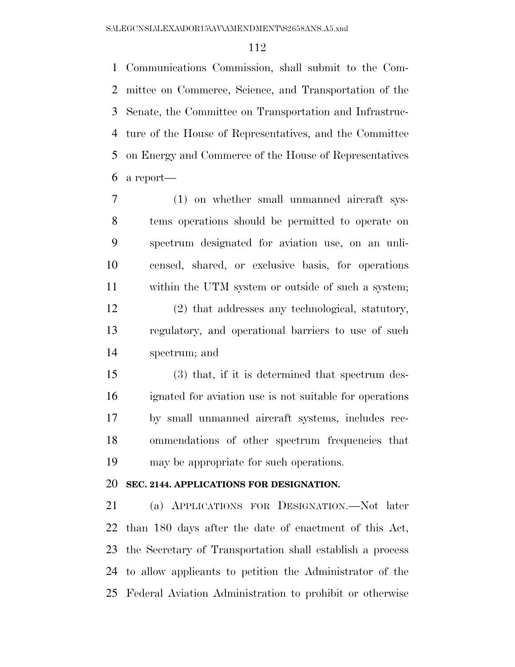Communications Commission, shall submit to the Com- mittee on Commerce, Science, and Transportation of the Senate, the Committee on Transportation and Infrastruc- ture of the House of Representatives, and the Committee on Energy and Commerce of the House of Representatives a report—

- (1) on whether small unmanned aircraft sys- tems operations should be permitted to operate on spectrum designated for aviation use, on an unli- censed, shared, or exclusive basis, for operations within the UTM system or outside of such a system; (2) that addresses any technological, statutory,
- regulatory, and operational barriers to use of such spectrum; and
- (3) that, if it is determined that spectrum des- ignated for aviation use is not suitable for operations by small unmanned aircraft systems, includes rec- ommendations of other spectrum frequencies that may be appropriate for such operations.

## **SEC. 2144. APPLICATIONS FOR DESIGNATION.**

 (a) APPLICATIONS FOR DESIGNATION.—Not later than 180 days after the date of enactment of this Act, the Secretary of Transportation shall establish a process to allow applicants to petition the Administrator of the Federal Aviation Administration to prohibit or otherwise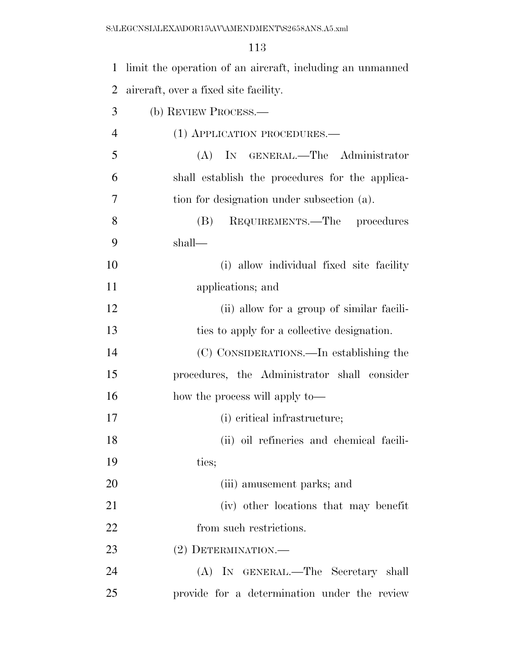| $\mathbf{1}$   | limit the operation of an aircraft, including an unmanned |
|----------------|-----------------------------------------------------------|
| $\overline{2}$ | aircraft, over a fixed site facility.                     |
| 3              | (b) REVIEW PROCESS.                                       |
| $\overline{4}$ | (1) APPLICATION PROCEDURES.—                              |
| 5              | (A) IN GENERAL.—The Administrator                         |
| 6              | shall establish the procedures for the applica-           |
| 7              | tion for designation under subsection (a).                |
| 8              | REQUIREMENTS.—The procedures<br>(B)                       |
| 9              | shall—                                                    |
| 10             | (i) allow individual fixed site facility                  |
| 11             | applications; and                                         |
| 12             | (ii) allow for a group of similar facili-                 |
| 13             | ties to apply for a collective designation.               |
| 14             | (C) CONSIDERATIONS.—In establishing the                   |
| 15             | procedures, the Administrator shall consider              |
| 16             | how the process will apply to—                            |
| 17             | (i) critical infrastructure;                              |
| 18             | (ii) oil refineries and chemical facili-                  |
| 19             | ties;                                                     |
| 20             | (iii) amusement parks; and                                |
| 21             | (iv) other locations that may be nefit                    |
| 22             | from such restrictions.                                   |
| 23             | (2) DETERMINATION.—                                       |
| 24             | (A) IN GENERAL.—The Secretary shall                       |
| 25             | provide for a determination under the review              |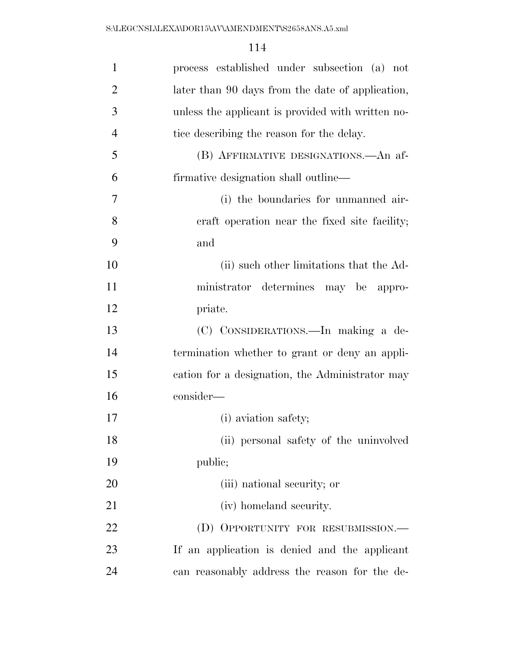| $\mathbf{1}$   | process established under subsection (a) not      |
|----------------|---------------------------------------------------|
| $\overline{2}$ | later than 90 days from the date of application,  |
| 3              | unless the applicant is provided with written no- |
| $\overline{4}$ | tice describing the reason for the delay.         |
| 5              | (B) AFFIRMATIVE DESIGNATIONS.—An af-              |
| 6              | firmative designation shall outline—              |
| 7              | (i) the boundaries for unmanned air-              |
| 8              | eraft operation near the fixed site facility;     |
| 9              | and                                               |
| 10             | (ii) such other limitations that the Ad-          |
| 11             | ministrator determines may be appro-              |
| 12             | priate.                                           |
| 13             | (C) CONSIDERATIONS.—In making a de-               |
| 14             | termination whether to grant or deny an appli-    |
| 15             | cation for a designation, the Administrator may   |
| 16             | consider-                                         |
| 17             | (i) aviation safety;                              |
| 18             | (ii) personal safety of the uninvolved            |
| 19             | public;                                           |
| 20             | (iii) national security; or                       |
| 21             | (iv) homeland security.                           |
| 22             | (D) OPPORTUNITY FOR RESUBMISSION.—                |
| 23             | If an application is denied and the applicant     |
| 24             | can reasonably address the reason for the de-     |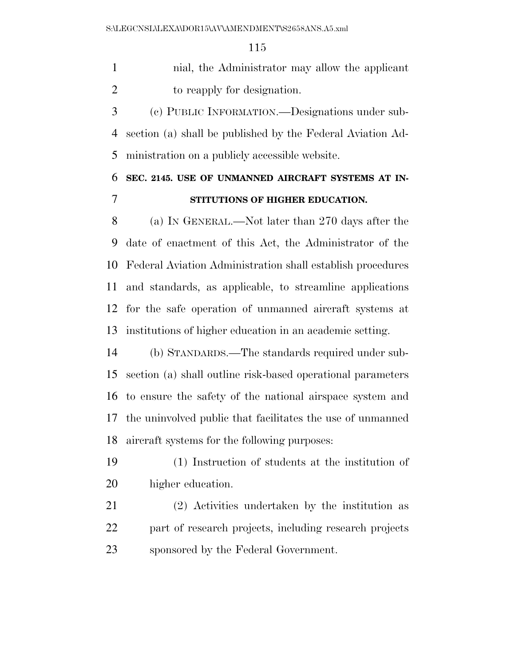nial, the Administrator may allow the applicant to reapply for designation.

 (c) PUBLIC INFORMATION.—Designations under sub- section (a) shall be published by the Federal Aviation Ad-ministration on a publicly accessible website.

# **SEC. 2145. USE OF UNMANNED AIRCRAFT SYSTEMS AT IN-STITUTIONS OF HIGHER EDUCATION.**

 (a) IN GENERAL.—Not later than 270 days after the date of enactment of this Act, the Administrator of the Federal Aviation Administration shall establish procedures and standards, as applicable, to streamline applications for the safe operation of unmanned aircraft systems at institutions of higher education in an academic setting.

 (b) STANDARDS.—The standards required under sub- section (a) shall outline risk-based operational parameters to ensure the safety of the national airspace system and the uninvolved public that facilitates the use of unmanned aircraft systems for the following purposes:

 (1) Instruction of students at the institution of higher education.

 (2) Activities undertaken by the institution as 22 part of research projects, including research projects sponsored by the Federal Government.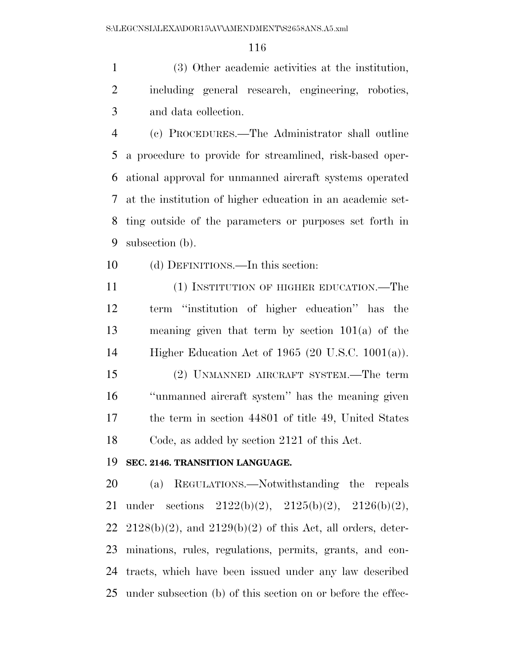(3) Other academic activities at the institution, including general research, engineering, robotics, and data collection.

 (c) PROCEDURES.—The Administrator shall outline a procedure to provide for streamlined, risk-based oper- ational approval for unmanned aircraft systems operated at the institution of higher education in an academic set- ting outside of the parameters or purposes set forth in subsection (b).

(d) DEFINITIONS.—In this section:

 (1) INSTITUTION OF HIGHER EDUCATION.—The term ''institution of higher education'' has the meaning given that term by section 101(a) of the Higher Education Act of 1965 (20 U.S.C. 1001(a)).

 (2) UNMANNED AIRCRAFT SYSTEM.—The term ''unmanned aircraft system'' has the meaning given the term in section 44801 of title 49, United States Code, as added by section 2121 of this Act.

## **SEC. 2146. TRANSITION LANGUAGE.**

 (a) REGULATIONS.—Notwithstanding the repeals under sections 2122(b)(2), 2125(b)(2), 2126(b)(2), 22 2128(b)(2), and  $2129(b)(2)$  of this Act, all orders, deter- minations, rules, regulations, permits, grants, and con- tracts, which have been issued under any law described under subsection (b) of this section on or before the effec-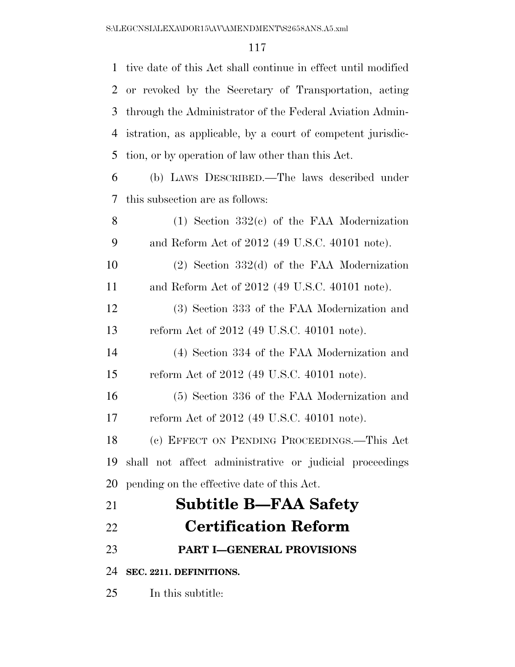| $\mathbf{1}$   | tive date of this Act shall continue in effect until modified |
|----------------|---------------------------------------------------------------|
| $\overline{2}$ | or revoked by the Secretary of Transportation, acting         |
| 3              | through the Administrator of the Federal Aviation Admin-      |
| 4              | istration, as applicable, by a court of competent jurisdic-   |
| 5              | tion, or by operation of law other than this Act.             |
| 6              | (b) LAWS DESCRIBED.—The laws described under                  |
| 7              | this subsection are as follows:                               |
| 8              | $(1)$ Section 332 $(c)$ of the FAA Modernization              |
| 9              | and Reform Act of 2012 (49 U.S.C. 40101 note).                |
| 10             | $(2)$ Section 332 $(d)$ of the FAA Modernization              |
| 11             | and Reform Act of 2012 (49 U.S.C. 40101 note).                |
| 12             | (3) Section 333 of the FAA Modernization and                  |
| 13             | reform Act of 2012 (49 U.S.C. 40101 note).                    |
| 14             | (4) Section 334 of the FAA Modernization and                  |
| 15             | reform Act of 2012 (49 U.S.C. 40101 note).                    |
| 16             | (5) Section 336 of the FAA Modernization and                  |
| 17             | reform Act of 2012 (49 U.S.C. 40101 note).                    |
| 18             | (c) EFFECT ON PENDING PROCEEDINGS.—This Act                   |
| 19             | shall not affect administrative or judicial proceedings       |
| 20             | pending on the effective date of this Act.                    |
| 21             | <b>Subtitle B-FAA Safety</b>                                  |
| 22             | <b>Certification Reform</b>                                   |
| 23             | <b>PART I-GENERAL PROVISIONS</b>                              |
| 24             | SEC. 2211. DEFINITIONS.                                       |
| 25             | In this subtitle:                                             |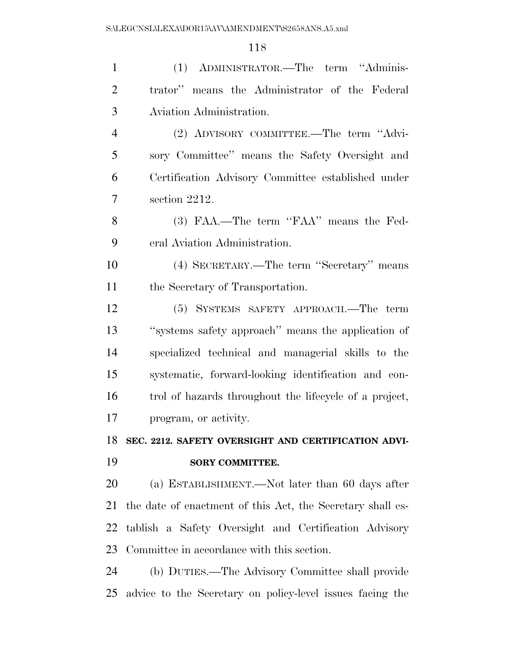| $\mathbf{1}$   | (1) ADMINISTRATOR.—The term "Adminis-                      |
|----------------|------------------------------------------------------------|
| $\overline{2}$ | trator" means the Administrator of the Federal             |
| 3              | Aviation Administration.                                   |
| $\overline{4}$ | (2) ADVISORY COMMITTEE.—The term "Advi-                    |
| 5              | sory Committee" means the Safety Oversight and             |
| 6              | Certification Advisory Committee established under         |
| 7              | section 2212.                                              |
| 8              | (3) FAA.—The term "FAA" means the Fed-                     |
| 9              | eral Aviation Administration.                              |
| 10             | (4) SECRETARY.—The term "Secretary" means                  |
| 11             | the Secretary of Transportation.                           |
| 12             | (5) SYSTEMS SAFETY APPROACH.—The term                      |
| 13             | "systems safety approach" means the application of         |
| 14             | specialized technical and managerial skills to the         |
| 15             | systematic, forward-looking identification and con-        |
| 16             | trol of hazards throughout the lifecycle of a project,     |
| 17             | program, or activity.                                      |
|                | 18 SEC. 2212. SAFETY OVERSIGHT AND CERTIFICATION ADVI-     |
| 19             | <b>SORY COMMITTEE.</b>                                     |
| 20             | (a) ESTABLISHMENT.—Not later than 60 days after            |
| 21             | the date of enactment of this Act, the Secretary shall es- |
| 22             | tablish a Safety Oversight and Certification Advisory      |
| 23             | Committee in accordance with this section.                 |
| 24             | (b) DUTIES.—The Advisory Committee shall provide           |
| 25             | advice to the Secretary on policy-level issues facing the  |
|                |                                                            |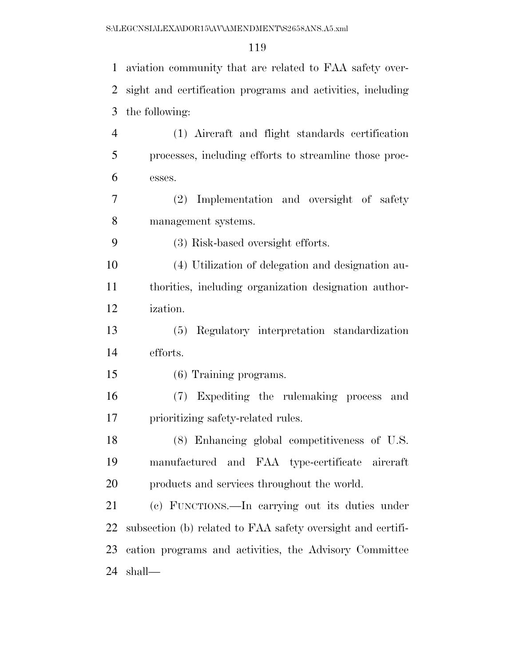| $\mathbf{1}$   | aviation community that are related to FAA safety over-     |
|----------------|-------------------------------------------------------------|
| 2              | sight and certification programs and activities, including  |
| 3              | the following:                                              |
| $\overline{4}$ | (1) Aircraft and flight standards certification             |
| 5              | processes, including efforts to streamline those proc-      |
| 6              | esses.                                                      |
| 7              | Implementation and oversight of safety<br>(2)               |
| 8              | management systems.                                         |
| 9              | (3) Risk-based oversight efforts.                           |
| 10             | (4) Utilization of delegation and designation au-           |
| 11             | thorities, including organization designation author-       |
| 12             | ization.                                                    |
| 13             | (5) Regulatory interpretation standardization               |
| 14             | efforts.                                                    |
| 15             | (6) Training programs.                                      |
| 16             | (7) Expediting the rulemaking process<br>and                |
| 17             | prioritizing safety-related rules.                          |
| 18             | (8) Enhancing global competitiveness of U.S.                |
| 19             | manufactured and FAA type-certificate aircraft              |
| 20             | products and services throughout the world.                 |
| 21             | (c) FUNCTIONS.—In carrying out its duties under             |
| 22             | subsection (b) related to FAA safety oversight and certifi- |
| 23             | cation programs and activities, the Advisory Committee      |
| 24             | shall—                                                      |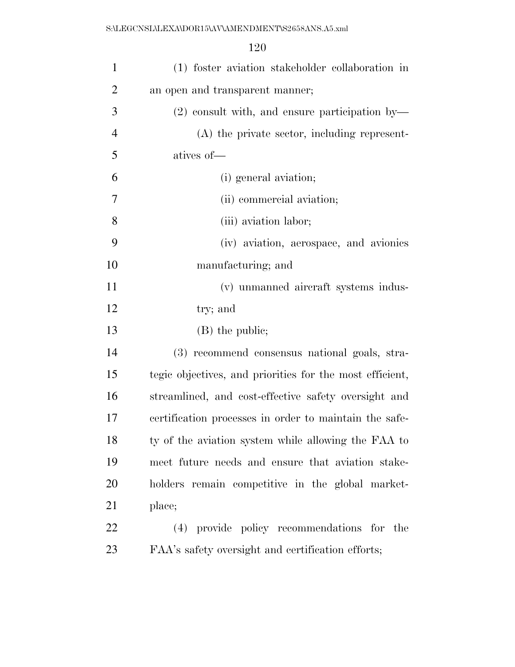S:\LEGCNSL\LEXA\DOR15\AV\AMENDMENT\S2658ANS.A5.xml

| $\mathbf{1}$   | (1) foster aviation stakeholder collaboration in         |
|----------------|----------------------------------------------------------|
| $\overline{2}$ | an open and transparent manner;                          |
| 3              | $(2)$ consult with, and ensure participation by          |
| $\overline{4}$ | (A) the private sector, including represent-             |
| 5              | atives of-                                               |
| 6              | (i) general aviation;                                    |
| $\tau$         | (ii) commercial aviation;                                |
| 8              | (iii) aviation labor;                                    |
| 9              | (iv) aviation, aerospace, and avionics                   |
| 10             | manufacturing; and                                       |
| 11             | (v) unmanned aircraft systems indus-                     |
| 12             | try; and                                                 |
| 13             | (B) the public;                                          |
| 14             | (3) recommend consensus national goals, stra-            |
| 15             | tegic objectives, and priorities for the most efficient, |
| 16             | streamlined, and cost-effective safety oversight and     |
| 17             | certification processes in order to maintain the safe-   |
| 18             | ty of the aviation system while allowing the FAA to      |
| 19             | meet future needs and ensure that aviation stake-        |
| 20             | holders remain competitive in the global market-         |
| 21             | place;                                                   |
| 22             | (4) provide policy recommendations for the               |
| 23             | FAA's safety oversight and certification efforts;        |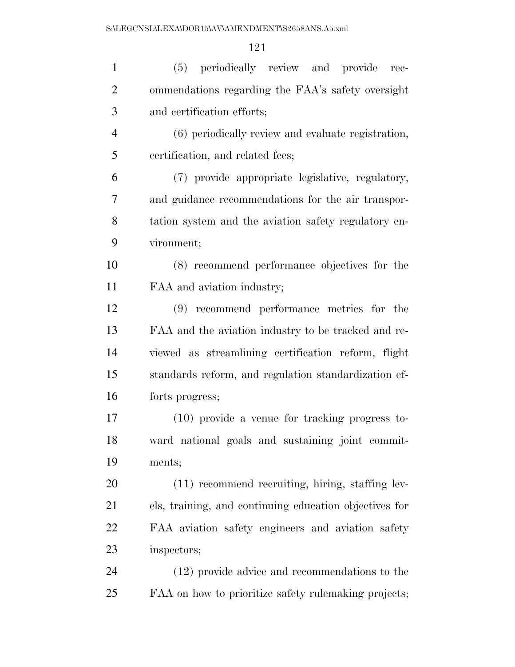| $\mathbf{1}$   | (5) periodically review and provide<br>rec-            |
|----------------|--------------------------------------------------------|
| $\overline{2}$ | ommendations regarding the FAA's safety oversight      |
| 3              | and certification efforts;                             |
| $\overline{4}$ | (6) periodically review and evaluate registration,     |
| 5              | certification, and related fees;                       |
| 6              | (7) provide appropriate legislative, regulatory,       |
| 7              | and guidance recommendations for the air transpor-     |
| 8              | tation system and the aviation safety regulatory en-   |
| 9              | vironment;                                             |
| 10             | (8) recommend performance objectives for the           |
| 11             | FAA and aviation industry;                             |
| 12             | (9) recommend performance metrics for the              |
| 13             | FAA and the aviation industry to be tracked and re-    |
| 14             | viewed as streamlining certification reform, flight    |
| 15             | standards reform, and regulation standardization ef-   |
| 16             | forts progress;                                        |
| 17             | $(10)$ provide a venue for tracking progress to-       |
| 18             | ward national goals and sustaining joint commit-       |
| 19             | ments;                                                 |
| 20             | $(11)$ recommend recruiting, hiring, staffing lev-     |
| 21             | els, training, and continuing education objectives for |
| 22             | FAA aviation safety engineers and aviation safety      |
| 23             | inspectors;                                            |
| 24             | (12) provide advice and recommendations to the         |
| 25             | FAA on how to prioritize safety rulemaking projects;   |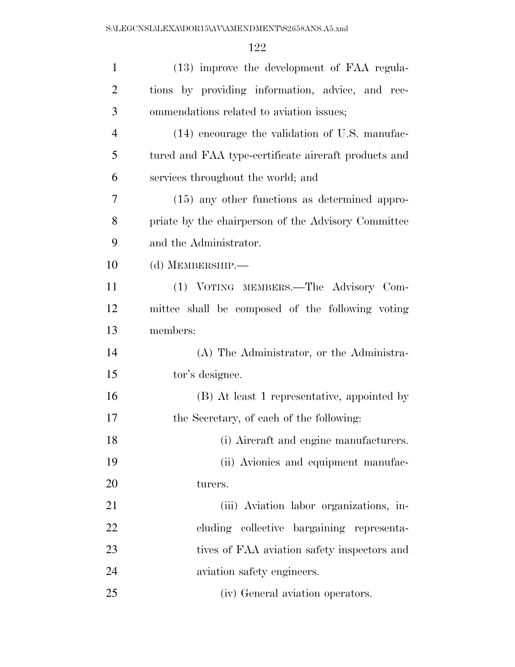| $\mathbf{1}$   | (13) improve the development of FAA regula-          |
|----------------|------------------------------------------------------|
| $\overline{2}$ | tions by providing information, advice, and rec-     |
| 3              | ommendations related to aviation issues;             |
| $\overline{4}$ | (14) encourage the validation of U.S. manufac-       |
| 5              | tured and FAA type-certificate aircraft products and |
| 6              | services throughout the world; and                   |
| 7              | (15) any other functions as determined appro-        |
| 8              | priate by the chairperson of the Advisory Committee  |
| 9              | and the Administrator.                               |
| 10             | (d) MEMBERSHIP.-                                     |
| 11             | (1) VOTING MEMBERS.—The Advisory Com-                |
| 12             | mittee shall be composed of the following voting     |
| 13             | members:                                             |
| 14             | (A) The Administrator, or the Administra-            |
| 15             | tor's designee.                                      |
| 16             | (B) At least 1 representative, appointed by          |
| 17             | the Secretary, of each of the following:             |
| 18             | (i) Aircraft and engine manufacturers.               |
| 19             | (ii) Avionics and equipment manufac-                 |
| 20             | turers.                                              |
| 21             | (iii) Aviation labor organizations, in-              |
| 22             | cluding collective bargaining representa-            |
| 23             | tives of FAA aviation safety inspectors and          |
| 24             | aviation safety engineers.                           |
| 25             | (iv) General aviation operators.                     |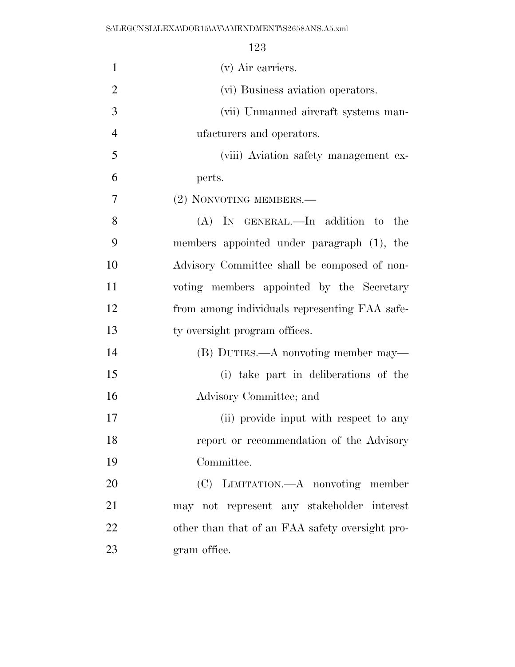| $\mathbf{1}$   | (v) Air carriers.                               |
|----------------|-------------------------------------------------|
| $\overline{2}$ | (vi) Business aviation operators.               |
| 3              | (vii) Unmanned aircraft systems man-            |
| $\overline{4}$ | ufacturers and operators.                       |
| 5              | (viii) Aviation safety management ex-           |
| 6              | perts.                                          |
| 7              | (2) NONVOTING MEMBERS.—                         |
| 8              | (A) IN GENERAL.—In addition to<br>the           |
| 9              | members appointed under paragraph (1), the      |
| 10             | Advisory Committee shall be composed of non-    |
| 11             | voting members appointed by the Secretary       |
| 12             | from among individuals representing FAA safe-   |
| 13             | ty oversight program offices.                   |
| 14             | (B) DUTIES.—A nonvoting member may—             |
| 15             | (i) take part in deliberations of the           |
| 16             | Advisory Committee; and                         |
| 17             | (ii) provide input with respect to any          |
| 18             | report or recommendation of the Advisory        |
| 19             | Committee.                                      |
| 20             | (C) LIMITATION.—A nonvoting member              |
| 21             | may not represent any stakeholder interest      |
| 22             | other than that of an FAA safety oversight pro- |
| 23             | gram office.                                    |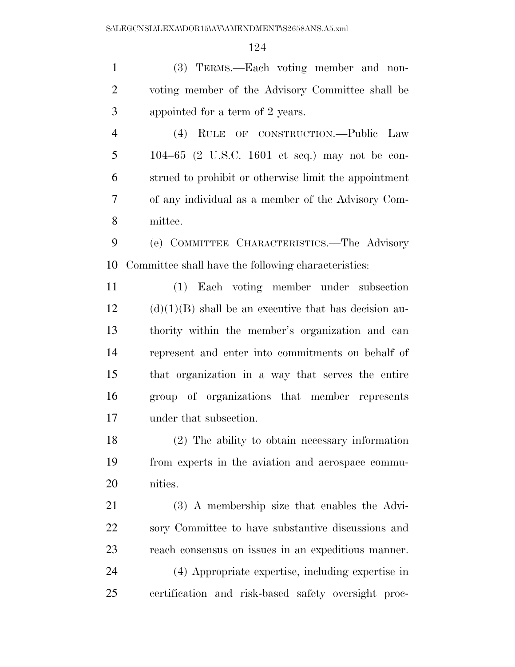(3) TERMS.—Each voting member and non- voting member of the Advisory Committee shall be appointed for a term of 2 years.

 (4) RULE OF CONSTRUCTION.—Public Law 104–65 (2 U.S.C. 1601 et seq.) may not be con- strued to prohibit or otherwise limit the appointment of any individual as a member of the Advisory Com-mittee.

 (e) COMMITTEE CHARACTERISTICS.—The Advisory Committee shall have the following characteristics:

 (1) Each voting member under subsection (d)(1)(B) shall be an executive that has decision au- thority within the member's organization and can represent and enter into commitments on behalf of that organization in a way that serves the entire group of organizations that member represents under that subsection.

 (2) The ability to obtain necessary information from experts in the aviation and aerospace commu-nities.

 (3) A membership size that enables the Advi- sory Committee to have substantive discussions and reach consensus on issues in an expeditious manner.

 (4) Appropriate expertise, including expertise in certification and risk-based safety oversight proc-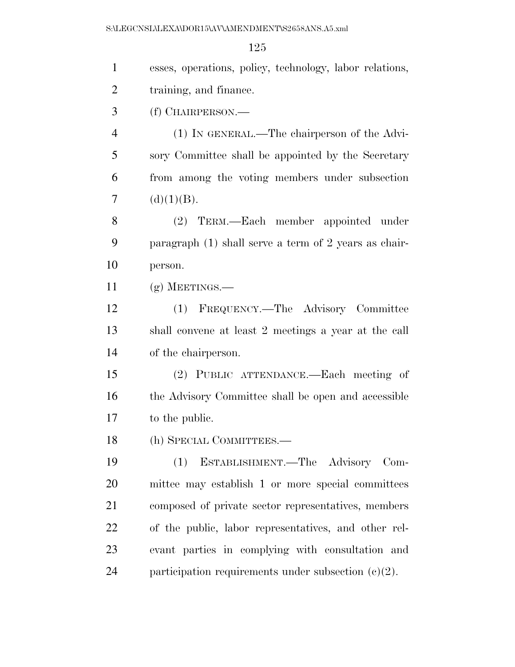| $\mathbf{1}$   | esses, operations, policy, technology, labor relations, |
|----------------|---------------------------------------------------------|
| $\overline{2}$ | training, and finance.                                  |
| 3              | (f) CHAIRPERSON.—                                       |
| $\overline{4}$ | (1) IN GENERAL.—The chairperson of the Advi-            |
| 5              | sory Committee shall be appointed by the Secretary      |
| 6              | from among the voting members under subsection          |
| 7              | (d)(1)(B).                                              |
| 8              | (2) TERM.—Each member appointed under                   |
| 9              | paragraph $(1)$ shall serve a term of 2 years as chair- |
| 10             | person.                                                 |
| 11             | $(g)$ MEETINGS.—                                        |
| 12             | (1) FREQUENCY.—The Advisory Committee                   |
| 13             | shall convene at least 2 meetings a year at the call    |
| 14             | of the chairperson.                                     |
| 15             | (2) PUBLIC ATTENDANCE.—Each meeting of                  |
| 16             | the Advisory Committee shall be open and accessible     |
| 17             | to the public.                                          |
| 18             | (h) SPECIAL COMMITTEES.—                                |
| 19             | ESTABLISHMENT.-The Advisory Com-<br>(1)                 |
| 20             | mittee may establish 1 or more special committees       |
| 21             | composed of private sector representatives, members     |
| 22             | of the public, labor representatives, and other rel-    |
| 23             | evant parties in complying with consultation and        |
| 24             | participation requirements under subsection $(c)(2)$ .  |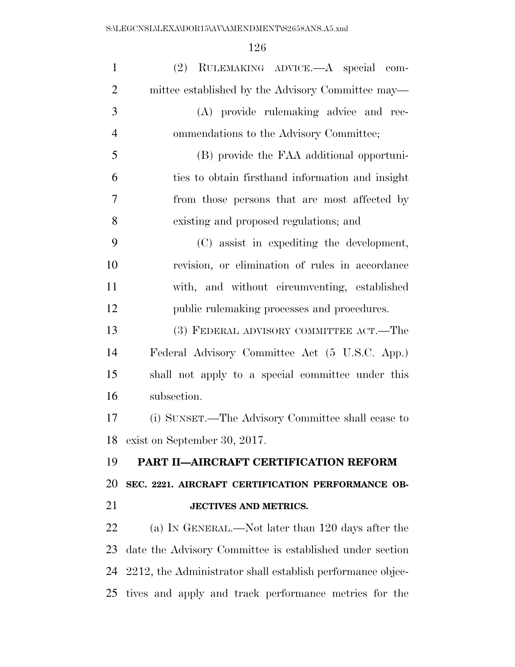| $\mathbf{1}$   | (2) RULEMAKING ADVICE.—A special com-                      |
|----------------|------------------------------------------------------------|
| $\overline{2}$ | mittee established by the Advisory Committee may—          |
| 3              | (A) provide rulemaking advice and rec-                     |
| $\overline{4}$ | ommendations to the Advisory Committee;                    |
| 5              | (B) provide the FAA additional opportuni-                  |
| 6              | ties to obtain firsthand information and insight           |
| 7              | from those persons that are most affected by               |
| 8              | existing and proposed regulations; and                     |
| 9              | (C) assist in expediting the development,                  |
| 10             | revision, or elimination of rules in accordance            |
| 11             | with, and without circumventing, established               |
| 12             | public rulemaking processes and procedures.                |
| 13             | (3) FEDERAL ADVISORY COMMITTEE ACT.—The                    |
| 14             | Federal Advisory Committee Act (5 U.S.C. App.)             |
| 15             | shall not apply to a special committee under this          |
| 16             | subsection.                                                |
| 17             | (i) SUNSET.—The Advisory Committee shall cease to          |
| 18             | exist on September 30, 2017.                               |
| 19             | PART II-AIRCRAFT CERTIFICATION REFORM                      |
| 20             | SEC. 2221. AIRCRAFT CERTIFICATION PERFORMANCE OB-          |
| 21             | <b>JECTIVES AND METRICS.</b>                               |
| 22             | (a) IN GENERAL.—Not later than 120 days after the          |
| 23             | date the Advisory Committee is established under section   |
| 24             | 2212, the Administrator shall establish performance objec- |
| 25             | tives and apply and track performance metrics for the      |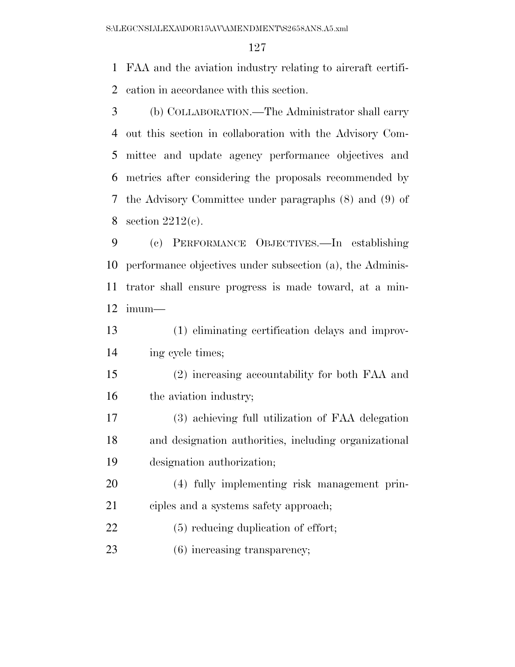FAA and the aviation industry relating to aircraft certifi-cation in accordance with this section.

 (b) COLLABORATION.—The Administrator shall carry out this section in collaboration with the Advisory Com- mittee and update agency performance objectives and metrics after considering the proposals recommended by the Advisory Committee under paragraphs (8) and (9) of 8 section  $2212(c)$ .

 (c) PERFORMANCE OBJECTIVES.—In establishing performance objectives under subsection (a), the Adminis- trator shall ensure progress is made toward, at a min-imum—

 (1) eliminating certification delays and improv-ing cycle times;

 (2) increasing accountability for both FAA and 16 the aviation industry;

 (3) achieving full utilization of FAA delegation and designation authorities, including organizational designation authorization;

 (4) fully implementing risk management prin-ciples and a systems safety approach;

22 (5) reducing duplication of effort;

23 (6) increasing transparency;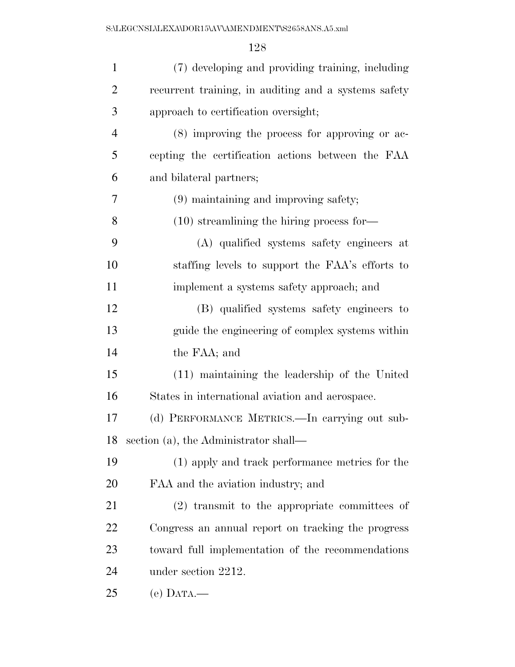| $\mathbf{1}$   | (7) developing and providing training, including     |
|----------------|------------------------------------------------------|
| $\overline{2}$ | recurrent training, in auditing and a systems safety |
| 3              | approach to certification oversight;                 |
| $\overline{4}$ | (8) improving the process for approving or ac-       |
| 5              | cepting the certification actions between the FAA    |
| 6              | and bilateral partners;                              |
| 7              | (9) maintaining and improving safety;                |
| 8              | $(10)$ streamlining the hiring process for-          |
| 9              | (A) qualified systems safety engineers at            |
| 10             | staffing levels to support the FAA's efforts to      |
| 11             | implement a systems safety approach; and             |
| 12             | (B) qualified systems safety engineers to            |
| 13             | guide the engineering of complex systems within      |
| 14             | the FAA; and                                         |
| 15             | (11) maintaining the leadership of the United        |
| 16             | States in international aviation and aerospace.      |
| 17             | (d) PERFORMANCE METRICS.—In carrying out sub-        |
| 18             | section (a), the Administrator shall—                |
| 19             | (1) apply and track performance metrics for the      |
| 20             | FAA and the aviation industry; and                   |
| 21             | $(2)$ transmit to the appropriate committees of      |
| 22             | Congress an annual report on tracking the progress   |
| 23             | toward full implementation of the recommendations    |
| 24             | under section 2212.                                  |
| 25             | (e) $DATA$ —                                         |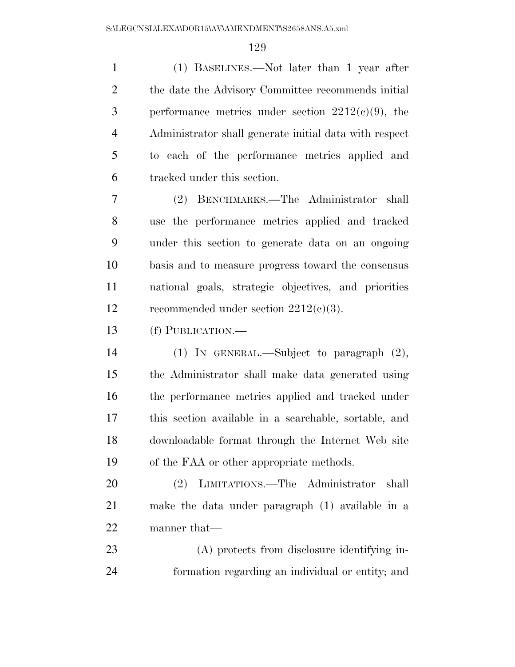(1) BASELINES.—Not later than 1 year after the date the Advisory Committee recommends initial 3 performance metrics under section  $2212(c)(9)$ , the Administrator shall generate initial data with respect to each of the performance metrics applied and tracked under this section.

 (2) BENCHMARKS.—The Administrator shall use the performance metrics applied and tracked under this section to generate data on an ongoing basis and to measure progress toward the consensus national goals, strategic objectives, and priorities recommended under section 2212(c)(3).

(f) PUBLICATION.—

 (1) IN GENERAL.—Subject to paragraph (2), the Administrator shall make data generated using the performance metrics applied and tracked under this section available in a searchable, sortable, and downloadable format through the Internet Web site of the FAA or other appropriate methods.

 (2) LIMITATIONS.—The Administrator shall make the data under paragraph (1) available in a manner that—

 (A) protects from disclosure identifying in-formation regarding an individual or entity; and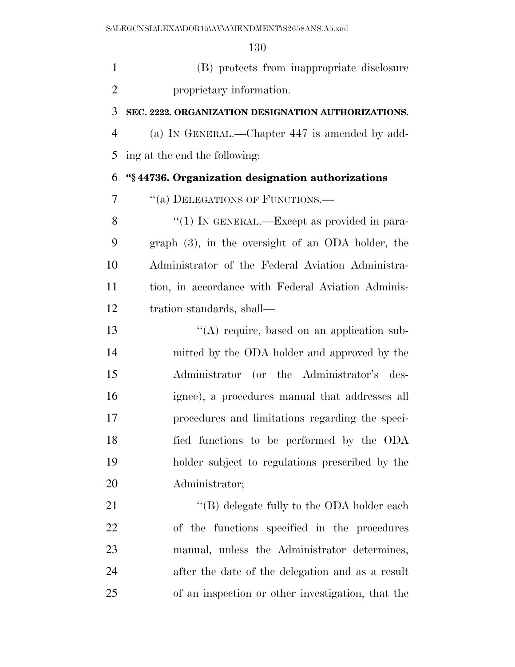(B) protects from inappropriate disclosure proprietary information.

#### **SEC. 2222. ORGANIZATION DESIGNATION AUTHORIZATIONS.**

 (a) IN GENERAL.—Chapter 447 is amended by add-ing at the end the following:

### **''§ 44736. Organization designation authorizations**

7 "(a) DELEGATIONS OF FUNCTIONS.—

8 "(1) IN GENERAL.—Except as provided in para- graph (3), in the oversight of an ODA holder, the Administrator of the Federal Aviation Administra- tion, in accordance with Federal Aviation Adminis-tration standards, shall—

13 ''(A) require, based on an application sub- mitted by the ODA holder and approved by the Administrator (or the Administrator's des- ignee), a procedures manual that addresses all procedures and limitations regarding the speci- fied functions to be performed by the ODA holder subject to regulations prescribed by the Administrator;

21 ''(B) delegate fully to the ODA holder each of the functions specified in the procedures manual, unless the Administrator determines, after the date of the delegation and as a result of an inspection or other investigation, that the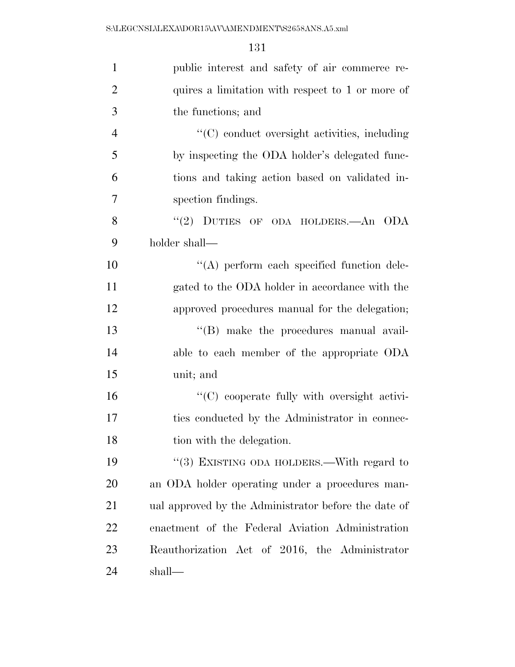| $\mathbf{1}$   | public interest and safety of air commerce re-       |
|----------------|------------------------------------------------------|
| $\overline{2}$ | quires a limitation with respect to 1 or more of     |
| 3              | the functions; and                                   |
| $\overline{4}$ | "(C) conduct oversight activities, including         |
| 5              | by inspecting the ODA holder's delegated func-       |
| 6              | tions and taking action based on validated in-       |
| 7              | spection findings.                                   |
| 8              | "(2) DUTIES OF ODA HOLDERS.—An ODA                   |
| 9              | holder shall—                                        |
| 10             | $\lq\lq$ perform each specified function dele-       |
| 11             | gated to the ODA holder in accordance with the       |
| 12             | approved procedures manual for the delegation;       |
| 13             | $\lq\lq$ (B) make the procedures manual avail-       |
| 14             | able to each member of the appropriate ODA           |
| 15             | unit; and                                            |
| 16             | "(C) cooperate fully with oversight activi-          |
| 17             | ties conducted by the Administrator in connec-       |
| 18             | tion with the delegation.                            |
| 19             | "(3) EXISTING ODA HOLDERS.—With regard to            |
| 20             | an ODA holder operating under a procedures man-      |
| 21             | ual approved by the Administrator before the date of |
| 22             | enactment of the Federal Aviation Administration     |
| 23             | Reauthorization Act of 2016, the Administrator       |
| 24             | shall—                                               |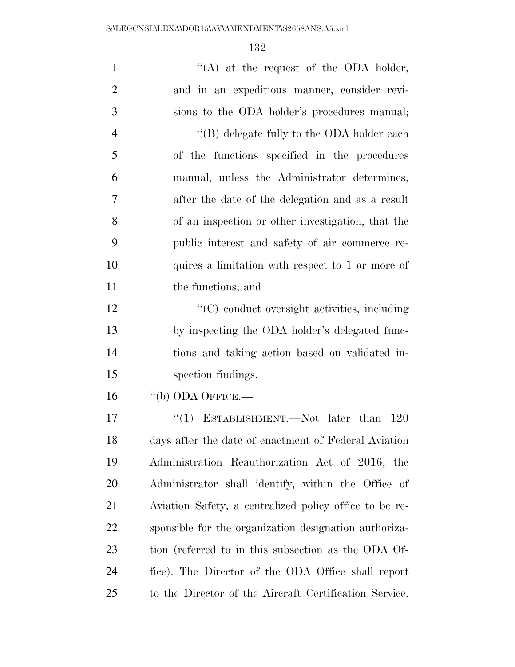| $\mathbf{1}$   | "(A) at the request of the ODA holder,                 |
|----------------|--------------------------------------------------------|
| $\overline{2}$ | and in an expeditious manner, consider revi-           |
| 3              | sions to the ODA holder's procedures manual;           |
| $\overline{4}$ | $\lq\lq (B)$ delegate fully to the ODA holder each     |
| 5              | of the functions specified in the procedures           |
| 6              | manual, unless the Administrator determines,           |
| 7              | after the date of the delegation and as a result       |
| 8              | of an inspection or other investigation, that the      |
| 9              | public interest and safety of air commerce re-         |
| 10             | quires a limitation with respect to 1 or more of       |
| 11             | the functions; and                                     |
| 12             | "(C) conduct oversight activities, including           |
| 13             | by inspecting the ODA holder's delegated func-         |
| 14             | tions and taking action based on validated in-         |
| 15             | spection findings.                                     |
| 16             | $``$ (b) ODA OFFICE.—                                  |
| 17             | "(1) ESTABLISHMENT.—Not later than<br>-120             |
| 18             | days after the date of enactment of Federal Aviation   |
| 19             | Administration Reauthorization Act of 2016, the        |
| 20             | Administrator shall identify, within the Office of     |
| 21             | Aviation Safety, a centralized policy office to be re- |
| 22             | sponsible for the organization designation authoriza-  |
| 23             | tion (referred to in this subsection as the ODA Of-    |
| 24             | fice). The Director of the ODA Office shall report     |
| 25             | to the Director of the Aircraft Certification Service. |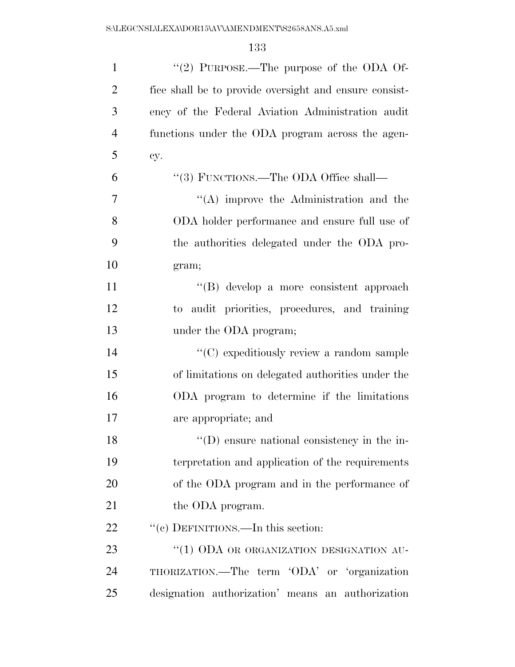| $\mathbf{1}$   | "(2) PURPOSE.—The purpose of the ODA Of-               |
|----------------|--------------------------------------------------------|
| $\overline{2}$ | fice shall be to provide oversight and ensure consist- |
| 3              | ency of the Federal Aviation Administration audit      |
| $\overline{4}$ | functions under the ODA program across the agen-       |
| 5              | cy.                                                    |
| 6              | "(3) FUNCTIONS.—The ODA Office shall—                  |
| 7              | $\lq\lq$ improve the Administration and the            |
| 8              | ODA holder performance and ensure full use of          |
| 9              | the authorities delegated under the ODA pro-           |
| 10             | gram;                                                  |
| 11             | "(B) develop a more consistent approach                |
| 12             | to audit priorities, procedures, and training          |
| 13             | under the ODA program;                                 |
| 14             | "(C) expeditiously review a random sample              |
| 15             | of limitations on delegated authorities under the      |
| 16             | ODA program to determine if the limitations            |
| 17             | are appropriate; and                                   |
| 18             | $\lq\lq$ (D) ensure national consistency in the in-    |
| 19             | terpretation and application of the requirements       |
| 20             | of the ODA program and in the performance of           |
| 21             | the ODA program.                                       |
| 22             | "(c) DEFINITIONS.—In this section:                     |
| 23             | "(1) ODA OR ORGANIZATION DESIGNATION AU-               |
| 24             | THORIZATION.—The term 'ODA' or 'organization           |
| 25             | designation authorization' means an authorization      |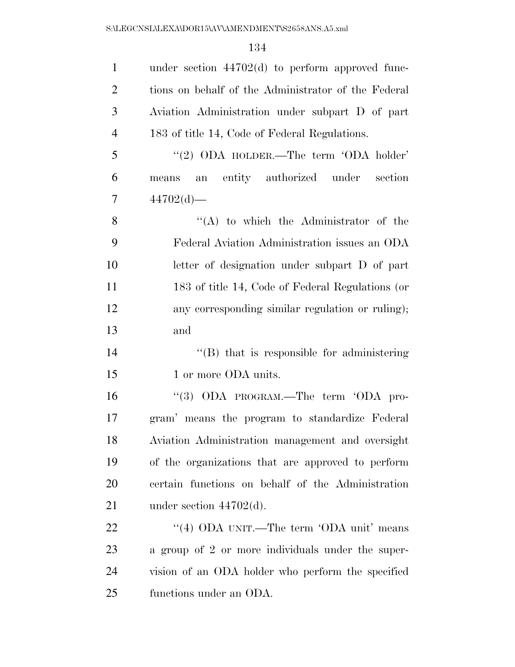| $\mathbf{1}$   | under section $44702(d)$ to perform approved func-  |
|----------------|-----------------------------------------------------|
| $\overline{2}$ | tions on behalf of the Administrator of the Federal |
| 3              | Aviation Administration under subpart D of part     |
| $\overline{4}$ | 183 of title 14, Code of Federal Regulations.       |
| 5              | "(2) ODA HOLDER.—The term 'ODA holder'              |
| 6              | an entity authorized under<br>section<br>means      |
| $\overline{7}$ | 44702(d)                                            |
| 8              | $\lq\lq$ to which the Administrator of the          |
| 9              | Federal Aviation Administration issues an ODA       |
| 10             | letter of designation under subpart D of part       |
| 11             | 183 of title 14, Code of Federal Regulations (or    |
| 12             | any corresponding similar regulation or ruling);    |
| 13             | and                                                 |
| 14             | "(B) that is responsible for administering          |
| 15             | 1 or more ODA units.                                |
| 16             | "(3) ODA PROGRAM.—The term 'ODA pro-                |
| 17             | gram' means the program to standardize Federal      |
| 18             | Aviation Administration management and oversight    |
| 19             | of the organizations that are approved to perform   |
| <b>20</b>      | certain functions on behalf of the Administration   |
| 21             | under section $44702(d)$ .                          |
| 22             | "(4) ODA UNIT.—The term 'ODA unit' means            |
| 23             | a group of 2 or more individuals under the super-   |
| 24             | vision of an ODA holder who perform the specified   |
| 25             | functions under an ODA.                             |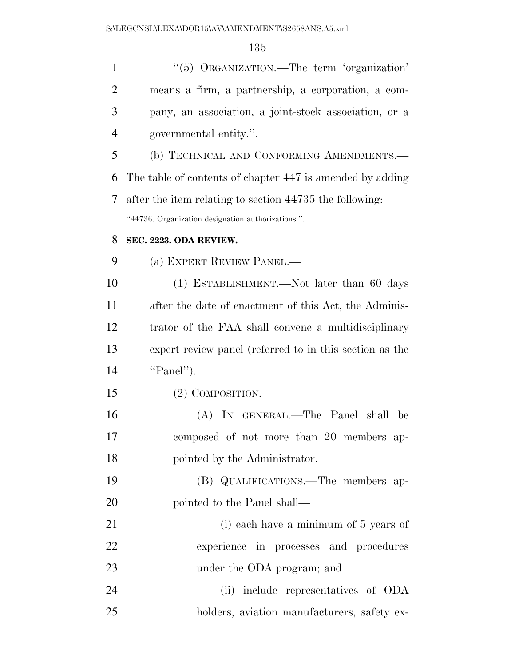| $\mathbf{1}$   | "(5) ORGANIZATION.—The term 'organization'                |
|----------------|-----------------------------------------------------------|
| $\overline{2}$ | means a firm, a partnership, a corporation, a com-        |
| 3              | pany, an association, a joint-stock association, or a     |
| $\overline{4}$ | governmental entity.".                                    |
| 5              | (b) TECHNICAL AND CONFORMING AMENDMENTS.-                 |
| 6              | The table of contents of chapter 447 is amended by adding |
| 7              | after the item relating to section 44735 the following:   |
|                | "44736. Organization designation authorizations.".        |
| 8              | SEC. 2223. ODA REVIEW.                                    |
| 9              | (a) EXPERT REVIEW PANEL.—                                 |
| 10             | (1) ESTABLISHMENT.—Not later than 60 days                 |
| 11             | after the date of enactment of this Act, the Adminis-     |
| 12             | trator of the FAA shall convene a multidisciplinary       |
| 13             | expert review panel (referred to in this section as the   |
| 14             | "Panel").                                                 |
| 15             | $(2)$ COMPOSITION.—                                       |
| 16             | (A) IN GENERAL.—The Panel shall be                        |
| 17             | composed of not more than 20 members ap-                  |
| 18             | pointed by the Administrator.                             |
| 19             | (B) QUALIFICATIONS.—The members ap-                       |
| 20             | pointed to the Panel shall—                               |
| 21             | (i) each have a minimum of 5 years of                     |
| 22             | experience in processes and procedures                    |
| 23             | under the ODA program; and                                |
| 24             | (ii) include representatives of ODA                       |
| 25             | holders, aviation manufacturers, safety ex-               |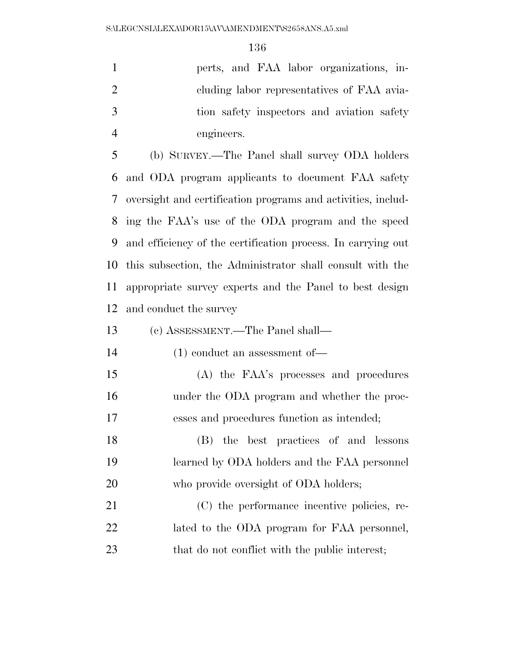perts, and FAA labor organizations, in-2 cluding labor representatives of FAA avia- tion safety inspectors and aviation safety engineers.

 (b) SURVEY.—The Panel shall survey ODA holders and ODA program applicants to document FAA safety oversight and certification programs and activities, includ- ing the FAA's use of the ODA program and the speed and efficiency of the certification process. In carrying out this subsection, the Administrator shall consult with the appropriate survey experts and the Panel to best design and conduct the survey

(c) ASSESSMENT.—The Panel shall—

(1) conduct an assessment of—

 (A) the FAA's processes and procedures under the ODA program and whether the proc-esses and procedures function as intended;

 (B) the best practices of and lessons learned by ODA holders and the FAA personnel 20 who provide oversight of ODA holders;

 (C) the performance incentive policies, re- lated to the ODA program for FAA personnel, 23 that do not conflict with the public interest;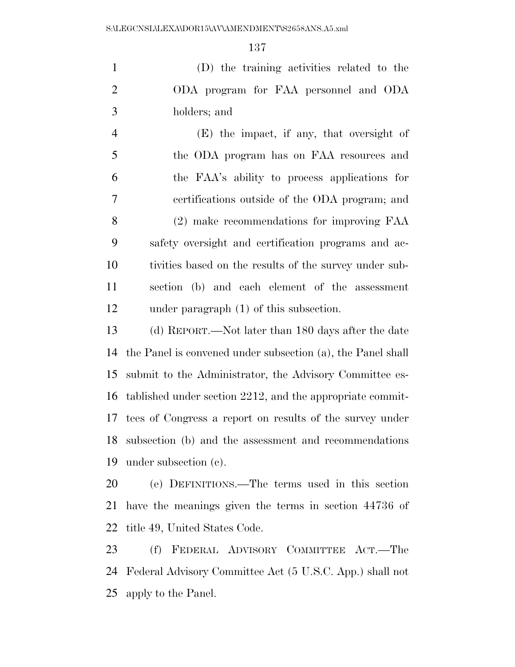(D) the training activities related to the ODA program for FAA personnel and ODA holders; and

 (E) the impact, if any, that oversight of the ODA program has on FAA resources and the FAA's ability to process applications for certifications outside of the ODA program; and (2) make recommendations for improving FAA safety oversight and certification programs and ac- tivities based on the results of the survey under sub- section (b) and each element of the assessment under paragraph (1) of this subsection.

 (d) REPORT.—Not later than 180 days after the date the Panel is convened under subsection (a), the Panel shall submit to the Administrator, the Advisory Committee es- tablished under section 2212, and the appropriate commit- tees of Congress a report on results of the survey under subsection (b) and the assessment and recommendations under subsection (c).

 (e) DEFINITIONS.—The terms used in this section have the meanings given the terms in section 44736 of title 49, United States Code.

 (f) FEDERAL ADVISORY COMMITTEE ACT.—The Federal Advisory Committee Act (5 U.S.C. App.) shall not apply to the Panel.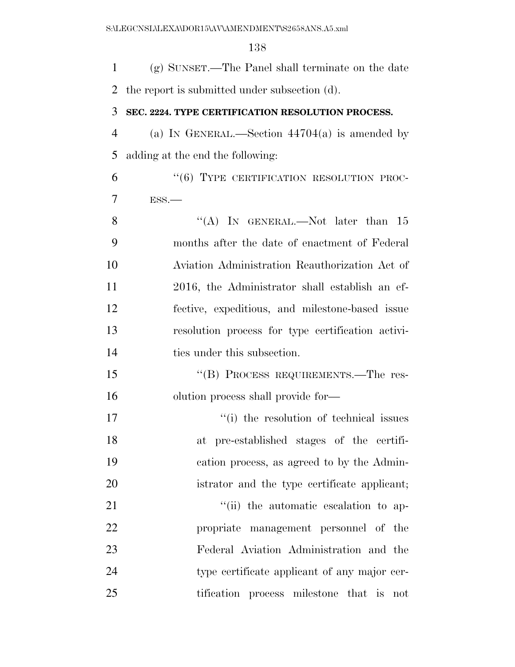(g) SUNSET.—The Panel shall terminate on the date

 the report is submitted under subsection (d). **SEC. 2224. TYPE CERTIFICATION RESOLUTION PROCESS.**  (a) IN GENERAL.—Section 44704(a) is amended by adding at the end the following: 6 "(6) TYPE CERTIFICATION RESOLUTION PROC- ESS.— 8 "(A) IN GENERAL.—Not later than 15 months after the date of enactment of Federal Aviation Administration Reauthorization Act of 2016, the Administrator shall establish an ef- fective, expeditious, and milestone-based issue resolution process for type certification activi-14 ties under this subsection. 15 "(B) PROCESS REQUIREMENTS.—The res- olution process shall provide for—  $\frac{1}{10}$  the resolution of technical issues at pre-established stages of the certifi- cation process, as agreed to by the Admin- istrator and the type certificate applicant;  $\frac{1}{1}$  the automatic escalation to ap- propriate management personnel of the Federal Aviation Administration and the type certificate applicant of any major cer-tification process milestone that is not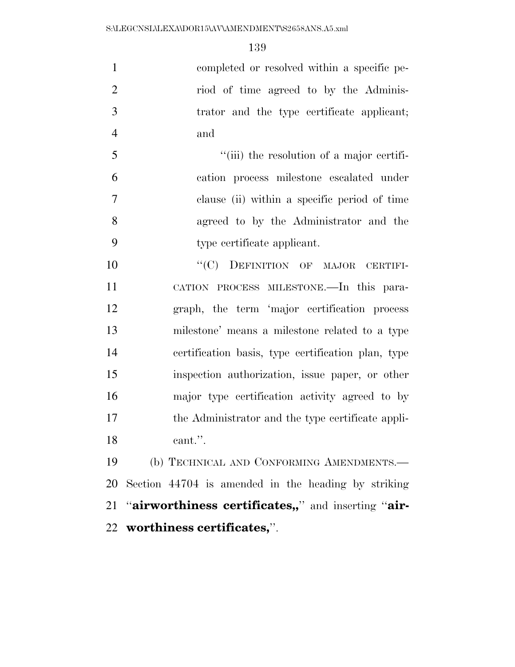completed or resolved within a specific pe-2 riod of time agreed to by the Adminis- trator and the type certificate applicant; and

 ''(iii) the resolution of a major certifi- cation process milestone escalated under clause (ii) within a specific period of time agreed to by the Administrator and the type certificate applicant.

10 "'(C) DEFINITION OF MAJOR CERTIFI- CATION PROCESS MILESTONE.—In this para- graph, the term 'major certification process milestone' means a milestone related to a type certification basis, type certification plan, type inspection authorization, issue paper, or other major type certification activity agreed to by the Administrator and the type certificate appli-cant.''.

 (b) TECHNICAL AND CONFORMING AMENDMENTS.— Section 44704 is amended in the heading by striking ''**airworthiness certificates,,**'' and inserting ''**air-worthiness certificates,**''.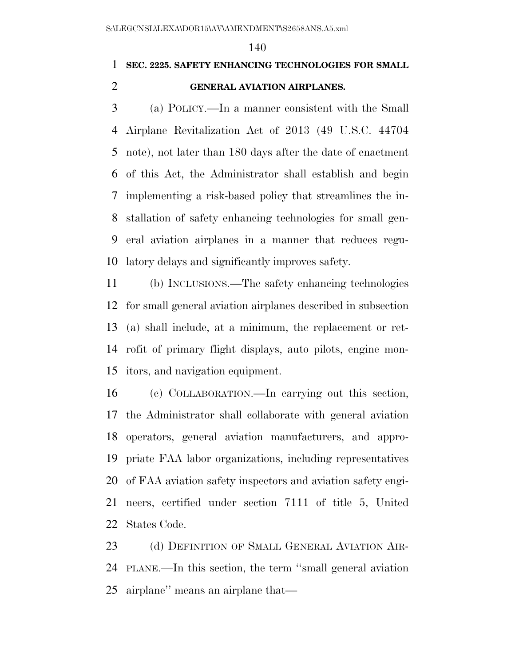# **SEC. 2225. SAFETY ENHANCING TECHNOLOGIES FOR SMALL**

## **GENERAL AVIATION AIRPLANES.**

 (a) POLICY.—In a manner consistent with the Small Airplane Revitalization Act of 2013 (49 U.S.C. 44704 note), not later than 180 days after the date of enactment of this Act, the Administrator shall establish and begin implementing a risk-based policy that streamlines the in- stallation of safety enhancing technologies for small gen- eral aviation airplanes in a manner that reduces regu-latory delays and significantly improves safety.

 (b) INCLUSIONS.—The safety enhancing technologies for small general aviation airplanes described in subsection (a) shall include, at a minimum, the replacement or ret- rofit of primary flight displays, auto pilots, engine mon-itors, and navigation equipment.

 (c) COLLABORATION.—In carrying out this section, the Administrator shall collaborate with general aviation operators, general aviation manufacturers, and appro- priate FAA labor organizations, including representatives of FAA aviation safety inspectors and aviation safety engi- neers, certified under section 7111 of title 5, United States Code.

23 (d) DEFINITION OF SMALL GENERAL AVIATION AIR- PLANE.—In this section, the term ''small general aviation airplane'' means an airplane that—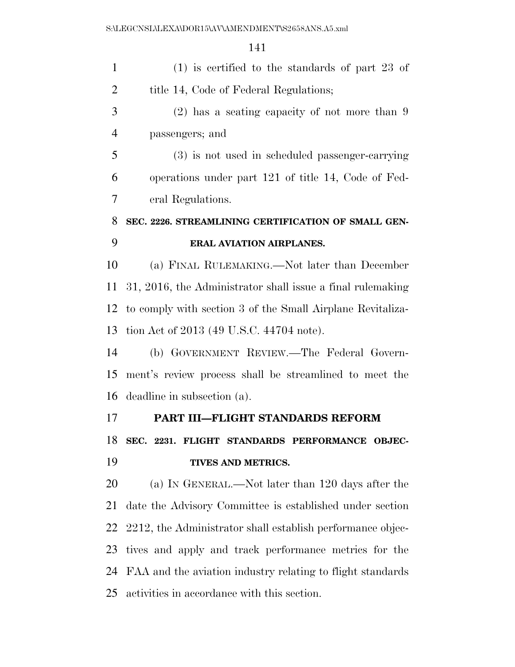| $\mathbf{1}$   | $(1)$ is certified to the standards of part 23 of           |
|----------------|-------------------------------------------------------------|
| $\overline{2}$ | title 14, Code of Federal Regulations;                      |
| 3              | $(2)$ has a seating capacity of not more than 9             |
| $\overline{4}$ | passengers; and                                             |
| 5              | (3) is not used in scheduled passenger-carrying             |
| 6              | operations under part 121 of title 14, Code of Fed-         |
| 7              | eral Regulations.                                           |
| 8              | SEC. 2226. STREAMLINING CERTIFICATION OF SMALL GEN-         |
| 9              | <b>ERAL AVIATION AIRPLANES.</b>                             |
| 10             | (a) FINAL RULEMAKING.—Not later than December               |
| 11             | 31, 2016, the Administrator shall issue a final rule making |
| 12             | to comply with section 3 of the Small Airplane Revitaliza-  |
| 13             | tion Act of 2013 (49 U.S.C. 44704 note).                    |
| 14             | (b) GOVERNMENT REVIEW.—The Federal Govern-                  |
| 15             | ment's review process shall be streamlined to meet the      |
| 16             | deadline in subsection (a).                                 |
| 17             | PART III-FLIGHT STANDARDS REFORM                            |
| 18             | SEC. 2231. FLIGHT STANDARDS PERFORMANCE OBJEC-              |
| 19             | TIVES AND METRICS.                                          |
| 20             | (a) IN GENERAL.—Not later than 120 days after the           |
| 21             | date the Advisory Committee is established under section    |
| 22             | 2212, the Administrator shall establish performance objec-  |
| 23             | tives and apply and track performance metrics for the       |
| 24             | FAA and the aviation industry relating to flight standards  |
| 25             | activities in accordance with this section.                 |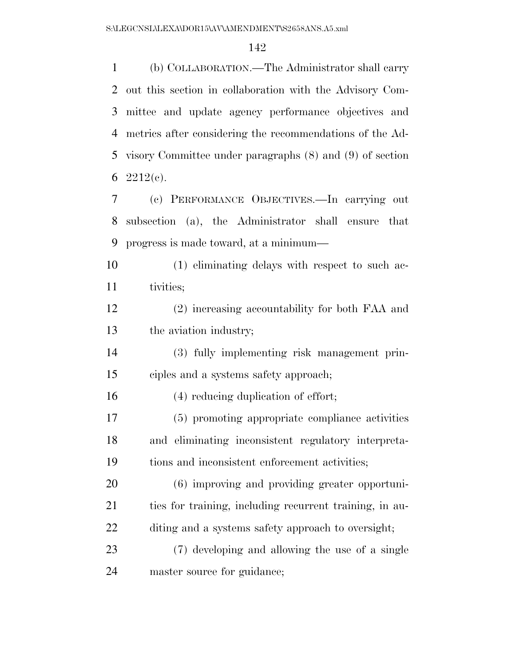(b) COLLABORATION.—The Administrator shall carry out this section in collaboration with the Advisory Com- mittee and update agency performance objectives and metrics after considering the recommendations of the Ad- visory Committee under paragraphs (8) and (9) of section 6 2212(c).

 (c) PERFORMANCE OBJECTIVES.—In carrying out subsection (a), the Administrator shall ensure that progress is made toward, at a minimum—

 (1) eliminating delays with respect to such ac-tivities;

 (2) increasing accountability for both FAA and the aviation industry;

 (3) fully implementing risk management prin-ciples and a systems safety approach;

(4) reducing duplication of effort;

 (5) promoting appropriate compliance activities and eliminating inconsistent regulatory interpreta-tions and inconsistent enforcement activities;

 (6) improving and providing greater opportuni- ties for training, including recurrent training, in au-diting and a systems safety approach to oversight;

 (7) developing and allowing the use of a single master source for guidance;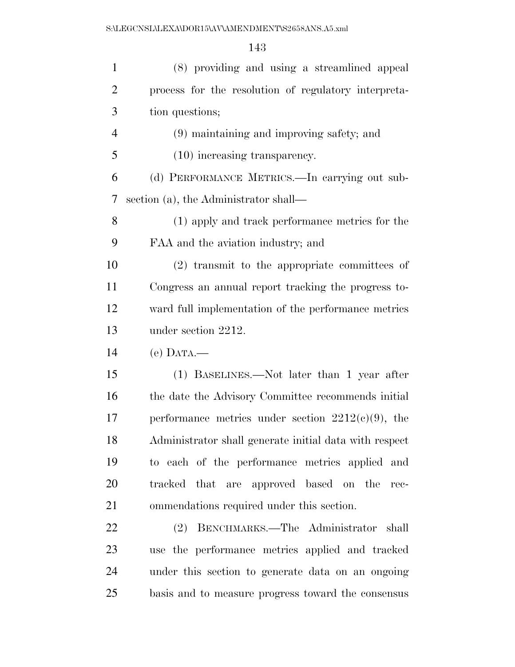| $\mathbf{1}$   | (8) providing and using a streamlined appeal           |
|----------------|--------------------------------------------------------|
| $\overline{2}$ | process for the resolution of regulatory interpreta-   |
| 3              | tion questions;                                        |
| $\overline{4}$ | (9) maintaining and improving safety; and              |
| 5              | $(10)$ increasing transparency.                        |
| 6              | (d) PERFORMANCE METRICS.—In carrying out sub-          |
| 7              | section (a), the Administrator shall—                  |
| 8              | (1) apply and track performance metrics for the        |
| 9              | FAA and the aviation industry; and                     |
| 10             | $(2)$ transmit to the appropriate committees of        |
| 11             | Congress an annual report tracking the progress to-    |
| 12             | ward full implementation of the performance metrics    |
| 13             | under section 2212.                                    |
| 14             | $(e)$ DATA.—                                           |
| 15             | (1) BASELINES.—Not later than 1 year after             |
| 16             | the date the Advisory Committee recommends initial     |
| 17             | performance metrics under section $2212(c)(9)$ , the   |
| 18             | Administrator shall generate initial data with respect |
| 19             | to each of the performance metrics applied and         |
| 20             | tracked that are approved based on the<br>$rec-$       |
| 21             | ommendations required under this section.              |
| 22             | (2) BENCHMARKS.—The Administrator shall                |
| 23             | use the performance metrics applied and tracked        |
| 24             | under this section to generate data on an ongoing      |
| 25             | basis and to measure progress toward the consensus     |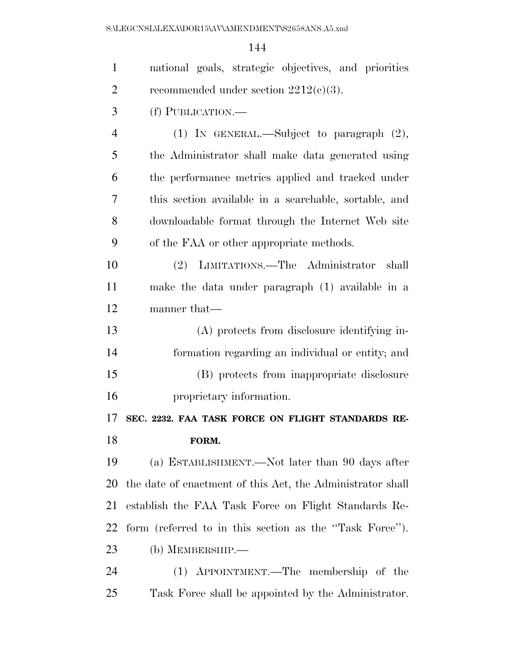| $\mathbf{1}$   | national goals, strategic objectives, and priorities       |
|----------------|------------------------------------------------------------|
| $\overline{2}$ | recommended under section $2212(c)(3)$ .                   |
| 3              | (f) PUBLICATION.—                                          |
| $\overline{4}$ | (1) IN GENERAL.—Subject to paragraph $(2)$ ,               |
| 5              | the Administrator shall make data generated using          |
| 6              | the performance metrics applied and tracked under          |
| 7              | this section available in a searchable, sortable, and      |
| 8              | downloadable format through the Internet Web site          |
| 9              | of the FAA or other appropriate methods.                   |
| 10             | (2) LIMITATIONS.—The Administrator shall                   |
| 11             | make the data under paragraph (1) available in a           |
| 12             | manner that—                                               |
| 13             | (A) protects from disclosure identifying in-               |
| 14             | formation regarding an individual or entity; and           |
| 15             | (B) protects from inappropriate disclosure                 |
| 16             | proprietary information.                                   |
| 17             | SEC. 2232. FAA TASK FORCE ON FLIGHT STANDARDS RE-          |
| 18             | FORM.                                                      |
| 19             | (a) ESTABLISHMENT.—Not later than 90 days after            |
| 20             | the date of enactment of this Act, the Administrator shall |
| 21             | establish the FAA Task Force on Flight Standards Re-       |
| 22             | form (referred to in this section as the "Task Force").    |
| 23             | (b) MEMBERSHIP.-                                           |
| 24             | APPOINTMENT.—The membership of the<br>(1)                  |
| 25             | Task Force shall be appointed by the Administrator.        |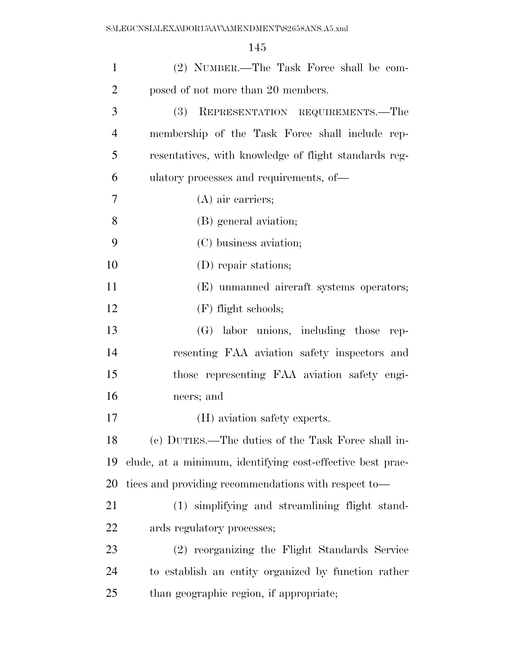| $\mathbf{1}$   | (2) NUMBER.—The Task Force shall be com-                   |
|----------------|------------------------------------------------------------|
| $\overline{2}$ | posed of not more than 20 members.                         |
| 3              | REPRESENTATION REQUIREMENTS.-The<br><b>(3)</b>             |
| $\overline{4}$ | membership of the Task Force shall include rep-            |
| 5              | resentatives, with knowledge of flight standards reg-      |
| 6              | ulatory processes and requirements, of—                    |
| 7              | $(A)$ air carriers;                                        |
| 8              | (B) general aviation;                                      |
| 9              | (C) business aviation;                                     |
| 10             | (D) repair stations;                                       |
| 11             | (E) unmanned aircraft systems operators;                   |
| 12             | $(F)$ flight schools;                                      |
| 13             | (G) labor unions, including those rep-                     |
| 14             | resenting FAA aviation safety inspectors and               |
| 15             | those representing FAA aviation safety engi-               |
| 16             | neers; and                                                 |
| 17             | (H) aviation safety experts.                               |
| 18             | (c) DUTIES.—The duties of the Task Force shall in-         |
| 19             | clude, at a minimum, identifying cost-effective best prac- |
| 20             | tices and providing recommendations with respect to-       |
| 21             | (1) simplifying and streamlining flight stand-             |
| 22             | ards regulatory processes;                                 |
| 23             | (2) reorganizing the Flight Standards Service              |
| 24             | to establish an entity organized by function rather        |
| 25             | than geographic region, if appropriate;                    |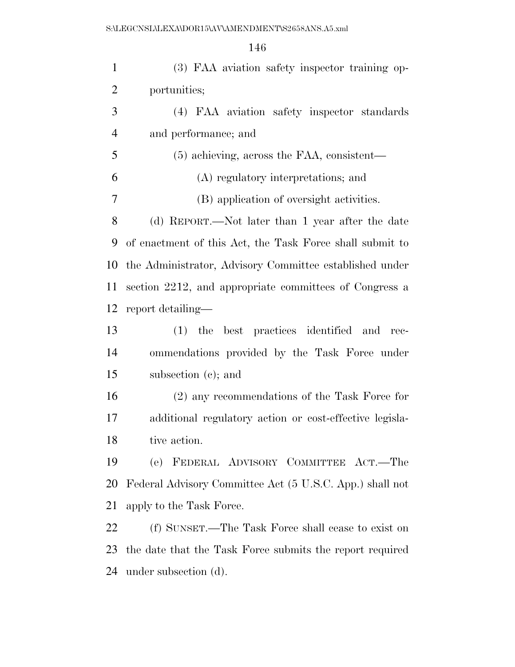| (3) FAA aviation safety inspector training op-           |
|----------------------------------------------------------|
| portunities;                                             |
| (4) FAA aviation safety inspector standards              |
| and performance; and                                     |
| $(5)$ achieving, across the FAA, consistent—             |
| (A) regulatory interpretations; and                      |
| (B) application of oversight activities.                 |
| (d) REPORT.—Not later than 1 year after the date         |
| of enactment of this Act, the Task Force shall submit to |
| the Administrator, Advisory Committee established under  |
| section 2212, and appropriate committees of Congress a   |
| report detailing—                                        |
| (1) the best practices identified and rec-               |
| ommendations provided by the Task Force under            |
| subsection (c); and                                      |
| $(2)$ any recommendations of the Task Force for          |
| additional regulatory action or cost-effective legisla-  |
| tive action.                                             |
| (e) FEDERAL ADVISORY COMMITTEE ACT.—The                  |
| Federal Advisory Committee Act (5 U.S.C. App.) shall not |
| apply to the Task Force.                                 |
|                                                          |
| (f) SUNSET.—The Task Force shall cease to exist on       |
|                                                          |

under subsection (d).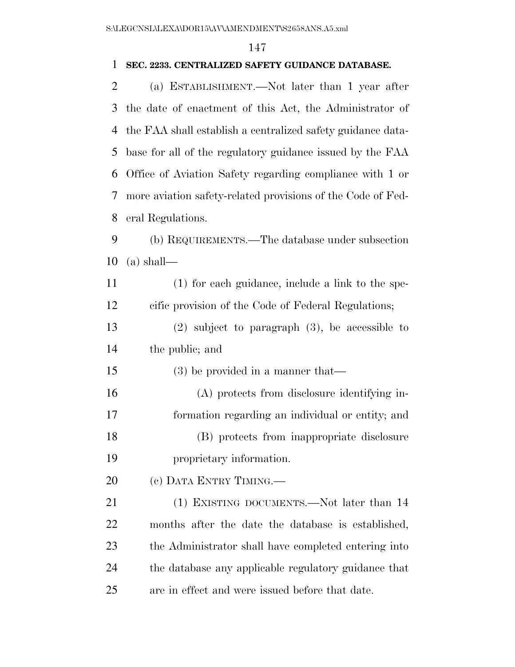## **SEC. 2233. CENTRALIZED SAFETY GUIDANCE DATABASE.**

| $\overline{2}$ | (a) ESTABLISHMENT.—Not later than 1 year after              |
|----------------|-------------------------------------------------------------|
| 3              | the date of enactment of this Act, the Administrator of     |
| 4              | the FAA shall establish a centralized safety guidance data- |
| 5              | base for all of the regulatory guidance issued by the FAA   |
| 6              | Office of Aviation Safety regarding compliance with 1 or    |
| 7              | more aviation safety-related provisions of the Code of Fed- |
| 8              | eral Regulations.                                           |
| 9              | (b) REQUIREMENTS.—The database under subsection             |
| 10             | $(a)$ shall—                                                |
| 11             | $(1)$ for each guidance, include a link to the spe-         |
| 12             | cific provision of the Code of Federal Regulations;         |
| 13             | $(2)$ subject to paragraph $(3)$ , be accessible to         |
| 14             | the public; and                                             |
| 15             | $(3)$ be provided in a manner that—                         |
| 16             | (A) protects from disclosure identifying in-                |
| 17             | formation regarding an individual or entity; and            |
| 18             | (B) protects from inappropriate disclosure                  |
| 19             | proprietary information.                                    |
| 20             | (c) DATA ENTRY TIMING.—                                     |
| 21             | (1) EXISTING DOCUMENTS.—Not later than 14                   |
| 22             | months after the date the database is established,          |
| 23             | the Administrator shall have completed entering into        |
| 24             | the database any applicable regulatory guidance that        |
| 25             | are in effect and were issued before that date.             |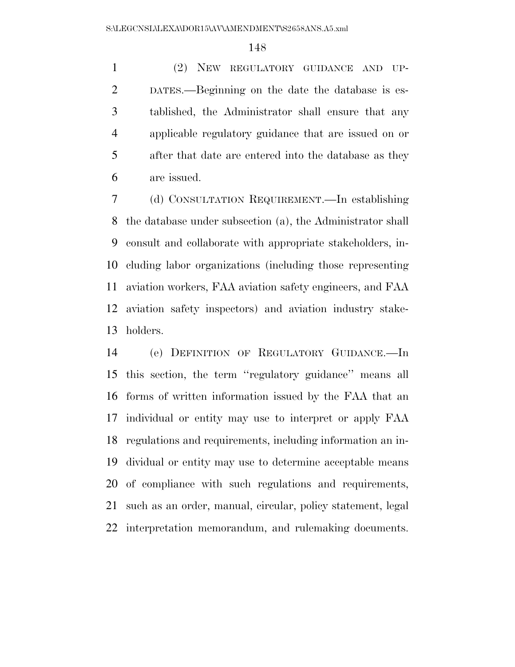(2) NEW REGULATORY GUIDANCE AND UP- DATES.—Beginning on the date the database is es- tablished, the Administrator shall ensure that any applicable regulatory guidance that are issued on or after that date are entered into the database as they are issued.

 (d) CONSULTATION REQUIREMENT.—In establishing the database under subsection (a), the Administrator shall consult and collaborate with appropriate stakeholders, in- cluding labor organizations (including those representing aviation workers, FAA aviation safety engineers, and FAA aviation safety inspectors) and aviation industry stake-holders.

 (e) DEFINITION OF REGULATORY GUIDANCE.—In this section, the term ''regulatory guidance'' means all forms of written information issued by the FAA that an individual or entity may use to interpret or apply FAA regulations and requirements, including information an in- dividual or entity may use to determine acceptable means of compliance with such regulations and requirements, such as an order, manual, circular, policy statement, legal interpretation memorandum, and rulemaking documents.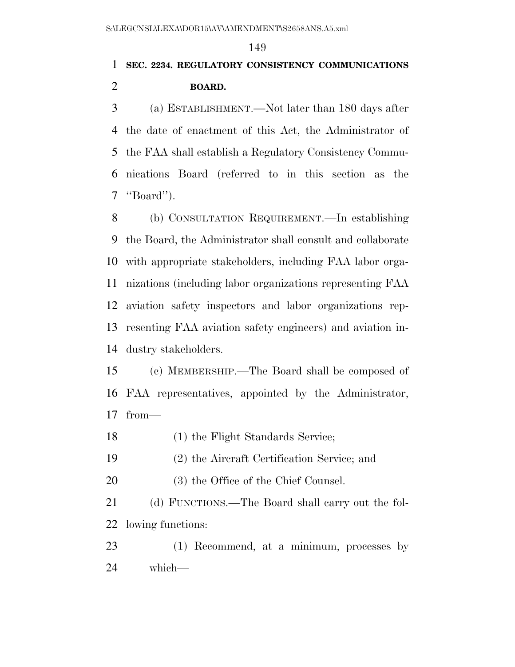# **SEC. 2234. REGULATORY CONSISTENCY COMMUNICATIONS BOARD.**

 (a) ESTABLISHMENT.—Not later than 180 days after the date of enactment of this Act, the Administrator of the FAA shall establish a Regulatory Consistency Commu- nications Board (referred to in this section as the ''Board'').

 (b) CONSULTATION REQUIREMENT.—In establishing the Board, the Administrator shall consult and collaborate with appropriate stakeholders, including FAA labor orga- nizations (including labor organizations representing FAA aviation safety inspectors and labor organizations rep- resenting FAA aviation safety engineers) and aviation in-dustry stakeholders.

 (c) MEMBERSHIP.—The Board shall be composed of FAA representatives, appointed by the Administrator, from—

- (1) the Flight Standards Service;
- (2) the Aircraft Certification Service; and
- (3) the Office of the Chief Counsel.

 (d) FUNCTIONS.—The Board shall carry out the fol-lowing functions:

 (1) Recommend, at a minimum, processes by which—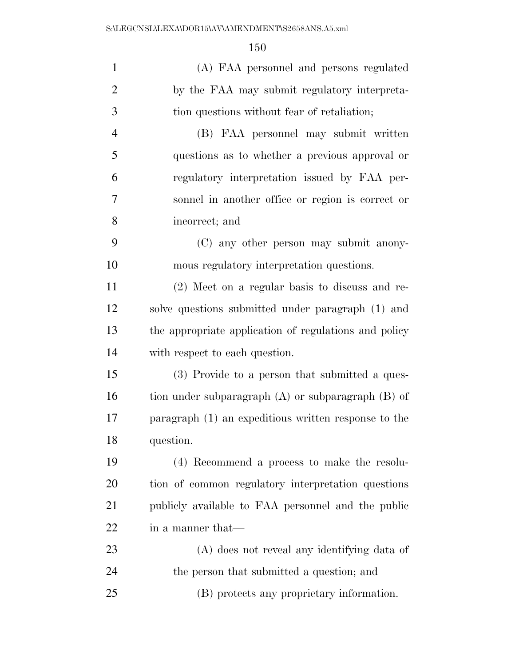| $\mathbf{1}$   | (A) FAA personnel and persons regulated                |
|----------------|--------------------------------------------------------|
| $\overline{2}$ | by the FAA may submit regulatory interpreta-           |
| 3              | tion questions without fear of retaliation;            |
| $\overline{4}$ | (B) FAA personnel may submit written                   |
| 5              | questions as to whether a previous approval or         |
| 6              | regulatory interpretation issued by FAA per-           |
| 7              | sonnel in another office or region is correct or       |
| 8              | incorrect; and                                         |
| 9              | (C) any other person may submit anony-                 |
| 10             | mous regulatory interpretation questions.              |
| 11             | $(2)$ Meet on a regular basis to discuss and re-       |
| 12             | solve questions submitted under paragraph (1) and      |
| 13             | the appropriate application of regulations and policy  |
| 14             | with respect to each question.                         |
| 15             | (3) Provide to a person that submitted a ques-         |
| 16             | tion under subparagraph $(A)$ or subparagraph $(B)$ of |
| 17             | paragraph (1) an expeditious written response to the   |
| 18             | question.                                              |
| 19             | (4) Recommend a process to make the resolu-            |
| 20             | tion of common regulatory interpretation questions     |
| 21             | publicly available to FAA personnel and the public     |
| 22             | in a manner that—                                      |
| 23             | (A) does not reveal any identifying data of            |
| 24             | the person that submitted a question; and              |
| 25             | (B) protects any proprietary information.              |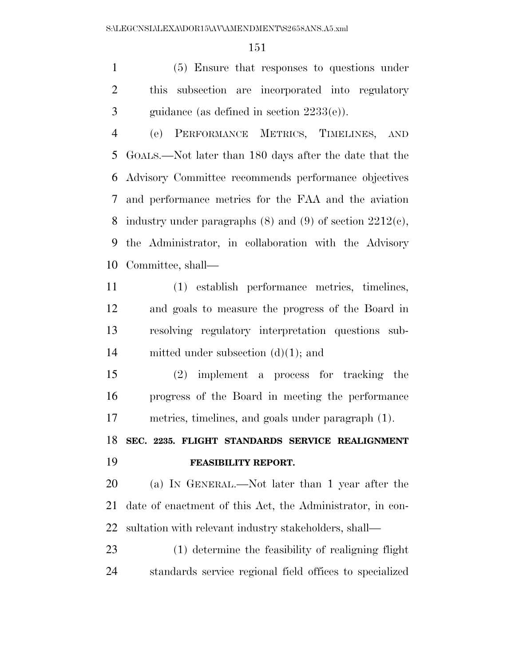(5) Ensure that responses to questions under this subsection are incorporated into regulatory guidance (as defined in section 2233(e)).

 (e) PERFORMANCE METRICS, TIMELINES, AND GOALS.—Not later than 180 days after the date that the Advisory Committee recommends performance objectives and performance metrics for the FAA and the aviation industry under paragraphs (8) and (9) of section 2212(c), the Administrator, in collaboration with the Advisory Committee, shall—

 (1) establish performance metrics, timelines, and goals to measure the progress of the Board in resolving regulatory interpretation questions sub-mitted under subsection (d)(1); and

 (2) implement a process for tracking the progress of the Board in meeting the performance metrics, timelines, and goals under paragraph (1).

# **SEC. 2235. FLIGHT STANDARDS SERVICE REALIGNMENT FEASIBILITY REPORT.**

 (a) IN GENERAL.—Not later than 1 year after the date of enactment of this Act, the Administrator, in con-sultation with relevant industry stakeholders, shall—

 (1) determine the feasibility of realigning flight standards service regional field offices to specialized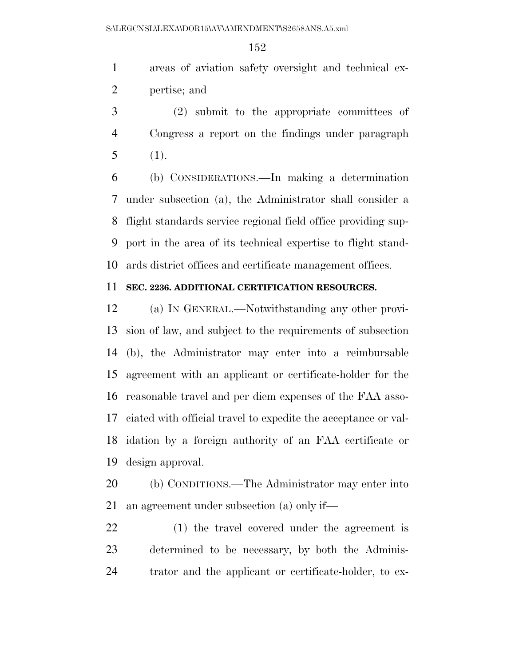areas of aviation safety oversight and technical ex-pertise; and

 (2) submit to the appropriate committees of Congress a report on the findings under paragraph (1).

 (b) CONSIDERATIONS.—In making a determination under subsection (a), the Administrator shall consider a flight standards service regional field office providing sup- port in the area of its technical expertise to flight stand-ards district offices and certificate management offices.

### **SEC. 2236. ADDITIONAL CERTIFICATION RESOURCES.**

 (a) IN GENERAL.—Notwithstanding any other provi- sion of law, and subject to the requirements of subsection (b), the Administrator may enter into a reimbursable agreement with an applicant or certificate-holder for the reasonable travel and per diem expenses of the FAA asso- ciated with official travel to expedite the acceptance or val- idation by a foreign authority of an FAA certificate or design approval.

 (b) CONDITIONS.—The Administrator may enter into an agreement under subsection (a) only if—

 (1) the travel covered under the agreement is determined to be necessary, by both the Adminis-trator and the applicant or certificate-holder, to ex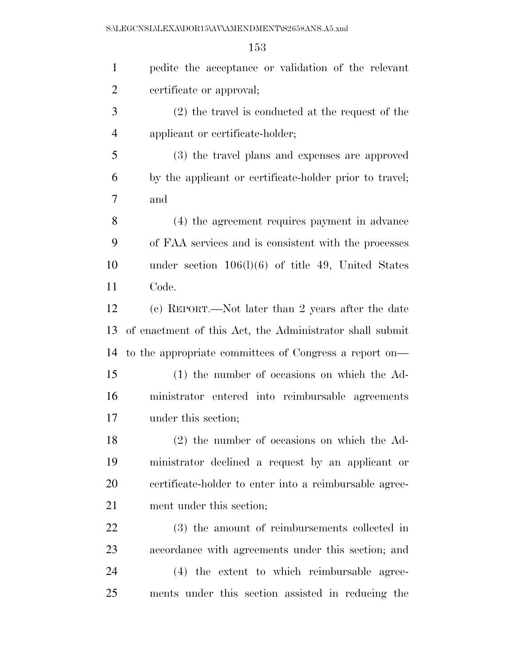S:\LEGCNSL\LEXA\DOR15\AV\AMENDMENT\S2658ANS.A5.xml

| $\mathbf{1}$   | pedite the acceptance or validation of the relevant      |
|----------------|----------------------------------------------------------|
| $\overline{2}$ | certificate or approval;                                 |
| 3              | (2) the travel is conducted at the request of the        |
| $\overline{4}$ | applicant or certificate-holder;                         |
| 5              | (3) the travel plans and expenses are approved           |
| 6              | by the applicant or certificate-holder prior to travel;  |
| 7              | and                                                      |
| 8              | (4) the agreement requires payment in advance            |
| 9              | of FAA services and is consistent with the processes     |
| 10             | under section $106(1)(6)$ of title 49, United States     |
| 11             | Code.                                                    |
| 12             | (c) REPORT.—Not later than 2 years after the date        |
| 13             | of enactment of this Act, the Administrator shall submit |
| 14             | to the appropriate committees of Congress a report on—   |
| 15             | (1) the number of occasions on which the Ad-             |
| 16             | ministrator entered into reimbursable agreements         |
| 17             | under this section;                                      |
| 18             | $(2)$ the number of occasions on which the Ad-           |
| 19             | ministrator declined a request by an applicant or        |
| 20             | certificate-holder to enter into a reimbursable agree-   |
| 21             | ment under this section;                                 |
| 22             | (3) the amount of reimbursements collected in            |
| 23             | accordance with agreements under this section; and       |
| 24             | (4) the extent to which reimbursable agree-              |
| 25             | ments under this section assisted in reducing the        |
|                |                                                          |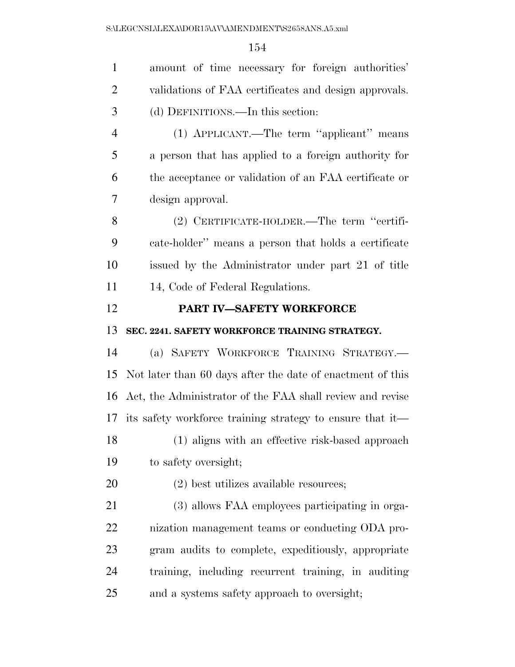| $\mathbf{1}$   | amount of time necessary for foreign authorities'          |
|----------------|------------------------------------------------------------|
| $\overline{2}$ | validations of FAA certificates and design approvals.      |
| 3              | (d) DEFINITIONS.—In this section:                          |
| 4              | (1) APPLICANT.—The term "applicant" means                  |
| 5              | a person that has applied to a foreign authority for       |
| 6              | the acceptance or validation of an FAA certificate or      |
| 7              | design approval.                                           |
| 8              | (2) CERTIFICATE-HOLDER.—The term "certifi-                 |
| 9              | cate-holder" means a person that holds a certificate       |
| 10             | issued by the Administrator under part 21 of title         |
| 11             | 14, Code of Federal Regulations.                           |
| 12             | PART IV-SAFETY WORKFORCE                                   |
|                |                                                            |
| 13             | SEC. 2241. SAFETY WORKFORCE TRAINING STRATEGY.             |
| 14             | (a) SAFETY WORKFORCE TRAINING STRATEGY.                    |
| 15             | Not later than 60 days after the date of enactment of this |
| 16             | Act, the Administrator of the FAA shall review and revise  |
| 17             | its safety workforce training strategy to ensure that it—  |
| 18             | (1) aligns with an effective risk-based approach           |
| 19             | to safety oversight;                                       |
| 20             | $(2)$ best utilizes available resources;                   |
| 21             | (3) allows FAA employees participating in orga-            |
| 22             | nization management teams or conducting ODA pro-           |
| 23             | gram audits to complete, expeditiously, appropriate        |
| 24             | training, including recurrent training, in auditing        |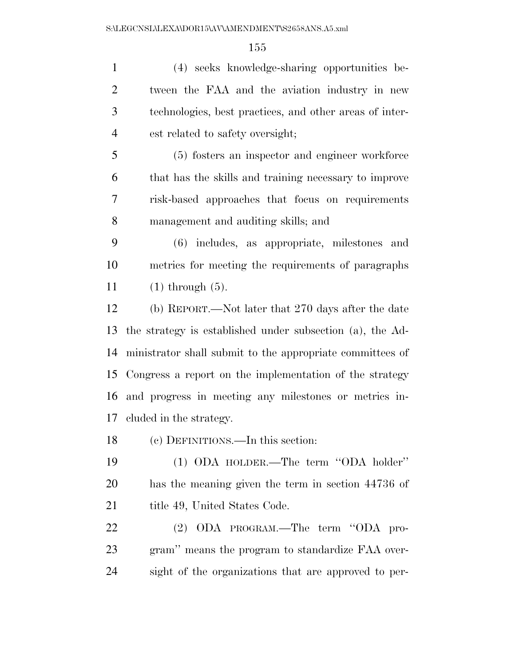(4) seeks knowledge-sharing opportunities be- tween the FAA and the aviation industry in new technologies, best practices, and other areas of inter-est related to safety oversight;

 (5) fosters an inspector and engineer workforce that has the skills and training necessary to improve risk-based approaches that focus on requirements management and auditing skills; and

 (6) includes, as appropriate, milestones and metrics for meeting the requirements of paragraphs (1) through (5).

 (b) REPORT.—Not later that 270 days after the date the strategy is established under subsection (a), the Ad- ministrator shall submit to the appropriate committees of Congress a report on the implementation of the strategy and progress in meeting any milestones or metrics in-cluded in the strategy.

(c) DEFINITIONS.—In this section:

 (1) ODA HOLDER.—The term ''ODA holder'' has the meaning given the term in section 44736 of 21 title 49, United States Code.

 (2) ODA PROGRAM.—The term ''ODA pro- gram'' means the program to standardize FAA over-sight of the organizations that are approved to per-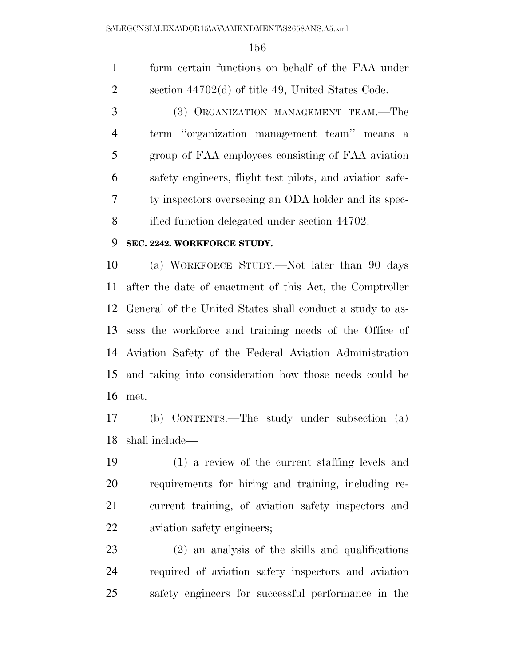form certain functions on behalf of the FAA under section 44702(d) of title 49, United States Code.

 (3) ORGANIZATION MANAGEMENT TEAM.—The term ''organization management team'' means a group of FAA employees consisting of FAA aviation safety engineers, flight test pilots, and aviation safe- ty inspectors overseeing an ODA holder and its spec-ified function delegated under section 44702.

#### **SEC. 2242. WORKFORCE STUDY.**

 (a) WORKFORCE STUDY.—Not later than 90 days after the date of enactment of this Act, the Comptroller General of the United States shall conduct a study to as- sess the workforce and training needs of the Office of Aviation Safety of the Federal Aviation Administration and taking into consideration how those needs could be met.

 (b) CONTENTS.—The study under subsection (a) shall include—

 (1) a review of the current staffing levels and requirements for hiring and training, including re- current training, of aviation safety inspectors and aviation safety engineers;

 (2) an analysis of the skills and qualifications required of aviation safety inspectors and aviation safety engineers for successful performance in the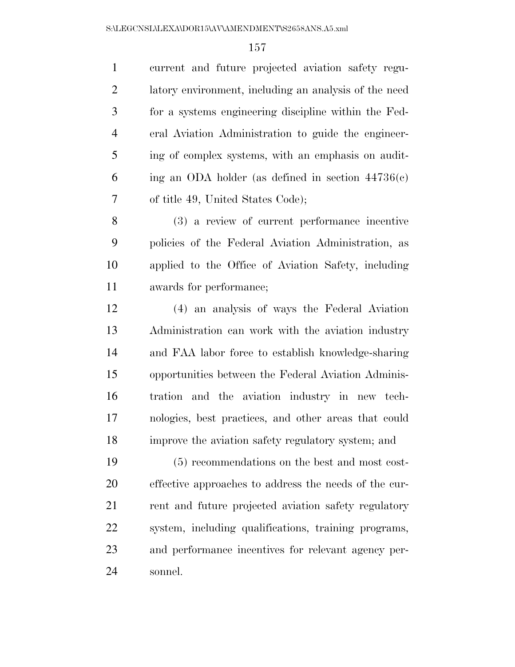current and future projected aviation safety regu- latory environment, including an analysis of the need for a systems engineering discipline within the Fed- eral Aviation Administration to guide the engineer- ing of complex systems, with an emphasis on audit-6 ing an ODA holder (as defined in section  $44736(c)$ ) of title 49, United States Code);

 (3) a review of current performance incentive policies of the Federal Aviation Administration, as applied to the Office of Aviation Safety, including awards for performance;

 (4) an analysis of ways the Federal Aviation Administration can work with the aviation industry and FAA labor force to establish knowledge-sharing opportunities between the Federal Aviation Adminis- tration and the aviation industry in new tech- nologies, best practices, and other areas that could improve the aviation safety regulatory system; and

 (5) recommendations on the best and most cost- effective approaches to address the needs of the cur-21 rent and future projected aviation safety regulatory system, including qualifications, training programs, and performance incentives for relevant agency per-sonnel.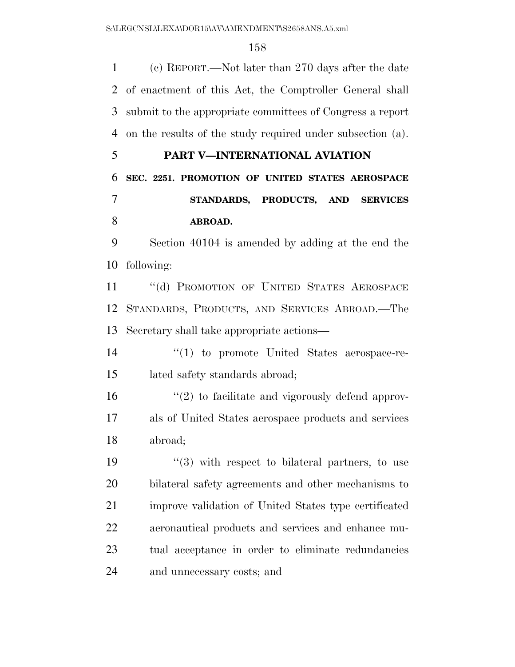(c) REPORT.—Not later than 270 days after the date of enactment of this Act, the Comptroller General shall submit to the appropriate committees of Congress a report on the results of the study required under subsection (a).

# **PART V—INTERNATIONAL AVIATION**

 **SEC. 2251. PROMOTION OF UNITED STATES AEROSPACE STANDARDS, PRODUCTS, AND SERVICES ABROAD.** 

 Section 40104 is amended by adding at the end the following:

11 "(d) PROMOTION OF UNITED STATES AEROSPACE STANDARDS, PRODUCTS, AND SERVICES ABROAD.—The Secretary shall take appropriate actions—

14  $\frac{1}{2}$  (1) to promote United States aerospace-re-lated safety standards abroad;

 $\frac{16}{2}$  <sup>(2)</sup> to facilitate and vigorously defend approv- als of United States aerospace products and services abroad;

 $\frac{1}{2}$  (3) with respect to bilateral partners, to use bilateral safety agreements and other mechanisms to improve validation of United States type certificated aeronautical products and services and enhance mu- tual acceptance in order to eliminate redundancies and unnecessary costs; and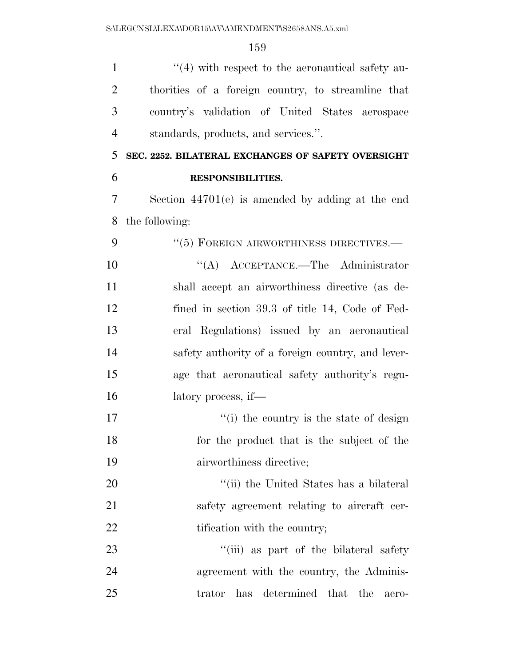| $\mathbf{1}$   | $\lq(4)$ with respect to the aeronautical safety au- |
|----------------|------------------------------------------------------|
| 2              | thorities of a foreign country, to streamline that   |
| 3              | country's validation of United States aerospace      |
| $\overline{4}$ | standards, products, and services.".                 |
| 5              | SEC. 2252. BILATERAL EXCHANGES OF SAFETY OVERSIGHT   |
| 6              | <b>RESPONSIBILITIES.</b>                             |
| 7              | Section $44701(e)$ is amended by adding at the end   |
| 8              | the following:                                       |
| 9              | $``(5)$ FOREIGN AIRWORTHINESS DIRECTIVES.—           |
| 10             | $\lq\lq$ ACCEPTANCE.—The Administrator               |
| 11             | shall accept an airworthiness directive (as de-      |
| 12             | fined in section 39.3 of title 14, Code of Fed-      |
| 13             | eral Regulations) issued by an aeronautical          |
| 14             | safety authority of a foreign country, and lever-    |
| 15             | age that aeronautical safety authority's regu-       |
| 16             | latory process, if—                                  |
| 17             | "(i) the country is the state of design              |
| 18             | for the product that is the subject of the           |
| 19             | airworthiness directive;                             |
| 20             | "(ii) the United States has a bilateral              |
| 21             | safety agreement relating to aircraft cer-           |
| 22             | tification with the country;                         |
| 23             | "(iii) as part of the bilateral safety               |
| 24             | agreement with the country, the Adminis-             |
| 25             | trator has determined that the<br>aero-              |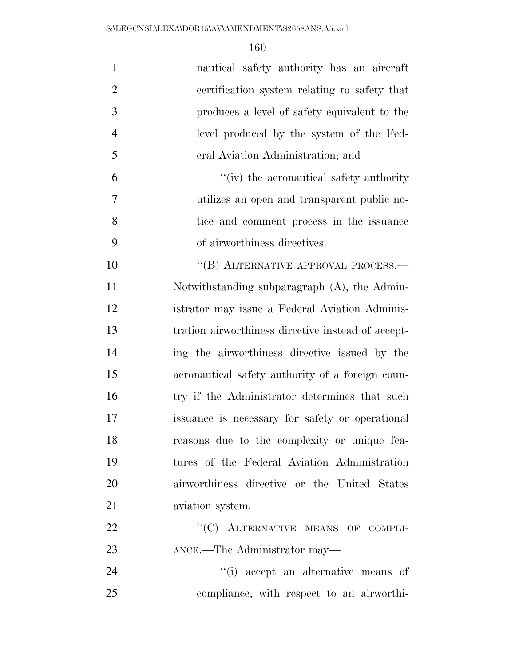| $\mathbf{1}$   | nautical safety authority has an aircraft          |
|----------------|----------------------------------------------------|
| $\overline{2}$ | certification system relating to safety that       |
| 3              | produces a level of safety equivalent to the       |
| $\overline{4}$ | level produced by the system of the Fed-           |
| 5              | eral Aviation Administration; and                  |
| 6              | "(iv) the aeronautical safety authority            |
| 7              | utilizes an open and transparent public no-        |
| 8              | tice and comment process in the issuance           |
| 9              | of airworthiness directives.                       |
| 10             | "(B) ALTERNATIVE APPROVAL PROCESS.—                |
| 11             | Notwithstanding subparagraph $(A)$ , the Admin-    |
| 12             | istrator may issue a Federal Aviation Adminis-     |
| 13             | tration airworthiness directive instead of accept- |
| 14             | ing the airworthiness directive issued by the      |
| 15             | aeronautical safety authority of a foreign coun-   |
| 16             | try if the Administrator determines that such      |
| 17             | issuance is necessary for safety or operational    |
| 18             | reasons due to the complexity or unique fea-       |
| 19             | tures of the Federal Aviation Administration       |
| 20             | airworthiness directive or the United States       |
| 21             | aviation system.                                   |
| 22             | "(C) ALTERNATIVE MEANS OF COMPLI-                  |
| 23             | ANCE.—The Administrator may—                       |
| 24             | "(i) accept an alternative means of                |
| 25             | compliance, with respect to an airworthi-          |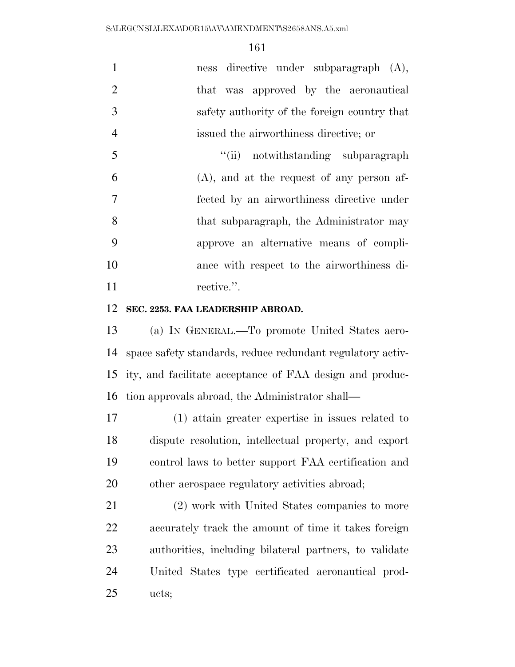| 1              | ness directive under subparagraph (A),       |
|----------------|----------------------------------------------|
| 2              | that was approved by the aeronautical        |
| 3              | safety authority of the foreign country that |
| $\overline{4}$ | issued the airworthiness directive; or       |
| 5              | "(ii) notwithstanding subparagraph           |
| 6              | $(A)$ , and at the request of any person af- |
| $\overline{7}$ | fected by an airworthiness directive under   |
| 8              | that subparagraph, the Administrator may     |
| 9              | approve an alternative means of compli-      |
| 10             | ance with respect to the airworthiness di-   |
| 11             | rective.".                                   |
|                |                                              |

#### **SEC. 2253. FAA LEADERSHIP ABROAD.**

 (a) IN GENERAL.—To promote United States aero- space safety standards, reduce redundant regulatory activ- ity, and facilitate acceptance of FAA design and produc-tion approvals abroad, the Administrator shall—

 (1) attain greater expertise in issues related to dispute resolution, intellectual property, and export control laws to better support FAA certification and other aerospace regulatory activities abroad;

 (2) work with United States companies to more accurately track the amount of time it takes foreign authorities, including bilateral partners, to validate United States type certificated aeronautical prod-ucts;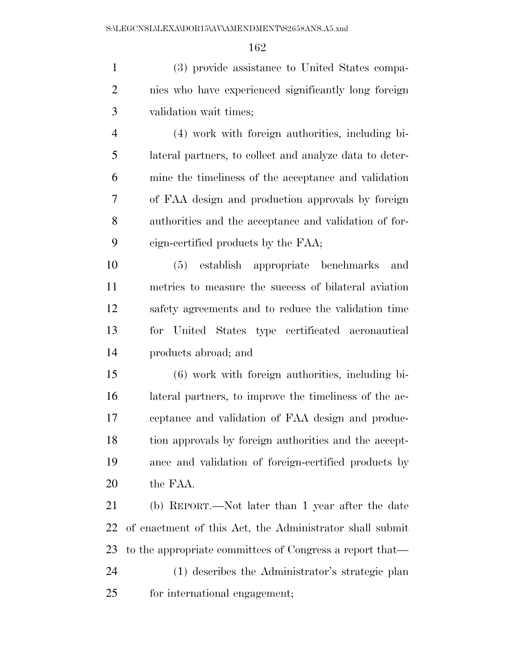(3) provide assistance to United States compa- nies who have experienced significantly long foreign validation wait times;

 (4) work with foreign authorities, including bi- lateral partners, to collect and analyze data to deter- mine the timeliness of the acceptance and validation of FAA design and production approvals by foreign authorities and the acceptance and validation of for-eign-certified products by the FAA;

 (5) establish appropriate benchmarks and metrics to measure the success of bilateral aviation safety agreements and to reduce the validation time for United States type certificated aeronautical products abroad; and

 (6) work with foreign authorities, including bi- lateral partners, to improve the timeliness of the ac- ceptance and validation of FAA design and produc- tion approvals by foreign authorities and the accept- ance and validation of foreign-certified products by the FAA.

 (b) REPORT.—Not later than 1 year after the date of enactment of this Act, the Administrator shall submit to the appropriate committees of Congress a report that— (1) describes the Administrator's strategic plan for international engagement;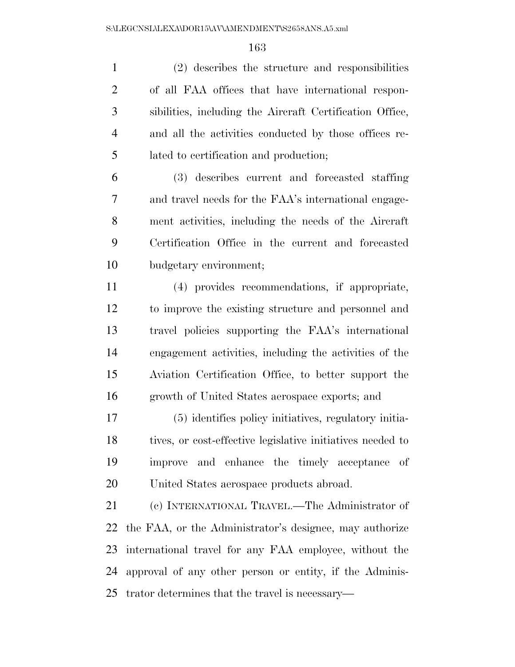(2) describes the structure and responsibilities of all FAA offices that have international respon- sibilities, including the Aircraft Certification Office, and all the activities conducted by those offices re-lated to certification and production;

 (3) describes current and forecasted staffing and travel needs for the FAA's international engage- ment activities, including the needs of the Aircraft Certification Office in the current and forecasted budgetary environment;

 (4) provides recommendations, if appropriate, to improve the existing structure and personnel and travel policies supporting the FAA's international engagement activities, including the activities of the Aviation Certification Office, to better support the growth of United States aerospace exports; and

 (5) identifies policy initiatives, regulatory initia- tives, or cost-effective legislative initiatives needed to improve and enhance the timely acceptance of United States aerospace products abroad.

 (c) INTERNATIONAL TRAVEL.—The Administrator of the FAA, or the Administrator's designee, may authorize international travel for any FAA employee, without the approval of any other person or entity, if the Adminis-trator determines that the travel is necessary—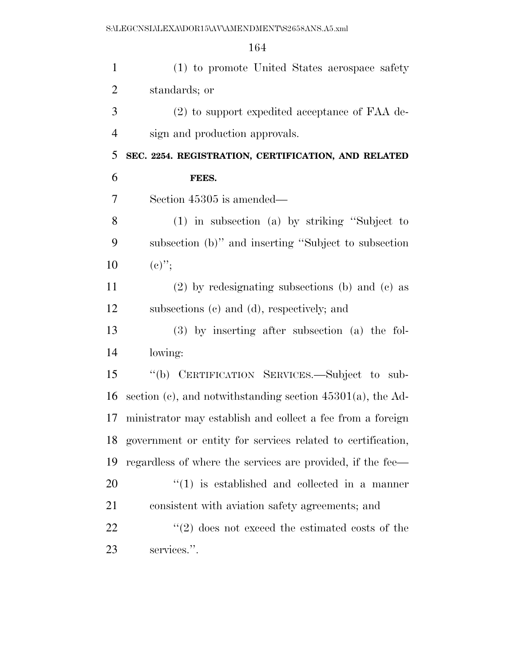(1) to promote United States aerospace safety standards; or (2) to support expedited acceptance of FAA de- sign and production approvals. **SEC. 2254. REGISTRATION, CERTIFICATION, AND RELATED FEES.**  Section 45305 is amended— (1) in subsection (a) by striking ''Subject to subsection (b)'' and inserting ''Subject to subsection 10  $(e)$ "; (2) by redesignating subsections (b) and (c) as subsections (c) and (d), respectively; and (3) by inserting after subsection (a) the fol- lowing: ''(b) CERTIFICATION SERVICES.—Subject to sub-16 section (c), and notwithstanding section  $45301(a)$ , the Ad- ministrator may establish and collect a fee from a foreign government or entity for services related to certification, regardless of where the services are provided, if the fee—  $(1)$  is established and collected in a manner consistent with aviation safety agreements; and

22 ''(2) does not exceed the estimated costs of the services.''.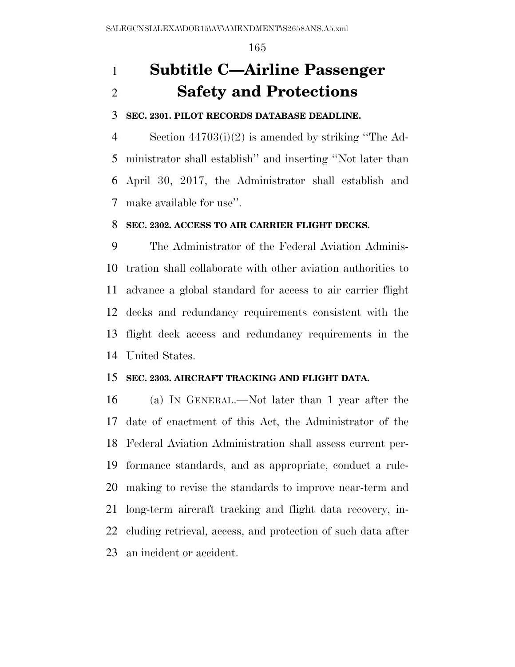# **Subtitle C—Airline Passenger Safety and Protections**

#### **SEC. 2301. PILOT RECORDS DATABASE DEADLINE.**

 Section 44703(i)(2) is amended by striking ''The Ad- ministrator shall establish'' and inserting ''Not later than April 30, 2017, the Administrator shall establish and make available for use''.

### **SEC. 2302. ACCESS TO AIR CARRIER FLIGHT DECKS.**

 The Administrator of the Federal Aviation Adminis- tration shall collaborate with other aviation authorities to advance a global standard for access to air carrier flight decks and redundancy requirements consistent with the flight deck access and redundancy requirements in the United States.

#### **SEC. 2303. AIRCRAFT TRACKING AND FLIGHT DATA.**

 (a) IN GENERAL.—Not later than 1 year after the date of enactment of this Act, the Administrator of the Federal Aviation Administration shall assess current per- formance standards, and as appropriate, conduct a rule- making to revise the standards to improve near-term and long-term aircraft tracking and flight data recovery, in- cluding retrieval, access, and protection of such data after an incident or accident.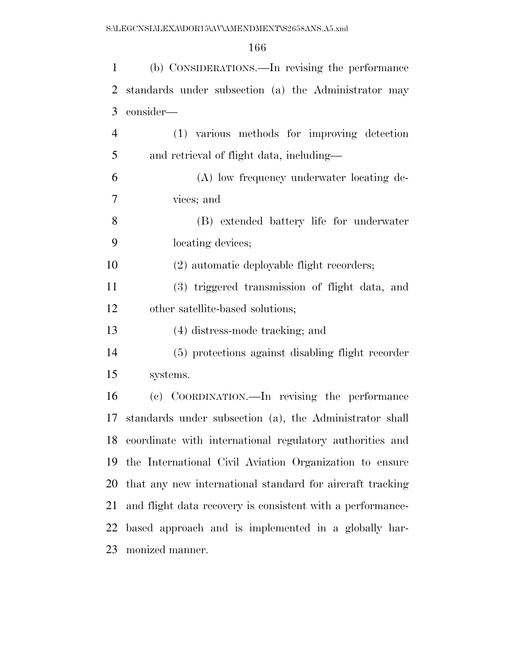| $\mathbf{1}$   | (b) CONSIDERATIONS.—In revising the performance            |
|----------------|------------------------------------------------------------|
| $\overline{2}$ | standards under subsection (a) the Administrator may       |
| 3              | consider—                                                  |
| $\overline{4}$ | (1) various methods for improving detection                |
| 5              | and retrieval of flight data, including—                   |
| 6              | (A) low frequency underwater locating de-                  |
| 7              | vices; and                                                 |
| 8              | (B) extended battery life for underwater                   |
| 9              | locating devices;                                          |
| 10             | (2) automatic deployable flight recorders;                 |
| 11             | (3) triggered transmission of flight data, and             |
| 12             | other satellite-based solutions;                           |
| 13             | (4) distress-mode tracking; and                            |
| 14             | (5) protections against disabling flight recorder          |
| 15             | systems.                                                   |
| 16             | (c) COORDINATION.—In revising the performance              |
| 17             | standards under subsection (a), the Administrator shall    |
| 18             | coordinate with international regulatory authorities and   |
| 19             | the International Civil Aviation Organization to ensure    |
| 20             | that any new international standard for aircraft tracking  |
| 21             | and flight data recovery is consistent with a performance- |
| 22             | based approach and is implemented in a globally har-       |
| 23             | monized manner.                                            |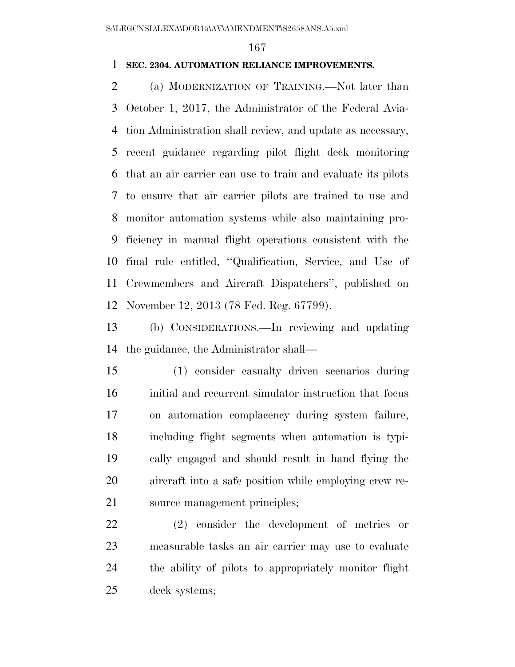### **SEC. 2304. AUTOMATION RELIANCE IMPROVEMENTS.**

 (a) MODERNIZATION OF TRAINING.—Not later than October 1, 2017, the Administrator of the Federal Avia- tion Administration shall review, and update as necessary, recent guidance regarding pilot flight deck monitoring that an air carrier can use to train and evaluate its pilots to ensure that air carrier pilots are trained to use and monitor automation systems while also maintaining pro- ficiency in manual flight operations consistent with the final rule entitled, ''Qualification, Service, and Use of Crewmembers and Aircraft Dispatchers'', published on November 12, 2013 (78 Fed. Reg. 67799).

 (b) CONSIDERATIONS.—In reviewing and updating the guidance, the Administrator shall—

 (1) consider casualty driven scenarios during initial and recurrent simulator instruction that focus on automation complacency during system failure, including flight segments when automation is typi- cally engaged and should result in hand flying the aircraft into a safe position while employing crew re-source management principles;

 (2) consider the development of metrics or measurable tasks an air carrier may use to evaluate the ability of pilots to appropriately monitor flight deck systems;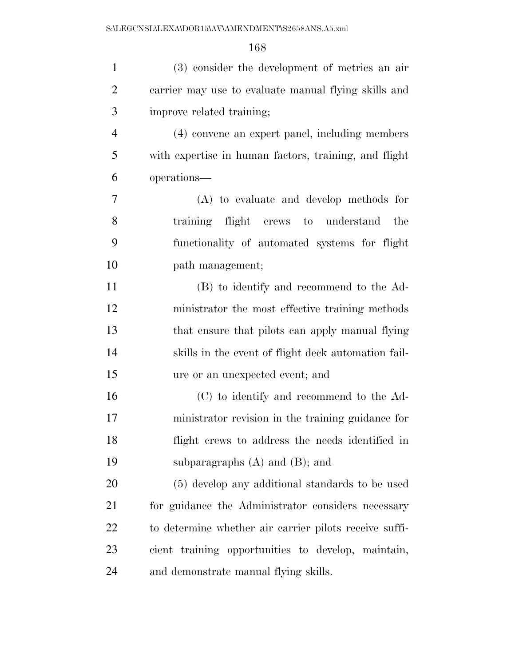| $\mathbf{1}$   | (3) consider the development of metrics an air         |
|----------------|--------------------------------------------------------|
| $\overline{2}$ | carrier may use to evaluate manual flying skills and   |
| 3              | improve related training;                              |
| $\overline{4}$ | (4) convene an expert panel, including members         |
| 5              | with expertise in human factors, training, and flight  |
| 6              | operations—                                            |
| $\overline{7}$ | (A) to evaluate and develop methods for                |
| 8              | training flight crews to understand the                |
| 9              | functionality of automated systems for flight          |
| 10             | path management;                                       |
| 11             | (B) to identify and recommend to the Ad-               |
| 12             | ministrator the most effective training methods        |
| 13             | that ensure that pilots can apply manual flying        |
| 14             | skills in the event of flight deck automation fail-    |
| 15             | ure or an unexpected event; and                        |
| 16             | (C) to identify and recommend to the Ad-               |
| 17             | ministrator revision in the training guidance for      |
| 18             | flight crews to address the needs identified in        |
| 19             | subparagraphs $(A)$ and $(B)$ ; and                    |
| 20             | (5) develop any additional standards to be used        |
| 21             | for guidance the Administrator considers necessary     |
| 22             | to determine whether air carrier pilots receive suffi- |
| 23             | cient training opportunities to develop, maintain,     |
| 24             | and demonstrate manual flying skills.                  |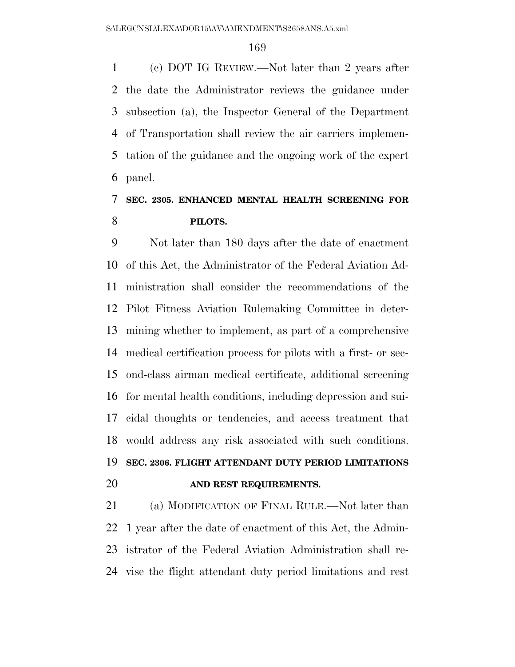(c) DOT IG REVIEW.—Not later than 2 years after the date the Administrator reviews the guidance under subsection (a), the Inspector General of the Department of Transportation shall review the air carriers implemen- tation of the guidance and the ongoing work of the expert panel.

# **SEC. 2305. ENHANCED MENTAL HEALTH SCREENING FOR PILOTS.**

 Not later than 180 days after the date of enactment of this Act, the Administrator of the Federal Aviation Ad- ministration shall consider the recommendations of the Pilot Fitness Aviation Rulemaking Committee in deter- mining whether to implement, as part of a comprehensive medical certification process for pilots with a first- or sec- ond-class airman medical certificate, additional screening for mental health conditions, including depression and sui- cidal thoughts or tendencies, and access treatment that would address any risk associated with such conditions. **SEC. 2306. FLIGHT ATTENDANT DUTY PERIOD LIMITATIONS AND REST REQUIREMENTS.** 

 (a) MODIFICATION OF FINAL RULE.—Not later than 1 year after the date of enactment of this Act, the Admin- istrator of the Federal Aviation Administration shall re-vise the flight attendant duty period limitations and rest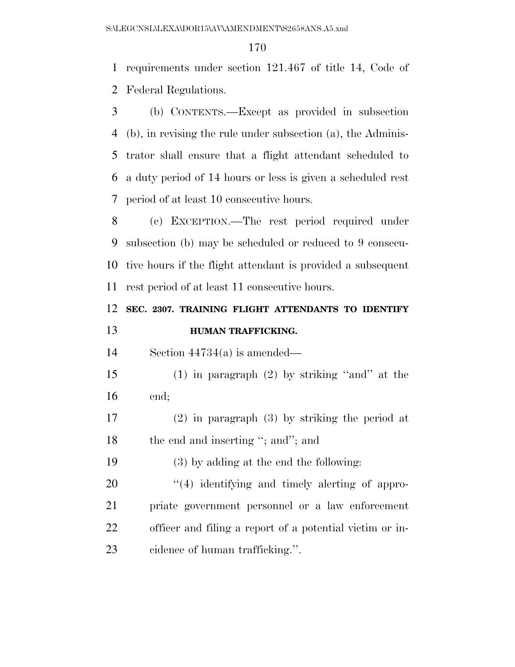requirements under section 121.467 of title 14, Code of Federal Regulations.

 (b) CONTENTS.—Except as provided in subsection (b), in revising the rule under subsection (a), the Adminis- trator shall ensure that a flight attendant scheduled to a duty period of 14 hours or less is given a scheduled rest period of at least 10 consecutive hours.

 (c) EXCEPTION.—The rest period required under subsection (b) may be scheduled or reduced to 9 consecu- tive hours if the flight attendant is provided a subsequent rest period of at least 11 consecutive hours.

# **SEC. 2307. TRAINING FLIGHT ATTENDANTS TO IDENTIFY HUMAN TRAFFICKING.**

Section 44734(a) is amended—

 (1) in paragraph (2) by striking ''and'' at the end;

 (2) in paragraph (3) by striking the period at 18 the end and inserting "; and"; and

(3) by adding at the end the following:

 $\frac{4}{4}$  identifying and timely alerting of appro- priate government personnel or a law enforcement officer and filing a report of a potential victim or in-cidence of human trafficking.''.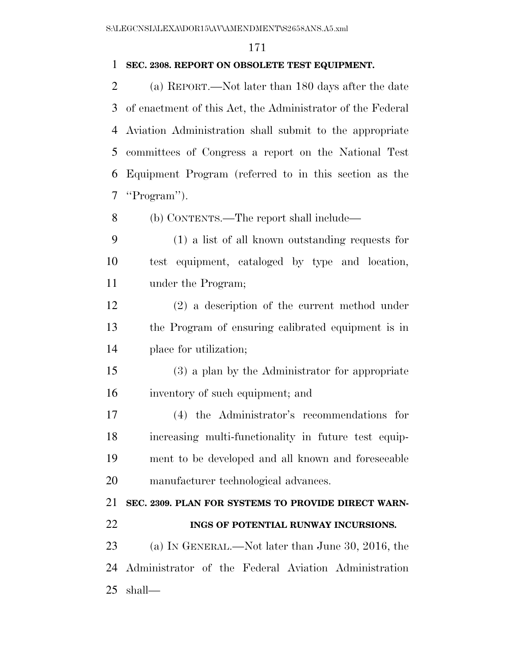#### **SEC. 2308. REPORT ON OBSOLETE TEST EQUIPMENT.**

 (a) REPORT.—Not later than 180 days after the date of enactment of this Act, the Administrator of the Federal Aviation Administration shall submit to the appropriate committees of Congress a report on the National Test Equipment Program (referred to in this section as the ''Program'').

(b) CONTENTS.—The report shall include—

 (1) a list of all known outstanding requests for test equipment, cataloged by type and location, under the Program;

 (2) a description of the current method under the Program of ensuring calibrated equipment is in place for utilization;

 (3) a plan by the Administrator for appropriate inventory of such equipment; and

 (4) the Administrator's recommendations for increasing multi-functionality in future test equip- ment to be developed and all known and foreseeable manufacturer technological advances.

 **SEC. 2309. PLAN FOR SYSTEMS TO PROVIDE DIRECT WARN-INGS OF POTENTIAL RUNWAY INCURSIONS.** 

23 (a) IN GENERAL.—Not later than June 30, 2016, the Administrator of the Federal Aviation Administration shall—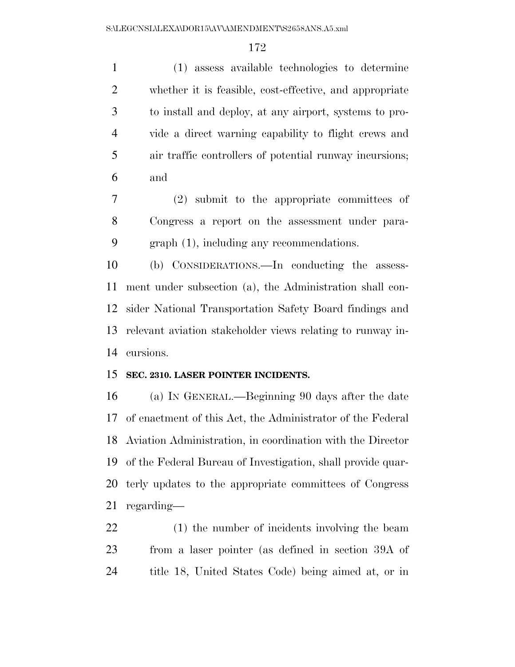(1) assess available technologies to determine whether it is feasible, cost-effective, and appropriate to install and deploy, at any airport, systems to pro- vide a direct warning capability to flight crews and air traffic controllers of potential runway incursions; and

 (2) submit to the appropriate committees of Congress a report on the assessment under para-graph (1), including any recommendations.

 (b) CONSIDERATIONS.—In conducting the assess- ment under subsection (a), the Administration shall con- sider National Transportation Safety Board findings and relevant aviation stakeholder views relating to runway in-cursions.

### **SEC. 2310. LASER POINTER INCIDENTS.**

 (a) IN GENERAL.—Beginning 90 days after the date of enactment of this Act, the Administrator of the Federal Aviation Administration, in coordination with the Director of the Federal Bureau of Investigation, shall provide quar- terly updates to the appropriate committees of Congress regarding—

 (1) the number of incidents involving the beam from a laser pointer (as defined in section 39A of title 18, United States Code) being aimed at, or in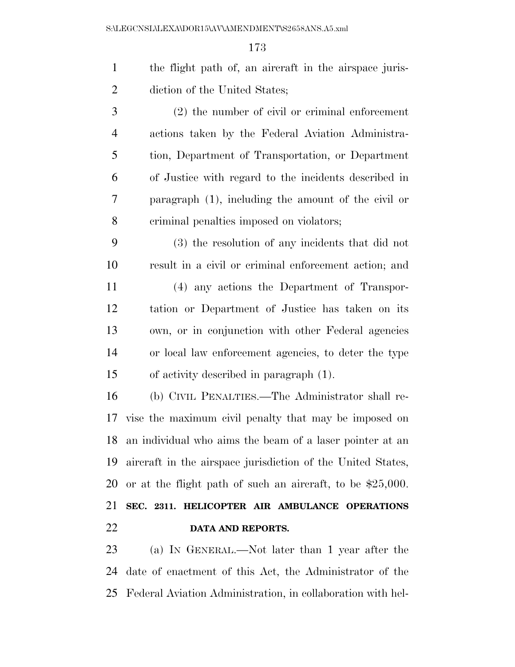| $\mathbf{1}$   | the flight path of, an aircraft in the airspace juris-       |
|----------------|--------------------------------------------------------------|
| $\overline{2}$ | diction of the United States;                                |
| 3              | $(2)$ the number of civil or criminal enforcement            |
| $\overline{4}$ | actions taken by the Federal Aviation Administra-            |
| 5              | tion, Department of Transportation, or Department            |
| 6              | of Justice with regard to the incidents described in         |
| 7              | paragraph $(1)$ , including the amount of the civil or       |
| 8              | criminal penalties imposed on violators;                     |
| 9              | (3) the resolution of any incidents that did not             |
| 10             | result in a civil or criminal enforcement action; and        |
| 11             | (4) any actions the Department of Transpor-                  |
| 12             | tation or Department of Justice has taken on its             |
| 13             | own, or in conjunction with other Federal agencies           |
| 14             | or local law enforcement agencies, to deter the type         |
| 15             | of activity described in paragraph $(1)$ .                   |
| 16             | (b) CIVIL PENALTIES.—The Administrator shall re-             |
| 17             | vise the maximum civil penalty that may be imposed on        |
| 18             | an individual who aims the beam of a laser pointer at an     |
| 19             | aircraft in the airspace jurisdiction of the United States,  |
| 20             | or at the flight path of such an aircraft, to be $$25,000$ . |
| 21             | SEC. 2311. HELICOPTER AIR AMBULANCE OPERATIONS               |
| 22             | DATA AND REPORTS.                                            |
|                |                                                              |

 (a) IN GENERAL.—Not later than 1 year after the date of enactment of this Act, the Administrator of the Federal Aviation Administration, in collaboration with hel-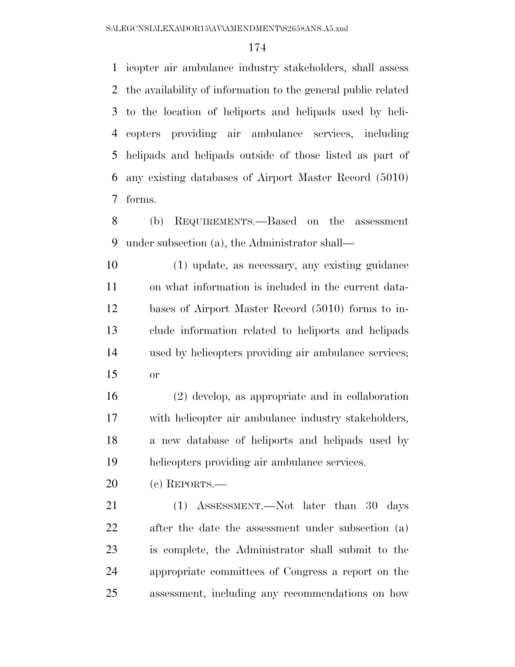icopter air ambulance industry stakeholders, shall assess the availability of information to the general public related to the location of heliports and helipads used by heli- copters providing air ambulance services, including helipads and helipads outside of those listed as part of any existing databases of Airport Master Record (5010) forms.

 (b) REQUIREMENTS.—Based on the assessment under subsection (a), the Administrator shall—

 (1) update, as necessary, any existing guidance on what information is included in the current data- bases of Airport Master Record (5010) forms to in- clude information related to heliports and helipads used by helicopters providing air ambulance services; or

 (2) develop, as appropriate and in collaboration with helicopter air ambulance industry stakeholders, a new database of heliports and helipads used by helicopters providing air ambulance services.

(c) REPORTS.—

21 (1) ASSESSMENT.—Not later than 30 days after the date the assessment under subsection (a) is complete, the Administrator shall submit to the appropriate committees of Congress a report on the assessment, including any recommendations on how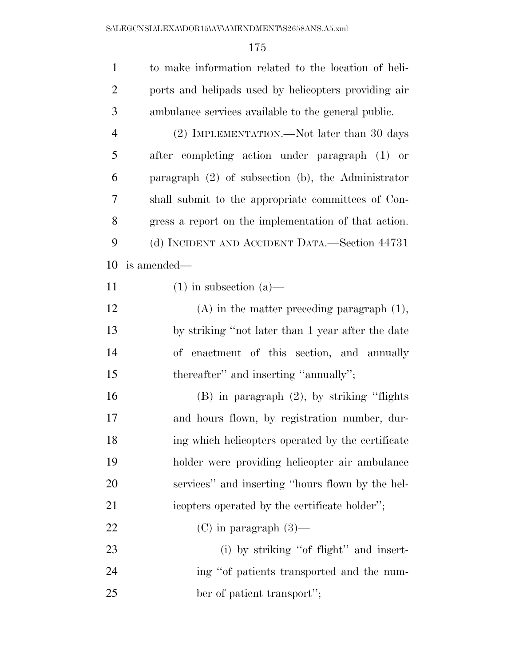| $\mathbf{1}$   | to make information related to the location of heli-    |
|----------------|---------------------------------------------------------|
| $\overline{2}$ | ports and helipads used by helicopters providing air    |
| 3              | ambulance services available to the general public.     |
| $\overline{4}$ | (2) IMPLEMENTATION.—Not later than 30 days              |
| 5              | after completing action under paragraph (1) or          |
| 6              | paragraph $(2)$ of subsection $(b)$ , the Administrator |
| 7              | shall submit to the appropriate committees of Con-      |
| 8              | gress a report on the implementation of that action.    |
| 9              | (d) INCIDENT AND ACCIDENT DATA.—Section 44731           |
| 10             | is amended—                                             |
| 11             | $(1)$ in subsection $(a)$ —                             |
| 12             | $(A)$ in the matter preceding paragraph $(1)$ ,         |
| 13             | by striking "not later than 1 year after the date       |
| 14             | of enactment of this section, and annually              |
| 15             | thereafter" and inserting "annually";                   |
| 16             | $(B)$ in paragraph $(2)$ , by striking "flights"        |
| 17             | and hours flown, by registration number, dur-           |
| 18             | ing which helicopters operated by the certificate       |
| 19             | holder were providing helicopter air ambulance          |
| 20             | services" and inserting "hours flown by the hel-        |
| 21             | icopters operated by the certificate holder";           |
| 22             | $(C)$ in paragraph $(3)$ —                              |
| 23             | (i) by striking "of flight" and insert-                 |
| 24             | ing "of patients transported and the num-               |
| 25             | ber of patient transport";                              |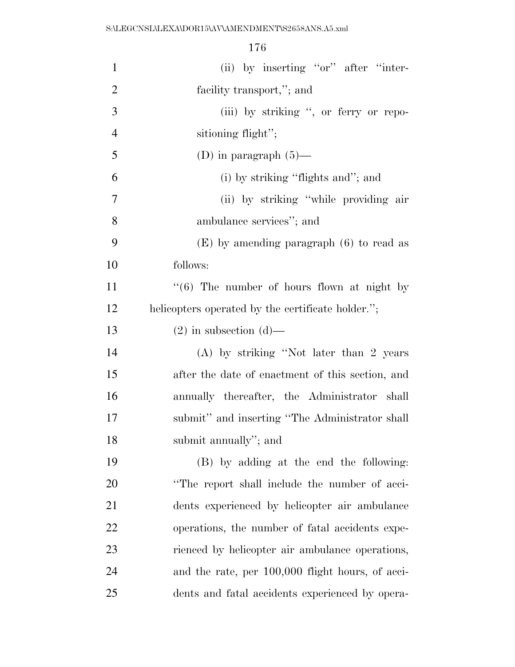| $\mathbf{1}$   | (ii) by inserting "or" after "inter-                   |
|----------------|--------------------------------------------------------|
| $\overline{2}$ | facility transport,"; and                              |
| 3              | (iii) by striking ", or ferry or repo-                 |
| $\overline{4}$ | sitioning flight";                                     |
| 5              | (D) in paragraph $(5)$ —                               |
| 6              | (i) by striking "flights and"; and                     |
| 7              | (ii) by striking "while providing air                  |
| 8              | ambulance services"; and                               |
| 9              | $(E)$ by amending paragraph $(6)$ to read as           |
| 10             | follows:                                               |
| 11             | $\cdot\cdot$ (6) The number of hours flown at night by |
| 12             | helicopters operated by the certificate holder.";      |
| 13             | $(2)$ in subsection $(d)$ —                            |
| 14             | $(A)$ by striking "Not later than 2 years"             |
| 15             | after the date of enactment of this section, and       |
| 16             | annually thereafter, the Administrator shall           |
| 17             | submit" and inserting "The Administrator shall         |
| 18             | submit annually"; and                                  |
| 19             | (B) by adding at the end the following:                |
| 20             | "The report shall include the number of acci-          |
| 21             | dents experienced by helicopter air ambulance          |
| 22             | operations, the number of fatal accidents expe-        |
| 23             | rienced by helicopter air ambulance operations,        |
| 24             | and the rate, per 100,000 flight hours, of acci-       |
| 25             | dents and fatal accidents experienced by opera-        |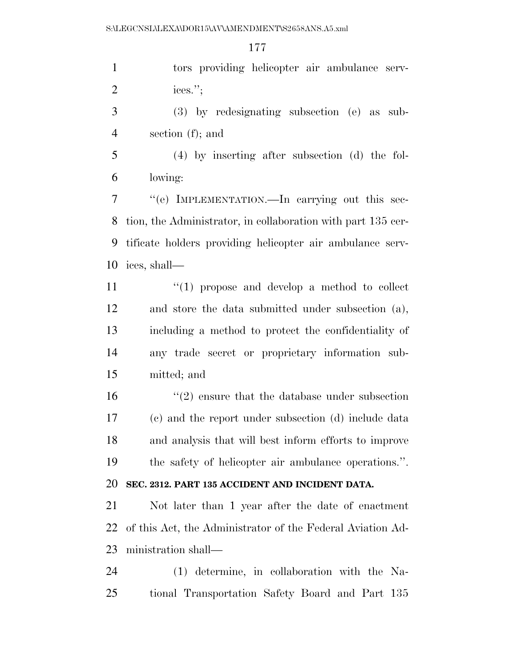tors providing helicopter air ambulance serv-ices.'';

 (3) by redesignating subsection (e) as sub-section (f); and

 (4) by inserting after subsection (d) the fol-lowing:

 ''(e) IMPLEMENTATION.—In carrying out this sec- tion, the Administrator, in collaboration with part 135 cer- tificate holders providing helicopter air ambulance serv-ices, shall—

 $(1)$   $(1)$  propose and develop a method to collect and store the data submitted under subsection (a), including a method to protect the confidentiality of any trade secret or proprietary information sub-mitted; and

 ''(2) ensure that the database under subsection (c) and the report under subsection (d) include data and analysis that will best inform efforts to improve the safety of helicopter air ambulance operations.''.

## **SEC. 2312. PART 135 ACCIDENT AND INCIDENT DATA.**

 Not later than 1 year after the date of enactment of this Act, the Administrator of the Federal Aviation Ad-ministration shall—

 (1) determine, in collaboration with the Na-tional Transportation Safety Board and Part 135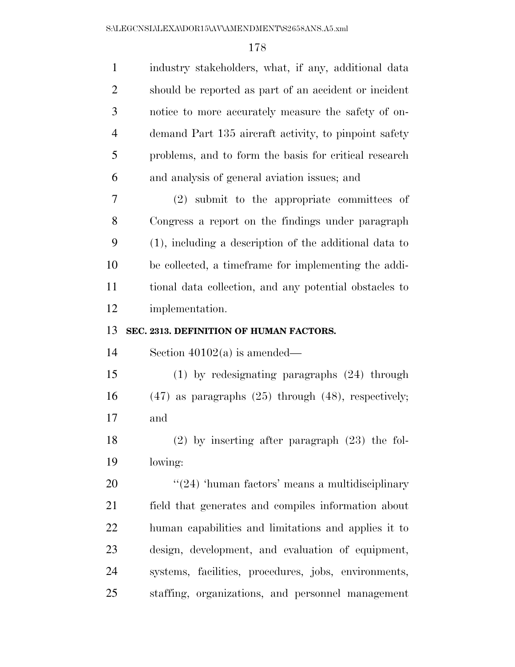| $\mathbf{1}$   | industry stakeholders, what, if any, additional data       |
|----------------|------------------------------------------------------------|
| 2              | should be reported as part of an accident or incident      |
| 3              | notice to more accurately measure the safety of on-        |
| $\overline{4}$ | demand Part 135 aircraft activity, to pinpoint safety      |
| 5              | problems, and to form the basis for critical research      |
| 6              | and analysis of general aviation issues; and               |
| 7              | (2) submit to the appropriate committees of                |
| 8              | Congress a report on the findings under paragraph          |
| 9              | (1), including a description of the additional data to     |
| 10             | be collected, a timeframe for implementing the addi-       |
| 11             | tional data collection, and any potential obstacles to     |
| 12             | implementation.                                            |
| 13             | SEC. 2313. DEFINITION OF HUMAN FACTORS.                    |
| 14             | Section $40102(a)$ is amended—                             |
| 15             | $(1)$ by redesignating paragraphs $(24)$ through           |
| 16             | $(47)$ as paragraphs $(25)$ through $(48)$ , respectively; |
| 17             | and                                                        |
| 18             | $(2)$ by inserting after paragraph $(23)$ the fol-         |
| 19             |                                                            |
|                | lowing:                                                    |
| 20             | $\cdot\cdot(24)$ 'human factors' means a multidisciplinary |
| 21             | field that generates and compiles information about        |
| 22             | human capabilities and limitations and applies it to       |
| 23             | design, development, and evaluation of equipment,          |
| 24             | systems, facilities, procedures, jobs, environments,       |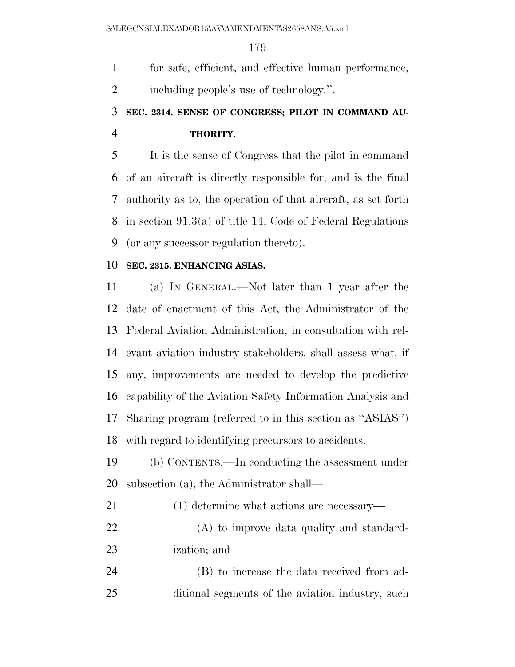for safe, efficient, and effective human performance,

including people's use of technology.''.

# **SEC. 2314. SENSE OF CONGRESS; PILOT IN COMMAND AU-THORITY.**

 It is the sense of Congress that the pilot in command of an aircraft is directly responsible for, and is the final authority as to, the operation of that aircraft, as set forth in section 91.3(a) of title 14, Code of Federal Regulations (or any successor regulation thereto).

### **SEC. 2315. ENHANCING ASIAS.**

 (a) IN GENERAL.—Not later than 1 year after the date of enactment of this Act, the Administrator of the Federal Aviation Administration, in consultation with rel- evant aviation industry stakeholders, shall assess what, if any, improvements are needed to develop the predictive capability of the Aviation Safety Information Analysis and Sharing program (referred to in this section as ''ASIAS'') with regard to identifying precursors to accidents.

 (b) CONTENTS.—In conducting the assessment under subsection (a), the Administrator shall—

(1) determine what actions are necessary—

 (A) to improve data quality and standard-ization; and

 (B) to increase the data received from ad-ditional segments of the aviation industry, such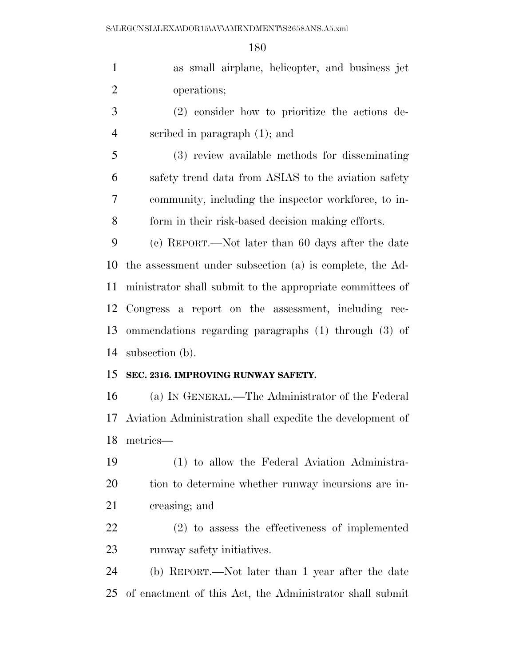| $\mathbf{1}$   | as small airplane, helicopter, and business jet           |
|----------------|-----------------------------------------------------------|
| $\overline{2}$ | operations;                                               |
| 3              | (2) consider how to prioritize the actions de-            |
| $\overline{4}$ | scribed in paragraph $(1)$ ; and                          |
| 5              | (3) review available methods for disseminating            |
| 6              | safety trend data from ASIAS to the aviation safety       |
| 7              | community, including the inspector workforce, to in-      |
| 8              | form in their risk-based decision making efforts.         |
| 9              | (c) REPORT.—Not later than 60 days after the date         |
| 10             | the assessment under subsection (a) is complete, the Ad-  |
| 11             | ministrator shall submit to the appropriate committees of |
| 12             | Congress a report on the assessment, including rec-       |
| 13             | ommendations regarding paragraphs (1) through (3) of      |
| 14             | subsection (b).                                           |
| 15             | SEC. 2316. IMPROVING RUNWAY SAFETY.                       |
| 16             | (a) IN GENERAL.—The Administrator of the Federal          |
| 17             | Aviation Administration shall expedite the development of |
| 18             | metrics-                                                  |
| 19             | (1) to allow the Federal Aviation Administra-             |
| 20             | tion to determine whether runway incursions are in-       |
| 21             | creasing; and                                             |
| 22             | $(2)$ to assess the effectiveness of implemented          |
| 23             | runway safety initiatives.                                |
| 24             | (b) REPORT.—Not later than 1 year after the date          |
|                |                                                           |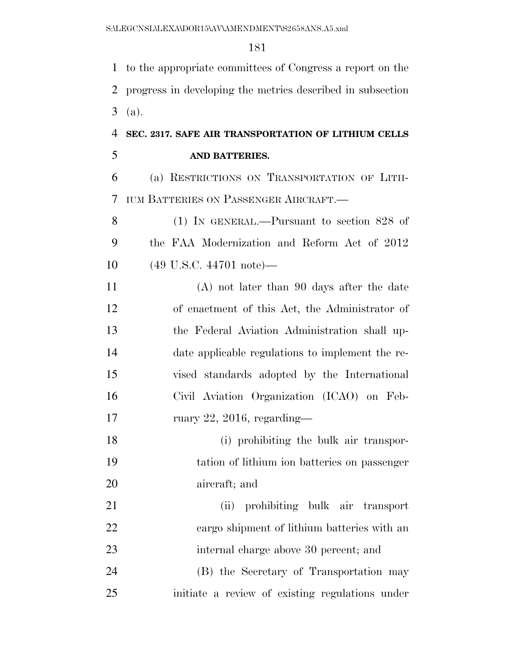to the appropriate committees of Congress a report on the progress in developing the metrics described in subsection (a).

## **SEC. 2317. SAFE AIR TRANSPORTATION OF LITHIUM CELLS AND BATTERIES.**

 (a) RESTRICTIONS ON TRANSPORTATION OF LITH-IUM BATTERIES ON PASSENGER AIRCRAFT.—

 (1) IN GENERAL.—Pursuant to section 828 of the FAA Modernization and Reform Act of 2012 (49 U.S.C. 44701 note)—

 (A) not later than 90 days after the date of enactment of this Act, the Administrator of the Federal Aviation Administration shall up- date applicable regulations to implement the re- vised standards adopted by the International Civil Aviation Organization (ICAO) on Feb-17 ruary 22, 2016, regarding—

 (i) prohibiting the bulk air transpor- tation of lithium ion batteries on passenger aircraft; and

 (ii) prohibiting bulk air transport cargo shipment of lithium batteries with an internal charge above 30 percent; and (B) the Secretary of Transportation may initiate a review of existing regulations under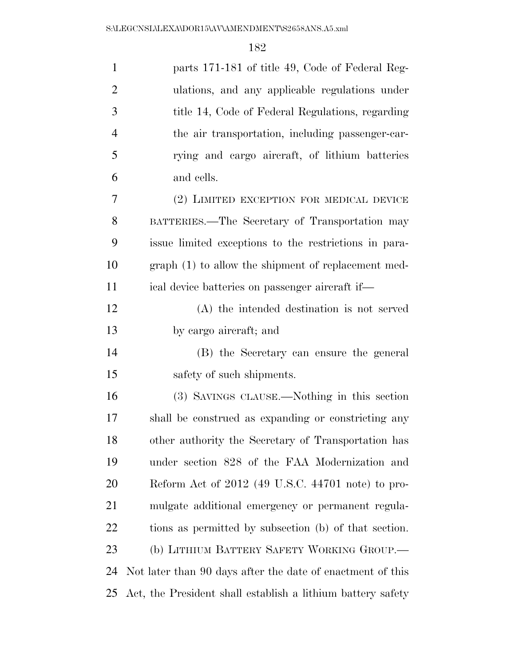| $\mathbf{1}$   | parts 171-181 of title 49, Code of Federal Reg-             |
|----------------|-------------------------------------------------------------|
| $\overline{2}$ | ulations, and any applicable regulations under              |
| 3              | title 14, Code of Federal Regulations, regarding            |
| $\overline{4}$ | the air transportation, including passenger-car-            |
| 5              | rying and cargo aircraft, of lithium batteries              |
| 6              | and cells.                                                  |
| 7              | (2) LIMITED EXCEPTION FOR MEDICAL DEVICE                    |
| 8              | BATTERIES.—The Secretary of Transportation may              |
| 9              | issue limited exceptions to the restrictions in para-       |
| 10             | $graph(1)$ to allow the shipment of replacement med-        |
| 11             | ical device batteries on passenger aircraft if—             |
| 12             | (A) the intended destination is not served                  |
| 13             | by cargo aircraft; and                                      |
| 14             | (B) the Secretary can ensure the general                    |
| 15             | safety of such shipments.                                   |
| 16             | (3) SAVINGS CLAUSE.—Nothing in this section                 |
| 17             | shall be construed as expanding or constricting any         |
| 18             | other authority the Secretary of Transportation has         |
| 19             | under section 828 of the FAA Modernization and              |
| 20             | Reform Act of 2012 (49 U.S.C. 44701 note) to pro-           |
| 21             | mulgate additional emergency or permanent regula-           |
| 22             | tions as permitted by subsection (b) of that section.       |
| 23             | (b) LITHIUM BATTERY SAFETY WORKING GROUP.                   |
| 24             | Not later than 90 days after the date of enactment of this  |
| 25             | Act, the President shall establish a lithium battery safety |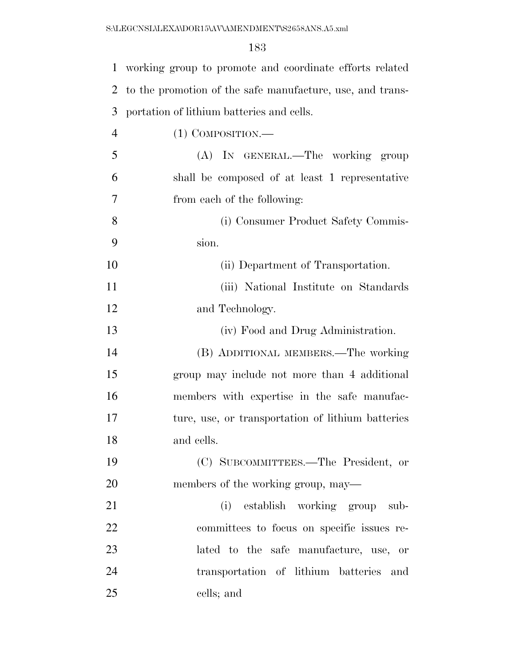| $\mathbf{1}$   | working group to promote and coordinate efforts related   |
|----------------|-----------------------------------------------------------|
| 2              | to the promotion of the safe manufacture, use, and trans- |
| 3              | portation of lithium batteries and cells.                 |
| $\overline{4}$ | $(1)$ COMPOSITION.—                                       |
| 5              | (A) IN GENERAL.—The working group                         |
| 6              | shall be composed of at least 1 representative            |
| 7              | from each of the following:                               |
| 8              | (i) Consumer Product Safety Commis-                       |
| 9              | sion.                                                     |
| 10             | (ii) Department of Transportation.                        |
| 11             | (iii) National Institute on Standards                     |
| 12             | and Technology.                                           |
| 13             | (iv) Food and Drug Administration.                        |
| 14             | (B) ADDITIONAL MEMBERS.—The working                       |
| 15             | group may include not more than 4 additional              |
| 16             | members with expertise in the safe manufac-               |
| 17             | ture, use, or transportation of lithium batteries         |
| 18             | and cells.                                                |
| 19             | (C) SUBCOMMITTEES.—The President, or                      |
| 20             | members of the working group, may—                        |
| 21             | (i) establish working group sub-                          |
| 22             | committees to focus on specific issues re-                |
| 23             | lated to the safe manufacture, use, or                    |
| 24             | transportation of lithium batteries<br>and                |
| 25             | cells; and                                                |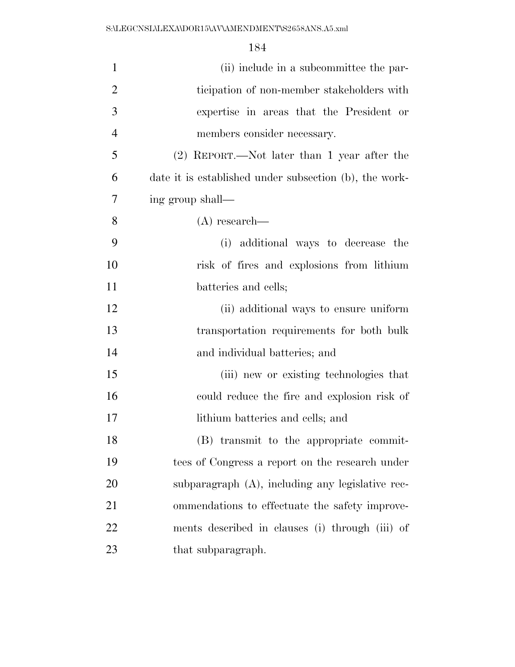| $\mathbf{1}$   | (ii) include in a subcommittee the par-                |
|----------------|--------------------------------------------------------|
| $\overline{2}$ | ticipation of non-member stakeholders with             |
| 3              | expertise in areas that the President or               |
| $\overline{4}$ | members consider necessary.                            |
| 5              | $(2)$ REPORT.—Not later than 1 year after the          |
| 6              | date it is established under subsection (b), the work- |
| 7              | ing group shall—                                       |
| 8              | $(A)$ research—                                        |
| 9              | (i) additional ways to decrease the                    |
| 10             | risk of fires and explosions from lithium              |
| 11             | batteries and cells;                                   |
| 12             | (ii) additional ways to ensure uniform                 |
| 13             | transportation requirements for both bulk              |
| 14             | and individual batteries; and                          |
| 15             | (iii) new or existing technologies that                |
| 16             | could reduce the fire and explosion risk of            |
| 17             | lithium batteries and cells; and                       |
| 18             | (B) transmit to the appropriate commit-                |
| 19             | tees of Congress a report on the research under        |
| 20             | subparagraph (A), including any legislative rec-       |
| 21             | ommendations to effectuate the safety improve-         |
| 22             | ments described in clauses (i) through (iii) of        |
| 23             | that subparagraph.                                     |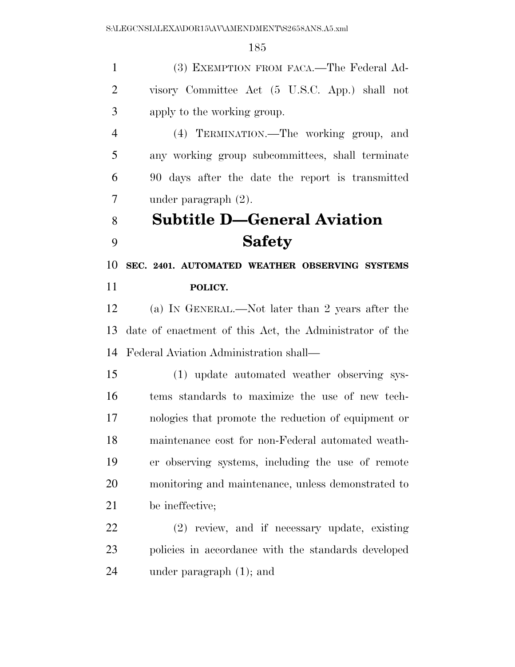(3) EXEMPTION FROM FACA.—The Federal Ad- visory Committee Act (5 U.S.C. App.) shall not apply to the working group.

 (4) TERMINATION.—The working group, and any working group subcommittees, shall terminate 90 days after the date the report is transmitted under paragraph (2).

## **Subtitle D—General Aviation Safety**

 **SEC. 2401. AUTOMATED WEATHER OBSERVING SYSTEMS POLICY.** 

 (a) IN GENERAL.—Not later than 2 years after the date of enactment of this Act, the Administrator of the Federal Aviation Administration shall—

 (1) update automated weather observing sys- tems standards to maximize the use of new tech- nologies that promote the reduction of equipment or maintenance cost for non-Federal automated weath- er observing systems, including the use of remote monitoring and maintenance, unless demonstrated to be ineffective;

 (2) review, and if necessary update, existing policies in accordance with the standards developed under paragraph (1); and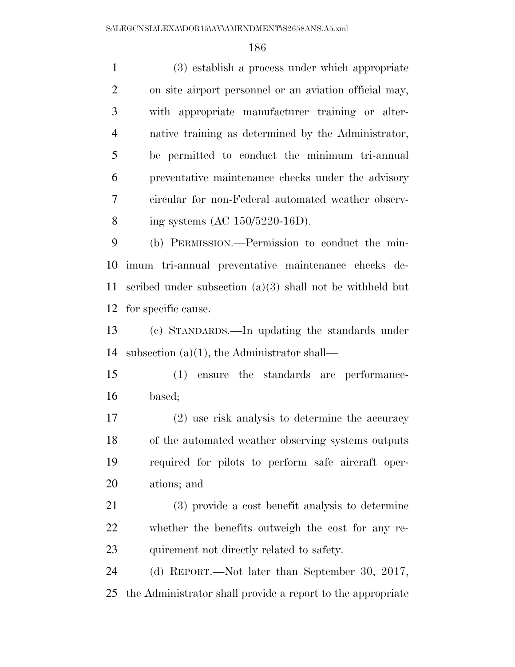(3) establish a process under which appropriate on site airport personnel or an aviation official may, with appropriate manufacturer training or alter- native training as determined by the Administrator, be permitted to conduct the minimum tri-annual preventative maintenance checks under the advisory circular for non-Federal automated weather observ- ing systems (AC 150/5220-16D). (b) PERMISSION.—Permission to conduct the min- imum tri-annual preventative maintenance checks de- scribed under subsection (a)(3) shall not be withheld but for specific cause. (c) STANDARDS.—In updating the standards under subsection (a)(1), the Administrator shall— (1) ensure the standards are performance- based; (2) use risk analysis to determine the accuracy of the automated weather observing systems outputs required for pilots to perform safe aircraft oper- ations; and (3) provide a cost benefit analysis to determine whether the benefits outweigh the cost for any re-23 quirement not directly related to safety.

 (d) REPORT.—Not later than September 30, 2017, the Administrator shall provide a report to the appropriate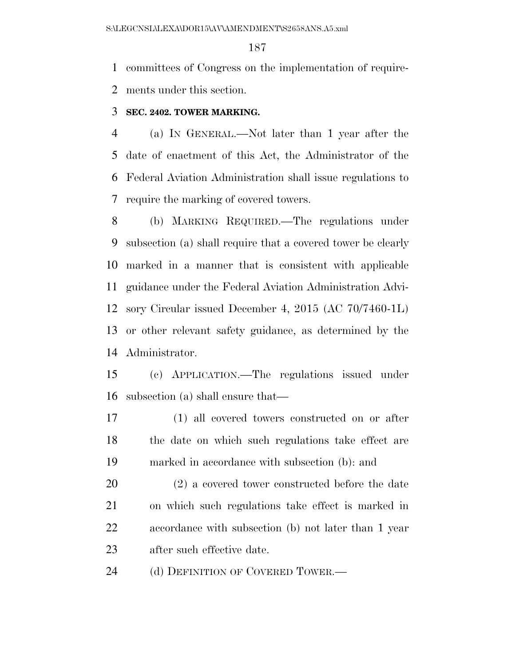committees of Congress on the implementation of require-ments under this section.

#### **SEC. 2402. TOWER MARKING.**

 (a) IN GENERAL.—Not later than 1 year after the date of enactment of this Act, the Administrator of the Federal Aviation Administration shall issue regulations to require the marking of covered towers.

 (b) MARKING REQUIRED.—The regulations under subsection (a) shall require that a covered tower be clearly marked in a manner that is consistent with applicable guidance under the Federal Aviation Administration Advi- sory Circular issued December 4, 2015 (AC 70/7460-1L) or other relevant safety guidance, as determined by the Administrator.

 (c) APPLICATION.—The regulations issued under subsection (a) shall ensure that—

 (1) all covered towers constructed on or after the date on which such regulations take effect are marked in accordance with subsection (b): and

 (2) a covered tower constructed before the date on which such regulations take effect is marked in accordance with subsection (b) not later than 1 year after such effective date.

24 (d) DEFINITION OF COVERED TOWER.—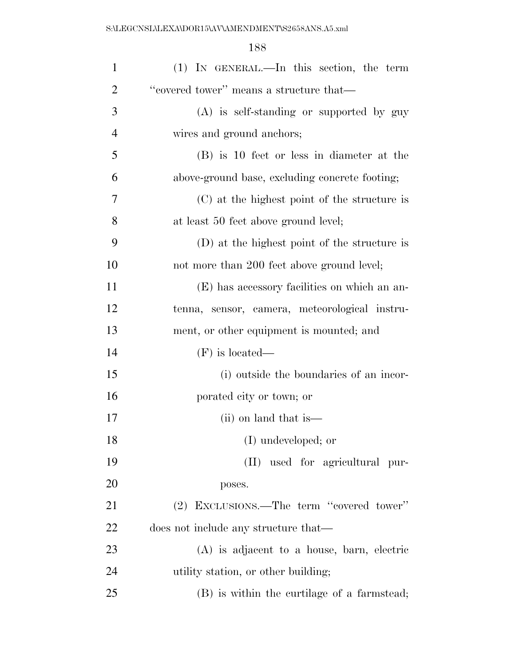S:\LEGCNSL\LEXA\DOR15\AV\AMENDMENT\S2658ANS.A5.xml

| $\mathbf{1}$   | (1) IN GENERAL.—In this section, the term      |
|----------------|------------------------------------------------|
| $\overline{2}$ | "covered tower" means a structure that—        |
| 3              | (A) is self-standing or supported by guy       |
| $\overline{4}$ | wires and ground anchors;                      |
| 5              | (B) is 10 feet or less in diameter at the      |
| 6              | above-ground base, excluding concrete footing; |
| 7              | (C) at the highest point of the structure is   |
| 8              | at least 50 feet above ground level;           |
| 9              | (D) at the highest point of the structure is   |
| 10             | not more than 200 feet above ground level;     |
| 11             | (E) has accessory facilities on which an an-   |
| 12             | tenna, sensor, camera, meteorological instru-  |
| 13             | ment, or other equipment is mounted; and       |
| 14             | $(F)$ is located—                              |
| 15             | (i) outside the boundaries of an incor-        |
| 16             | porated city or town; or                       |
| 17             | (ii) on land that is                           |
| 18             | (I) undeveloped; or                            |
| 19             | (II) used for agricultural pur-                |
| 20             | poses.                                         |
| 21             | (2) EXCLUSIONS.—The term "covered tower"       |
| 22             | does not include any structure that—           |
| 23             | $(A)$ is adjacent to a house, barn, electric   |
| 24             | utility station, or other building;            |
| 25             | (B) is within the curtilage of a farmstead;    |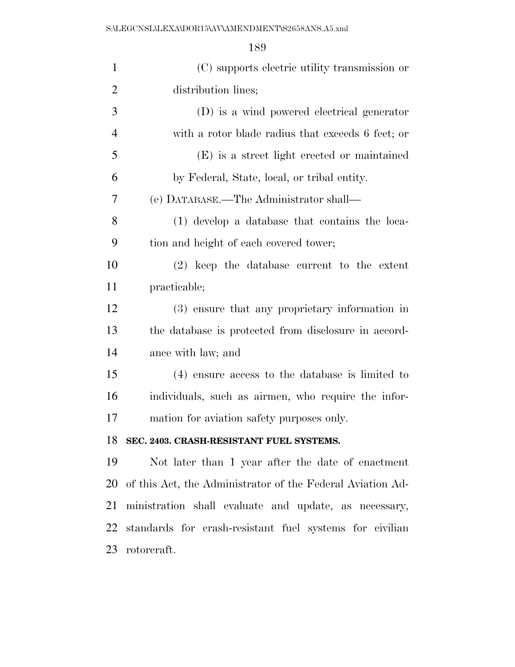| $\mathbf{1}$   | (C) supports electric utility transmission or              |
|----------------|------------------------------------------------------------|
| $\overline{2}$ | distribution lines;                                        |
| 3              | (D) is a wind powered electrical generator                 |
| $\overline{4}$ | with a rotor blade radius that exceeds 6 feet; or          |
| 5              | (E) is a street light erected or maintained                |
| 6              | by Federal, State, local, or tribal entity.                |
| 7              | (e) DATABASE.—The Administrator shall—                     |
| 8              | (1) develop a database that contains the loca-             |
| 9              | tion and height of each covered tower;                     |
| 10             | $(2)$ keep the database current to the extent              |
| 11             | practicable;                                               |
| 12             | (3) ensure that any proprietary information in             |
| 13             | the database is protected from disclosure in accord-       |
| 14             | ance with law; and                                         |
| 15             | $(4)$ ensure access to the database is limited to          |
| 16             | individuals, such as airmen, who require the infor-        |
| 17             | mation for aviation safety purposes only.                  |
| 18             | SEC. 2403. CRASH-RESISTANT FUEL SYSTEMS.                   |
| 19             | Not later than 1 year after the date of enactment          |
| 20             | of this Act, the Administrator of the Federal Aviation Ad- |
| 21             | ministration shall evaluate and update, as necessary,      |
| 22             | standards for crash-resistant fuel systems for civilian    |
| 23             | rotorcraft.                                                |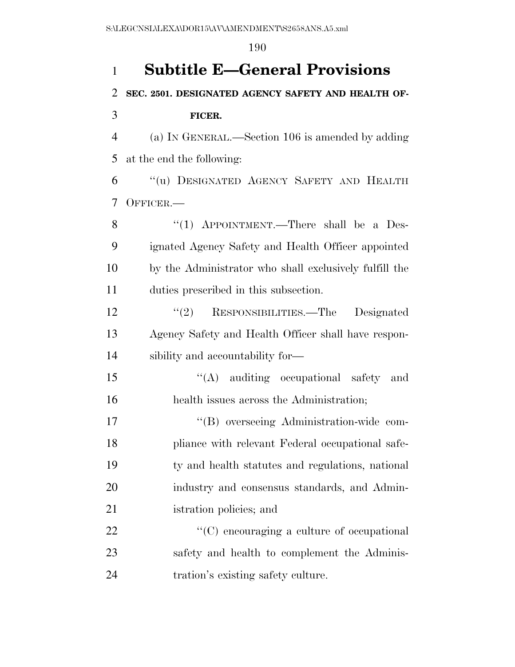# **Subtitle E—General Provisions SEC. 2501. DESIGNATED AGENCY SAFETY AND HEALTH OF- FICER.**  (a) IN GENERAL.—Section 106 is amended by adding at the end the following: ''(u) DESIGNATED AGENCY SAFETY AND HEALTH OFFICER.— 8 "(1) APPOINTMENT.—There shall be a Des- ignated Agency Safety and Health Officer appointed by the Administrator who shall exclusively fulfill the duties prescribed in this subsection. ''(2) RESPONSIBILITIES.—The Designated Agency Safety and Health Officer shall have respon- sibility and accountability for— ''(A) auditing occupational safety and health issues across the Administration; ''(B) overseeing Administration-wide com- pliance with relevant Federal occupational safe- ty and health statutes and regulations, national industry and consensus standards, and Admin- istration policies; and 22  $\cdot$  (C) encouraging a culture of occupational 23 safety and health to complement the Adminis-tration's existing safety culture.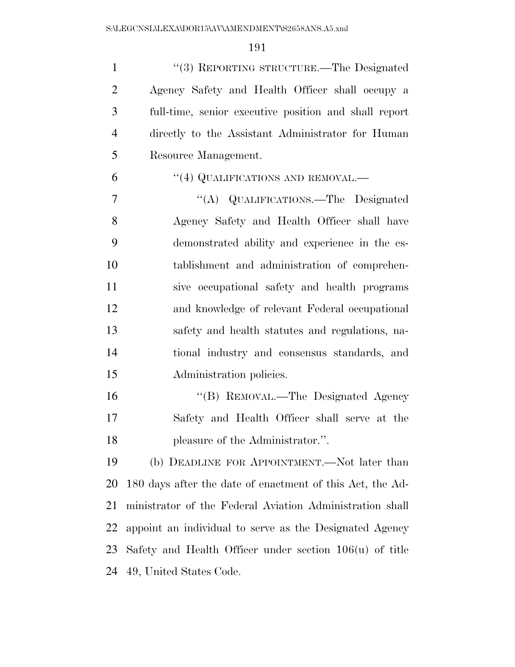1 "(3) REPORTING STRUCTURE.—The Designated Agency Safety and Health Officer shall occupy a full-time, senior executive position and shall report directly to the Assistant Administrator for Human Resource Management.

#### 6 "(4) QUALIFICATIONS AND REMOVAL.—

 ''(A) QUALIFICATIONS.—The Designated Agency Safety and Health Officer shall have demonstrated ability and experience in the es- tablishment and administration of comprehen- sive occupational safety and health programs and knowledge of relevant Federal occupational safety and health statutes and regulations, na- tional industry and consensus standards, and Administration policies.

16 "(B) REMOVAL.—The Designated Agency Safety and Health Officer shall serve at the 18 pleasure of the Administrator.".

 (b) DEADLINE FOR APPOINTMENT.—Not later than 180 days after the date of enactment of this Act, the Ad- ministrator of the Federal Aviation Administration shall appoint an individual to serve as the Designated Agency Safety and Health Officer under section 106(u) of title 49, United States Code.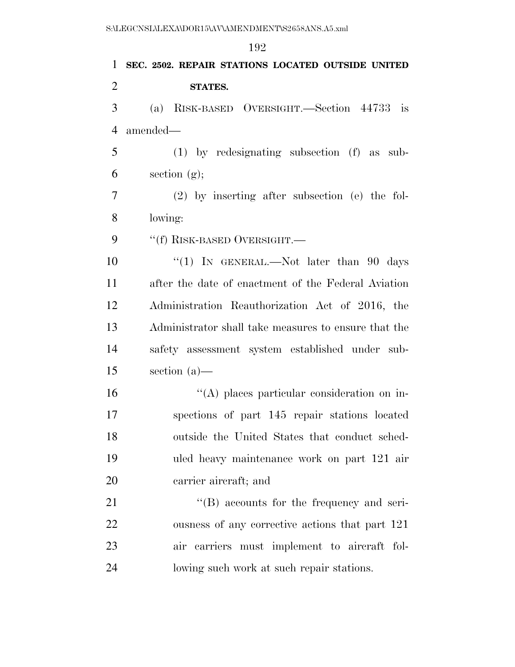# **SEC. 2502. REPAIR STATIONS LOCATED OUTSIDE UNITED STATES.**  (a) RISK-BASED OVERSIGHT.—Section 44733 is amended— (1) by redesignating subsection (f) as sub- $\epsilon$  section  $(g)$ ; (2) by inserting after subsection (e) the fol- lowing: 9 "(f) RISK-BASED OVERSIGHT.— 10 ''(1) In GENERAL.—Not later than 90 days after the date of enactment of the Federal Aviation Administration Reauthorization Act of 2016, the Administrator shall take measures to ensure that the safety assessment system established under sub- section (a)— ''(A) places particular consideration on in-spections of part 145 repair stations located

 outside the United States that conduct sched- uled heavy maintenance work on part 121 air carrier aircraft; and

21 ''(B) accounts for the frequency and seri- ousness of any corrective actions that part 121 air carriers must implement to aircraft fol-lowing such work at such repair stations.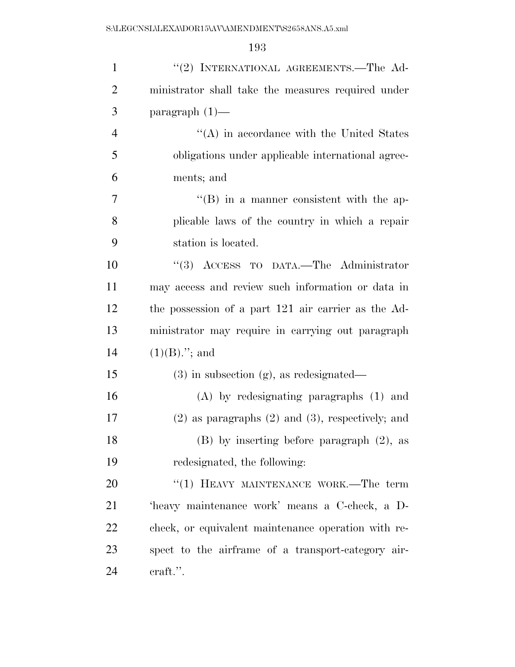| $\mathbf{1}$   | "(2) INTERNATIONAL AGREEMENTS.—The Ad-                  |
|----------------|---------------------------------------------------------|
| $\overline{2}$ | ministrator shall take the measures required under      |
| 3              | paragraph $(1)$ —                                       |
| $\overline{4}$ | $\lq\lq$ in accordance with the United States           |
| 5              | obligations under applicable international agree-       |
| 6              | ments; and                                              |
| 7              | $\lq\lq (B)$ in a manner consistent with the ap-        |
| 8              | plicable laws of the country in which a repair          |
| 9              | station is located.                                     |
| 10             | "(3) ACCESS TO DATA.—The Administrator                  |
| 11             | may access and review such information or data in       |
| 12             | the possession of a part 121 air carrier as the Ad-     |
| 13             | ministrator may require in carrying out paragraph       |
| 14             | $(1)(B)$ ."; and                                        |
| 15             | $(3)$ in subsection $(g)$ , as redesignated—            |
| 16             | $(A)$ by redesignating paragraphs $(1)$ and             |
| 17             | $(2)$ as paragraphs $(2)$ and $(3)$ , respectively; and |
| 18             | $(B)$ by inserting before paragraph $(2)$ , as          |
| 19             | redesignated, the following:                            |
| 20             | "(1) HEAVY MAINTENANCE WORK.—The term                   |
| 21             | 'heavy maintenance work' means a C-check, a D-          |
| 22             | check, or equivalent maintenance operation with re-     |
| 23             | spect to the airframe of a transport-category air-      |
| 24             | craft.".                                                |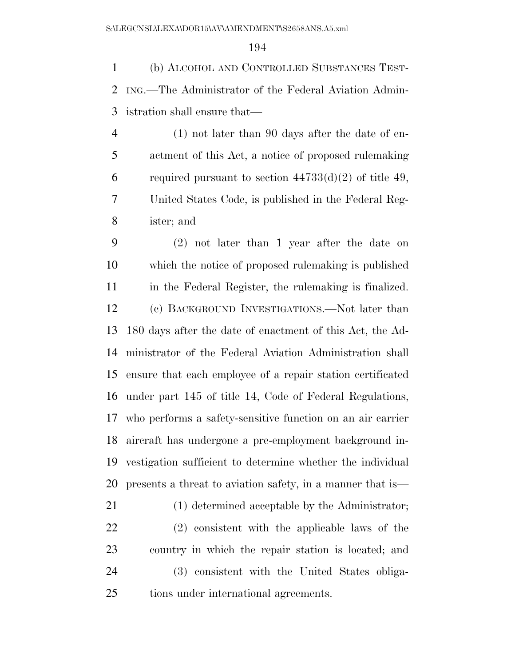(b) ALCOHOL AND CONTROLLED SUBSTANCES TEST- ING.—The Administrator of the Federal Aviation Admin-istration shall ensure that—

 (1) not later than 90 days after the date of en- actment of this Act, a notice of proposed rulemaking 6 required pursuant to section  $44733(d)(2)$  of title 49, United States Code, is published in the Federal Reg-ister; and

 (2) not later than 1 year after the date on which the notice of proposed rulemaking is published in the Federal Register, the rulemaking is finalized. (c) BACKGROUND INVESTIGATIONS.—Not later than 180 days after the date of enactment of this Act, the Ad- ministrator of the Federal Aviation Administration shall ensure that each employee of a repair station certificated under part 145 of title 14, Code of Federal Regulations, who performs a safety-sensitive function on an air carrier aircraft has undergone a pre-employment background in- vestigation sufficient to determine whether the individual presents a threat to aviation safety, in a manner that is—

 (1) determined acceptable by the Administrator; (2) consistent with the applicable laws of the country in which the repair station is located; and (3) consistent with the United States obliga-tions under international agreements.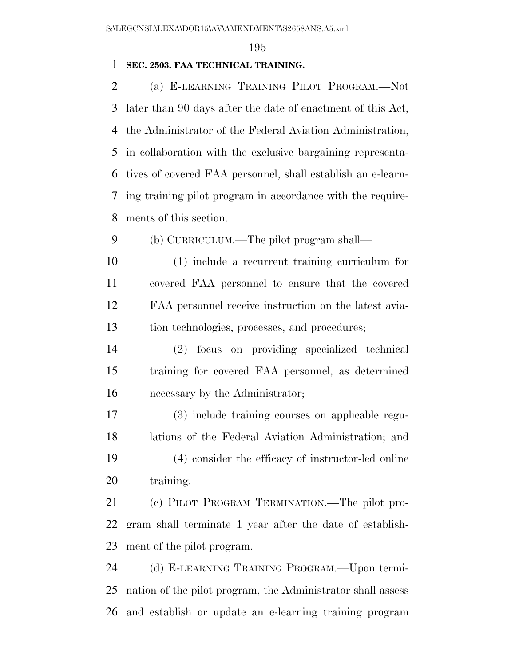#### **SEC. 2503. FAA TECHNICAL TRAINING.**

 (a) E-LEARNING TRAINING PILOT PROGRAM.—Not later than 90 days after the date of enactment of this Act, the Administrator of the Federal Aviation Administration, in collaboration with the exclusive bargaining representa- tives of covered FAA personnel, shall establish an e-learn- ing training pilot program in accordance with the require-ments of this section.

(b) CURRICULUM.—The pilot program shall—

 (1) include a recurrent training curriculum for covered FAA personnel to ensure that the covered FAA personnel receive instruction on the latest avia-tion technologies, processes, and procedures;

 (2) focus on providing specialized technical training for covered FAA personnel, as determined necessary by the Administrator;

 (3) include training courses on applicable regu- lations of the Federal Aviation Administration; and (4) consider the efficacy of instructor-led online 20 training.

 (c) PILOT PROGRAM TERMINATION.—The pilot pro- gram shall terminate 1 year after the date of establish-ment of the pilot program.

 (d) E-LEARNING TRAINING PROGRAM.—Upon termi- nation of the pilot program, the Administrator shall assess and establish or update an e-learning training program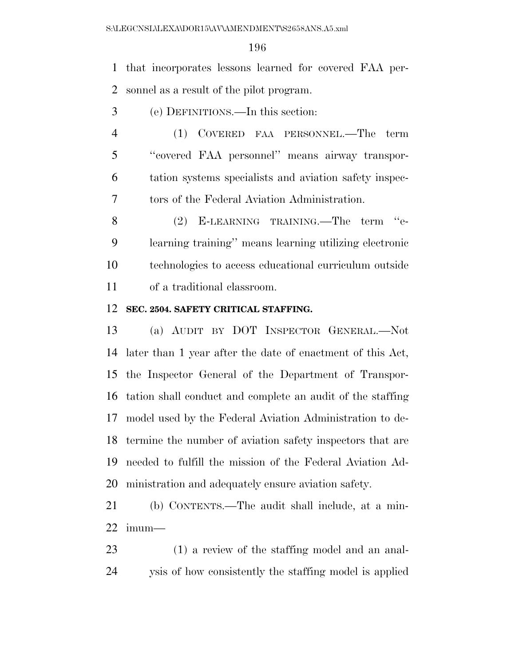that incorporates lessons learned for covered FAA per-sonnel as a result of the pilot program.

- (e) DEFINITIONS.—In this section:
- (1) COVERED FAA PERSONNEL.—The term ''covered FAA personnel'' means airway transpor- tation systems specialists and aviation safety inspec-tors of the Federal Aviation Administration.

 (2) E-LEARNING TRAINING.—The term ''e- learning training'' means learning utilizing electronic technologies to access educational curriculum outside of a traditional classroom.

#### **SEC. 2504. SAFETY CRITICAL STAFFING.**

 (a) AUDIT BY DOT INSPECTOR GENERAL.—Not later than 1 year after the date of enactment of this Act, the Inspector General of the Department of Transpor- tation shall conduct and complete an audit of the staffing model used by the Federal Aviation Administration to de- termine the number of aviation safety inspectors that are needed to fulfill the mission of the Federal Aviation Ad-ministration and adequately ensure aviation safety.

 (b) CONTENTS.—The audit shall include, at a min-imum—

 (1) a review of the staffing model and an anal-ysis of how consistently the staffing model is applied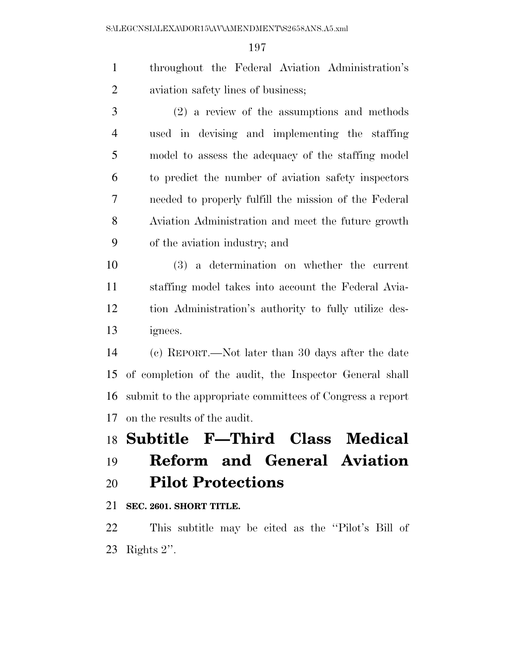throughout the Federal Aviation Administration's aviation safety lines of business;

 (2) a review of the assumptions and methods used in devising and implementing the staffing model to assess the adequacy of the staffing model to predict the number of aviation safety inspectors needed to properly fulfill the mission of the Federal Aviation Administration and meet the future growth of the aviation industry; and

 (3) a determination on whether the current staffing model takes into account the Federal Avia- tion Administration's authority to fully utilize des-ignees.

 (c) REPORT.—Not later than 30 days after the date of completion of the audit, the Inspector General shall submit to the appropriate committees of Congress a report on the results of the audit.

## **Subtitle F—Third Class Medical Reform and General Aviation**

## **Pilot Protections**

**SEC. 2601. SHORT TITLE.** 

 This subtitle may be cited as the ''Pilot's Bill of Rights 2''.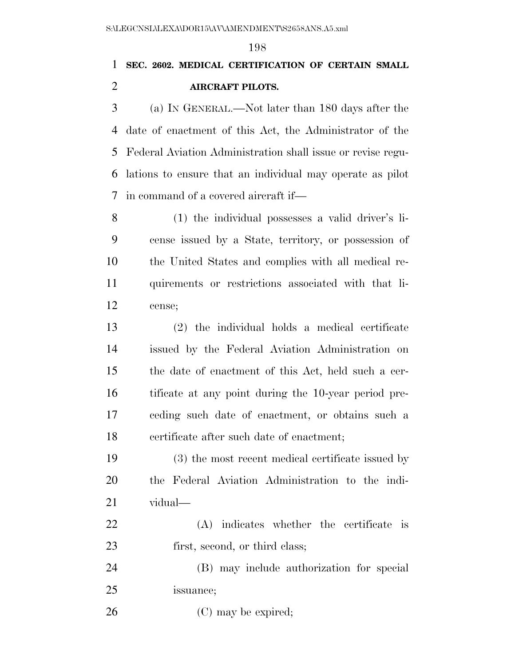## **SEC. 2602. MEDICAL CERTIFICATION OF CERTAIN SMALL AIRCRAFT PILOTS.**

 (a) IN GENERAL.—Not later than 180 days after the date of enactment of this Act, the Administrator of the Federal Aviation Administration shall issue or revise regu- lations to ensure that an individual may operate as pilot in command of a covered aircraft if—

 (1) the individual possesses a valid driver's li- cense issued by a State, territory, or possession of the United States and complies with all medical re- quirements or restrictions associated with that li-cense;

 (2) the individual holds a medical certificate issued by the Federal Aviation Administration on the date of enactment of this Act, held such a cer- tificate at any point during the 10-year period pre- ceding such date of enactment, or obtains such a certificate after such date of enactment;

 (3) the most recent medical certificate issued by the Federal Aviation Administration to the indi-vidual—

 (A) indicates whether the certificate is 23 first, second, or third class;

 (B) may include authorization for special issuance;

26 (C) may be expired;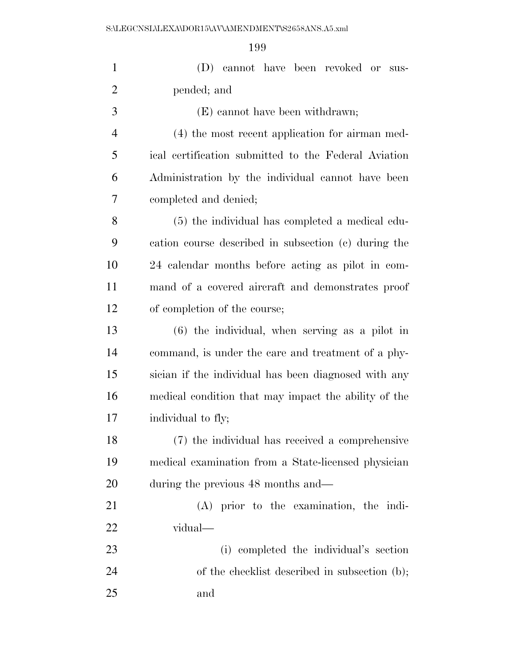| $\mathbf{1}$   | (D) cannot have been revoked or sus-                 |
|----------------|------------------------------------------------------|
| $\overline{2}$ | pended; and                                          |
| 3              | (E) cannot have been withdrawn;                      |
| $\overline{4}$ | (4) the most recent application for airman med-      |
| 5              | ical certification submitted to the Federal Aviation |
| 6              | Administration by the individual cannot have been    |
| 7              | completed and denied;                                |
| 8              | (5) the individual has completed a medical edu-      |
| 9              | cation course described in subsection (c) during the |
| 10             | 24 calendar months before acting as pilot in com-    |
| 11             | mand of a covered aircraft and demonstrates proof    |
| 12             | of completion of the course;                         |
| 13             | $(6)$ the individual, when serving as a pilot in     |
| 14             | command, is under the care and treatment of a phy-   |
| 15             | sician if the individual has been diagnosed with any |
| 16             | medical condition that may impact the ability of the |
| 17             | individual to fly;                                   |
| 18             | (7) the individual has received a comprehensive      |
| 19             | medical examination from a State-licensed physician  |
| 20             | during the previous 48 months and—                   |
| 21             | $(A)$ prior to the examination, the indi-            |
| 22             | vidual—                                              |
| 23             | (i) completed the individual's section               |
| 24             | of the checklist described in subsection (b);        |
| 25             | and                                                  |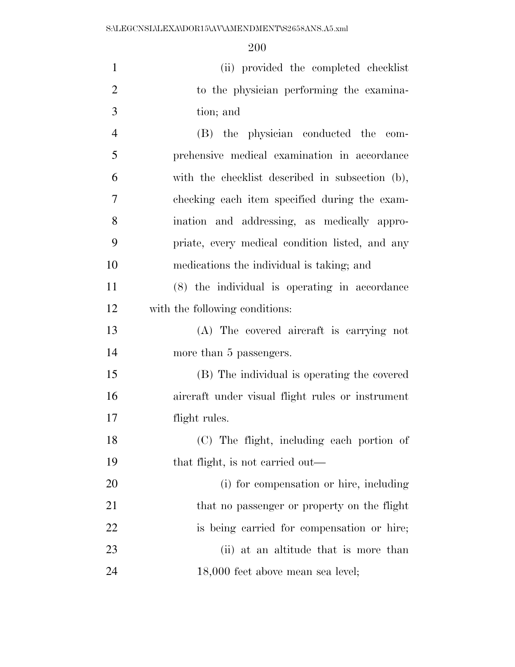| $\mathbf{1}$   | (ii) provided the completed checklist            |
|----------------|--------------------------------------------------|
| $\overline{2}$ | to the physician performing the examina-         |
| 3              | tion; and                                        |
| $\overline{4}$ | (B) the physician conducted the com-             |
| 5              | prehensive medical examination in accordance     |
| 6              | with the checklist described in subsection (b),  |
| 7              | checking each item specified during the exam-    |
| 8              | ination and addressing, as medically appro-      |
| 9              | priate, every medical condition listed, and any  |
| 10             | medications the individual is taking; and        |
| 11             | (8) the individual is operating in accordance    |
| 12             | with the following conditions:                   |
| 13             | (A) The covered aircraft is carrying not         |
| 14             | more than 5 passengers.                          |
| 15             | (B) The individual is operating the covered      |
| 16             | aircraft under visual flight rules or instrument |
| 17             | flight rules.                                    |
| 18             | (C) The flight, including each portion of        |
| 19             | that flight, is not carried out—                 |
| 20             | (i) for compensation or hire, including          |
| 21             | that no passenger or property on the flight      |
| 22             | is being carried for compensation or hire;       |
| 23             | (ii) at an altitude that is more than            |
| 24             | 18,000 feet above mean sea level;                |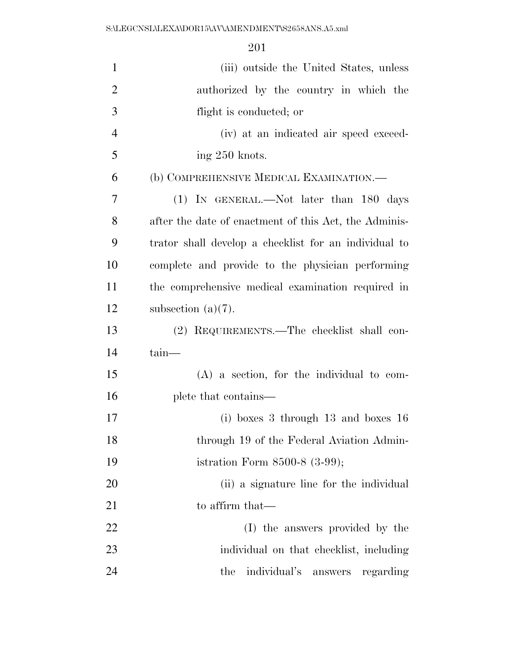| $\mathbf{1}$   | (iii) outside the United States, unless               |
|----------------|-------------------------------------------------------|
| $\overline{2}$ | authorized by the country in which the                |
| 3              | flight is conducted; or                               |
| $\overline{4}$ | (iv) at an indicated air speed exceed-                |
| 5              | ing 250 knots.                                        |
| 6              | (b) COMPREHENSIVE MEDICAL EXAMINATION.—               |
| 7              | (1) IN GENERAL.—Not later than 180 days               |
| 8              | after the date of enactment of this Act, the Adminis- |
| 9              | trator shall develop a checklist for an individual to |
| 10             | complete and provide to the physician performing      |
| 11             | the comprehensive medical examination required in     |
| 12             | subsection $(a)(7)$ .                                 |
| 13             | (2) REQUIREMENTS.—The checklist shall con-            |
| 14             | tain-                                                 |
| 15             | $(A)$ a section, for the individual to com-           |
| 16             | plete that contains—                                  |
| 17             | (i) boxes 3 through $13$ and boxes $16$               |
| 18             | through 19 of the Federal Aviation Admin-             |
| 19             | istration Form $8500-8$ $(3-99)$ ;                    |
| 20             | (ii) a signature line for the individual              |
| 21             | to affirm that—                                       |
| 22             | (I) the answers provided by the                       |
| 23             | individual on that checklist, including               |
| 24             | individual's answers<br>the<br>regarding              |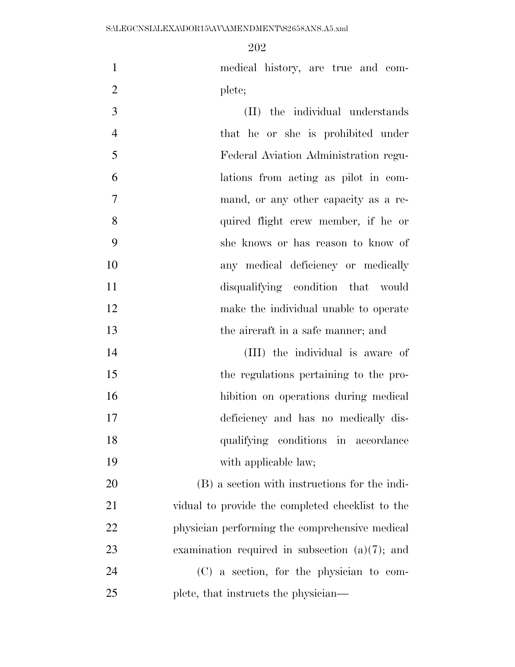medical history, are true and com-2 plete;

 (II) the individual understands that he or she is prohibited under Federal Aviation Administration regu- lations from acting as pilot in com- mand, or any other capacity as a re- quired flight crew member, if he or she knows or has reason to know of any medical deficiency or medically disqualifying condition that would make the individual unable to operate the aircraft in a safe manner; and

 (III) the individual is aware of the regulations pertaining to the pro- hibition on operations during medical deficiency and has no medically dis- qualifying conditions in accordance 19 with applicable law;

 (B) a section with instructions for the indi- vidual to provide the completed checklist to the physician performing the comprehensive medical examination required in subsection (a)(7); and (C) a section, for the physician to com-plete, that instructs the physician—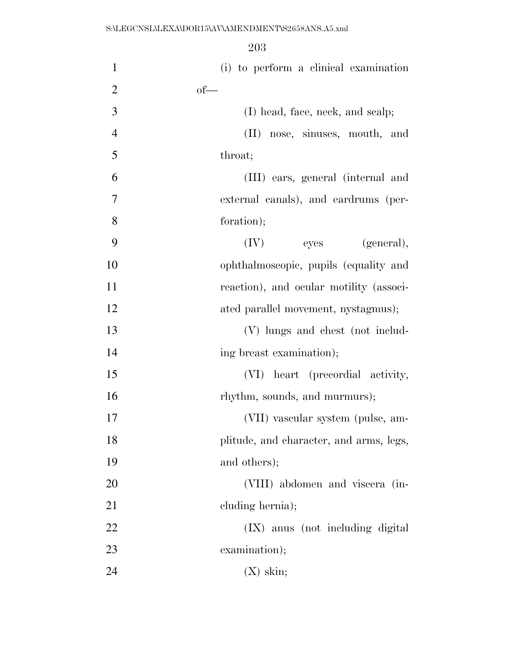| $\mathbf{1}$   | (i) to perform a clinical examination   |
|----------------|-----------------------------------------|
| $\overline{2}$ | $of$ —                                  |
| 3              | (I) head, face, neck, and scalp;        |
| $\overline{4}$ | (II) nose, sinuses, mouth, and          |
| 5              | throat;                                 |
| 6              | (III) ears, general (internal and       |
| $\overline{7}$ | external canals), and eardrums (per-    |
| 8              | foration);                              |
| 9              | (IV)<br>eyes<br>(general),              |
| 10             | ophthalmoscopic, pupils (equality and   |
| 11             | reaction), and ocular motility (associ- |
| 12             | ated parallel movement, nystagmus);     |
| 13             | (V) lungs and chest (not includ-        |
| 14             | ing breast examination);                |
| 15             | (VI) heart (precordial activity,        |
| 16             | rhythm, sounds, and murmurs);           |
| 17             | (VII) vascular system (pulse, am-       |
| 18             | plitude, and character, and arms, legs, |
| 19             | and others);                            |
| 20             | (VIII) abdomen and viscera (in-         |
| 21             | cluding hernia);                        |
| 22             | (IX) anus (not including digital        |
| 23             | examination);                           |
| 24             | $(X)$ skin;                             |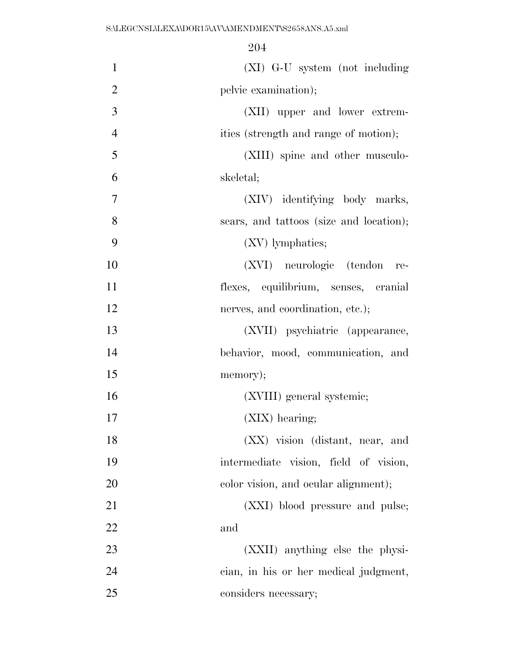| $\mathbf{1}$   | (XI) G-U system (not including          |
|----------------|-----------------------------------------|
| $\overline{2}$ | pelvic examination);                    |
| 3              | (XII) upper and lower extrem-           |
| $\overline{4}$ | ities (strength and range of motion);   |
| 5              | (XIII) spine and other musculo-         |
| 6              | skeletal;                               |
| 7              | (XIV) identifying body marks,           |
| 8              | scars, and tattoos (size and location); |
| 9              | (XV) lymphatics;                        |
| 10             | (XVI) neurologic (tendon<br>re-         |
| 11             | flexes, equilibrium, senses, cranial    |
| 12             | nerves, and coordination, etc.);        |
| 13             | (XVII) psychiatric (appearance,         |
| 14             | behavior, mood, communication, and      |
| 15             | memory);                                |
| 16             | (XVIII) general systemic;               |
| 17             | $(XIX)$ hearing;                        |
| 18             | $(XX)$ vision (distant, near, and       |
| 19             | intermediate vision, field of vision,   |
| 20             | color vision, and ocular alignment);    |
| 21             | (XXI) blood pressure and pulse;         |
| 22             | and                                     |
| 23             | (XXII) anything else the physi-         |
| 24             | cian, in his or her medical judgment,   |
| 25             | considers necessary;                    |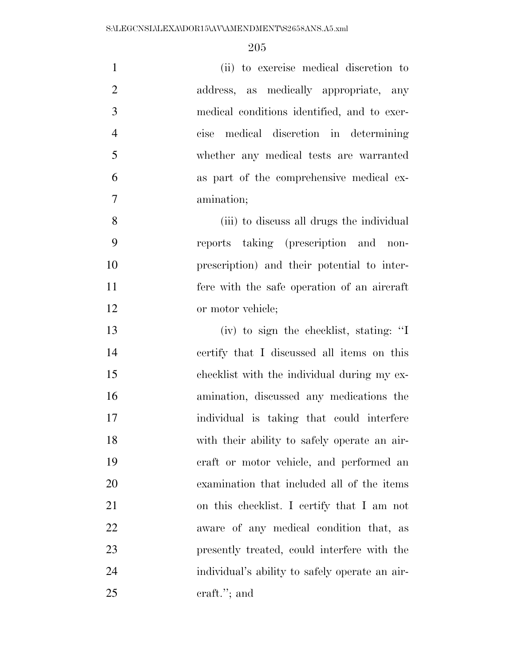| $\mathbf{1}$   | (ii) to exercise medical discretion to         |
|----------------|------------------------------------------------|
| $\overline{2}$ | address, as medically appropriate, any         |
| 3              | medical conditions identified, and to exer-    |
| $\overline{4}$ | cise medical discretion in determining         |
| 5              | whether any medical tests are warranted        |
| 6              | as part of the comprehensive medical ex-       |
| $\tau$         | amination;                                     |
| 8              | (iii) to discuss all drugs the individual      |
| 9              | reports taking (prescription and non-          |
| 10             | prescription) and their potential to inter-    |
| 11             | fere with the safe operation of an aircraft    |
| 12             | or motor vehicle;                              |
| 13             | (iv) to sign the checklist, stating: "I        |
| 14             | certify that I discussed all items on this     |
| 15             | checklist with the individual during my ex-    |
| 16             | amination, discussed any medications the       |
| 17             | individual is taking that could interfere      |
| 18             | with their ability to safely operate an air-   |
| 19             | eraft or motor vehicle, and performed an       |
| 20             | examination that included all of the items     |
| 21             | on this checklist. I certify that I am not     |
| 22             | aware of any medical condition that, as        |
| 23             | presently treated, could interfere with the    |
| 24             | individual's ability to safely operate an air- |
| 25             | $craft.'$ ; and                                |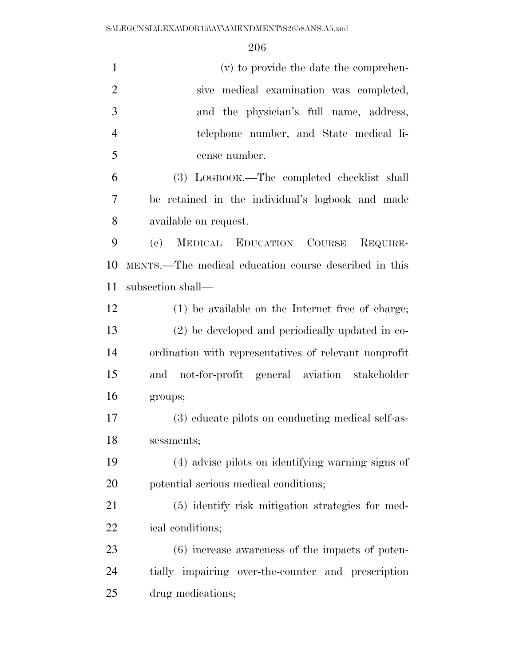| $\mathbf{1}$   | (v) to provide the date the comprehen-                             |
|----------------|--------------------------------------------------------------------|
| $\overline{2}$ | sive medical examination was completed,                            |
| 3              | and the physician's full name, address,                            |
| $\overline{4}$ | telephone number, and State medical li-                            |
| 5              | cense number.                                                      |
| 6              | (3) LOGBOOK.—The completed checklist shall                         |
| 7              | be retained in the individual's logbook and made                   |
| 8              | available on request.                                              |
| 9              | MEDICAL EDUCATION COURSE<br>$\left( \mathrm{e}\right)$<br>REQUIRE- |
| 10             | MENTS.—The medical education course described in this              |
| 11             | subsection shall—                                                  |
| 12             | (1) be available on the Internet free of charge;                   |
| 13             | (2) be developed and periodically updated in co-                   |
| 14             | ordination with representatives of relevant nonprofit              |
| 15             | and not-for-profit general aviation stakeholder                    |
| 16             | groups;                                                            |
| 17             | (3) educate pilots on conducting medical self-as-                  |
| 18             | sessments;                                                         |
| 19             | (4) advise pilots on identifying warning signs of                  |
| 20             | potential serious medical conditions;                              |
| 21             | (5) identify risk mitigation strategies for med-                   |
| 22             | ical conditions;                                                   |
| 23             | $(6)$ increase awareness of the impacts of poten-                  |
| 24             | tially impairing over-the-counter and prescription                 |
| 25             | drug medications;                                                  |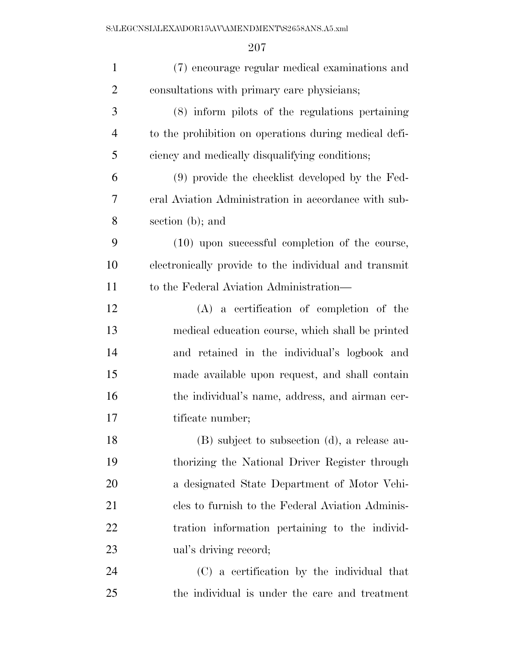| $\mathbf{1}$   | (7) encourage regular medical examinations and        |
|----------------|-------------------------------------------------------|
| $\overline{2}$ | consultations with primary care physicians;           |
| 3              | (8) inform pilots of the regulations pertaining       |
| $\overline{4}$ | to the prohibition on operations during medical defi- |
| 5              | ciency and medically disqualifying conditions;        |
| 6              | (9) provide the checklist developed by the Fed-       |
| 7              | eral Aviation Administration in accordance with sub-  |
| 8              | section (b); and                                      |
| 9              | (10) upon successful completion of the course,        |
| 10             | electronically provide to the individual and transmit |
| 11             | to the Federal Aviation Administration—               |
| 12             | $(A)$ a certification of completion of the            |
| 13             | medical education course, which shall be printed      |
| 14             | and retained in the individual's logbook and          |
| 15             | made available upon request, and shall contain        |
| 16             | the individual's name, address, and airman cer-       |
| 17             | tificate number;                                      |
| 18             | (B) subject to subsection (d), a release au-          |
| 19             | thorizing the National Driver Register through        |
| 20             | a designated State Department of Motor Vehi-          |
| 21             | cles to furnish to the Federal Aviation Adminis-      |
| 22             | tration information pertaining to the individ-        |
| 23             | ual's driving record;                                 |
| 24             | (C) a certification by the individual that            |
| 25             | the individual is under the care and treatment        |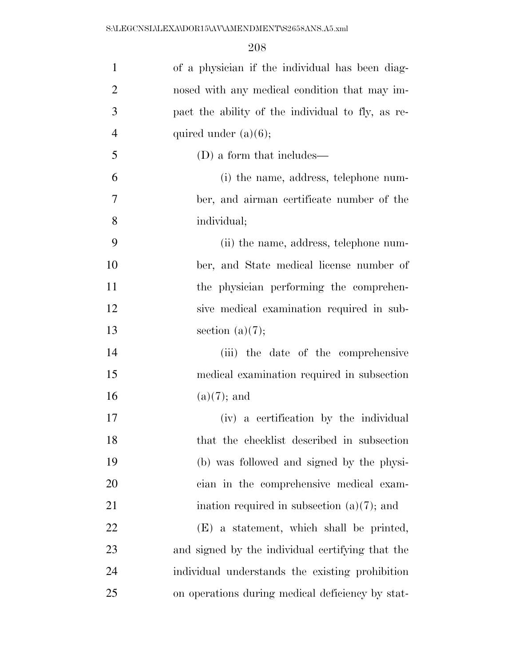| $\mathbf{1}$   | of a physician if the individual has been diag-   |
|----------------|---------------------------------------------------|
| $\overline{2}$ | nosed with any medical condition that may im-     |
| 3              | pact the ability of the individual to fly, as re- |
| $\overline{4}$ | quired under $(a)(6)$ ;                           |
| 5              | (D) a form that includes—                         |
| 6              | (i) the name, address, telephone num-             |
| 7              | ber, and airman certificate number of the         |
| 8              | individual;                                       |
| 9              | (ii) the name, address, telephone num-            |
| 10             | ber, and State medical license number of          |
| 11             | the physician performing the comprehen-           |
| 12             | sive medical examination required in sub-         |
| 13             | section $(a)(7);$                                 |
| 14             | (iii) the date of the comprehensive               |
| 15             | medical examination required in subsection        |
| 16             | $(a)(7)$ ; and                                    |
| 17             | (iv) a certification by the individual            |
| 18             | that the checklist described in subsection        |
| 19             | (b) was followed and signed by the physi-         |
| 20             | cian in the comprehensive medical exam-           |
| 21             | ination required in subsection $(a)(7)$ ; and     |
| 22             | (E) a statement, which shall be printed,          |
| 23             | and signed by the individual certifying that the  |
| 24             | individual understands the existing prohibition   |
| 25             | on operations during medical deficiency by stat-  |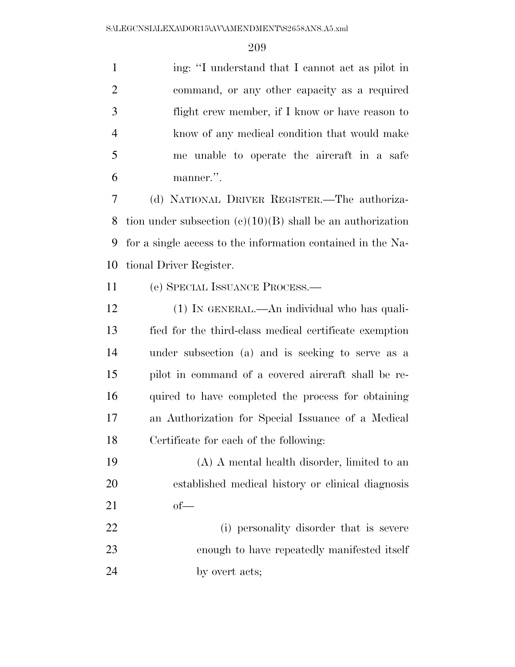1 ing: "I understand that I cannot act as pilot in command, or any other capacity as a required flight crew member, if I know or have reason to know of any medical condition that would make me unable to operate the aircraft in a safe manner.''.

 (d) NATIONAL DRIVER REGISTER.—The authoriza- tion under subsection (c)(10)(B) shall be an authorization for a single access to the information contained in the Na-tional Driver Register.

(e) SPECIAL ISSUANCE PROCESS.—

 (1) IN GENERAL.—An individual who has quali- fied for the third-class medical certificate exemption under subsection (a) and is seeking to serve as a pilot in command of a covered aircraft shall be re- quired to have completed the process for obtaining an Authorization for Special Issuance of a Medical Certificate for each of the following:

- (A) A mental health disorder, limited to an established medical history or clinical diagnosis of—
- (i) personality disorder that is severe enough to have repeatedly manifested itself 24 by overt acts;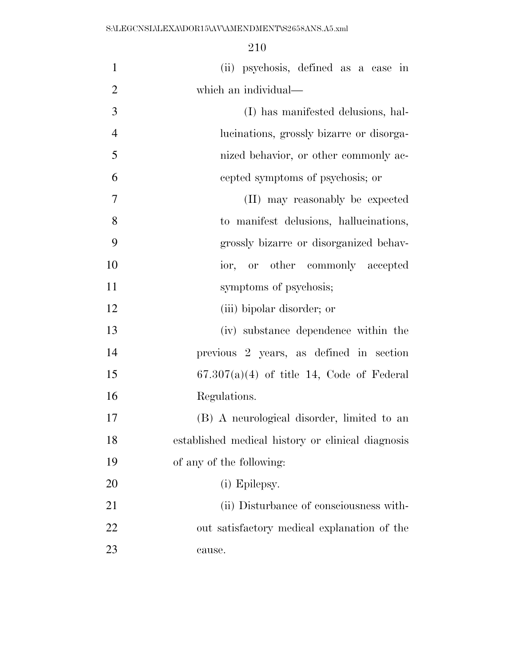| $\mathbf{1}$   | (ii) psychosis, defined as a case in              |
|----------------|---------------------------------------------------|
| $\overline{2}$ | which an individual—                              |
| 3              | (I) has manifested delusions, hal-                |
| $\overline{4}$ | lucinations, grossly bizarre or disorga-          |
| 5              | nized behavior, or other commonly ac-             |
| 6              | cepted symptoms of psychosis; or                  |
| $\tau$         | (II) may reasonably be expected                   |
| 8              | to manifest delusions, hallucinations,            |
| 9              | grossly bizarre or disorganized behav-            |
| 10             | ior, or other commonly accepted                   |
| 11             | symptoms of psychosis;                            |
| 12             | (iii) bipolar disorder; or                        |
| 13             | (iv) substance dependence within the              |
| 14             | previous 2 years, as defined in section           |
| 15             | $67.307(a)(4)$ of title 14, Code of Federal       |
| 16             | Regulations.                                      |
| 17             | (B) A neurological disorder, limited to an        |
| 18             | established medical history or clinical diagnosis |
| 19             | of any of the following:                          |
| 20             | (i) Epilepsy.                                     |
| 21             | (ii) Disturbance of consciousness with-           |
| 22             | out satisfactory medical explanation of the       |
| 23             | cause.                                            |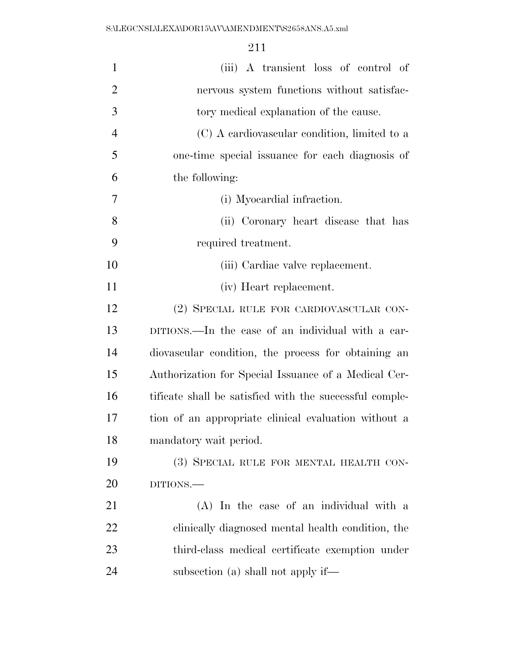| $\mathbf{1}$   | (iii) A transient loss of control of                    |
|----------------|---------------------------------------------------------|
| $\overline{2}$ | nervous system functions without satisfac-              |
| 3              | tory medical explanation of the cause.                  |
| $\overline{4}$ | (C) A cardiovascular condition, limited to a            |
| 5              | one-time special issuance for each diagnosis of         |
| 6              | the following:                                          |
| 7              | (i) Myocardial infraction.                              |
| 8              | (ii) Coronary heart disease that has                    |
| 9              | required treatment.                                     |
| 10             | (iii) Cardiac valve replacement.                        |
| 11             | (iv) Heart replacement.                                 |
| 12             | (2) SPECIAL RULE FOR CARDIOVASCULAR CON-                |
| 13             | DITIONS.—In the case of an individual with a car-       |
| 14             | diovascular condition, the process for obtaining an     |
| 15             | Authorization for Special Issuance of a Medical Cer-    |
| 16             | tificate shall be satisfied with the successful comple- |
| 17             | tion of an appropriate clinical evaluation without a    |
| 18             | mandatory wait period.                                  |
| 19             | (3) SPECIAL RULE FOR MENTAL HEALTH CON-                 |
| 20             | DITIONS.                                                |
| 21             | (A) In the case of an individual with a                 |
| <u>22</u>      | clinically diagnosed mental health condition, the       |
| 23             | third-class medical certificate exemption under         |
| 24             | subsection (a) shall not apply if—                      |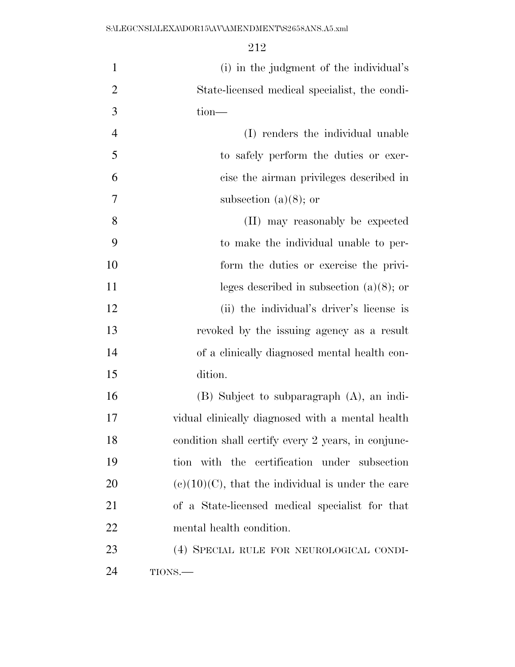| $\mathbf{1}$   | (i) in the judgment of the individual's              |
|----------------|------------------------------------------------------|
| $\overline{2}$ | State-licensed medical specialist, the condi-        |
| 3              | $tion$ —                                             |
| $\overline{4}$ | (I) renders the individual unable                    |
| 5              | to safely perform the duties or exer-                |
| 6              | cise the airman privileges described in              |
| 7              | subsection (a) $(8)$ ; or                            |
| 8              | (II) may reasonably be expected                      |
| 9              | to make the individual unable to per-                |
| 10             | form the duties or exercise the privi-               |
| 11             | leges described in subsection $(a)(8)$ ; or          |
| 12             | (ii) the individual's driver's license is            |
| 13             | revoked by the issuing agency as a result            |
| 14             | of a clinically diagnosed mental health con-         |
| 15             | dition.                                              |
| 16             | $(B)$ Subject to subparagraph $(A)$ , an indi-       |
| 17             | vidual clinically diagnosed with a mental health     |
| 18             | condition shall certify every 2 years, in conjunc-   |
| 19             | tion with the certification under subsection         |
| 20             | $(e)(10)(C)$ , that the individual is under the care |
| 21             | of a State-licensed medical specialist for that      |
| 22             | mental health condition.                             |
| 23             | (4) SPECIAL RULE FOR NEUROLOGICAL CONDI-             |
| 24             | TIONS.                                               |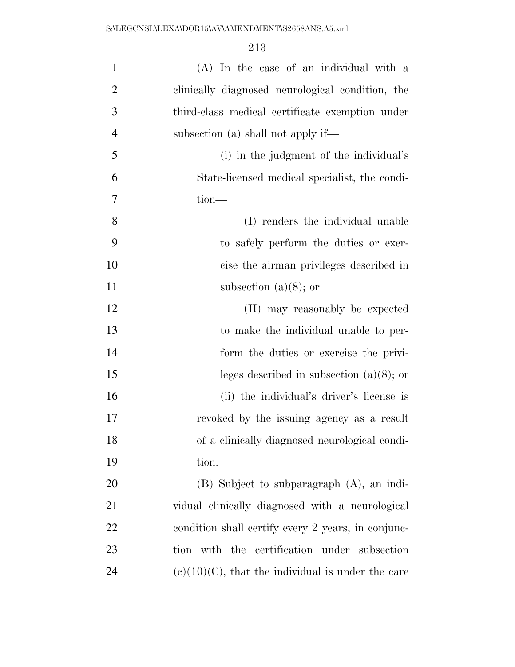| $\mathbf{1}$   | (A) In the case of an individual with a              |
|----------------|------------------------------------------------------|
| $\overline{2}$ | clinically diagnosed neurological condition, the     |
| 3              | third-class medical certificate exemption under      |
| $\overline{4}$ | subsection (a) shall not apply if—                   |
| 5              | (i) in the judgment of the individual's              |
| 6              | State-licensed medical specialist, the condi-        |
| 7              | $tion$ —                                             |
| 8              | (I) renders the individual unable                    |
| 9              | to safely perform the duties or exer-                |
| 10             | cise the airman privileges described in              |
| 11             | subsection (a) $(8)$ ; or                            |
| 12             | (II) may reasonably be expected                      |
| 13             | to make the individual unable to per-                |
| 14             | form the duties or exercise the privi-               |
| 15             | leges described in subsection $(a)(8)$ ; or          |
| 16             | (ii) the individual's driver's license is            |
| 17             | revoked by the issuing agency as a result            |
| 18             | of a clinically diagnosed neurological condi-        |
| 19             | tion.                                                |
| 20             | $(B)$ Subject to subparagraph $(A)$ , an indi-       |
| 21             | vidual clinically diagnosed with a neurological      |
| 22             | condition shall certify every 2 years, in conjunc-   |
| 23             | tion with the certification under subsection         |
| 24             | $(e)(10)(C)$ , that the individual is under the care |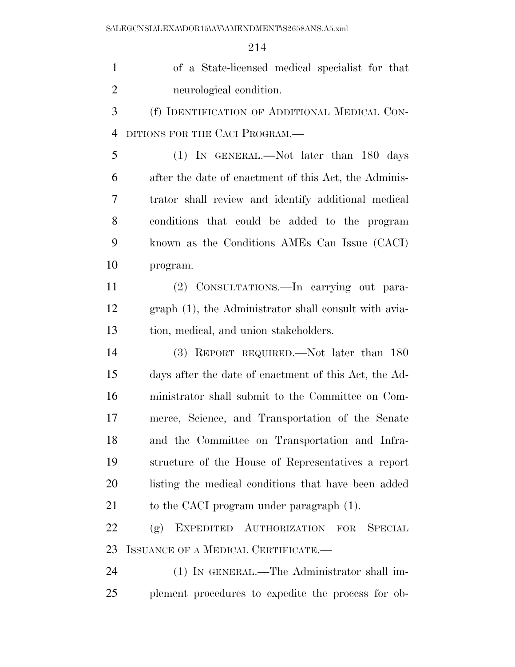of a State-licensed medical specialist for that neurological condition.

 (f) IDENTIFICATION OF ADDITIONAL MEDICAL CON-4 DITIONS FOR THE CACI PROGRAM.

 (1) IN GENERAL.—Not later than 180 days after the date of enactment of this Act, the Adminis- trator shall review and identify additional medical conditions that could be added to the program known as the Conditions AMEs Can Issue (CACI) program.

 (2) CONSULTATIONS.—In carrying out para- graph (1), the Administrator shall consult with avia-tion, medical, and union stakeholders.

 (3) REPORT REQUIRED.—Not later than 180 days after the date of enactment of this Act, the Ad- ministrator shall submit to the Committee on Com- merce, Science, and Transportation of the Senate and the Committee on Transportation and Infra- structure of the House of Representatives a report listing the medical conditions that have been added 21 to the CACI program under paragraph  $(1)$ .

 (g) EXPEDITED AUTHORIZATION FOR SPECIAL ISSUANCE OF A MEDICAL CERTIFICATE.—

 (1) IN GENERAL.—The Administrator shall im-plement procedures to expedite the process for ob-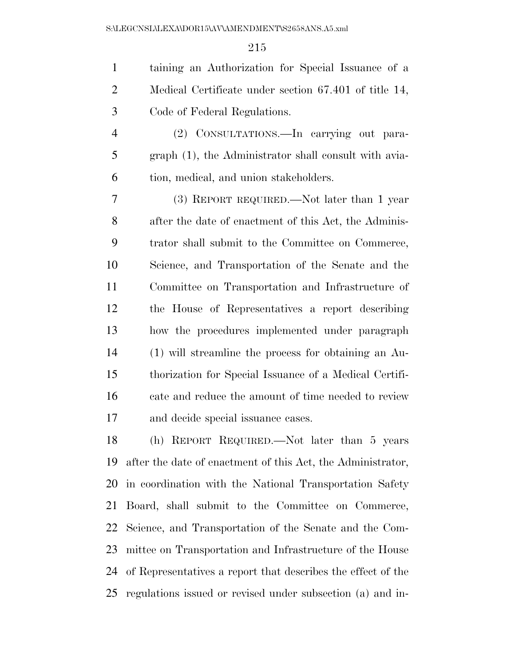| $\mathbf{1}$   | taining an Authorization for Special Issuance of a     |
|----------------|--------------------------------------------------------|
| $\overline{2}$ | Medical Certificate under section 67.401 of title 14,  |
| 3              | Code of Federal Regulations.                           |
| $\overline{4}$ | (2) CONSULTATIONS.—In carrying out para-               |
| 5              | graph (1), the Administrator shall consult with avia-  |
| 6              | tion, medical, and union stakeholders.                 |
| 7              | (3) REPORT REQUIRED.—Not later than 1 year             |
| 8              | after the date of enactment of this Act, the Adminis-  |
| 9              | trator shall submit to the Committee on Commerce,      |
| 10             | Science, and Transportation of the Senate and the      |
| 11             | Committee on Transportation and Infrastructure of      |
| 12             | the House of Representatives a report describing       |
| 13             | how the procedures implemented under paragraph         |
| 14             | (1) will streamline the process for obtaining an Au-   |
| 15             | thorization for Special Issuance of a Medical Certifi- |
| 16             | cate and reduce the amount of time needed to review    |
| 17             | and decide special issuance cases.                     |
| 18             | (h) REPORT REQUIRED.—Not later than 5 years            |

 after the date of enactment of this Act, the Administrator, in coordination with the National Transportation Safety Board, shall submit to the Committee on Commerce, Science, and Transportation of the Senate and the Com- mittee on Transportation and Infrastructure of the House of Representatives a report that describes the effect of the regulations issued or revised under subsection (a) and in-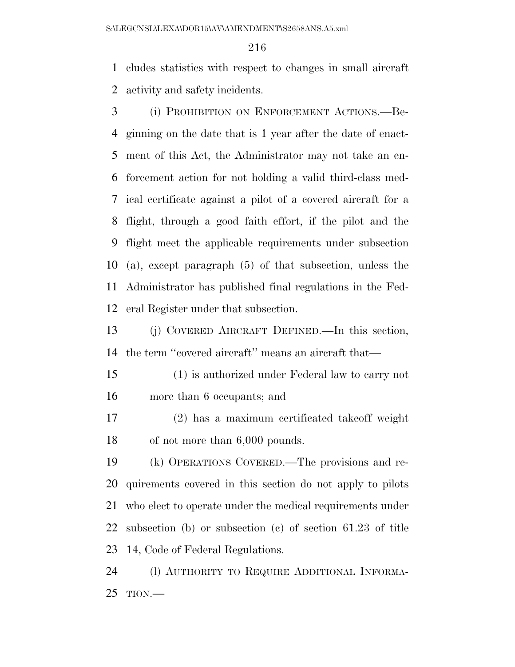cludes statistics with respect to changes in small aircraft activity and safety incidents.

 (i) PROHIBITION ON ENFORCEMENT ACTIONS.—Be- ginning on the date that is 1 year after the date of enact- ment of this Act, the Administrator may not take an en- forcement action for not holding a valid third-class med- ical certificate against a pilot of a covered aircraft for a flight, through a good faith effort, if the pilot and the flight meet the applicable requirements under subsection (a), except paragraph (5) of that subsection, unless the Administrator has published final regulations in the Fed-eral Register under that subsection.

 (j) COVERED AIRCRAFT DEFINED.—In this section, the term ''covered aircraft'' means an aircraft that—

 (1) is authorized under Federal law to carry not more than 6 occupants; and

 (2) has a maximum certificated takeoff weight of not more than 6,000 pounds.

 (k) OPERATIONS COVERED.—The provisions and re- quirements covered in this section do not apply to pilots who elect to operate under the medical requirements under subsection (b) or subsection (c) of section 61.23 of title 14, Code of Federal Regulations.

 (l) AUTHORITY TO REQUIRE ADDITIONAL INFORMA-TION.—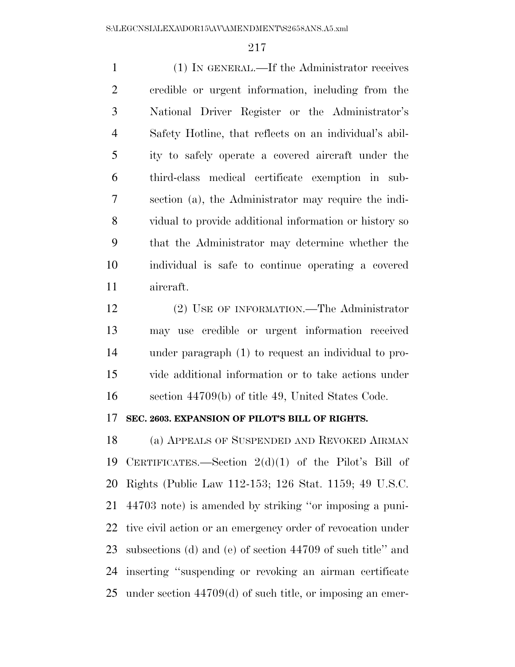(1) IN GENERAL.—If the Administrator receives credible or urgent information, including from the National Driver Register or the Administrator's Safety Hotline, that reflects on an individual's abil- ity to safely operate a covered aircraft under the third-class medical certificate exemption in sub- section (a), the Administrator may require the indi- vidual to provide additional information or history so that the Administrator may determine whether the individual is safe to continue operating a covered aircraft.

 (2) USE OF INFORMATION.—The Administrator may use credible or urgent information received under paragraph (1) to request an individual to pro- vide additional information or to take actions under section 44709(b) of title 49, United States Code.

#### **SEC. 2603. EXPANSION OF PILOT'S BILL OF RIGHTS.**

 (a) APPEALS OF SUSPENDED AND REVOKED AIRMAN CERTIFICATES.—Section 2(d)(1) of the Pilot's Bill of Rights (Public Law 112-153; 126 Stat. 1159; 49 U.S.C. 44703 note) is amended by striking ''or imposing a puni- tive civil action or an emergency order of revocation under subsections (d) and (e) of section 44709 of such title'' and inserting ''suspending or revoking an airman certificate under section 44709(d) of such title, or imposing an emer-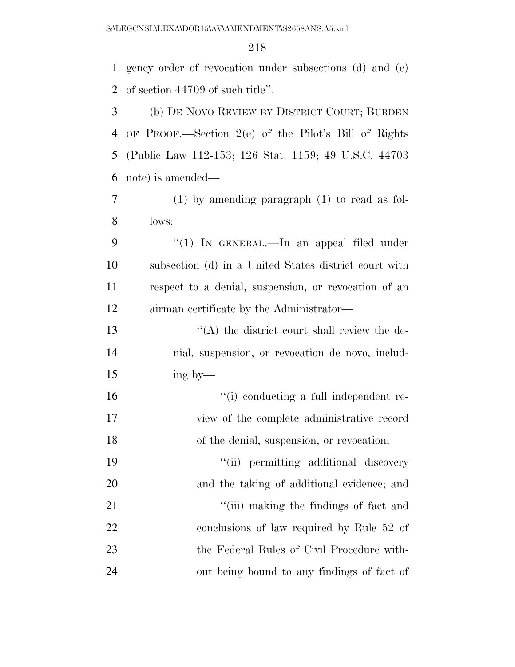gency order of revocation under subsections (d) and (e) of section 44709 of such title''.

 (b) DE NOVO REVIEW BY DISTRICT COURT; BURDEN OF PROOF.—Section 2(e) of the Pilot's Bill of Rights (Public Law 112-153; 126 Stat. 1159; 49 U.S.C. 44703 note) is amended—

 (1) by amending paragraph (1) to read as fol-lows:

9 "(1) IN GENERAL.—In an appeal filed under subsection (d) in a United States district court with respect to a denial, suspension, or revocation of an airman certificate by the Administrator—

13 ''(A) the district court shall review the de- nial, suspension, or revocation de novo, includ-ing by—

16  $\frac{1}{10}$  conducting a full independent re- view of the complete administrative record of the denial, suspension, or revocation;

 $"$ (ii) permitting additional discovery and the taking of additional evidence; and 21 ''(iii) making the findings of fact and conclusions of law required by Rule 52 of the Federal Rules of Civil Procedure with-out being bound to any findings of fact of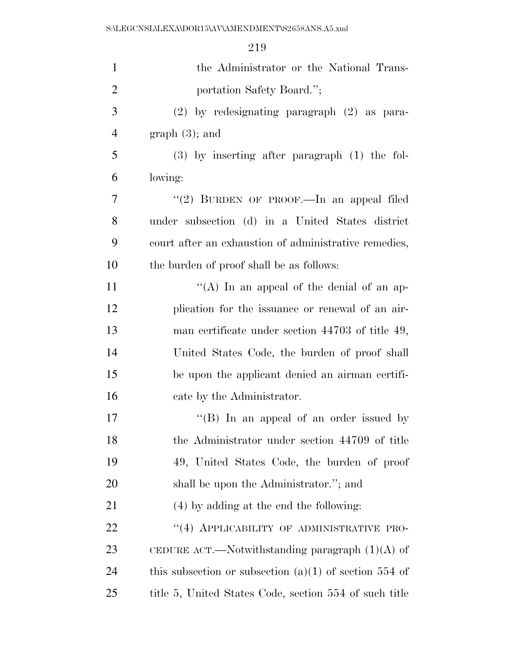| $\mathbf{1}$   | the Administrator or the National Trans-                 |
|----------------|----------------------------------------------------------|
| $\overline{2}$ | portation Safety Board.";                                |
| 3              | $(2)$ by redesignating paragraph $(2)$ as para-          |
| $\overline{4}$ | $graph(3)$ ; and                                         |
| 5              | $(3)$ by inserting after paragraph $(1)$ the fol-        |
| 6              | lowing:                                                  |
| 7              | "(2) BURDEN OF PROOF.—In an appeal filed                 |
| 8              | under subsection (d) in a United States district         |
| 9              | court after an exhaustion of administrative remedies,    |
| 10             | the burden of proof shall be as follows:                 |
| 11             | "(A) In an appeal of the denial of an ap-                |
| 12             | plication for the issuance or renewal of an air-         |
| 13             | man certificate under section 44703 of title 49,         |
| 14             | United States Code, the burden of proof shall            |
| 15             | be upon the applicant denied an airman certifi-          |
| 16             | cate by the Administrator.                               |
| 17             | "(B) In an appeal of an order issued by                  |
| 18             | the Administrator under section 44709 of title           |
| 19             | 49, United States Code, the burden of proof              |
| 20             | shall be upon the Administrator."; and                   |
| 21             | (4) by adding at the end the following:                  |
| 22             | "(4) APPLICABILITY OF ADMINISTRATIVE PRO-                |
| 23             | CEDURE ACT.—Notwithstanding paragraph $(1)(A)$ of        |
| 24             | this subsection or subsection $(a)(1)$ of section 554 of |
| 25             | title 5, United States Code, section 554 of such title   |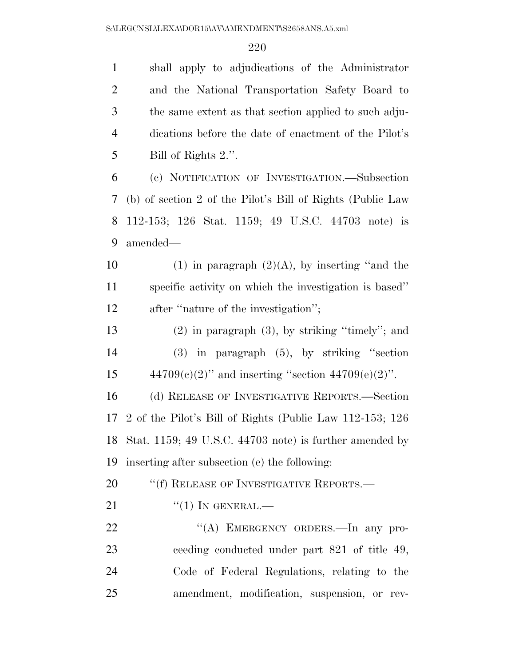shall apply to adjudications of the Administrator and the National Transportation Safety Board to the same extent as that section applied to such adju- dications before the date of enactment of the Pilot's Bill of Rights 2.''. (c) NOTIFICATION OF INVESTIGATION.—Subsection (b) of section 2 of the Pilot's Bill of Rights (Public Law 112-153; 126 Stat. 1159; 49 U.S.C. 44703 note) is amended— 10 (1) in paragraph  $(2)(A)$ , by inserting "and the specific activity on which the investigation is based'' 12 after "nature of the investigation"; (2) in paragraph (3), by striking ''timely''; and

 (3) in paragraph (5), by striking ''section 15  $44709(e)(2)$ " and inserting "section  $44709(e)(2)$ ".

 (d) RELEASE OF INVESTIGATIVE REPORTS.—Section 2 of the Pilot's Bill of Rights (Public Law 112-153; 126 Stat. 1159; 49 U.S.C. 44703 note) is further amended by inserting after subsection (e) the following:

20 <sup>"</sup>(f) RELEASE OF INVESTIGATIVE REPORTS.—

21  $\frac{((1) \text{IN} \text{GENERAL}}{((1) \text{IN} \text{QENERAL})}$ 

22 "(A) EMERGENCY ORDERS.—In any pro- ceeding conducted under part 821 of title 49, Code of Federal Regulations, relating to the amendment, modification, suspension, or rev-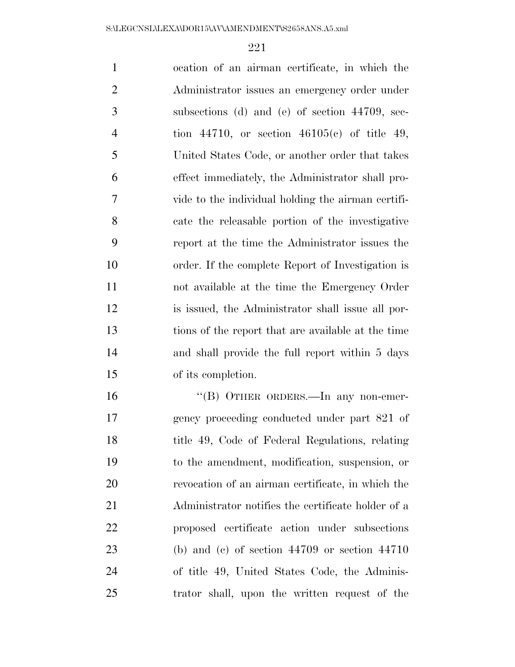ocation of an airman certificate, in which the Administrator issues an emergency order under subsections (d) and (e) of section 44709, sec- tion 44710, or section 46105(c) of title 49, United States Code, or another order that takes effect immediately, the Administrator shall pro- vide to the individual holding the airman certifi- cate the releasable portion of the investigative report at the time the Administrator issues the order. If the complete Report of Investigation is not available at the time the Emergency Order is issued, the Administrator shall issue all por- tions of the report that are available at the time and shall provide the full report within 5 days of its completion. ''(B) OTHER ORDERS.—In any non-emer- gency proceeding conducted under part 821 of title 49, Code of Federal Regulations, relating to the amendment, modification, suspension, or revocation of an airman certificate, in which the Administrator notifies the certificate holder of a

 proposed certificate action under subsections (b) and (c) of section 44709 or section 44710 of title 49, United States Code, the Adminis-trator shall, upon the written request of the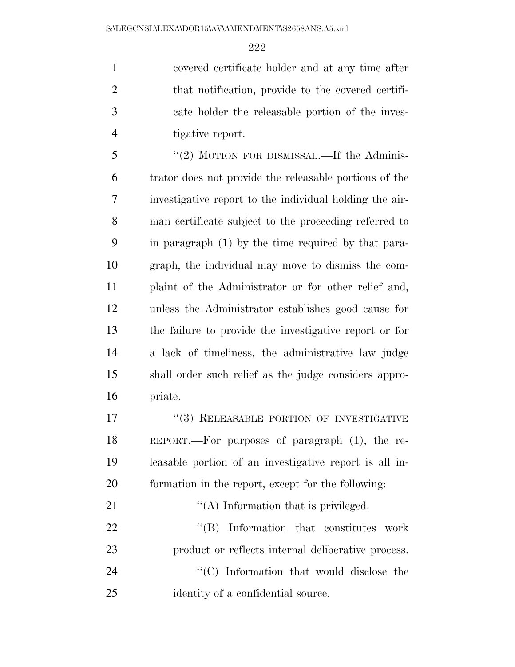covered certificate holder and at any time after that notification, provide to the covered certifi- cate holder the releasable portion of the inves-tigative report.

 ''(2) MOTION FOR DISMISSAL.—If the Adminis- trator does not provide the releasable portions of the investigative report to the individual holding the air- man certificate subject to the proceeding referred to in paragraph (1) by the time required by that para- graph, the individual may move to dismiss the com- plaint of the Administrator or for other relief and, unless the Administrator establishes good cause for the failure to provide the investigative report or for a lack of timeliness, the administrative law judge shall order such relief as the judge considers appro-priate.

17 <sup>''</sup>(3) RELEASABLE PORTION OF INVESTIGATIVE REPORT.—For purposes of paragraph (1), the re- leasable portion of an investigative report is all in-formation in the report, except for the following:

 $\mathcal{C}(A)$  Information that is privileged.  $\text{``(B)}$  Information that constitutes work product or reflects internal deliberative process.  $\cdot$  (C) Information that would disclose the 25 identity of a confidential source.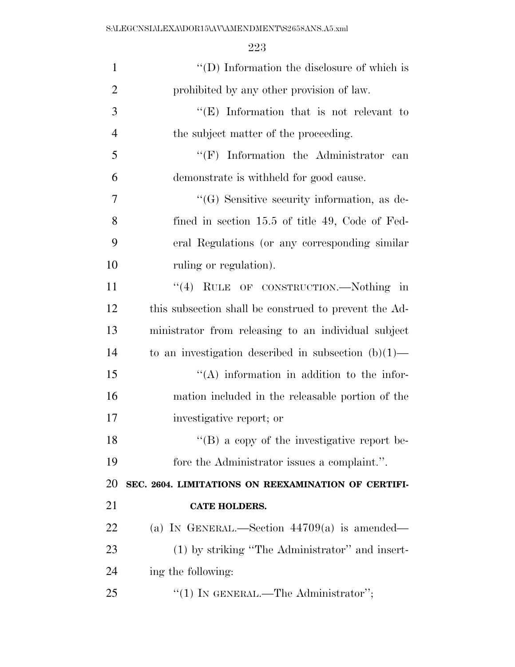S:\LEGCNSL\LEXA\DOR15\AV\AMENDMENT\S2658ANS.A5.xml

| $\mathbf{1}$   | $\lq\lq$ (D) Information the disclosure of which is    |
|----------------|--------------------------------------------------------|
| $\overline{2}$ | prohibited by any other provision of law.              |
| 3              | "(E) Information that is not relevant to               |
| $\overline{4}$ | the subject matter of the proceeding.                  |
| 5              | $\lq\lq(F)$ Information the Administrator<br>can       |
| 6              | demonstrate is withheld for good cause.                |
| 7              | $\lq\lq(G)$ Sensitive security information, as de-     |
| 8              | fined in section 15.5 of title 49, Code of Fed-        |
| 9              | eral Regulations (or any corresponding similar         |
| 10             | ruling or regulation).                                 |
| 11             | "(4) RULE OF CONSTRUCTION.—Nothing in                  |
| 12             | this subsection shall be construed to prevent the Ad-  |
| 13             | ministrator from releasing to an individual subject    |
| 14             | to an investigation described in subsection $(b)(1)$ — |
| 15             | "(A) information in addition to the infor-             |
| 16             | mation included in the releasable portion of the       |
| 17             | investigative report; or                               |
| 18             | "(B) a copy of the investigative report be-            |
| 19             | fore the Administrator issues a complaint.".           |
| 20             | SEC. 2604. LIMITATIONS ON REEXAMINATION OF CERTIFI-    |
| 21             | <b>CATE HOLDERS.</b>                                   |
| 22             | (a) IN GENERAL.—Section $44709(a)$ is amended—         |
| 23             | (1) by striking "The Administrator" and insert-        |
| 24             | ing the following:                                     |
| 25             | "(1) IN GENERAL.—The Administrator";                   |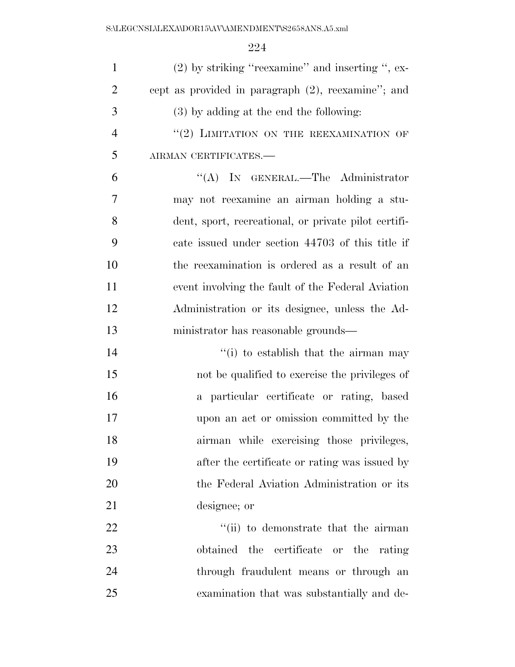| $\mathbf{1}$   | $(2)$ by striking "reexamine" and inserting ", ex-   |
|----------------|------------------------------------------------------|
| $\overline{2}$ | cept as provided in paragraph (2), reexamine"; and   |
| 3              | $(3)$ by adding at the end the following:            |
| $\overline{4}$ | "(2) LIMITATION ON THE REEXAMINATION OF              |
| 5              | AIRMAN CERTIFICATES.-                                |
| 6              | "(A) IN GENERAL.—The Administrator                   |
| $\overline{7}$ | may not reexamine an airman holding a stu-           |
| 8              | dent, sport, recreational, or private pilot certifi- |
| 9              | cate issued under section 44703 of this title if     |
| 10             | the reexamination is ordered as a result of an       |
| 11             | event involving the fault of the Federal Aviation    |
| 12             | Administration or its designee, unless the Ad-       |
| 13             | ministrator has reasonable grounds—                  |
| 14             | "(i) to establish that the airman may                |
| 15             | not be qualified to exercise the privileges of       |
| 16             | a particular certificate or rating, based            |
| 17             | upon an act or omission committed by the             |
| 18             | airman while exercising those privileges,            |
| 19             | after the certificate or rating was issued by        |
| 20             | the Federal Aviation Administration or its           |
| 21             | designee; or                                         |
| 22             | "(ii) to demonstrate that the airman                 |
| 23             | obtained the certificate or the rating               |
| 24             | through fraudulent means or through an               |
| 25             | examination that was substantially and de-           |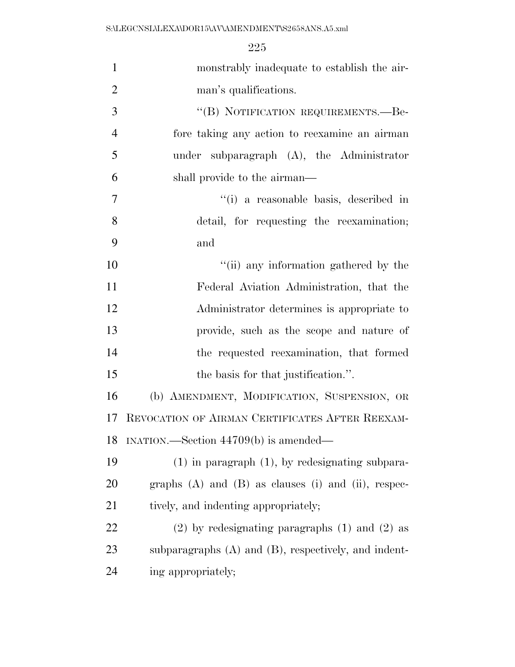| $\mathbf{1}$   | monstrably inadequate to establish the air-                  |
|----------------|--------------------------------------------------------------|
| $\overline{2}$ | man's qualifications.                                        |
| 3              | "(B) NOTIFICATION REQUIREMENTS.—Be-                          |
| $\overline{4}$ | fore taking any action to reexamine an airman                |
| 5              | under subparagraph $(A)$ , the Administrator                 |
| 6              | shall provide to the airman—                                 |
| $\overline{7}$ | "(i) a reasonable basis, described in                        |
| 8              | detail, for requesting the reexamination;                    |
| 9              | and                                                          |
| 10             | "(ii) any information gathered by the                        |
| 11             | Federal Aviation Administration, that the                    |
| 12             | Administrator determines is appropriate to                   |
| 13             | provide, such as the scope and nature of                     |
| 14             | the requested reexamination, that formed                     |
| 15             | the basis for that justification.".                          |
| 16             | (b) AMENDMENT, MODIFICATION, SUSPENSION, OR                  |
| 17             | REVOCATION OF AIRMAN CERTIFICATES AFTER REEXAM-              |
| 18             | INATION.—Section 44709(b) is amended—                        |
| 19             | $(1)$ in paragraph $(1)$ , by redesignating subpara-         |
| 20             | graphs $(A)$ and $(B)$ as clauses $(i)$ and $(ii)$ , respec- |
| 21             | tively, and indenting appropriately;                         |
| <u>22</u>      | $(2)$ by redesignating paragraphs $(1)$ and $(2)$ as         |
| 23             | subparagraphs $(A)$ and $(B)$ , respectively, and indent-    |
| 24             | ing appropriately;                                           |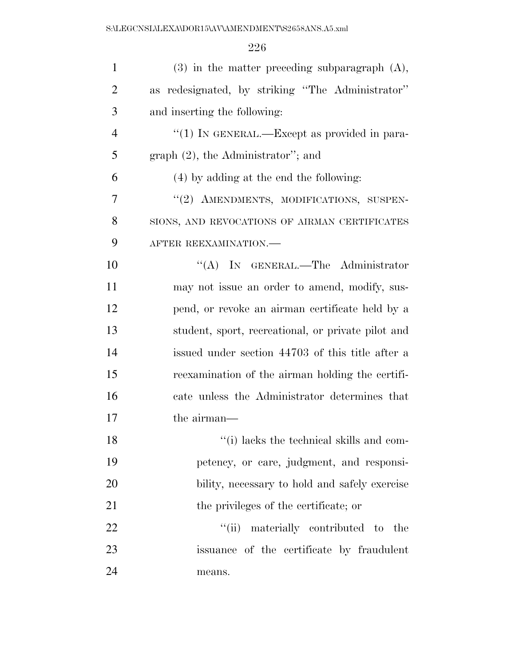| $\mathbf{1}$   | $(3)$ in the matter preceding subparagraph $(A)$ , |
|----------------|----------------------------------------------------|
| $\overline{2}$ | as redesignated, by striking "The Administrator"   |
| 3              | and inserting the following:                       |
| $\overline{4}$ | "(1) IN GENERAL.—Except as provided in para-       |
| 5              | graph $(2)$ , the Administrator"; and              |
| 6              | (4) by adding at the end the following:            |
| 7              | "(2) AMENDMENTS, MODIFICATIONS, SUSPEN-            |
| 8              | SIONS, AND REVOCATIONS OF AIRMAN CERTIFICATES      |
| 9              | AFTER REEXAMINATION.-                              |
| 10             | "(A) IN GENERAL.—The Administrator                 |
| 11             | may not issue an order to amend, modify, sus-      |
| 12             | pend, or revoke an airman certificate held by a    |
| 13             | student, sport, recreational, or private pilot and |
| 14             | issued under section 44703 of this title after a   |
| 15             | reexamination of the airman holding the certifi-   |
| 16             | cate unless the Administrator determines that      |
| 17             | the airman—                                        |
| 18             | "(i) lacks the technical skills and com-           |
| 19             | petency, or care, judgment, and responsi-          |
| 20             | bility, necessary to hold and safely exercise      |
| 21             | the privileges of the certificate; or              |
| 22             | ``(ii)<br>materially contributed to the            |
| 23             | issuance of the certificate by fraudulent          |
| 24             | means.                                             |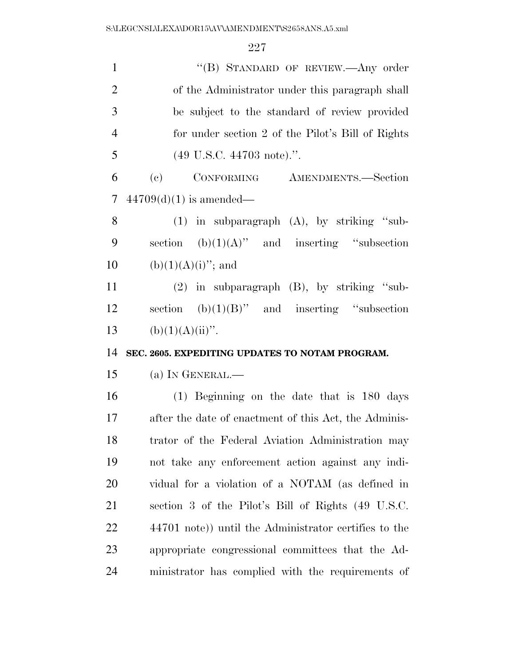| $\mathbf{1}$   | "(B) STANDARD OF REVIEW.- Any order                          |
|----------------|--------------------------------------------------------------|
| $\overline{2}$ | of the Administrator under this paragraph shall              |
| 3              | be subject to the standard of review provided                |
| $\overline{4}$ | for under section 2 of the Pilot's Bill of Rights            |
| 5              | $(49 \text{ U.S.C. } 44703 \text{ note}).$ ".                |
| 6              | CONFORMING AMENDMENTS.—Section<br>$\left( \mathrm{e}\right)$ |
| $\tau$         | $44709(d)(1)$ is amended—                                    |
| 8              | $(1)$ in subparagraph $(A)$ , by striking "sub-              |
| 9              | section $(b)(1)(A)$ " and inserting "subsection              |
| 10             | $(b)(1)(A)(i)$ "; and                                        |
| 11             | $(2)$ in subparagraph $(B)$ , by striking "sub-              |
| 12             | section $(b)(1)(B)$ " and inserting "subsection"             |
| 13             | $(b)(1)(A)(ii)$ ".                                           |
| 14             | SEC. 2605. EXPEDITING UPDATES TO NOTAM PROGRAM.              |
| 15             | (a) IN GENERAL.—                                             |
| 16             | $(1)$ Beginning on the date that is 180 days                 |
| 17             | after the date of enactment of this Act, the Adminis-        |
| 18             | trator of the Federal Aviation Administration may            |
| 19             | not take any enforcement action against any indi-            |
| 20             | vidual for a violation of a NOTAM (as defined in             |
| 21             | section 3 of the Pilot's Bill of Rights (49 U.S.C.           |
| 22             | 44701 note)) until the Administrator certifies to the        |
| 23             |                                                              |
|                | appropriate congressional committees that the Ad-            |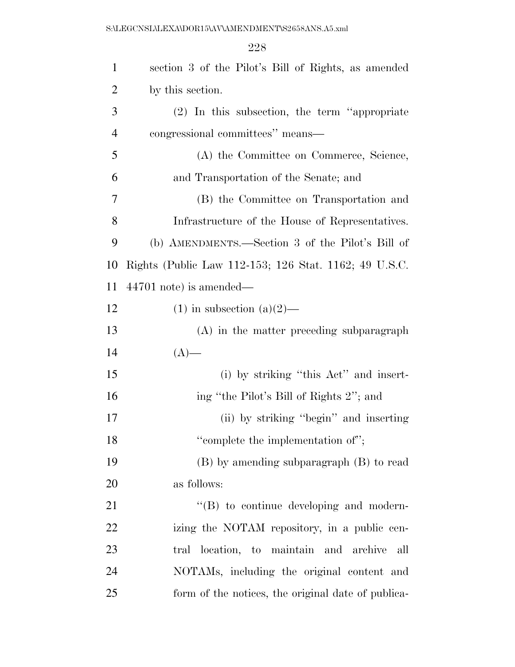| $\mathbf{1}$   | section 3 of the Pilot's Bill of Rights, as amended   |
|----------------|-------------------------------------------------------|
| $\overline{2}$ | by this section.                                      |
| 3              | $(2)$ In this subsection, the term "appropriate"      |
| $\overline{4}$ | congressional committees" means—                      |
| 5              | (A) the Committee on Commerce, Science,               |
| 6              | and Transportation of the Senate; and                 |
| 7              | (B) the Committee on Transportation and               |
| 8              | Infrastructure of the House of Representatives.       |
| 9              | (b) AMENDMENTS.—Section 3 of the Pilot's Bill of      |
| 10             | Rights (Public Law 112-153; 126 Stat. 1162; 49 U.S.C. |
| 11             | $44701$ note) is amended—                             |
| 12             | $(1)$ in subsection $(a)(2)$ —                        |
| 13             | $(A)$ in the matter preceding subparagraph            |
| 14             | $(A)$ —                                               |
| 15             | (i) by striking "this Act" and insert-                |
| 16             | ing "the Pilot's Bill of Rights 2"; and               |
| 17             | (ii) by striking "begin" and inserting                |
| 18             | "complete the implementation of";                     |
| 19             | (B) by amending subparagraph (B) to read              |
| 20             | as follows:                                           |
| 21             | $\lq\lq (B)$ to continue developing and modern-       |
| 22             | izing the NOTAM repository, in a public cen-          |
| 23             | tral location, to maintain and archive<br>all         |
| 24             | NOTAMs, including the original content and            |
| 25             | form of the notices, the original date of publica-    |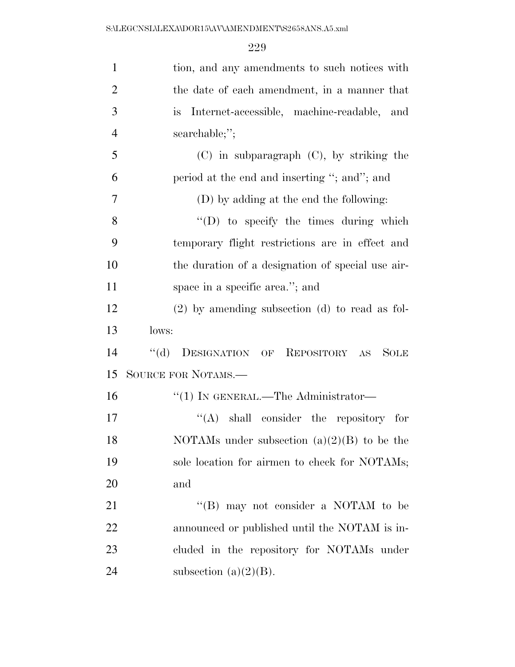| $\mathbf{1}$   | tion, and any amendments to such notices with               |
|----------------|-------------------------------------------------------------|
| $\overline{2}$ | the date of each amendment, in a manner that                |
| 3              | Internet-accessible, machine-readable, and<br>is.           |
| $\overline{4}$ | searchable;";                                               |
| 5              | $(C)$ in subparagraph $(C)$ , by striking the               |
| 6              | period at the end and inserting "; and"; and                |
| 7              | (D) by adding at the end the following:                     |
| 8              | $\lq\lq$ to specify the times during which                  |
| 9              | temporary flight restrictions are in effect and             |
| 10             | the duration of a designation of special use air-           |
| 11             | space in a specific area."; and                             |
| 12             | $(2)$ by amending subsection $(d)$ to read as fol-          |
|                |                                                             |
| 13             | lows:                                                       |
| 14             | $\lq\lq (d)$<br>DESIGNATION OF REPOSITORY AS<br><b>SOLE</b> |
| 15             | SOURCE FOR NOTAMS.-                                         |
| 16             | "(1) IN GENERAL.—The Administrator—                         |
| 17             | shall consider the repository for<br>``(A)                  |
| 18             | NOTAMs under subsection $(a)(2)(B)$ to be the               |
| 19             | sole location for airmen to check for NOTAMs;               |
| 20             | and                                                         |
| 21             | "(B) may not consider a NOTAM to be                         |
| 22             | announced or published until the NOTAM is in-               |
| 23             | cluded in the repository for NOTAMs under                   |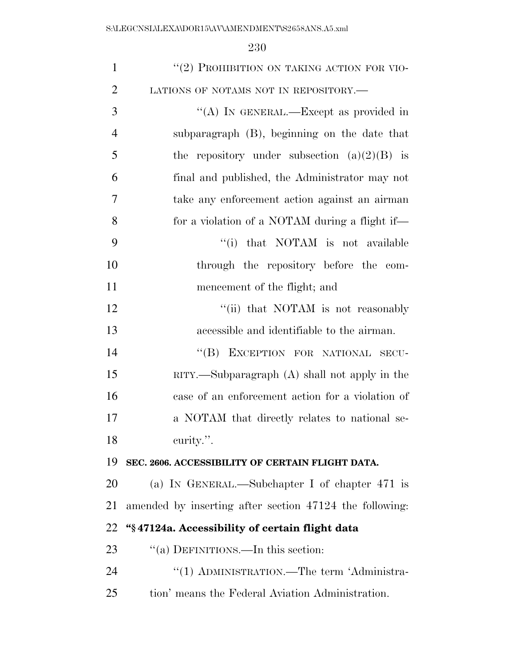| $\mathbf{1}$   | "(2) PROHIBITION ON TAKING ACTION FOR VIO-              |
|----------------|---------------------------------------------------------|
| $\overline{2}$ | LATIONS OF NOTAMS NOT IN REPOSITORY.-                   |
| 3              | "(A) IN GENERAL.—Except as provided in                  |
| $\overline{4}$ | subparagraph (B), beginning on the date that            |
| 5              | the repository under subsection $(a)(2)(B)$ is          |
| 6              | final and published, the Administrator may not          |
| 7              | take any enforcement action against an airman           |
| 8              | for a violation of a NOTAM during a flight if-          |
| 9              | "(i) that NOTAM is not available                        |
| 10             | through the repository before the com-                  |
| 11             | mencement of the flight; and                            |
| 12             | "(ii) that NOTAM is not reasonably                      |
| 13             | accessible and identifiable to the airman.              |
| 14             | "(B) EXCEPTION FOR NATIONAL SECU-                       |
| 15             | $RITY$ . Subparagraph $(A)$ shall not apply in the      |
| 16             | case of an enforcement action for a violation of        |
| 17             | a NOTAM that directly relates to national se-           |
| 18             | curity.".                                               |
| 19             | SEC. 2606. ACCESSIBILITY OF CERTAIN FLIGHT DATA.        |
| <b>20</b>      | (a) IN GENERAL.—Subchapter I of chapter $471$ is        |
| 21             | amended by inserting after section 47124 the following: |
| 22             | "§47124a. Accessibility of certain flight data          |
| 23             | "(a) DEFINITIONS.—In this section:                      |
| 24             | "(1) ADMINISTRATION.—The term 'Administra-              |
| 25             | tion' means the Federal Aviation Administration.        |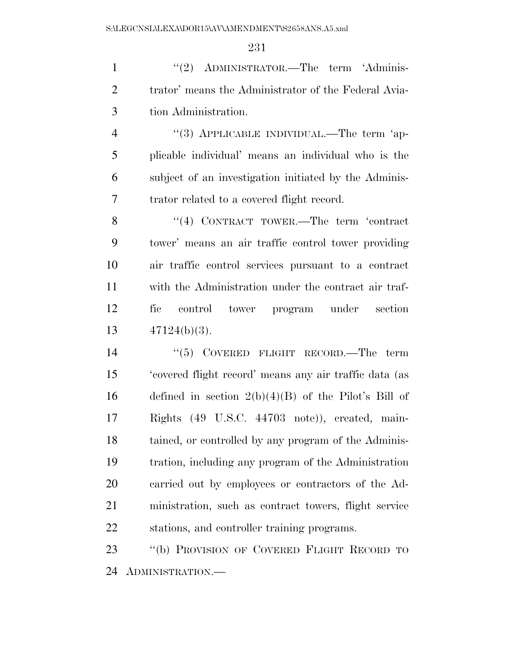1 ''(2) ADMINISTRATOR.—The term 'Adminis- trator' means the Administrator of the Federal Avia-tion Administration.

4 "(3) APPLICABLE INDIVIDUAL.—The term 'ap- plicable individual' means an individual who is the subject of an investigation initiated by the Adminis-trator related to a covered flight record.

8 "(4) CONTRACT TOWER.—The term 'contract tower' means an air traffic control tower providing air traffic control services pursuant to a contract with the Administration under the contract air traf- fic control tower program under section 47124(b)(3).

14 ''(5) COVERED FLIGHT RECORD.—The term 'covered flight record' means any air traffic data (as 16 defined in section  $2(b)(4)(B)$  of the Pilot's Bill of Rights (49 U.S.C. 44703 note)), created, main- tained, or controlled by any program of the Adminis- tration, including any program of the Administration carried out by employees or contractors of the Ad- ministration, such as contract towers, flight service stations, and controller training programs.

 ''(b) PROVISION OF COVERED FLIGHT RECORD TO ADMINISTRATION.—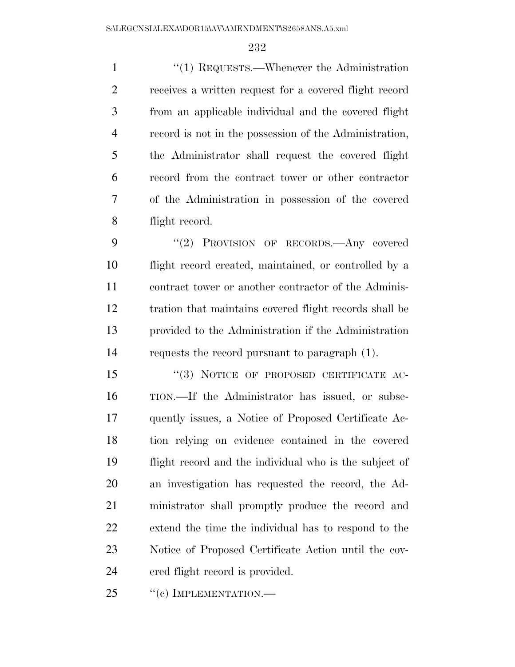1 ''(1) REQUESTS.—Whenever the Administration receives a written request for a covered flight record from an applicable individual and the covered flight record is not in the possession of the Administration, the Administrator shall request the covered flight record from the contract tower or other contractor of the Administration in possession of the covered flight record.

9 "(2) PROVISION OF RECORDS.—Any covered flight record created, maintained, or controlled by a contract tower or another contractor of the Adminis- tration that maintains covered flight records shall be provided to the Administration if the Administration requests the record pursuant to paragraph (1).

15 "(3) NOTICE OF PROPOSED CERTIFICATE AC- TION.—If the Administrator has issued, or subse- quently issues, a Notice of Proposed Certificate Ac- tion relying on evidence contained in the covered flight record and the individual who is the subject of an investigation has requested the record, the Ad- ministrator shall promptly produce the record and extend the time the individual has to respond to the Notice of Proposed Certificate Action until the cov-ered flight record is provided.

25 "(c) IMPLEMENTATION.—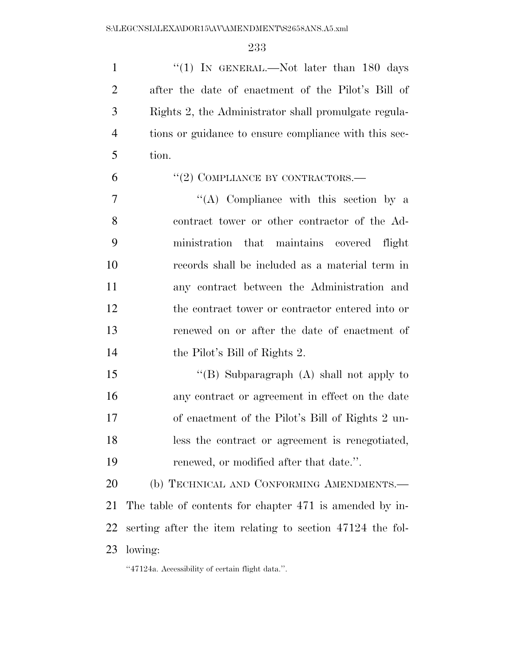1 "(1) IN GENERAL.—Not later than 180 days after the date of enactment of the Pilot's Bill of Rights 2, the Administrator shall promulgate regula- tions or guidance to ensure compliance with this sec-tion.

 $(2)$  COMPLIANCE BY CONTRACTORS.—

 ''(A) Compliance with this section by a contract tower or other contractor of the Ad- ministration that maintains covered flight records shall be included as a material term in any contract between the Administration and the contract tower or contractor entered into or renewed on or after the date of enactment of the Pilot's Bill of Rights 2.

15 "(B) Subparagraph (A) shall not apply to any contract or agreement in effect on the date of enactment of the Pilot's Bill of Rights 2 un- less the contract or agreement is renegotiated, renewed, or modified after that date.''.

20 (b) TECHNICAL AND CONFORMING AMENDMENTS.— The table of contents for chapter 471 is amended by in- serting after the item relating to section 47124 the fol-lowing:

''47124a. Accessibility of certain flight data.''.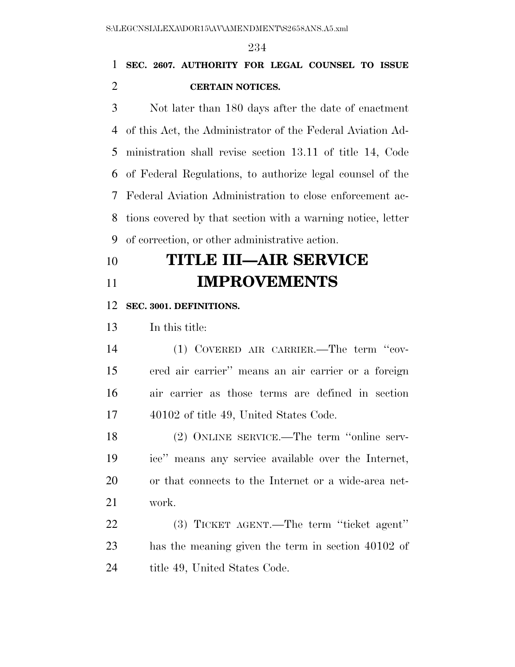### **SEC. 2607. AUTHORITY FOR LEGAL COUNSEL TO ISSUE CERTAIN NOTICES.**

 Not later than 180 days after the date of enactment of this Act, the Administrator of the Federal Aviation Ad- ministration shall revise section 13.11 of title 14, Code of Federal Regulations, to authorize legal counsel of the Federal Aviation Administration to close enforcement ac- tions covered by that section with a warning notice, letter of correction, or other administrative action.

## **TITLE III—AIR SERVICE IMPROVEMENTS**

#### **SEC. 3001. DEFINITIONS.**

In this title:

 (1) COVERED AIR CARRIER.—The term ''cov- ered air carrier'' means an air carrier or a foreign air carrier as those terms are defined in section 40102 of title 49, United States Code.

 (2) ONLINE SERVICE.—The term ''online serv- ice'' means any service available over the Internet, or that connects to the Internet or a wide-area net-work.

 (3) TICKET AGENT.—The term ''ticket agent'' has the meaning given the term in section 40102 of 24 title 49, United States Code.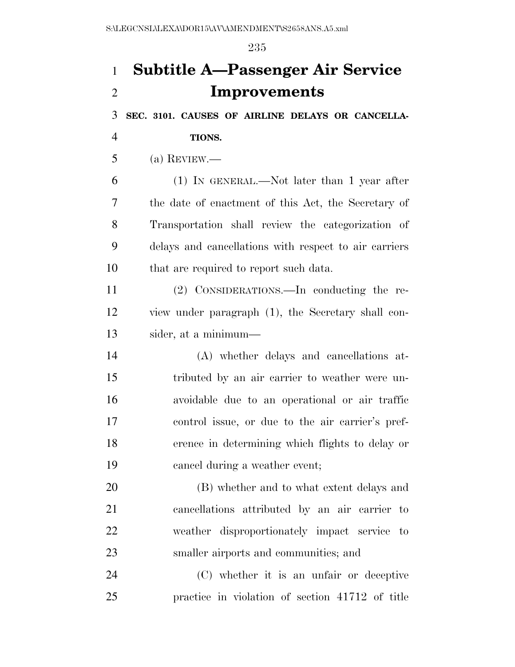# **Subtitle A—Passenger Air Service Improvements**

**SEC. 3101. CAUSES OF AIRLINE DELAYS OR CANCELLA-**

**TIONS.** 

(a) REVIEW.—

 (1) IN GENERAL.—Not later than 1 year after the date of enactment of this Act, the Secretary of Transportation shall review the categorization of delays and cancellations with respect to air carriers that are required to report such data.

 (2) CONSIDERATIONS.—In conducting the re- view under paragraph (1), the Secretary shall con-sider, at a minimum—

 (A) whether delays and cancellations at- tributed by an air carrier to weather were un- avoidable due to an operational or air traffic control issue, or due to the air carrier's pref- erence in determining which flights to delay or cancel during a weather event;

 (B) whether and to what extent delays and cancellations attributed by an air carrier to weather disproportionately impact service to smaller airports and communities; and

 (C) whether it is an unfair or deceptive practice in violation of section 41712 of title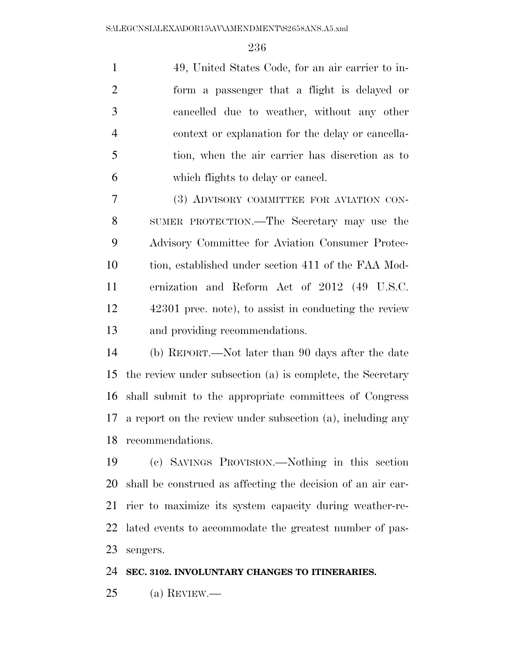49, United States Code, for an air carrier to in- form a passenger that a flight is delayed or cancelled due to weather, without any other context or explanation for the delay or cancella- tion, when the air carrier has discretion as to which flights to delay or cancel.

 (3) ADVISORY COMMITTEE FOR AVIATION CON- SUMER PROTECTION.—The Secretary may use the Advisory Committee for Aviation Consumer Protec- tion, established under section 411 of the FAA Mod- ernization and Reform Act of 2012 (49 U.S.C. 42301 prec. note), to assist in conducting the review and providing recommendations.

 (b) REPORT.—Not later than 90 days after the date the review under subsection (a) is complete, the Secretary shall submit to the appropriate committees of Congress a report on the review under subsection (a), including any recommendations.

 (c) SAVINGS PROVISION.—Nothing in this section shall be construed as affecting the decision of an air car- rier to maximize its system capacity during weather-re- lated events to accommodate the greatest number of pas-sengers.

**SEC. 3102. INVOLUNTARY CHANGES TO ITINERARIES.** 

(a) REVIEW.—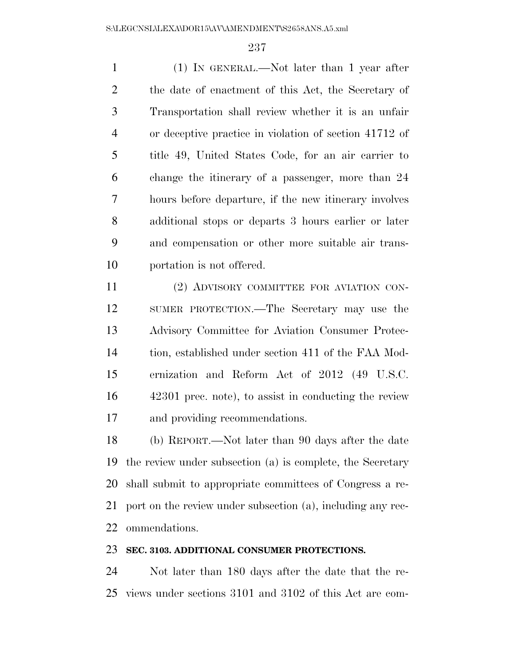(1) IN GENERAL.—Not later than 1 year after the date of enactment of this Act, the Secretary of Transportation shall review whether it is an unfair or deceptive practice in violation of section 41712 of title 49, United States Code, for an air carrier to change the itinerary of a passenger, more than 24 hours before departure, if the new itinerary involves additional stops or departs 3 hours earlier or later and compensation or other more suitable air trans-portation is not offered.

 (2) ADVISORY COMMITTEE FOR AVIATION CON- SUMER PROTECTION.—The Secretary may use the Advisory Committee for Aviation Consumer Protec- tion, established under section 411 of the FAA Mod- ernization and Reform Act of 2012 (49 U.S.C. 42301 prec. note), to assist in conducting the review and providing recommendations.

 (b) REPORT.—Not later than 90 days after the date the review under subsection (a) is complete, the Secretary shall submit to appropriate committees of Congress a re- port on the review under subsection (a), including any rec-ommendations.

#### **SEC. 3103. ADDITIONAL CONSUMER PROTECTIONS.**

 Not later than 180 days after the date that the re-views under sections 3101 and 3102 of this Act are com-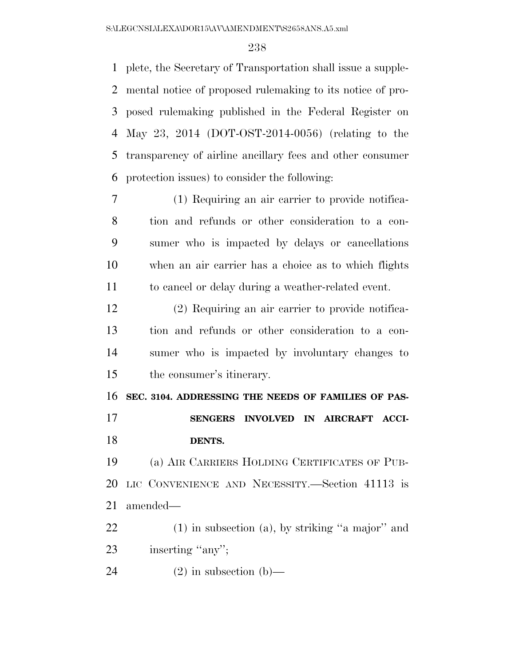plete, the Secretary of Transportation shall issue a supple- mental notice of proposed rulemaking to its notice of pro- posed rulemaking published in the Federal Register on May 23, 2014 (DOT-OST-2014-0056) (relating to the transparency of airline ancillary fees and other consumer protection issues) to consider the following:

 (1) Requiring an air carrier to provide notifica- tion and refunds or other consideration to a con- sumer who is impacted by delays or cancellations when an air carrier has a choice as to which flights to cancel or delay during a weather-related event.

 (2) Requiring an air carrier to provide notifica- tion and refunds or other consideration to a con- sumer who is impacted by involuntary changes to the consumer's itinerary.

 **SEC. 3104. ADDRESSING THE NEEDS OF FAMILIES OF PAS- SENGERS INVOLVED IN AIRCRAFT ACCI-DENTS.** 

 (a) AIR CARRIERS HOLDING CERTIFICATES OF PUB- LIC CONVENIENCE AND NECESSITY.—Section 41113 is amended—

 (1) in subsection (a), by striking ''a major'' and 23 inserting "any";

24 (2) in subsection (b)—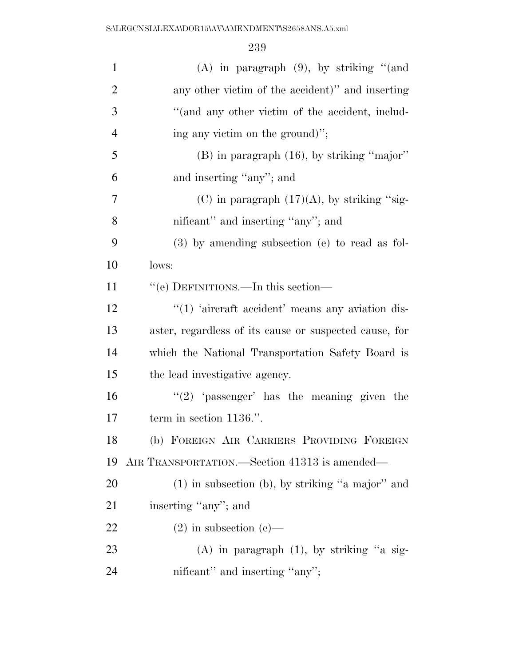| $\mathbf{1}$   | $(A)$ in paragraph $(9)$ , by striking "(and           |
|----------------|--------------------------------------------------------|
| $\overline{2}$ | any other victim of the accident)" and inserting       |
| 3              | "(and any other victim of the accident, includ-        |
| $\overline{4}$ | ing any victim on the ground)";                        |
| 5              | $(B)$ in paragraph $(16)$ , by striking "major"        |
| 6              | and inserting "any"; and                               |
| $\overline{7}$ | (C) in paragraph $(17)(A)$ , by striking "sig-         |
| 8              | nificant" and inserting "any"; and                     |
| 9              | $(3)$ by amending subsection (e) to read as fol-       |
| 10             | lows:                                                  |
| 11             | "(e) DEFINITIONS.—In this section—                     |
| 12             | $\lq(1)$ 'aircraft accident' means any aviation dis-   |
| 13             | aster, regardless of its cause or suspected cause, for |
| 14             | which the National Transportation Safety Board is      |
| 15             | the lead investigative agency.                         |
| 16             | " $(2)$ 'passenger' has the meaning given the          |
| 17             | term in section 1136.".                                |
| 18             | (b) FOREIGN AIR CARRIERS PROVIDING FOREIGN             |
| 19             | AIR TRANSPORTATION.—Section 41313 is amended—          |
| <b>20</b>      | $(1)$ in subsection (b), by striking "a major" and     |
| 21             | inserting "any"; and                                   |
| 22             | $(2)$ in subsection $(e)$ —                            |
| 23             | $(A)$ in paragraph $(1)$ , by striking "a sig-         |
| 24             | nificant" and inserting "any";                         |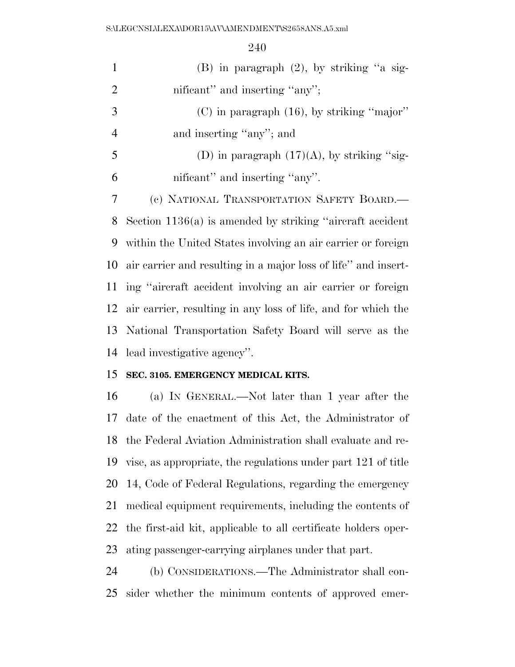| $\mathbf{1}$   | (B) in paragraph $(2)$ , by striking "a sig-                   |
|----------------|----------------------------------------------------------------|
| $\overline{2}$ | nificant" and inserting "any";                                 |
| 3              | $(C)$ in paragraph $(16)$ , by striking "major"                |
| $\overline{4}$ | and inserting "any"; and                                       |
| 5              | (D) in paragraph $(17)(A)$ , by striking "sig-                 |
| 6              | nificant" and inserting "any".                                 |
| 7              | (c) NATIONAL TRANSPORTATION SAFETY BOARD.—                     |
| 8              | Section $1136(a)$ is amended by striking "aircraft accident"   |
| 9              | within the United States involving an air carrier or foreign   |
| 10             | air carrier and resulting in a major loss of life" and insert- |
| 11             | ing "aircraft accident involving an air carrier or foreign     |
| 12             | air carrier, resulting in any loss of life, and for which the  |
| 13             | National Transportation Safety Board will serve as the         |
| 14             | lead investigative agency".                                    |
| 15             | SEC. 3105. EMERGENCY MEDICAL KITS.                             |
| 16             | (a) IN GENERAL.—Not later than 1 year after the                |

 date of the enactment of this Act, the Administrator of the Federal Aviation Administration shall evaluate and re- vise, as appropriate, the regulations under part 121 of title 14, Code of Federal Regulations, regarding the emergency medical equipment requirements, including the contents of the first-aid kit, applicable to all certificate holders oper-ating passenger-carrying airplanes under that part.

 (b) CONSIDERATIONS.—The Administrator shall con-sider whether the minimum contents of approved emer-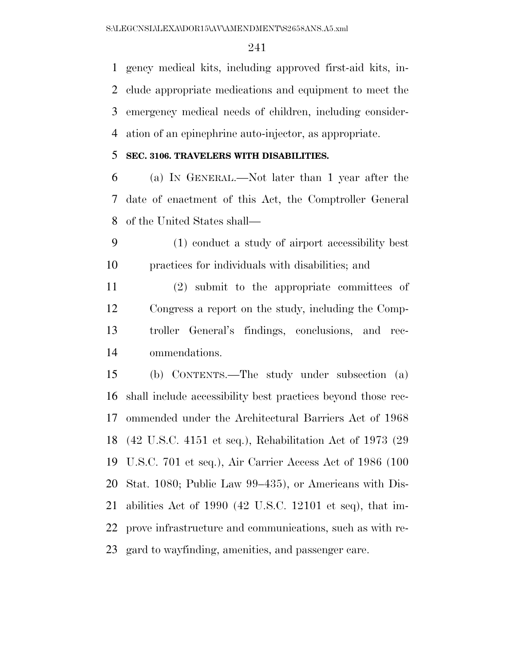gency medical kits, including approved first-aid kits, in- clude appropriate medications and equipment to meet the emergency medical needs of children, including consider-ation of an epinephrine auto-injector, as appropriate.

#### **SEC. 3106. TRAVELERS WITH DISABILITIES.**

 (a) IN GENERAL.—Not later than 1 year after the date of enactment of this Act, the Comptroller General of the United States shall—

 (1) conduct a study of airport accessibility best practices for individuals with disabilities; and

 (2) submit to the appropriate committees of Congress a report on the study, including the Comp- troller General's findings, conclusions, and rec-ommendations.

 (b) CONTENTS.—The study under subsection (a) shall include accessibility best practices beyond those rec- ommended under the Architectural Barriers Act of 1968 (42 U.S.C. 4151 et seq.), Rehabilitation Act of 1973 (29 U.S.C. 701 et seq.), Air Carrier Access Act of 1986 (100 Stat. 1080; Public Law 99–435), or Americans with Dis- abilities Act of 1990 (42 U.S.C. 12101 et seq), that im- prove infrastructure and communications, such as with re-gard to wayfinding, amenities, and passenger care.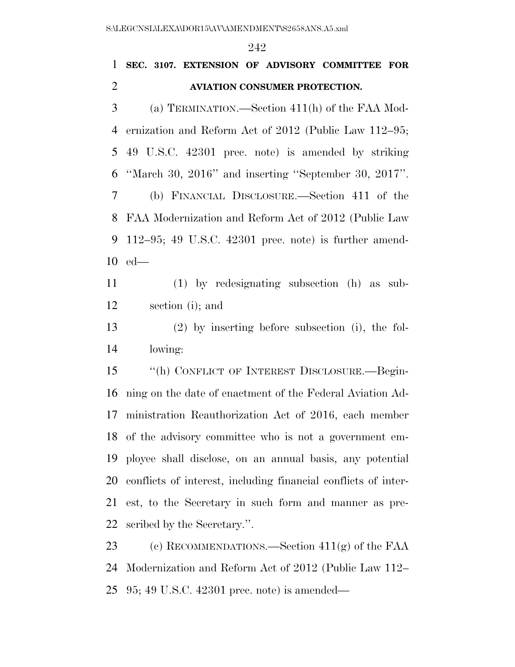$0.40$ 

|                | 242                                                            |
|----------------|----------------------------------------------------------------|
| $\mathbf{1}$   | SEC. 3107. EXTENSION OF ADVISORY COMMITTEE FOR                 |
| $\overline{2}$ | <b>AVIATION CONSUMER PROTECTION.</b>                           |
| 3              | (a) TERMINATION.—Section $411(h)$ of the FAA Mod-              |
| 4              | ernization and Reform Act of 2012 (Public Law 112–95;          |
| 5              | 49 U.S.C. 42301 prec. note) is amended by striking             |
| 6              | "March 30, $2016$ " and inserting "September 30, $2017$ ".     |
| 7              | (b) FINANCIAL DISCLOSURE.—Section 411 of the                   |
| 8              | FAA Modernization and Reform Act of 2012 (Public Law           |
| 9              | $112-95$ ; 49 U.S.C. 42301 prec. note) is further amend-       |
| 10             | $ed$ —                                                         |
| 11             | $(1)$ by redesignating subsection $(h)$ as sub-                |
| 12             | section (i); and                                               |
| 13             | $(2)$ by inserting before subsection (i), the fol-             |
| 14             | lowing:                                                        |
| 15             | "(h) CONFLICT OF INTEREST DISCLOSURE.-Begin-                   |
| 16             | ning on the date of enactment of the Federal Aviation Ad-      |
| 17             | ministration Reauthorization Act of 2016, each member          |
| 18             | of the advisory committee who is not a government em-          |
| 19             | ployee shall disclose, on an annual basis, any potential       |
| 20             | conflicts of interest, including financial conflicts of inter- |
| 21             | est, to the Secretary in such form and manner as pre-          |
| 22             | scribed by the Secretary.".                                    |
| 23             | (c) RECOMMENDATIONS.—Section $411(g)$ of the FAA               |
| 24             | Modernization and Reform Act of 2012 (Public Law 112–          |
| 25             | $95;49$ U.S.C. $42301$ prec. note) is amended—                 |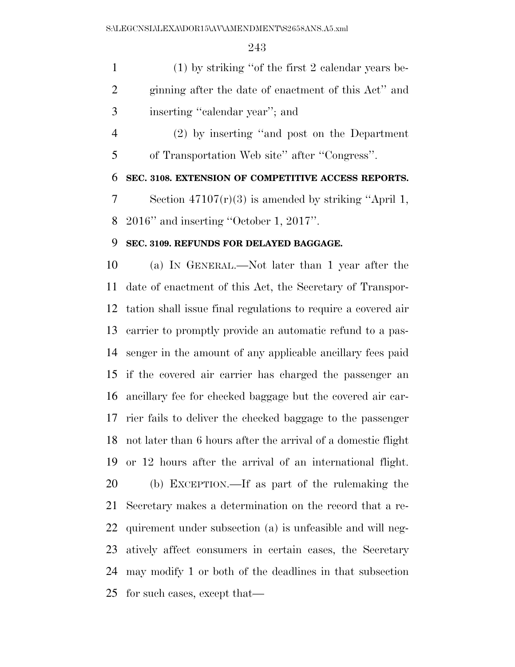(1) by striking ''of the first 2 calendar years be- ginning after the date of enactment of this Act'' and inserting ''calendar year''; and

 (2) by inserting ''and post on the Department of Transportation Web site'' after ''Congress''.

**SEC. 3108. EXTENSION OF COMPETITIVE ACCESS REPORTS.** 

 Section 47107(r)(3) is amended by striking ''April 1, 2016'' and inserting ''October 1, 2017''.

#### **SEC. 3109. REFUNDS FOR DELAYED BAGGAGE.**

 (a) IN GENERAL.—Not later than 1 year after the date of enactment of this Act, the Secretary of Transpor- tation shall issue final regulations to require a covered air carrier to promptly provide an automatic refund to a pas- senger in the amount of any applicable ancillary fees paid if the covered air carrier has charged the passenger an ancillary fee for checked baggage but the covered air car- rier fails to deliver the checked baggage to the passenger not later than 6 hours after the arrival of a domestic flight or 12 hours after the arrival of an international flight. (b) EXCEPTION.—If as part of the rulemaking the Secretary makes a determination on the record that a re- quirement under subsection (a) is unfeasible and will neg- atively affect consumers in certain cases, the Secretary may modify 1 or both of the deadlines in that subsection for such cases, except that—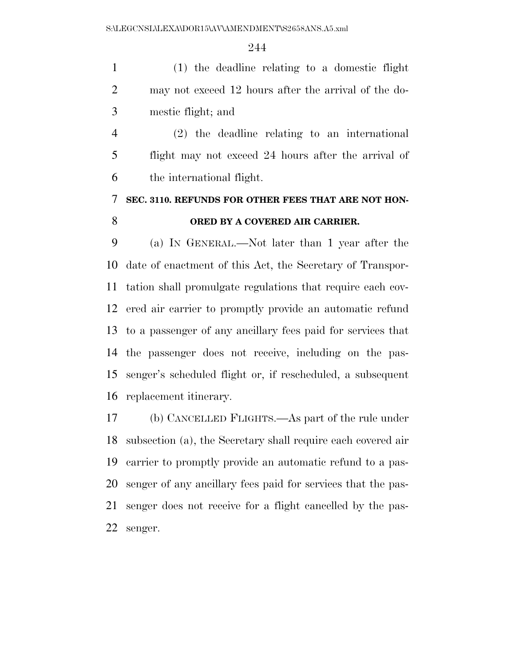(1) the deadline relating to a domestic flight may not exceed 12 hours after the arrival of the do-mestic flight; and

 (2) the deadline relating to an international flight may not exceed 24 hours after the arrival of the international flight.

### **SEC. 3110. REFUNDS FOR OTHER FEES THAT ARE NOT HON-ORED BY A COVERED AIR CARRIER.**

 (a) IN GENERAL.—Not later than 1 year after the date of enactment of this Act, the Secretary of Transpor- tation shall promulgate regulations that require each cov- ered air carrier to promptly provide an automatic refund to a passenger of any ancillary fees paid for services that the passenger does not receive, including on the pas- senger's scheduled flight or, if rescheduled, a subsequent replacement itinerary.

 (b) CANCELLED FLIGHTS.—As part of the rule under subsection (a), the Secretary shall require each covered air carrier to promptly provide an automatic refund to a pas- senger of any ancillary fees paid for services that the pas- senger does not receive for a flight cancelled by the pas-senger.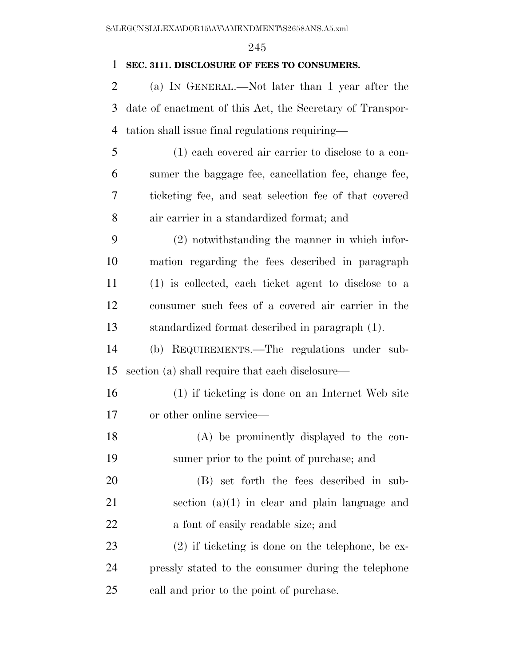#### **SEC. 3111. DISCLOSURE OF FEES TO CONSUMERS.**

 (a) IN GENERAL.—Not later than 1 year after the date of enactment of this Act, the Secretary of Transpor-tation shall issue final regulations requiring—

- (1) each covered air carrier to disclose to a con- sumer the baggage fee, cancellation fee, change fee, ticketing fee, and seat selection fee of that covered air carrier in a standardized format; and
- (2) notwithstanding the manner in which infor- mation regarding the fees described in paragraph (1) is collected, each ticket agent to disclose to a consumer such fees of a covered air carrier in the standardized format described in paragraph (1).
- (b) REQUIREMENTS.—The regulations under sub-section (a) shall require that each disclosure—
- (1) if ticketing is done on an Internet Web site or other online service—
- (A) be prominently displayed to the con-sumer prior to the point of purchase; and
- (B) set forth the fees described in sub- section (a)(1) in clear and plain language and a font of easily readable size; and
- (2) if ticketing is done on the telephone, be ex- pressly stated to the consumer during the telephone call and prior to the point of purchase.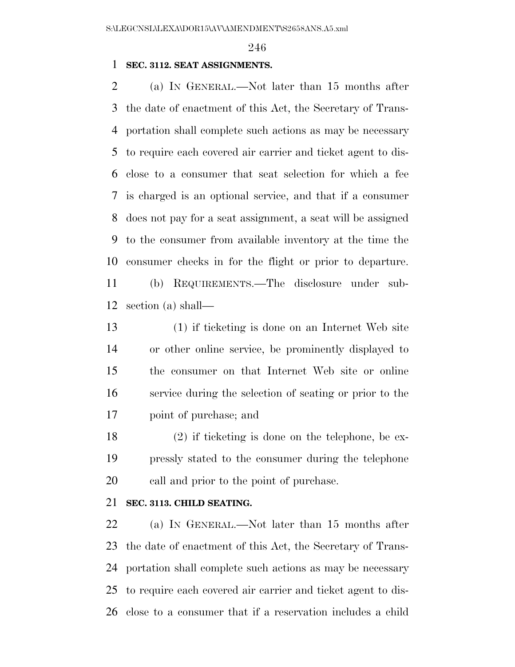#### **SEC. 3112. SEAT ASSIGNMENTS.**

 (a) IN GENERAL.—Not later than 15 months after the date of enactment of this Act, the Secretary of Trans- portation shall complete such actions as may be necessary to require each covered air carrier and ticket agent to dis- close to a consumer that seat selection for which a fee is charged is an optional service, and that if a consumer does not pay for a seat assignment, a seat will be assigned to the consumer from available inventory at the time the consumer checks in for the flight or prior to departure. (b) REQUIREMENTS.—The disclosure under sub-

section (a) shall—

 (1) if ticketing is done on an Internet Web site or other online service, be prominently displayed to the consumer on that Internet Web site or online service during the selection of seating or prior to the point of purchase; and

 (2) if ticketing is done on the telephone, be ex- pressly stated to the consumer during the telephone call and prior to the point of purchase.

#### **SEC. 3113. CHILD SEATING.**

22 (a) IN GENERAL.—Not later than 15 months after the date of enactment of this Act, the Secretary of Trans- portation shall complete such actions as may be necessary to require each covered air carrier and ticket agent to dis-close to a consumer that if a reservation includes a child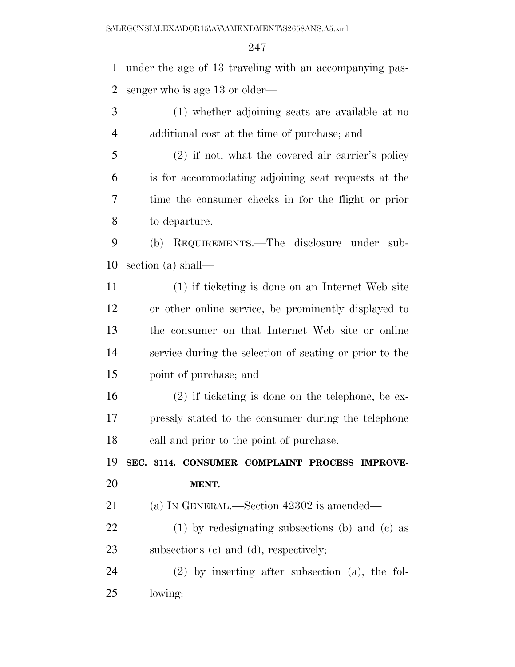under the age of 13 traveling with an accompanying pas-senger who is age 13 or older—

 (1) whether adjoining seats are available at no additional cost at the time of purchase; and

 (2) if not, what the covered air carrier's policy is for accommodating adjoining seat requests at the time the consumer checks in for the flight or prior to departure.

 (b) REQUIREMENTS.—The disclosure under sub-section (a) shall—

 (1) if ticketing is done on an Internet Web site or other online service, be prominently displayed to the consumer on that Internet Web site or online service during the selection of seating or prior to the point of purchase; and

 (2) if ticketing is done on the telephone, be ex- pressly stated to the consumer during the telephone call and prior to the point of purchase.

 **SEC. 3114. CONSUMER COMPLAINT PROCESS IMPROVE-MENT.** 

(a) IN GENERAL.—Section 42302 is amended—

 (1) by redesignating subsections (b) and (c) as subsections (c) and (d), respectively;

 (2) by inserting after subsection (a), the fol-lowing: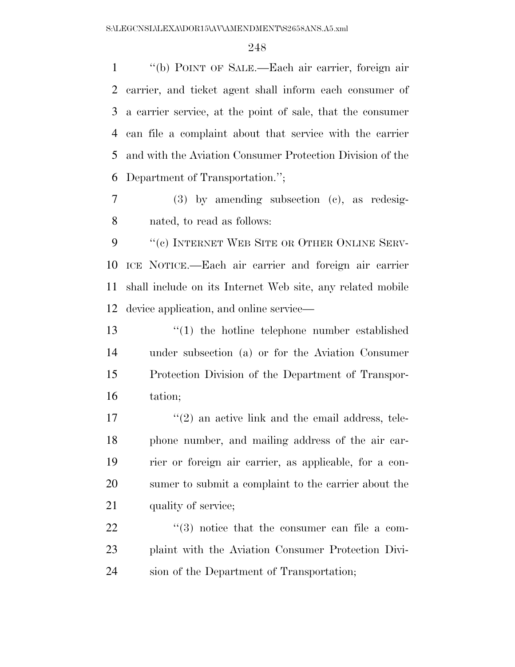''(b) POINT OF SALE.—Each air carrier, foreign air carrier, and ticket agent shall inform each consumer of a carrier service, at the point of sale, that the consumer can file a complaint about that service with the carrier and with the Aviation Consumer Protection Division of the Department of Transportation.'';

 (3) by amending subsection (c), as redesig-nated, to read as follows:

9 "(c) INTERNET WEB SITE OR OTHER ONLINE SERV- ICE NOTICE.—Each air carrier and foreign air carrier shall include on its Internet Web site, any related mobile device application, and online service—

 ''(1) the hotline telephone number established under subsection (a) or for the Aviation Consumer Protection Division of the Department of Transpor-tation;

17 ''(2) an active link and the email address, tele- phone number, and mailing address of the air car- rier or foreign air carrier, as applicable, for a con- sumer to submit a complaint to the carrier about the 21 quality of service;

22  $\frac{1}{2}$  (3) notice that the consumer can file a com- plaint with the Aviation Consumer Protection Divi-sion of the Department of Transportation;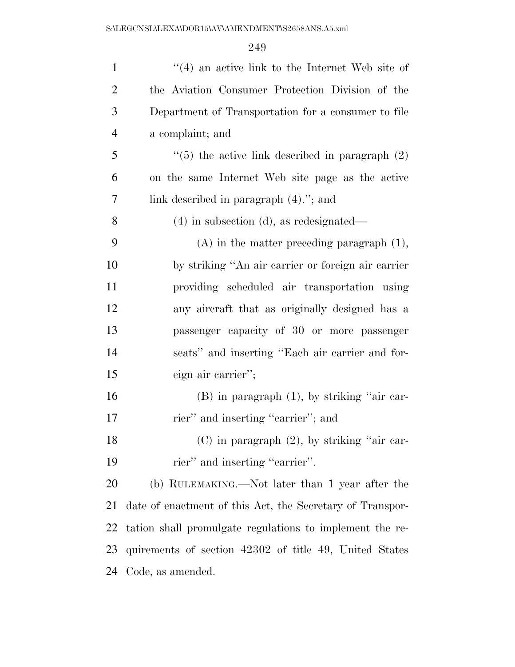| $\mathbf{1}$   | $\cdot$ (4) an active link to the Internet Web site of    |
|----------------|-----------------------------------------------------------|
| $\overline{2}$ | the Aviation Consumer Protection Division of the          |
| 3              | Department of Transportation for a consumer to file       |
| $\overline{4}$ | a complaint; and                                          |
| 5              | $\lq(5)$ the active link described in paragraph $(2)$     |
| 6              | on the same Internet Web site page as the active          |
| 7              | link described in paragraph $(4)$ ."; and                 |
| 8              | $(4)$ in subsection $(d)$ , as redesignated—              |
| 9              | $(A)$ in the matter preceding paragraph $(1)$ ,           |
| 10             | by striking "An air carrier or foreign air carrier        |
| 11             | providing scheduled air transportation using              |
| 12             | any aircraft that as originally designed has a            |
| 13             | passenger capacity of 30 or more passenger                |
| 14             | seats" and inserting "Each air carrier and for-           |
| 15             | eign air carrier";                                        |
| 16             | $(B)$ in paragraph $(1)$ , by striking "air car-          |
| 17             | rier" and inserting "carrier"; and                        |
| 18             | $(C)$ in paragraph $(2)$ , by striking "air car-          |
| 19             | rier" and inserting "carrier".                            |
| 20             | (b) RULEMAKING.—Not later than 1 year after the           |
| 21             | date of enactment of this Act, the Secretary of Transpor- |
| 22             | tation shall promulgate regulations to implement the re-  |
| 23             | quirements of section 42302 of title 49, United States    |
| 24             | Code, as amended.                                         |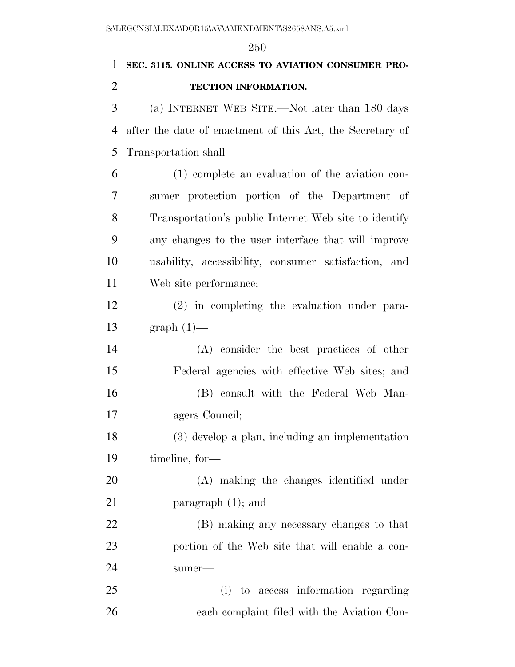# **SEC. 3115. ONLINE ACCESS TO AVIATION CONSUMER PRO-TECTION INFORMATION.**

 (a) INTERNET WEB SITE.—Not later than 180 days after the date of enactment of this Act, the Secretary of Transportation shall—

 (1) complete an evaluation of the aviation con- sumer protection portion of the Department of Transportation's public Internet Web site to identify any changes to the user interface that will improve usability, accessibility, consumer satisfaction, and Web site performance;

 (2) in completing the evaluation under para-graph (1)—

 (A) consider the best practices of other Federal agencies with effective Web sites; and (B) consult with the Federal Web Man-agers Council;

 (3) develop a plan, including an implementation timeline, for—

 (A) making the changes identified under 21 paragraph (1); and

 (B) making any necessary changes to that portion of the Web site that will enable a con-sumer—

 (i) to access information regarding each complaint filed with the Aviation Con-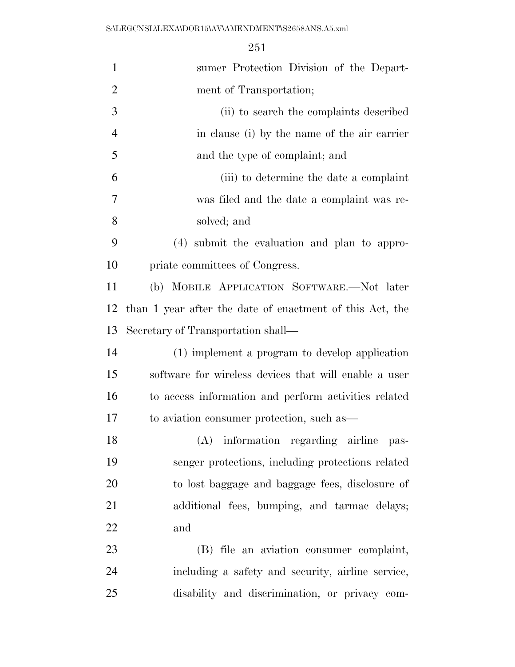| $\mathbf{1}$   | sumer Protection Division of the Depart-                 |
|----------------|----------------------------------------------------------|
| $\overline{2}$ | ment of Transportation;                                  |
| 3              | (ii) to search the complaints described                  |
| $\overline{4}$ | in clause (i) by the name of the air carrier             |
| 5              | and the type of complaint; and                           |
| 6              | (iii) to determine the date a complaint                  |
| 7              | was filed and the date a complaint was re-               |
| 8              | solved; and                                              |
| 9              | (4) submit the evaluation and plan to appro-             |
| 10             | priate committees of Congress.                           |
| 11             | (b) MOBILE APPLICATION SOFTWARE.—Not later               |
| 12             | than 1 year after the date of enactment of this Act, the |
| 13             | Secretary of Transportation shall—                       |
| 14             | (1) implement a program to develop application           |
| 15             | software for wireless devices that will enable a user    |
| 16             | to access information and perform activities related     |
| 17             | to aviation consumer protection, such as—                |
| 18             | (A) information regarding airline pas-                   |
| 19             | senger protections, including protections related        |
| 20             | to lost baggage and baggage fees, disclosure of          |
| 21             | additional fees, bumping, and tarmac delays;             |
| 22             | and                                                      |
| 23             | (B) file an aviation consumer complaint,                 |
| 24             | including a safety and security, airline service,        |
| 25             | disability and discrimination, or privacy com-           |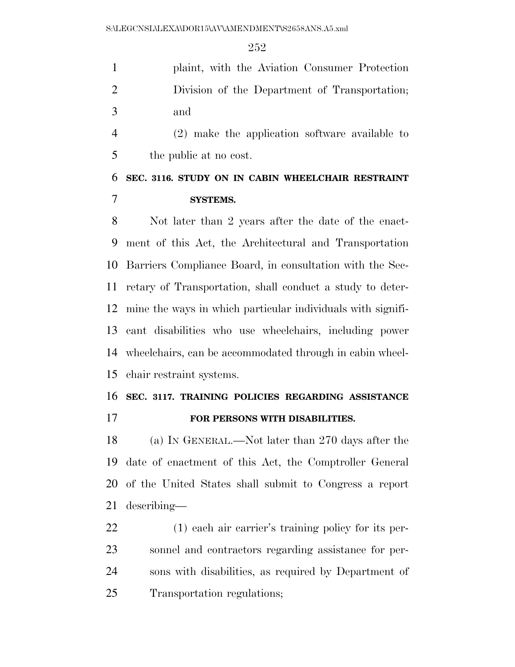|               | plaint, with the Aviation Consumer Protection |
|---------------|-----------------------------------------------|
| $\mathcal{D}$ | Division of the Department of Transportation; |
| $\mathcal{R}$ | and                                           |

 (2) make the application software available to the public at no cost.

### **SEC. 3116. STUDY ON IN CABIN WHEELCHAIR RESTRAINT SYSTEMS.**

 Not later than 2 years after the date of the enact- ment of this Act, the Architectural and Transportation Barriers Compliance Board, in consultation with the Sec- retary of Transportation, shall conduct a study to deter- mine the ways in which particular individuals with signifi- cant disabilities who use wheelchairs, including power wheelchairs, can be accommodated through in cabin wheel-chair restraint systems.

# **SEC. 3117. TRAINING POLICIES REGARDING ASSISTANCE**

**FOR PERSONS WITH DISABILITIES.** 

 (a) IN GENERAL.—Not later than 270 days after the date of enactment of this Act, the Comptroller General of the United States shall submit to Congress a report describing—

 (1) each air carrier's training policy for its per- sonnel and contractors regarding assistance for per- sons with disabilities, as required by Department of Transportation regulations;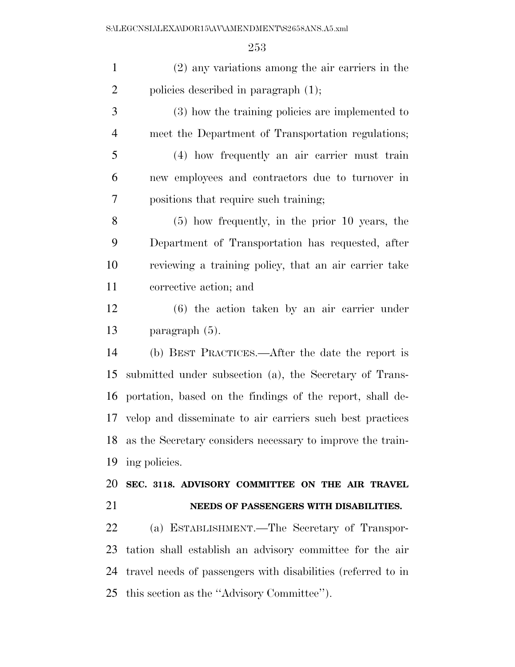| $\mathbf{1}$   | $(2)$ any variations among the air carriers in the            |
|----------------|---------------------------------------------------------------|
| $\overline{2}$ | policies described in paragraph (1);                          |
| 3              | (3) how the training policies are implemented to              |
| $\overline{4}$ | meet the Department of Transportation regulations;            |
| 5              | (4) how frequently an air carrier must train                  |
| 6              | new employees and contractors due to turnover in              |
| 7              | positions that require such training;                         |
| 8              | $(5)$ how frequently, in the prior 10 years, the              |
| 9              | Department of Transportation has requested, after             |
| 10             | reviewing a training policy, that an air carrier take         |
| 11             | corrective action; and                                        |
| 12             | $(6)$ the action taken by an air carrier under                |
| 13             | paragraph $(5)$ .                                             |
| 14             | (b) BEST PRACTICES.—After the date the report is              |
| 15             | submitted under subsection (a), the Secretary of Trans-       |
| 16             | portation, based on the findings of the report, shall de-     |
| 17             | velop and disseminate to air carriers such best practices     |
|                | 18 as the Secretary considers necessary to improve the train- |
| 19             | ing policies.                                                 |
| 20             | SEC. 3118. ADVISORY COMMITTEE ON THE AIR TRAVEL               |
| 21             | NEEDS OF PASSENGERS WITH DISABILITIES.                        |
| 22             | (a) ESTABLISHMENT.—The Secretary of Transpor-                 |
| 23             | tation shall establish an advisory committee for the air      |
| 24             | travel needs of passengers with disabilities (referred to in  |
| 25             | this section as the "Advisory Committee").                    |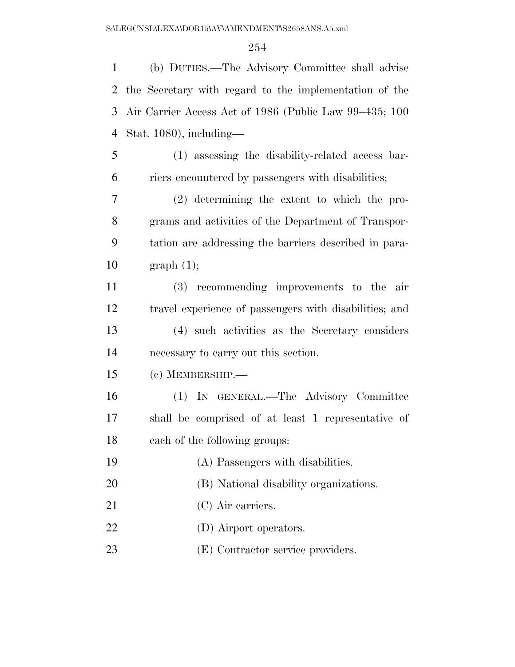(b) DUTIES.—The Advisory Committee shall advise the Secretary with regard to the implementation of the Air Carrier Access Act of 1986 (Public Law 99–435; 100 Stat. 1080), including— (1) assessing the disability-related access bar-riers encountered by passengers with disabilities;

 (2) determining the extent to which the pro- grams and activities of the Department of Transpor- tation are addressing the barriers described in para- $\quad \text{graph} \; (1);$ 

 (3) recommending improvements to the air travel experience of passengers with disabilities; and (4) such activities as the Secretary considers necessary to carry out this section.

(c) MEMBERSHIP.—

 (1) IN GENERAL.—The Advisory Committee shall be comprised of at least 1 representative of each of the following groups:

- (A) Passengers with disabilities.
- (B) National disability organizations.
- 21 (C) Air carriers.
- 22 (D) Airport operators.
- 23 (E) Contractor service providers.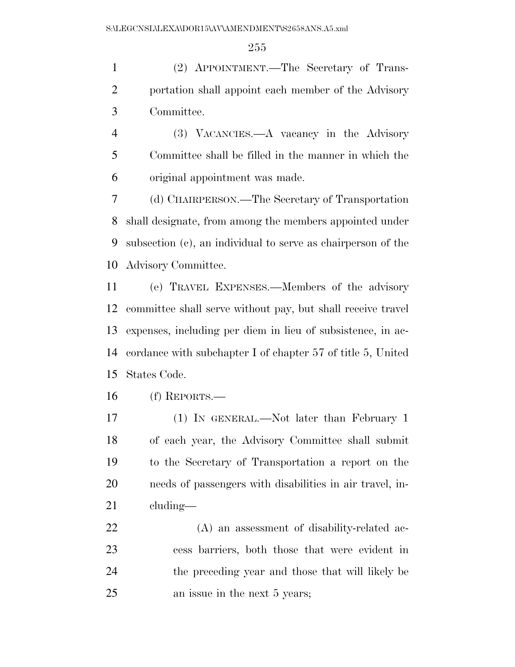(2) APPOINTMENT.—The Secretary of Trans- portation shall appoint each member of the Advisory Committee.

 (3) VACANCIES.—A vacancy in the Advisory Committee shall be filled in the manner in which the original appointment was made.

 (d) CHAIRPERSON.—The Secretary of Transportation shall designate, from among the members appointed under subsection (c), an individual to serve as chairperson of the Advisory Committee.

 (e) TRAVEL EXPENSES.—Members of the advisory committee shall serve without pay, but shall receive travel expenses, including per diem in lieu of subsistence, in ac- cordance with subchapter I of chapter 57 of title 5, United States Code.

(f) REPORTS.—

 (1) IN GENERAL.—Not later than February 1 of each year, the Advisory Committee shall submit to the Secretary of Transportation a report on the needs of passengers with disabilities in air travel, in-cluding—

 (A) an assessment of disability-related ac- cess barriers, both those that were evident in the preceding year and those that will likely be an issue in the next 5 years;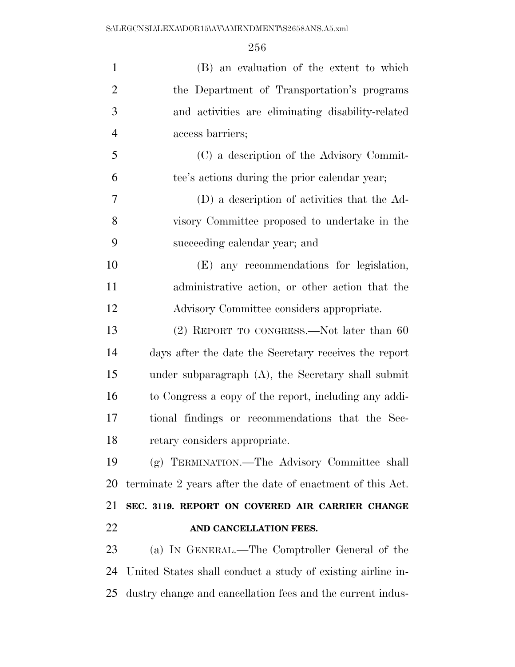| $\mathbf{1}$   | (B) an evaluation of the extent to which                    |
|----------------|-------------------------------------------------------------|
| $\overline{2}$ | the Department of Transportation's programs                 |
| 3              | and activities are eliminating disability-related           |
| $\overline{4}$ | access barriers;                                            |
| 5              | (C) a description of the Advisory Commit-                   |
| 6              | tee's actions during the prior calendar year;               |
| 7              | (D) a description of activities that the Ad-                |
| 8              | visory Committee proposed to undertake in the               |
| 9              | succeeding calendar year; and                               |
| 10             | (E) any recommendations for legislation,                    |
| 11             | administrative action, or other action that the             |
| 12             | Advisory Committee considers appropriate.                   |
| 13             | $(2)$ REPORT TO CONGRESS.—Not later than 60                 |
| 14             | days after the date the Secretary receives the report       |
| 15             | under subparagraph (A), the Secretary shall submit          |
| 16             | to Congress a copy of the report, including any addi-       |
| 17             | tional findings or recommendations that the Sec-            |
| 18             | retary considers appropriate.                               |
| 19             | (g) TERMINATION.—The Advisory Committee shall               |
| 20             | terminate 2 years after the date of enactment of this Act.  |
| 21             | SEC. 3119. REPORT ON COVERED AIR CARRIER CHANGE             |
| 22             | AND CANCELLATION FEES.                                      |
| 23             | (a) IN GENERAL.—The Comptroller General of the              |
| 24             | United States shall conduct a study of existing airline in- |
|                |                                                             |

dustry change and cancellation fees and the current indus-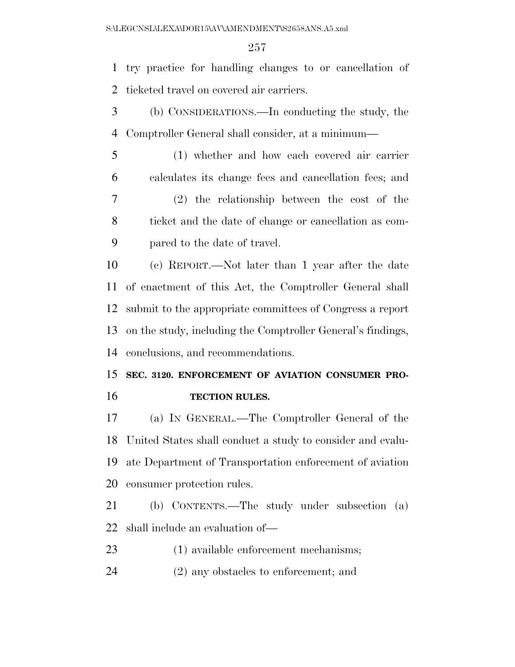try practice for handling changes to or cancellation of ticketed travel on covered air carriers.

 (b) CONSIDERATIONS.—In conducting the study, the Comptroller General shall consider, at a minimum—

 (1) whether and how each covered air carrier calculates its change fees and cancellation fees; and (2) the relationship between the cost of the ticket and the date of change or cancellation as com-pared to the date of travel.

 (c) REPORT.—Not later than 1 year after the date of enactment of this Act, the Comptroller General shall submit to the appropriate committees of Congress a report on the study, including the Comptroller General's findings, conclusions, and recommendations.

 **SEC. 3120. ENFORCEMENT OF AVIATION CONSUMER PRO-TECTION RULES.** 

 (a) IN GENERAL.—The Comptroller General of the United States shall conduct a study to consider and evalu- ate Department of Transportation enforcement of aviation consumer protection rules.

 (b) CONTENTS.—The study under subsection (a) shall include an evaluation of—

(1) available enforcement mechanisms;

(2) any obstacles to enforcement; and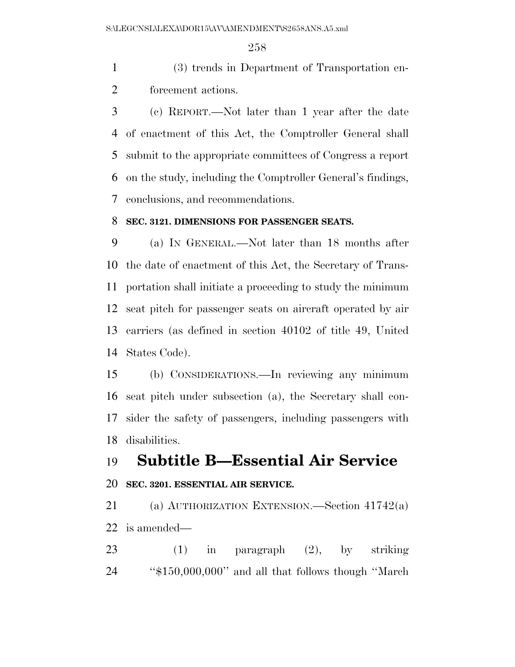(3) trends in Department of Transportation en-forcement actions.

 (c) REPORT.—Not later than 1 year after the date of enactment of this Act, the Comptroller General shall submit to the appropriate committees of Congress a report on the study, including the Comptroller General's findings, conclusions, and recommendations.

#### **SEC. 3121. DIMENSIONS FOR PASSENGER SEATS.**

 (a) IN GENERAL.—Not later than 18 months after the date of enactment of this Act, the Secretary of Trans- portation shall initiate a proceeding to study the minimum seat pitch for passenger seats on aircraft operated by air carriers (as defined in section 40102 of title 49, United States Code).

 (b) CONSIDERATIONS.—In reviewing any minimum seat pitch under subsection (a), the Secretary shall con- sider the safety of passengers, including passengers with disabilities.

# **Subtitle B—Essential Air Service**

#### **SEC. 3201. ESSENTIAL AIR SERVICE.**

 (a) AUTHORIZATION EXTENSION.—Section 41742(a) is amended—

 (1) in paragraph (2), by striking ''\$150,000,000'' and all that follows though ''March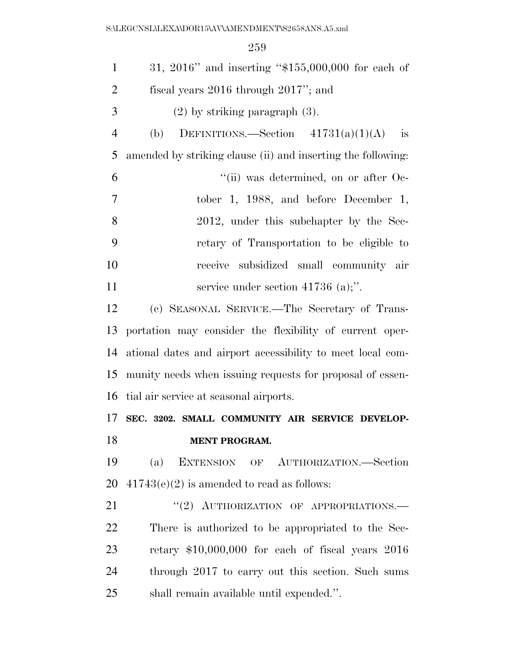| $\mathbf{1}$   | 31, 2016" and inserting " $$155,000,000$ for each of         |
|----------------|--------------------------------------------------------------|
| $\overline{2}$ | fiscal years $2016$ through $2017$ "; and                    |
| 3              | $(2)$ by striking paragraph $(3)$ .                          |
| $\overline{4}$ | DEFINITIONS.—Section $41731(a)(1)(A)$<br>is<br>(b)           |
| 5              | amended by striking clause (ii) and inserting the following: |
| 6              | "(ii) was determined, on or after Oc-                        |
| 7              | tober 1, 1988, and before December 1,                        |
| 8              | 2012, under this subchapter by the Sec-                      |
| 9              | retary of Transportation to be eligible to                   |
| 10             | receive subsidized small community air                       |
| 11             | service under section $41736$ (a);".                         |
| 12             | (c) SEASONAL SERVICE.—The Secretary of Trans-                |
| 13             | portation may consider the flexibility of current oper-      |
| 14             | ational dates and airport accessibility to meet local com-   |
| 15             | munity needs when issuing requests for proposal of essen-    |
| 16             | tial air service at seasonal airports.                       |
| 17             | SEC. 3202. SMALL COMMUNITY AIR SERVICE DEVELOP-              |
| 18             | <b>MENT PROGRAM.</b>                                         |
| 19             | EXTENSION OF AUTHORIZATION.-Section<br>(a)                   |
| 20             | $41743(e)(2)$ is amended to read as follows:                 |
| 21             | "(2) AUTHORIZATION OF APPROPRIATIONS.-                       |
| 22             | There is authorized to be appropriated to the Sec-           |
| 23             | retary $$10,000,000$ for each of fiscal years $2016$         |
| 24             | through 2017 to carry out this section. Such sums            |
| 25             | shall remain available until expended.".                     |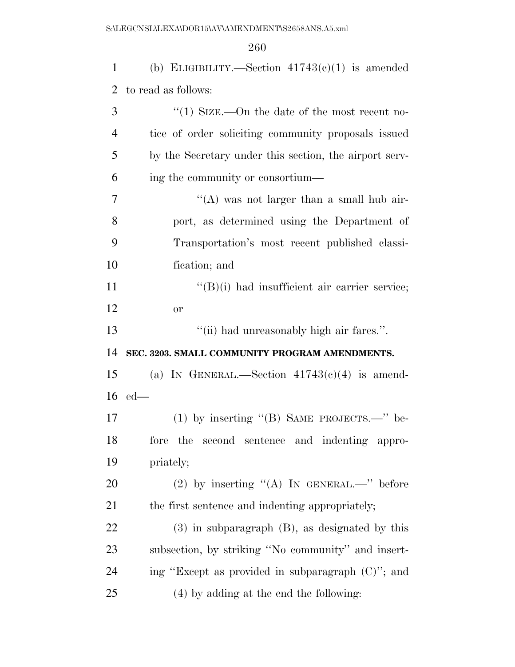1 (b) ELIGIBILITY.—Section  $41743(c)(1)$  is amended to read as follows: ''(1) SIZE.—On the date of the most recent no- tice of order soliciting community proposals issued by the Secretary under this section, the airport serv- ing the community or consortium— ''(A) was not larger than a small hub air- port, as determined using the Department of Transportation's most recent published classi- fication; and  $\text{``(B)(i)}$  had insufficient air carrier service; or ''(ii) had unreasonably high air fares.''. **SEC. 3203. SMALL COMMUNITY PROGRAM AMENDMENTS.**  15 (a) In GENERAL.—Section  $41743(c)(4)$  is amend- ed— (1) by inserting ''(B) SAME PROJECTS.—'' be- fore the second sentence and indenting appro- priately; 20 (2) by inserting  $(4)$  In GENERAL.—" before 21 the first sentence and indenting appropriately; (3) in subparagraph (B), as designated by this subsection, by striking ''No community'' and insert- ing ''Except as provided in subparagraph (C)''; and (4) by adding at the end the following: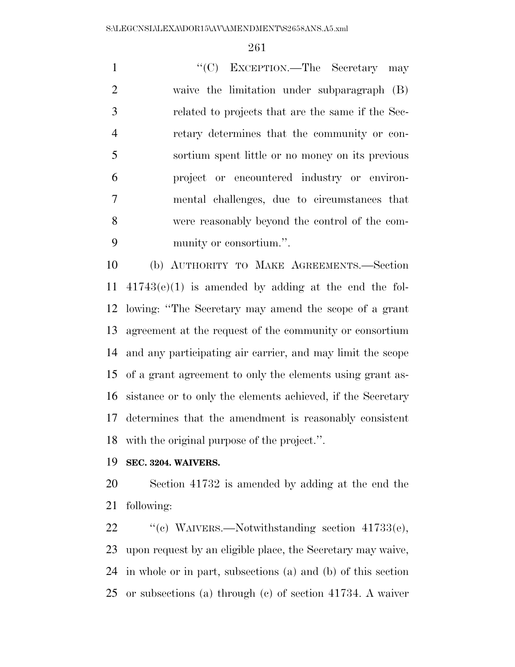1 ''(C) EXCEPTION.—The Secretary may waive the limitation under subparagraph (B) related to projects that are the same if the Sec- retary determines that the community or con- sortium spent little or no money on its previous project or encountered industry or environ- mental challenges, due to circumstances that were reasonably beyond the control of the com-munity or consortium.''.

 (b) AUTHORITY TO MAKE AGREEMENTS.—Section 41743(e)(1) is amended by adding at the end the fol- lowing: ''The Secretary may amend the scope of a grant agreement at the request of the community or consortium and any participating air carrier, and may limit the scope of a grant agreement to only the elements using grant as- sistance or to only the elements achieved, if the Secretary determines that the amendment is reasonably consistent with the original purpose of the project.''.

**SEC. 3204. WAIVERS.** 

 Section 41732 is amended by adding at the end the following:

22 "'(c) WAIVERS.—Notwithstanding section 41733(e), upon request by an eligible place, the Secretary may waive, in whole or in part, subsections (a) and (b) of this section or subsections (a) through (c) of section 41734. A waiver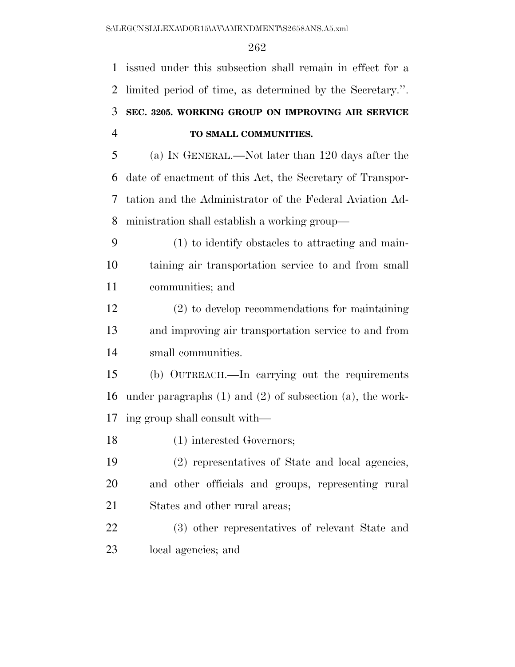issued under this subsection shall remain in effect for a limited period of time, as determined by the Secretary.''. **SEC. 3205. WORKING GROUP ON IMPROVING AIR SERVICE TO SMALL COMMUNITIES.** 

 (a) IN GENERAL.—Not later than 120 days after the date of enactment of this Act, the Secretary of Transpor- tation and the Administrator of the Federal Aviation Ad-ministration shall establish a working group—

 (1) to identify obstacles to attracting and main- taining air transportation service to and from small communities; and

 (2) to develop recommendations for maintaining and improving air transportation service to and from small communities.

 (b) OUTREACH.—In carrying out the requirements under paragraphs (1) and (2) of subsection (a), the work-ing group shall consult with—

(1) interested Governors;

 (2) representatives of State and local agencies, and other officials and groups, representing rural States and other rural areas;

 (3) other representatives of relevant State and local agencies; and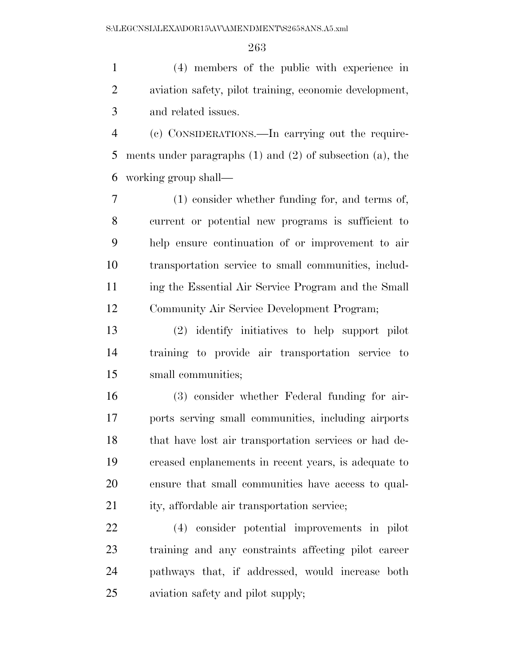(4) members of the public with experience in aviation safety, pilot training, economic development, and related issues.

 (c) CONSIDERATIONS.—In carrying out the require- ments under paragraphs (1) and (2) of subsection (a), the working group shall—

 (1) consider whether funding for, and terms of, current or potential new programs is sufficient to help ensure continuation of or improvement to air transportation service to small communities, includ- ing the Essential Air Service Program and the Small Community Air Service Development Program;

 (2) identify initiatives to help support pilot training to provide air transportation service to small communities;

 (3) consider whether Federal funding for air- ports serving small communities, including airports that have lost air transportation services or had de- creased enplanements in recent years, is adequate to ensure that small communities have access to qual-ity, affordable air transportation service;

 (4) consider potential improvements in pilot training and any constraints affecting pilot career pathways that, if addressed, would increase both aviation safety and pilot supply;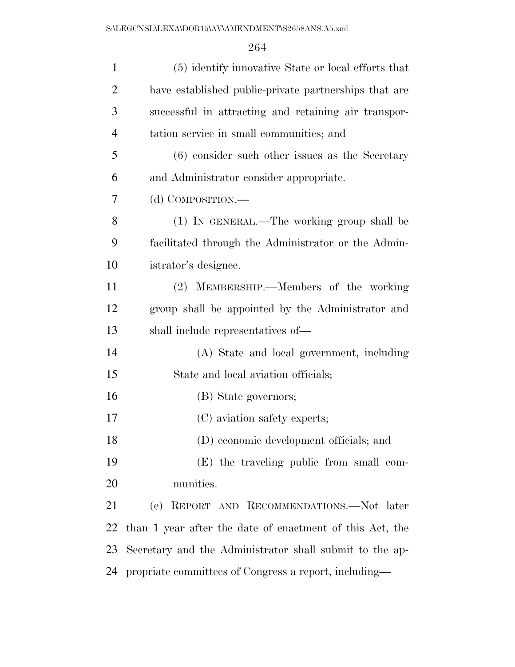| $\mathbf{1}$   | (5) identify innovative State or local efforts that      |
|----------------|----------------------------------------------------------|
| $\overline{2}$ | have established public-private partnerships that are    |
| 3              | successful in attracting and retaining air transpor-     |
| $\overline{4}$ | tation service in small communities; and                 |
| 5              | $(6)$ consider such other issues as the Secretary        |
| 6              | and Administrator consider appropriate.                  |
| 7              | (d) COMPOSITION.—                                        |
| 8              | (1) IN GENERAL.—The working group shall be               |
| 9              | facilitated through the Administrator or the Admin-      |
| 10             | istrator's designee.                                     |
| 11             | (2) MEMBERSHIP.—Members of the working                   |
| 12             | group shall be appointed by the Administrator and        |
| 13             | shall include representatives of—                        |
| 14             | (A) State and local government, including                |
| 15             | State and local aviation officials;                      |
| 16             | (B) State governors;                                     |
| 17             | (C) aviation safety experts;                             |
| 18             | (D) economic development officials; and                  |
| 19             | (E) the traveling public from small com-                 |
| 20             | munities.                                                |
| 21             | (e) REPORT AND RECOMMENDATIONS.—Not later                |
| 22             | than 1 year after the date of enactment of this Act, the |
| 23             | Secretary and the Administrator shall submit to the ap-  |
| 24             | propriate committees of Congress a report, including—    |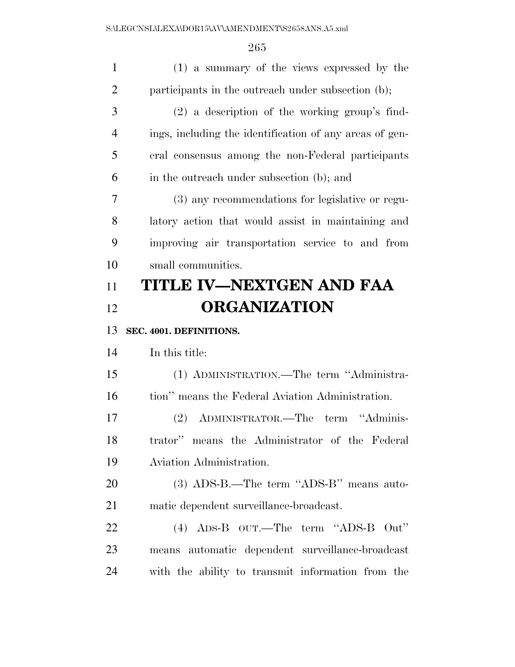| $\mathbf{1}$ | (1) a summary of the views expressed by the             |
|--------------|---------------------------------------------------------|
| 2            | participants in the outreach under subsection (b);      |
| 3            | (2) a description of the working group's find-          |
| 4            | ings, including the identification of any areas of gen- |
| 5            | eral consensus among the non-Federal participants       |
| 6            | in the outreach under subsection (b); and               |
| 7            | (3) any recommendations for legislative or regu-        |
| 8            | latory action that would assist in maintaining and      |
| 9            | improving air transportation service to and from        |
| 10           | small communities.                                      |
| 11           | TITLE IV—NEXTGEN AND FAA                                |
| 12           | <b>ORGANIZATION</b>                                     |
|              |                                                         |
| 13           | SEC. 4001. DEFINITIONS.                                 |
| 14           | In this title:                                          |
| 15           | (1) ADMINISTRATION.—The term "Administra-               |
| 16           | tion" means the Federal Aviation Administration.        |
| 17           | ADMINISTRATOR.—The<br>term "Adminis-<br>(2)             |
| 18           | trator" means the Administrator of the Federal          |
| 19           | Aviation Administration.                                |
| 20           | $(3)$ ADS-B.—The term "ADS-B" means auto-               |
| 21           | matic dependent surveillance-broadcast.                 |
| 22           | $(4)$ ADS-B OUT.—The term "ADS-B Out"                   |
| 23           | means automatic dependent surveillance-broadcast        |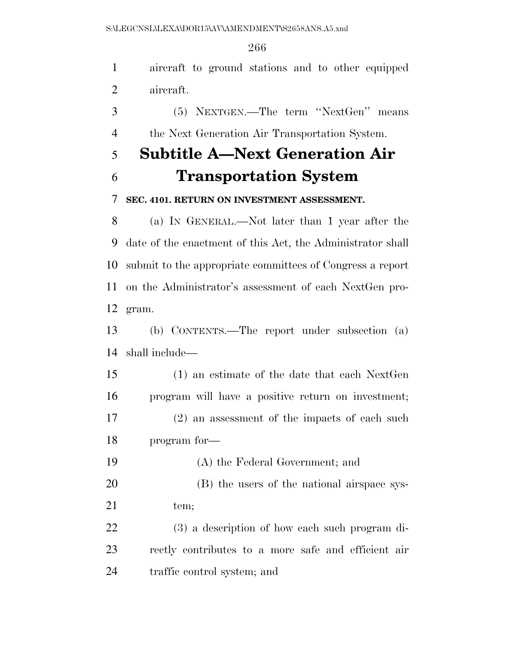aircraft to ground stations and to other equipped

 aircraft. (5) NEXTGEN.—The term ''NextGen'' means the Next Generation Air Transportation System. **Subtitle A—Next Generation Air Transportation System SEC. 4101. RETURN ON INVESTMENT ASSESSMENT.**  (a) IN GENERAL.—Not later than 1 year after the date of the enactment of this Act, the Administrator shall submit to the appropriate committees of Congress a report on the Administrator's assessment of each NextGen pro- gram. (b) CONTENTS.—The report under subsection (a) shall include— (1) an estimate of the date that each NextGen program will have a positive return on investment; (2) an assessment of the impacts of each such program for— (A) the Federal Government; and (B) the users of the national airspace sys-21 tem; (3) a description of how each such program di- rectly contributes to a more safe and efficient air traffic control system; and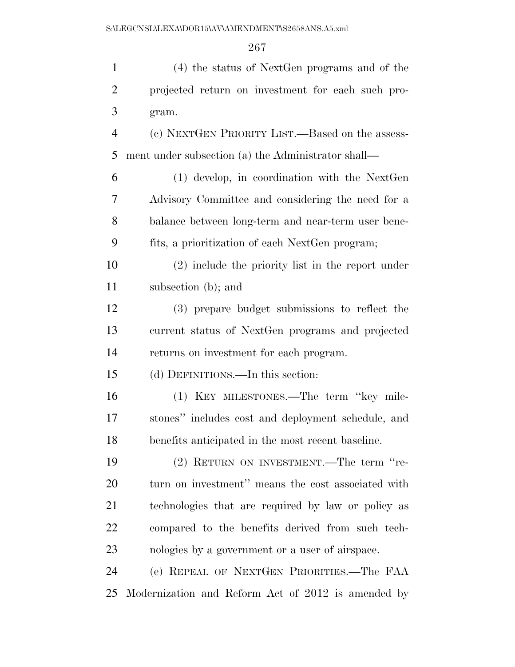| $\mathbf{1}$   | (4) the status of NextGen programs and of the       |
|----------------|-----------------------------------------------------|
| $\overline{2}$ | projected return on investment for each such pro-   |
| 3              | gram.                                               |
| $\overline{4}$ | (c) NEXTGEN PRIORITY LIST.—Based on the assess-     |
| 5              | ment under subsection (a) the Administrator shall—  |
| 6              | $(1)$ develop, in coordination with the NextGen     |
| 7              | Advisory Committee and considering the need for a   |
| 8              | balance between long-term and near-term user bene-  |
| 9              | fits, a prioritization of each NextGen program;     |
| 10             | $(2)$ include the priority list in the report under |
| 11             | subsection (b); and                                 |
| 12             | (3) prepare budget submissions to reflect the       |
| 13             | current status of NextGen programs and projected    |
| 14             | returns on investment for each program.             |
| 15             | (d) DEFINITIONS.—In this section:                   |
| 16             | (1) KEY MILESTONES.—The term "key mile-             |
| 17             | stones" includes cost and deployment schedule, and  |
| 18             | benefits anticipated in the most recent baseline.   |
| 19             | (2) RETURN ON INVESTMENT.—The term "re-             |
| 20             | turn on investment" means the cost associated with  |
| 21             | technologies that are required by law or policy as  |
| 22             | compared to the benefits derived from such tech-    |
| 23             | nologies by a government or a user of airspace.     |
| 24             | (e) REPEAL OF NEXTGEN PRIORITIES.—The FAA           |
| 25             | Modernization and Reform Act of 2012 is amended by  |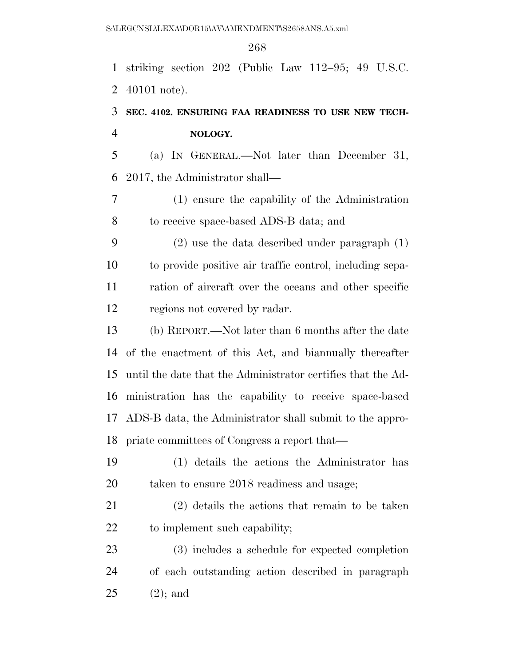striking section 202 (Public Law 112–95; 49 U.S.C. 40101 note).

# **SEC. 4102. ENSURING FAA READINESS TO USE NEW TECH-NOLOGY.**

 (a) IN GENERAL.—Not later than December 31, 2017, the Administrator shall—

 (1) ensure the capability of the Administration to receive space-based ADS-B data; and

 (2) use the data described under paragraph (1) to provide positive air traffic control, including sepa- ration of aircraft over the oceans and other specific regions not covered by radar.

 (b) REPORT.—Not later than 6 months after the date of the enactment of this Act, and biannually thereafter until the date that the Administrator certifies that the Ad- ministration has the capability to receive space-based ADS-B data, the Administrator shall submit to the appro-priate committees of Congress a report that—

 (1) details the actions the Administrator has taken to ensure 2018 readiness and usage;

 (2) details the actions that remain to be taken 22 to implement such capability;

 (3) includes a schedule for expected completion of each outstanding action described in paragraph (2); and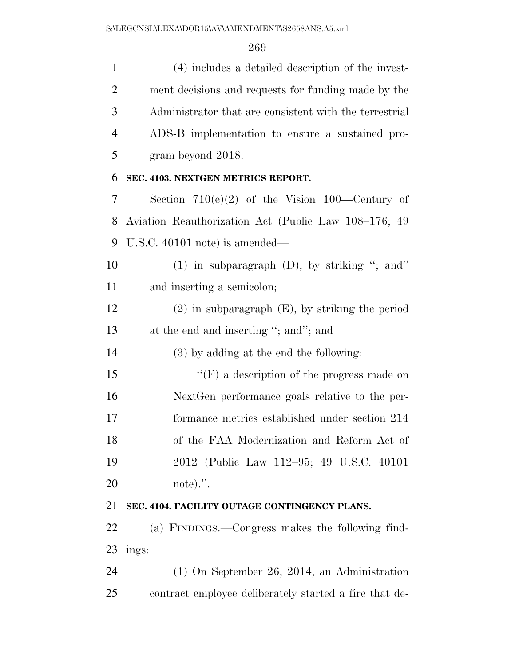(4) includes a detailed description of the invest- ment decisions and requests for funding made by the Administrator that are consistent with the terrestrial ADS-B implementation to ensure a sustained pro- gram beyond 2018. **SEC. 4103. NEXTGEN METRICS REPORT.**  Section 710(e)(2) of the Vision 100—Century of Aviation Reauthorization Act (Public Law 108–176; 49 U.S.C. 40101 note) is amended— (1) in subparagraph (D), by striking ''; and'' and inserting a semicolon; (2) in subparagraph (E), by striking the period 13 at the end and inserting "; and"; and (3) by adding at the end the following: 15 "'(F) a description of the progress made on NextGen performance goals relative to the per- formance metrics established under section 214 of the FAA Modernization and Reform Act of 2012 (Public Law 112–95; 49 U.S.C. 40101 note).''. **SEC. 4104. FACILITY OUTAGE CONTINGENCY PLANS.**  (a) FINDINGS.—Congress makes the following find- ings: (1) On September 26, 2014, an Administration

contract employee deliberately started a fire that de-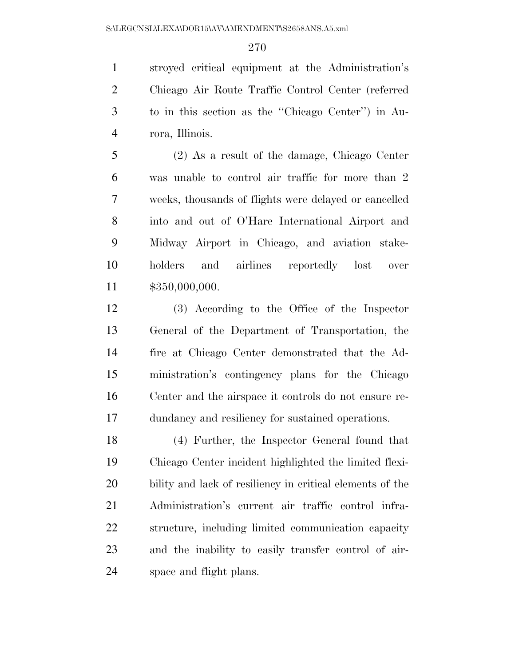stroyed critical equipment at the Administration's Chicago Air Route Traffic Control Center (referred to in this section as the ''Chicago Center'') in Au-rora, Illinois.

 (2) As a result of the damage, Chicago Center was unable to control air traffic for more than 2 weeks, thousands of flights were delayed or cancelled into and out of O'Hare International Airport and Midway Airport in Chicago, and aviation stake- holders and airlines reportedly lost over \$350,000,000.

 (3) According to the Office of the Inspector General of the Department of Transportation, the fire at Chicago Center demonstrated that the Ad- ministration's contingency plans for the Chicago Center and the airspace it controls do not ensure re-dundancy and resiliency for sustained operations.

 (4) Further, the Inspector General found that Chicago Center incident highlighted the limited flexi- bility and lack of resiliency in critical elements of the Administration's current air traffic control infra- structure, including limited communication capacity and the inability to easily transfer control of air-space and flight plans.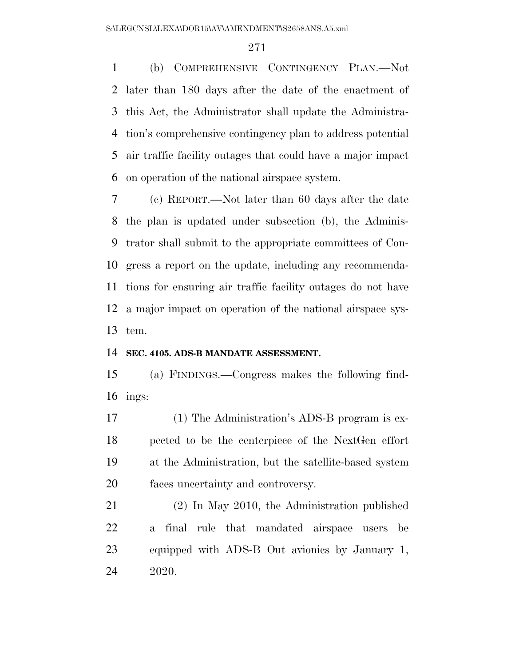(b) COMPREHENSIVE CONTINGENCY PLAN.—Not later than 180 days after the date of the enactment of this Act, the Administrator shall update the Administra- tion's comprehensive contingency plan to address potential air traffic facility outages that could have a major impact on operation of the national airspace system.

 (c) REPORT.—Not later than 60 days after the date the plan is updated under subsection (b), the Adminis- trator shall submit to the appropriate committees of Con- gress a report on the update, including any recommenda- tions for ensuring air traffic facility outages do not have a major impact on operation of the national airspace sys-tem.

#### **SEC. 4105. ADS-B MANDATE ASSESSMENT.**

 (a) FINDINGS.—Congress makes the following find-ings:

 (1) The Administration's ADS-B program is ex- pected to be the centerpiece of the NextGen effort at the Administration, but the satellite-based system faces uncertainty and controversy.

 (2) In May 2010, the Administration published a final rule that mandated airspace users be equipped with ADS-B Out avionics by January 1, 2020.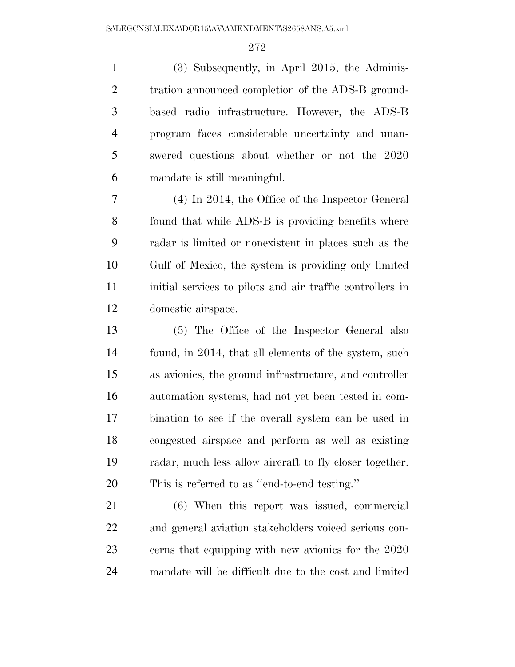(3) Subsequently, in April 2015, the Adminis-2 tration announced completion of the ADS-B ground- based radio infrastructure. However, the ADS-B program faces considerable uncertainty and unan- swered questions about whether or not the 2020 mandate is still meaningful.

 (4) In 2014, the Office of the Inspector General found that while ADS-B is providing benefits where radar is limited or nonexistent in places such as the Gulf of Mexico, the system is providing only limited 11 initial services to pilots and air traffic controllers in domestic airspace.

 (5) The Office of the Inspector General also found, in 2014, that all elements of the system, such as avionics, the ground infrastructure, and controller automation systems, had not yet been tested in com- bination to see if the overall system can be used in congested airspace and perform as well as existing radar, much less allow aircraft to fly closer together. This is referred to as ''end-to-end testing.''

 (6) When this report was issued, commercial and general aviation stakeholders voiced serious con- cerns that equipping with new avionics for the 2020 mandate will be difficult due to the cost and limited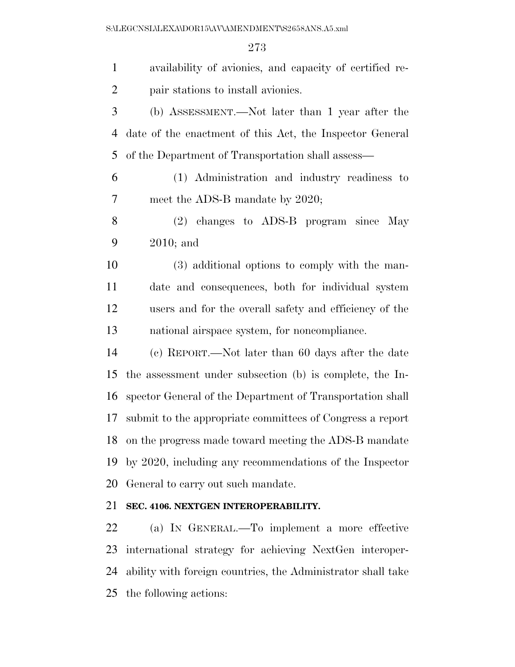| $\mathbf{1}$   | availability of avionics, and capacity of certified re-      |
|----------------|--------------------------------------------------------------|
| $\overline{2}$ | pair stations to install avionics.                           |
| 3              | (b) ASSESSMENT.—Not later than 1 year after the              |
| 4              | date of the enactment of this Act, the Inspector General     |
| 5              | of the Department of Transportation shall assess—            |
| 6              | (1) Administration and industry readiness to                 |
| 7              | meet the ADS-B mandate by 2020;                              |
| 8              | (2) changes to ADS-B program since May                       |
| 9              | $2010$ ; and                                                 |
| 10             | (3) additional options to comply with the man-               |
| 11             | date and consequences, both for individual system            |
| 12             | users and for the overall safety and efficiency of the       |
| 13             | national airspace system, for noncompliance.                 |
| 14             | (c) REPORT.—Not later than 60 days after the date            |
| 15             | the assessment under subsection (b) is complete, the In-     |
| 16             | spector General of the Department of Transportation shall    |
| 17             | submit to the appropriate committees of Congress a report    |
| 18             | on the progress made toward meeting the ADS-B mandate        |
| 19             | by 2020, including any recommendations of the Inspector      |
| 20             | General to carry out such mandate.                           |
| 21             | SEC. 4106. NEXTGEN INTEROPERABILITY.                         |
| 22             | (a) IN GENERAL.—To implement a more effective                |
| 23             | international strategy for achieving NextGen interoper-      |
| 24             | ability with foreign countries, the Administrator shall take |
| 25             | the following actions:                                       |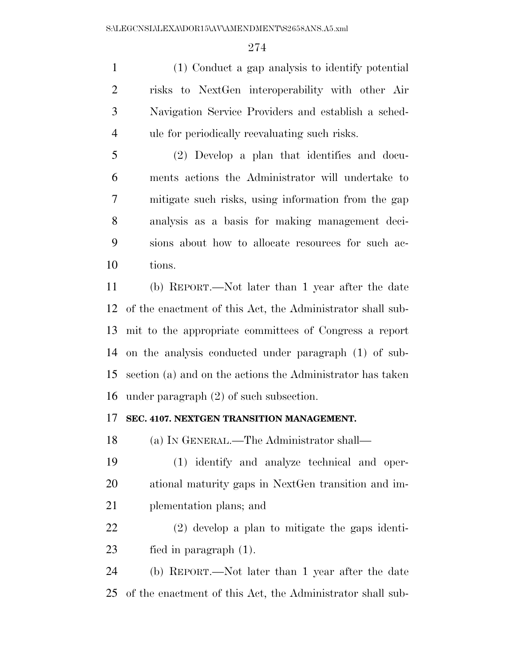(1) Conduct a gap analysis to identify potential risks to NextGen interoperability with other Air Navigation Service Providers and establish a sched-ule for periodically reevaluating such risks.

 (2) Develop a plan that identifies and docu- ments actions the Administrator will undertake to mitigate such risks, using information from the gap analysis as a basis for making management deci- sions about how to allocate resources for such ac-tions.

 (b) REPORT.—Not later than 1 year after the date of the enactment of this Act, the Administrator shall sub- mit to the appropriate committees of Congress a report on the analysis conducted under paragraph (1) of sub- section (a) and on the actions the Administrator has taken under paragraph (2) of such subsection.

#### **SEC. 4107. NEXTGEN TRANSITION MANAGEMENT.**

(a) IN GENERAL.—The Administrator shall—

 (1) identify and analyze technical and oper- ational maturity gaps in NextGen transition and im-plementation plans; and

 (2) develop a plan to mitigate the gaps identi-fied in paragraph (1).

 (b) REPORT.—Not later than 1 year after the date of the enactment of this Act, the Administrator shall sub-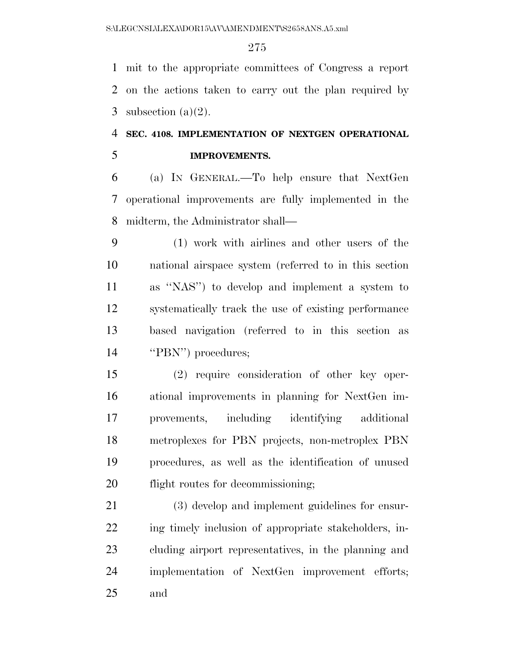mit to the appropriate committees of Congress a report on the actions taken to carry out the plan required by 3 subsection  $(a)(2)$ .

## **SEC. 4108. IMPLEMENTATION OF NEXTGEN OPERATIONAL IMPROVEMENTS.**

 (a) IN GENERAL.—To help ensure that NextGen operational improvements are fully implemented in the midterm, the Administrator shall—

 (1) work with airlines and other users of the national airspace system (referred to in this section as ''NAS'') to develop and implement a system to systematically track the use of existing performance based navigation (referred to in this section as 14 "PBN") procedures;

 (2) require consideration of other key oper- ational improvements in planning for NextGen im- provements, including identifying additional metroplexes for PBN projects, non-metroplex PBN procedures, as well as the identification of unused 20 flight routes for decommissioning;

 (3) develop and implement guidelines for ensur-22 ing timely inclusion of appropriate stakeholders, in- cluding airport representatives, in the planning and implementation of NextGen improvement efforts; and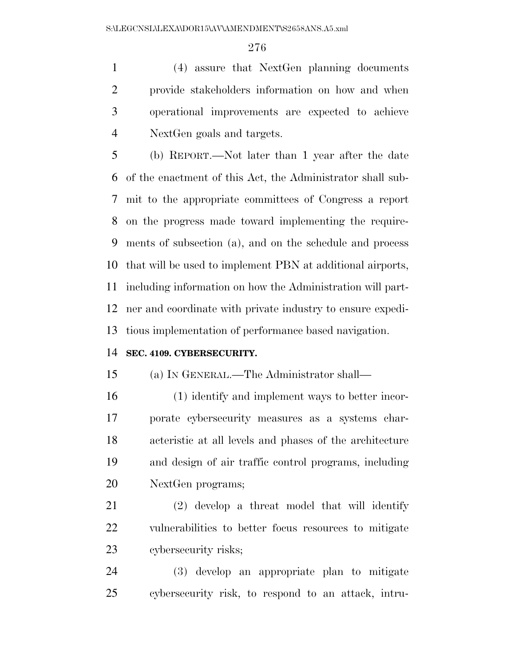(4) assure that NextGen planning documents provide stakeholders information on how and when operational improvements are expected to achieve NextGen goals and targets.

 (b) REPORT.—Not later than 1 year after the date of the enactment of this Act, the Administrator shall sub- mit to the appropriate committees of Congress a report on the progress made toward implementing the require- ments of subsection (a), and on the schedule and process that will be used to implement PBN at additional airports, including information on how the Administration will part- ner and coordinate with private industry to ensure expedi-tious implementation of performance based navigation.

#### **SEC. 4109. CYBERSECURITY.**

(a) IN GENERAL.—The Administrator shall—

 (1) identify and implement ways to better incor- porate cybersecurity measures as a systems char- acteristic at all levels and phases of the architecture and design of air traffic control programs, including NextGen programs;

 (2) develop a threat model that will identify vulnerabilities to better focus resources to mitigate cybersecurity risks;

 (3) develop an appropriate plan to mitigate cybersecurity risk, to respond to an attack, intru-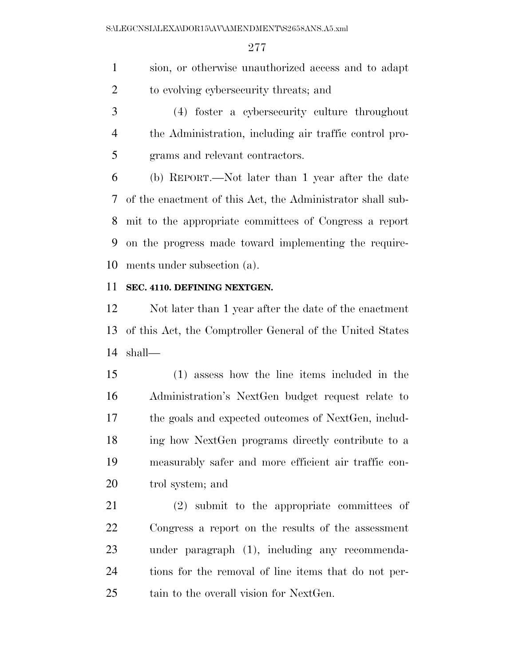sion, or otherwise unauthorized access and to adapt to evolving cybersecurity threats; and

 (4) foster a cybersecurity culture throughout the Administration, including air traffic control pro-grams and relevant contractors.

 (b) REPORT.—Not later than 1 year after the date of the enactment of this Act, the Administrator shall sub- mit to the appropriate committees of Congress a report on the progress made toward implementing the require-ments under subsection (a).

#### **SEC. 4110. DEFINING NEXTGEN.**

 Not later than 1 year after the date of the enactment of this Act, the Comptroller General of the United States shall—

 (1) assess how the line items included in the Administration's NextGen budget request relate to the goals and expected outcomes of NextGen, includ- ing how NextGen programs directly contribute to a measurably safer and more efficient air traffic con-trol system; and

 (2) submit to the appropriate committees of Congress a report on the results of the assessment under paragraph (1), including any recommenda- tions for the removal of line items that do not per-tain to the overall vision for NextGen.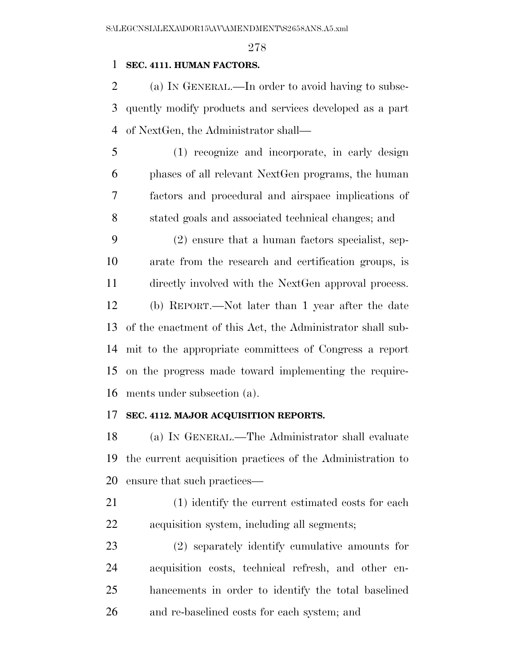#### **SEC. 4111. HUMAN FACTORS.**

 (a) IN GENERAL.—In order to avoid having to subse- quently modify products and services developed as a part of NextGen, the Administrator shall—

 (1) recognize and incorporate, in early design phases of all relevant NextGen programs, the human factors and procedural and airspace implications of stated goals and associated technical changes; and

 (2) ensure that a human factors specialist, sep- arate from the research and certification groups, is directly involved with the NextGen approval process. (b) REPORT.—Not later than 1 year after the date of the enactment of this Act, the Administrator shall sub- mit to the appropriate committees of Congress a report on the progress made toward implementing the require-ments under subsection (a).

#### **SEC. 4112. MAJOR ACQUISITION REPORTS.**

 (a) IN GENERAL.—The Administrator shall evaluate the current acquisition practices of the Administration to ensure that such practices—

- (1) identify the current estimated costs for each acquisition system, including all segments;
- (2) separately identify cumulative amounts for acquisition costs, technical refresh, and other en- hancements in order to identify the total baselined and re-baselined costs for each system; and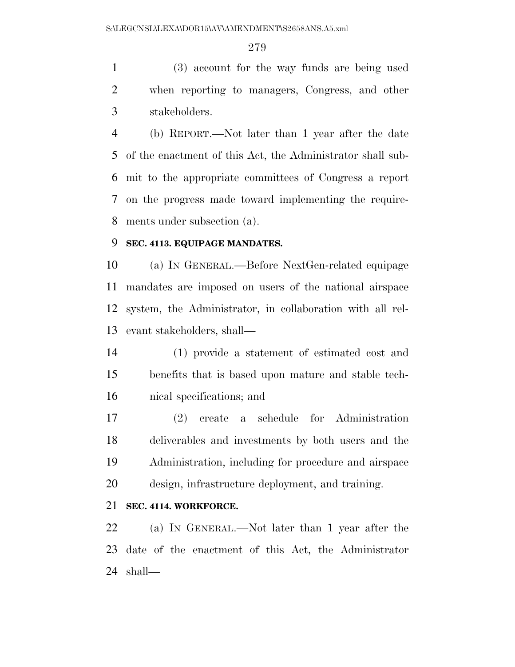(3) account for the way funds are being used when reporting to managers, Congress, and other stakeholders.

 (b) REPORT.—Not later than 1 year after the date of the enactment of this Act, the Administrator shall sub- mit to the appropriate committees of Congress a report on the progress made toward implementing the require-ments under subsection (a).

#### **SEC. 4113. EQUIPAGE MANDATES.**

 (a) IN GENERAL.—Before NextGen-related equipage mandates are imposed on users of the national airspace system, the Administrator, in collaboration with all rel-evant stakeholders, shall—

 (1) provide a statement of estimated cost and benefits that is based upon mature and stable tech-nical specifications; and

 (2) create a schedule for Administration deliverables and investments by both users and the Administration, including for procedure and airspace design, infrastructure deployment, and training.

### **SEC. 4114. WORKFORCE.**

 (a) IN GENERAL.—Not later than 1 year after the date of the enactment of this Act, the Administrator shall—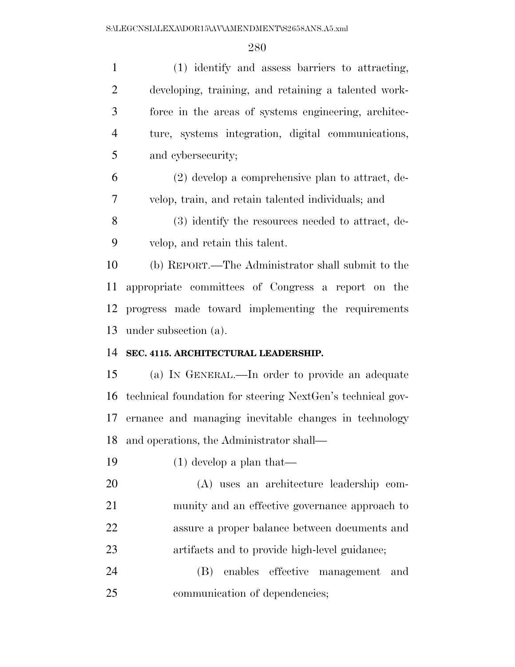(1) identify and assess barriers to attracting, developing, training, and retaining a talented work- force in the areas of systems engineering, architec- ture, systems integration, digital communications, and cybersecurity;

 (2) develop a comprehensive plan to attract, de-velop, train, and retain talented individuals; and

 (3) identify the resources needed to attract, de-velop, and retain this talent.

 (b) REPORT.—The Administrator shall submit to the appropriate committees of Congress a report on the progress made toward implementing the requirements under subsection (a).

#### **SEC. 4115. ARCHITECTURAL LEADERSHIP.**

 (a) IN GENERAL.—In order to provide an adequate technical foundation for steering NextGen's technical gov- ernance and managing inevitable changes in technology and operations, the Administrator shall—

(1) develop a plan that—

 (A) uses an architecture leadership com- munity and an effective governance approach to assure a proper balance between documents and artifacts and to provide high-level guidance;

 (B) enables effective management and communication of dependencies;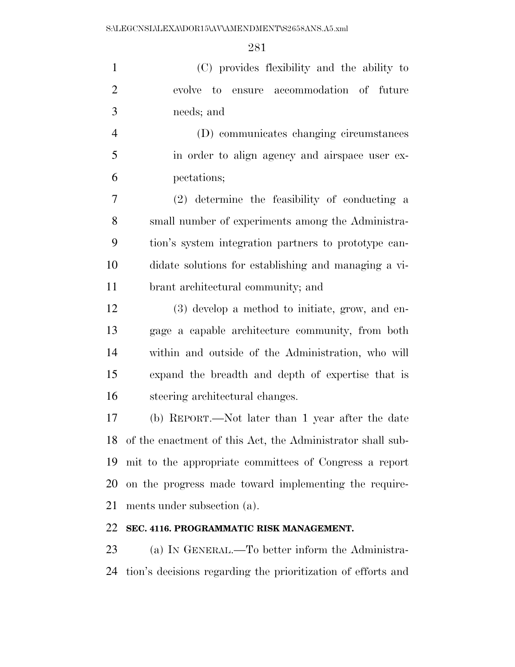(C) provides flexibility and the ability to evolve to ensure accommodation of future needs; and

 (D) communicates changing circumstances in order to align agency and airspace user ex-pectations;

 (2) determine the feasibility of conducting a small number of experiments among the Administra- tion's system integration partners to prototype can- didate solutions for establishing and managing a vi-brant architectural community; and

 (3) develop a method to initiate, grow, and en- gage a capable architecture community, from both within and outside of the Administration, who will expand the breadth and depth of expertise that is steering architectural changes.

 (b) REPORT.—Not later than 1 year after the date of the enactment of this Act, the Administrator shall sub- mit to the appropriate committees of Congress a report on the progress made toward implementing the require-ments under subsection (a).

#### **SEC. 4116. PROGRAMMATIC RISK MANAGEMENT.**

 (a) IN GENERAL.—To better inform the Administra-tion's decisions regarding the prioritization of efforts and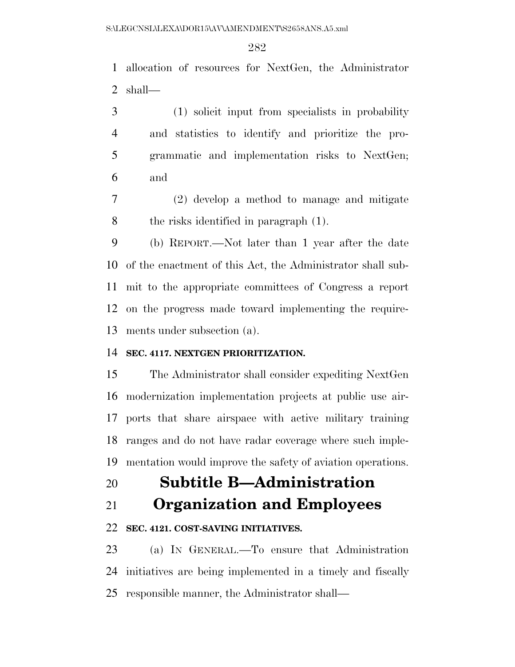allocation of resources for NextGen, the Administrator shall—

 (1) solicit input from specialists in probability and statistics to identify and prioritize the pro- grammatic and implementation risks to NextGen; and

 (2) develop a method to manage and mitigate the risks identified in paragraph (1).

 (b) REPORT.—Not later than 1 year after the date of the enactment of this Act, the Administrator shall sub- mit to the appropriate committees of Congress a report on the progress made toward implementing the require-ments under subsection (a).

### **SEC. 4117. NEXTGEN PRIORITIZATION.**

 The Administrator shall consider expediting NextGen modernization implementation projects at public use air- ports that share airspace with active military training ranges and do not have radar coverage where such imple-mentation would improve the safety of aviation operations.

# **Subtitle B—Administration**

**Organization and Employees** 

### **SEC. 4121. COST-SAVING INITIATIVES.**

 (a) IN GENERAL.—To ensure that Administration initiatives are being implemented in a timely and fiscally responsible manner, the Administrator shall—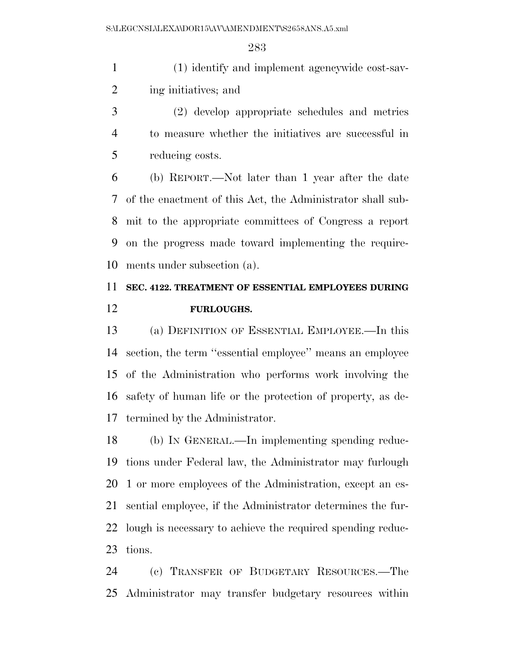(1) identify and implement agencywide cost-sav-ing initiatives; and

 (2) develop appropriate schedules and metrics to measure whether the initiatives are successful in reducing costs.

 (b) REPORT.—Not later than 1 year after the date of the enactment of this Act, the Administrator shall sub- mit to the appropriate committees of Congress a report on the progress made toward implementing the require-ments under subsection (a).

# **SEC. 4122. TREATMENT OF ESSENTIAL EMPLOYEES DURING FURLOUGHS.**

 (a) DEFINITION OF ESSENTIAL EMPLOYEE.—In this section, the term ''essential employee'' means an employee of the Administration who performs work involving the safety of human life or the protection of property, as de-termined by the Administrator.

 (b) IN GENERAL.—In implementing spending reduc- tions under Federal law, the Administrator may furlough 1 or more employees of the Administration, except an es- sential employee, if the Administrator determines the fur- lough is necessary to achieve the required spending reduc-tions.

 (c) TRANSFER OF BUDGETARY RESOURCES.—The Administrator may transfer budgetary resources within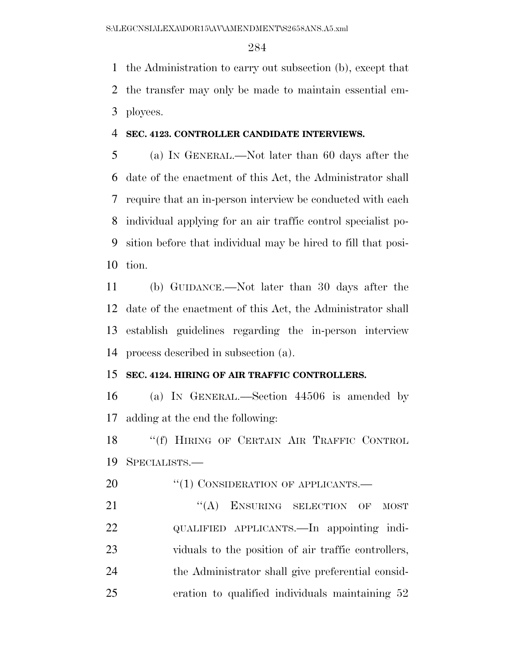the Administration to carry out subsection (b), except that the transfer may only be made to maintain essential em-ployees.

#### **SEC. 4123. CONTROLLER CANDIDATE INTERVIEWS.**

 (a) IN GENERAL.—Not later than 60 days after the date of the enactment of this Act, the Administrator shall require that an in-person interview be conducted with each individual applying for an air traffic control specialist po- sition before that individual may be hired to fill that posi-tion.

 (b) GUIDANCE.—Not later than 30 days after the date of the enactment of this Act, the Administrator shall establish guidelines regarding the in-person interview process described in subsection (a).

### **SEC. 4124. HIRING OF AIR TRAFFIC CONTROLLERS.**

 (a) IN GENERAL.—Section 44506 is amended by adding at the end the following:

18 "(f) HIRING OF CERTAIN AIR TRAFFIC CONTROL SPECIALISTS.—

20 "(1) CONSIDERATION OF APPLICANTS.—

21 "(A) ENSURING SELECTION OF MOST QUALIFIED APPLICANTS.—In appointing indi- viduals to the position of air traffic controllers, the Administrator shall give preferential consid-eration to qualified individuals maintaining 52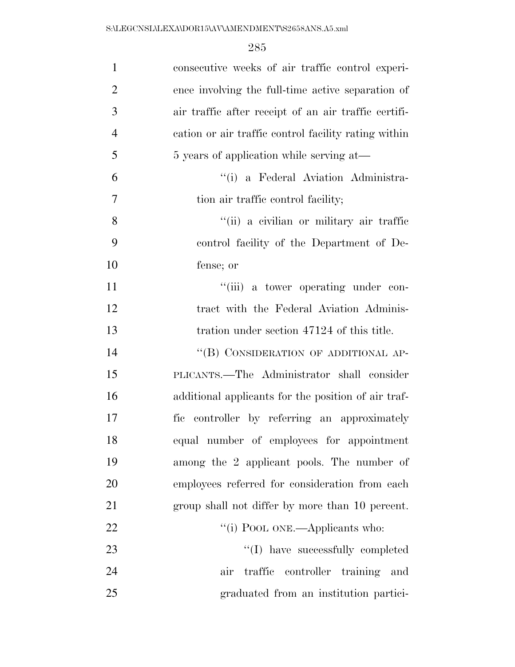| $\mathbf{1}$   | consecutive weeks of air traffic control experi-     |
|----------------|------------------------------------------------------|
| $\overline{2}$ | ence involving the full-time active separation of    |
| 3              | air traffic after receipt of an air traffic certifi- |
| $\overline{4}$ | cation or air traffic control facility rating within |
| 5              | 5 years of application while serving at—             |
| 6              | "(i) a Federal Aviation Administra-                  |
| 7              | tion air traffic control facility;                   |
| 8              | "(ii) a civilian or military air traffic             |
| 9              | control facility of the Department of De-            |
| 10             | fense; or                                            |
| 11             | "(iii) a tower operating under con-                  |
| 12             | tract with the Federal Aviation Adminis-             |
| 13             | tration under section 47124 of this title.           |
| 14             | "(B) CONSIDERATION OF ADDITIONAL AP-                 |
| 15             | PLICANTS.—The Administrator shall consider           |
| 16             | additional applicants for the position of air traf-  |
| 17             | fic controller by referring an approximately         |
| 18             | equal number of employees for appointment            |
| 19             | among the 2 applicant pools. The number of           |
| 20             | employees referred for consideration from each       |
| 21             | group shall not differ by more than 10 percent.      |
| 22             | "(i) POOL ONE.—Applicants who:                       |
| 23             | "(I) have successfully completed                     |
| 24             | controller training<br>traffic<br>air<br>and         |
| 25             | graduated from an institution partici-               |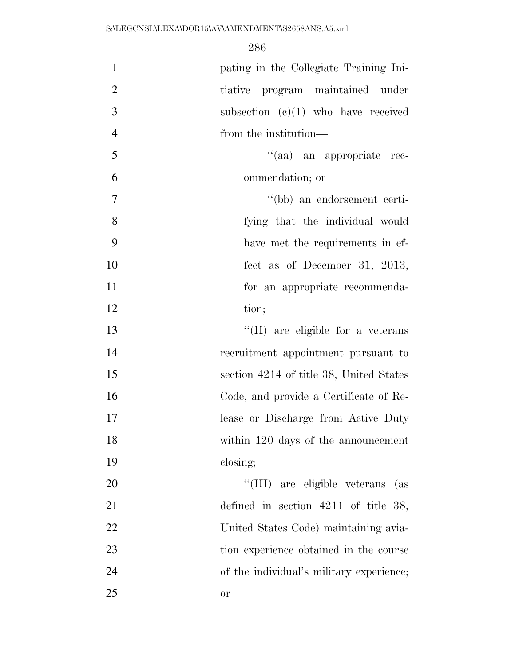| $\mathbf{1}$   | pating in the Collegiate Training Ini-   |
|----------------|------------------------------------------|
| $\overline{2}$ | program maintained under<br>tiative      |
| 3              | subsection $(c)(1)$ who have received    |
| $\overline{4}$ | from the institution—                    |
| 5              | "(aa) an appropriate rec-                |
| 6              | ommendation; or                          |
| $\overline{7}$ | "(bb) an endorsement certi-              |
| 8              | fying that the individual would          |
| 9              | have met the requirements in ef-         |
| 10             | fect as of December 31, 2013,            |
| 11             | for an appropriate recommenda-           |
| 12             | tion;                                    |
| 13             | "(II) are eligible for a veterans        |
| 14             | recruitment appointment pursuant to      |
| 15             | section 4214 of title 38, United States  |
| 16             | Code, and provide a Certificate of Re-   |
| 17             | lease or Discharge from Active Duty      |
| 18             | within 120 days of the announcement      |
| 19             | closing;                                 |
| 20             | "(III) are eligible veterans (as         |
| 21             | defined in section $4211$ of title 38,   |
| 22             | United States Code) maintaining avia-    |
| 23             | tion experience obtained in the course   |
| 24             | of the individual's military experience; |
| 25             | or                                       |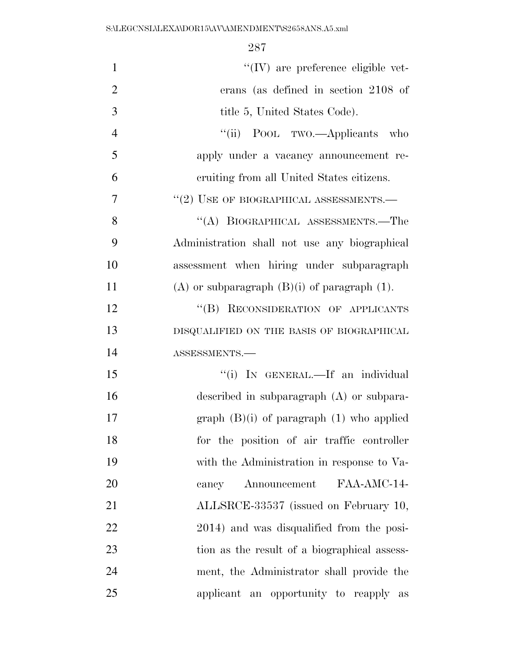| $\mathbf{1}$   | $\lq\lq$ (IV) are preference eligible vet-          |
|----------------|-----------------------------------------------------|
| $\overline{2}$ | erans (as defined in section 2108 of                |
| 3              | title 5, United States Code).                       |
| $\overline{4}$ | "(ii) POOL TWO.—Applicants who                      |
| 5              | apply under a vacancy announcement re-              |
| 6              | eruiting from all United States citizens.           |
| $\overline{7}$ | $``(2)$ USE OF BIOGRAPHICAL ASSESSMENTS.—           |
| 8              | "(A) BIOGRAPHICAL ASSESSMENTS.—The                  |
| 9              | Administration shall not use any biographical       |
| 10             | assessment when hiring under subparagraph           |
| 11             | $(A)$ or subparagraph $(B)(i)$ of paragraph $(1)$ . |
| 12             | "(B) RECONSIDERATION OF APPLICANTS                  |
| 13             | DISQUALIFIED ON THE BASIS OF BIOGRAPHICAL           |
| 14             | ASSESSMENTS.-                                       |
| 15             | "(i) IN GENERAL.—If an individual                   |
| 16             | described in subparagraph $(A)$ or subpara-         |
| 17             | graph $(B)(i)$ of paragraph $(1)$ who applied       |
| 18             | for the position of air traffic controller          |
| 19             | with the Administration in response to Va-          |
| 20             | FAA-AMC-14-<br>Announcement<br>cancy                |
| 21             | ALLSRCE-33537 (issued on February 10,               |
| 22             | 2014) and was disqualified from the posi-           |
| 23             | tion as the result of a biographical assess-        |
| 24             | ment, the Administrator shall provide the           |
| 25             | applicant an opportunity to reapply as              |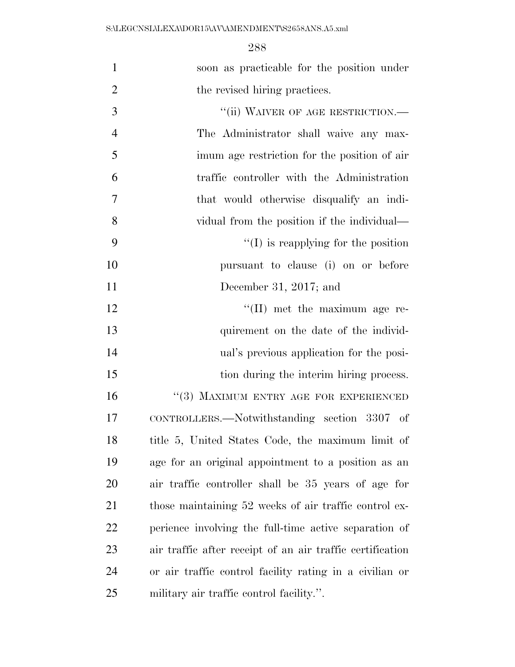| soon as practicable for the position under |  |
|--------------------------------------------|--|
| the revised hiring practices.              |  |

| 3              | "(ii) WAIVER OF AGE RESTRICTION.-                         |
|----------------|-----------------------------------------------------------|
| $\overline{4}$ | The Administrator shall waive any max-                    |
| 5              | imum age restriction for the position of air              |
| 6              | traffic controller with the Administration                |
| $\overline{7}$ | that would otherwise disqualify an indi-                  |
| 8              | vidual from the position if the individual—               |
| 9              | $\lq\lq$ is reapplying for the position                   |
| 10             | pursuant to clause (i) on or before                       |
| 11             | December 31, 2017; and                                    |
| 12             | $\lq\lq$ (II) met the maximum age re-                     |
| 13             | quirement on the date of the individ-                     |
| 14             | ual's previous application for the posi-                  |
| 15             | tion during the interim hiring process.                   |
| 16             | "(3) MAXIMUM ENTRY AGE FOR EXPERIENCED                    |
| 17             | CONTROLLERS.—Notwithstanding section 3307 of              |
| 18             | title 5, United States Code, the maximum limit of         |
| 19             | age for an original appointment to a position as an       |
| 20             | air traffic controller shall be 35 years of age for       |
| 21             | those maintaining 52 weeks of air traffic control ex-     |
| 22             | perience involving the full-time active separation of     |
| 23             | air traffic after receipt of an air traffic certification |
| 24             | or air traffic control facility rating in a civilian or   |
| 25             | military air traffic control facility.".                  |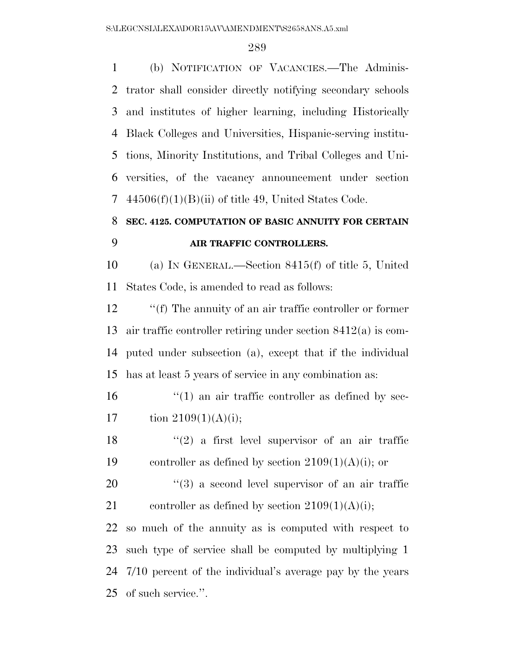(b) NOTIFICATION OF VACANCIES.—The Adminis- trator shall consider directly notifying secondary schools and institutes of higher learning, including Historically Black Colleges and Universities, Hispanic-serving institu- tions, Minority Institutions, and Tribal Colleges and Uni- versities, of the vacancy announcement under section  $44506(f)(1)(B)(ii)$  of title 49, United States Code.

# **SEC. 4125. COMPUTATION OF BASIC ANNUITY FOR CERTAIN AIR TRAFFIC CONTROLLERS.**

 (a) IN GENERAL.—Section 8415(f) of title 5, United States Code, is amended to read as follows:

 ''(f) The annuity of an air traffic controller or former air traffic controller retiring under section 8412(a) is com- puted under subsection (a), except that if the individual has at least 5 years of service in any combination as:

 $\frac{16}{10}$  <sup>''</sup>(1) an air traffic controller as defined by sec-17 tion  $2109(1)(A)(i)$ ;

18  $(2)$  a first level supervisor of an air traffic 19 controller as defined by section  $2109(1)(A)(i)$ ; or

20  $\frac{1}{20}$  a second level supervisor of an air traffic 21 controller as defined by section  $2109(1)(A)(i)$ ;

 so much of the annuity as is computed with respect to such type of service shall be computed by multiplying 1 7/10 percent of the individual's average pay by the years of such service.''.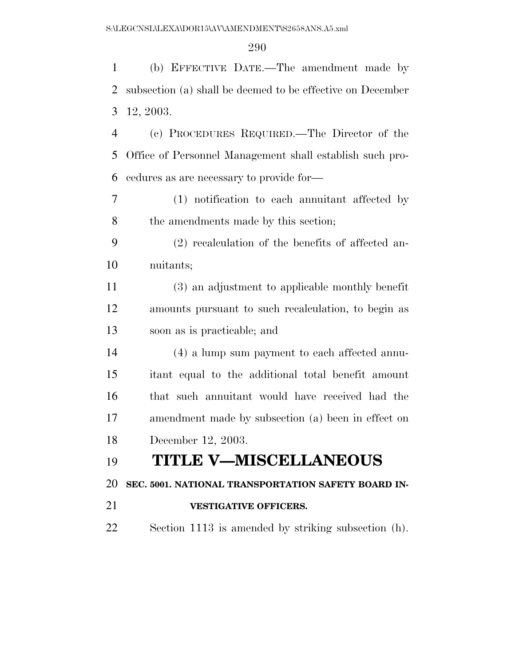(b) EFFECTIVE DATE.—The amendment made by subsection (a) shall be deemed to be effective on December 12, 2003. (c) PROCEDURES REQUIRED.—The Director of the Office of Personnel Management shall establish such pro- cedures as are necessary to provide for— (1) notification to each annuitant affected by 8 the amendments made by this section; (2) recalculation of the benefits of affected an- nuitants; (3) an adjustment to applicable monthly benefit amounts pursuant to such recalculation, to begin as soon as is practicable; and (4) a lump sum payment to each affected annu- itant equal to the additional total benefit amount that such annuitant would have received had the amendment made by subsection (a) been in effect on December 12, 2003. **TITLE V—MISCELLANEOUS SEC. 5001. NATIONAL TRANSPORTATION SAFETY BOARD IN- VESTIGATIVE OFFICERS.**  Section 1113 is amended by striking subsection (h).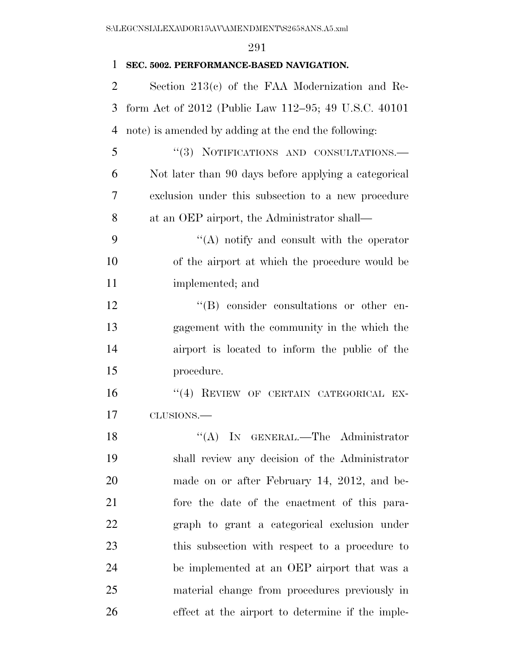#### **SEC. 5002. PERFORMANCE-BASED NAVIGATION.**

 Section 213(c) of the FAA Modernization and Re- form Act of 2012 (Public Law 112–95; 49 U.S.C. 40101 note) is amended by adding at the end the following:

 ''(3) NOTIFICATIONS AND CONSULTATIONS.— Not later than 90 days before applying a categorical exclusion under this subsection to a new procedure at an OEP airport, the Administrator shall—

 ''(A) notify and consult with the operator of the airport at which the procedure would be implemented; and

 $\langle G \rangle$  consider consultations or other en- gagement with the community in the which the airport is located to inform the public of the procedure.

16 "(4) REVIEW OF CERTAIN CATEGORICAL EX-CLUSIONS.—

18 "(A) IN GENERAL.—The Administrator shall review any decision of the Administrator made on or after February 14, 2012, and be- fore the date of the enactment of this para- graph to grant a categorical exclusion under this subsection with respect to a procedure to be implemented at an OEP airport that was a material change from procedures previously in effect at the airport to determine if the imple-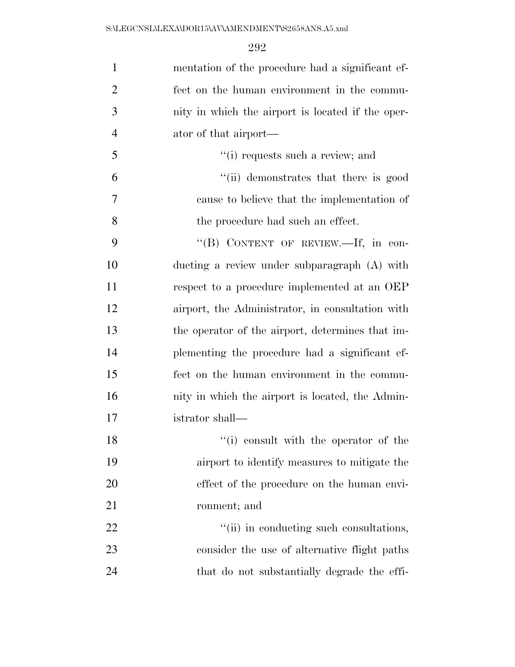| $\mathbf{1}$   | mentation of the procedure had a significant ef-  |
|----------------|---------------------------------------------------|
| $\overline{2}$ | fect on the human environment in the commu-       |
| 3              | nity in which the airport is located if the oper- |
| $\overline{4}$ | ator of that airport—                             |
| 5              | "(i) requests such a review; and                  |
| 6              | "(ii) demonstrates that there is good             |
| 7              | cause to believe that the implementation of       |
| 8              | the procedure had such an effect.                 |
| 9              | "(B) CONTENT OF REVIEW.—If, in con-               |
| 10             | ducting a review under subparagraph (A) with      |
| 11             | respect to a procedure implemented at an OEP      |
| 12             | airport, the Administrator, in consultation with  |
| 13             | the operator of the airport, determines that im-  |
| 14             | plementing the procedure had a significant ef-    |
| 15             | fect on the human environment in the commu-       |
| 16             | nity in which the airport is located, the Admin-  |
| 17             | istrator shall—                                   |
| 18             | "(i) consult with the operator of the             |
| 19             | airport to identify measures to mitigate the      |
| 20             | effect of the procedure on the human envi-        |
| 21             | ronment; and                                      |
| 22             | "(ii) in conducting such consultations,           |
| 23             | consider the use of alternative flight paths      |
| 24             | that do not substantially degrade the effi-       |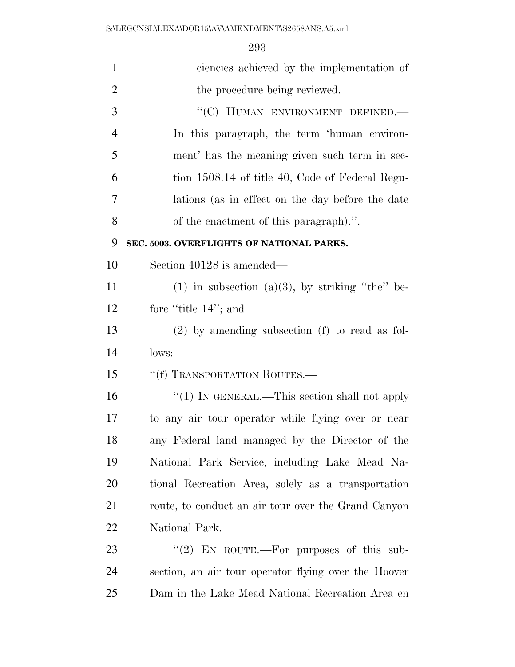| $\mathbf{1}$   | ciencies achieved by the implementation of           |
|----------------|------------------------------------------------------|
| $\overline{2}$ | the procedure being reviewed.                        |
| 3              | "(C) HUMAN ENVIRONMENT DEFINED.-                     |
| $\overline{4}$ | In this paragraph, the term 'human environ-          |
| 5              | ment' has the meaning given such term in sec-        |
| 6              | tion 1508.14 of title 40, Code of Federal Regu-      |
| 7              | lations (as in effect on the day before the date     |
| 8              | of the enactment of this paragraph).".               |
| 9              | SEC. 5003. OVERFLIGHTS OF NATIONAL PARKS.            |
| 10             | Section 40128 is amended—                            |
| 11             | $(1)$ in subsection $(a)(3)$ , by striking "the" be- |
| 12             | fore "title 14"; and                                 |
| 13             | $(2)$ by amending subsection $(f)$ to read as fol-   |
| 14             | lows:                                                |
| 15             | "(f) TRANSPORTATION ROUTES.—                         |
| 16             | "(1) IN GENERAL.—This section shall not apply        |
| 17             | to any air tour operator while flying over or near   |
| 18             | any Federal land managed by the Director of the      |
| 19             | National Park Service, including Lake Mead Na-       |
| 20             | tional Recreation Area, solely as a transportation   |
| 21             | route, to conduct an air tour over the Grand Canyon  |
| 22             | National Park.                                       |
| 23             | "(2) EN ROUTE.—For purposes of this sub-             |
| 24             | section, an air tour operator flying over the Hoover |
| 25             | Dam in the Lake Mead National Recreation Area en     |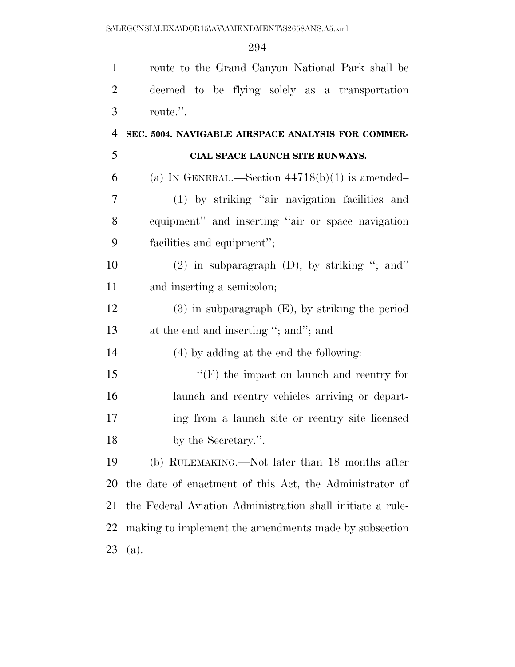| $\mathbf{1}$   | route to the Grand Canyon National Park shall be           |
|----------------|------------------------------------------------------------|
| $\overline{2}$ | deemed to be flying solely as a transportation             |
| 3              | route.".                                                   |
| $\overline{4}$ | SEC. 5004. NAVIGABLE AIRSPACE ANALYSIS FOR COMMER-         |
| 5              | CIAL SPACE LAUNCH SITE RUNWAYS.                            |
| 6              | (a) IN GENERAL.—Section $44718(b)(1)$ is amended—          |
| 7              | (1) by striking "air navigation facilities and             |
| 8              | equipment" and inserting "air or space navigation          |
| 9              | facilities and equipment";                                 |
| 10             | $(2)$ in subparagraph $(D)$ , by striking "; and"          |
| 11             | and inserting a semicolon;                                 |
| 12             | $(3)$ in subparagraph $(E)$ , by striking the period       |
| 13             | at the end and inserting "; and"; and                      |
| 14             | (4) by adding at the end the following:                    |
| 15             | $``(F)$ the impact on launch and reentry for               |
| 16             | launch and reentry vehicles arriving or depart-            |
| 17             | ing from a launch site or reentry site licensed            |
| 18             | by the Secretary.".                                        |
| 19             | (b) RULEMAKING.—Not later than 18 months after             |
| 20             | the date of enactment of this Act, the Administrator of    |
| 21             | the Federal Aviation Administration shall initiate a rule- |
| 22             | making to implement the amendments made by subsection      |
| 23             | (a).                                                       |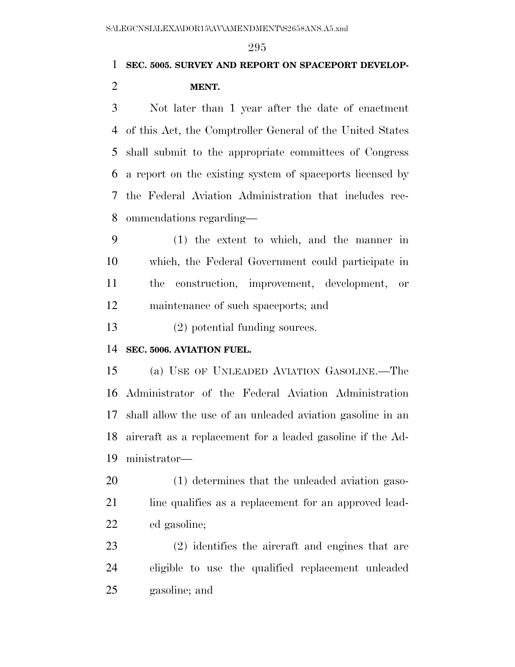## **SEC. 5005. SURVEY AND REPORT ON SPACEPORT DEVELOP-MENT.**

 Not later than 1 year after the date of enactment of this Act, the Comptroller General of the United States shall submit to the appropriate committees of Congress a report on the existing system of spaceports licensed by the Federal Aviation Administration that includes rec-ommendations regarding—

 (1) the extent to which, and the manner in which, the Federal Government could participate in the construction, improvement, development, or maintenance of such spaceports; and

(2) potential funding sources.

#### **SEC. 5006. AVIATION FUEL.**

 (a) USE OF UNLEADED AVIATION GASOLINE.—The Administrator of the Federal Aviation Administration shall allow the use of an unleaded aviation gasoline in an aircraft as a replacement for a leaded gasoline if the Ad-ministrator—

 (1) determines that the unleaded aviation gaso-21 line qualifies as a replacement for an approved lead-ed gasoline;

 (2) identifies the aircraft and engines that are eligible to use the qualified replacement unleaded gasoline; and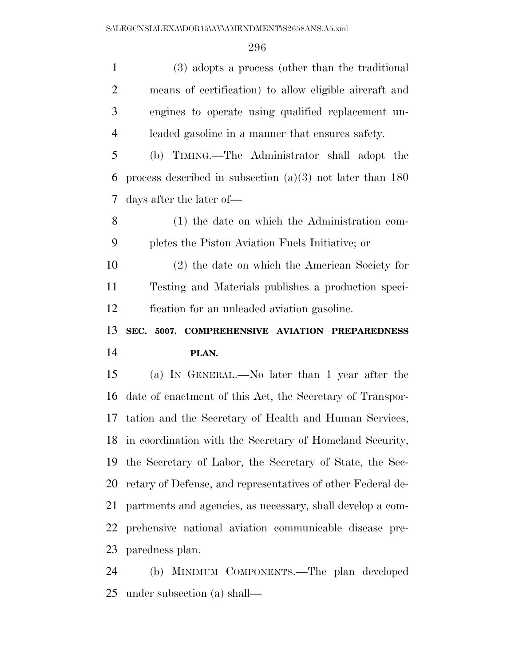(3) adopts a process (other than the traditional means of certification) to allow eligible aircraft and engines to operate using qualified replacement un- leaded gasoline in a manner that ensures safety. (b) TIMING.—The Administrator shall adopt the process described in subsection (a)(3) not later than 180 days after the later of— (1) the date on which the Administration com- pletes the Piston Aviation Fuels Initiative; or (2) the date on which the American Society for Testing and Materials publishes a production speci- fication for an unleaded aviation gasoline. **SEC. 5007. COMPREHENSIVE AVIATION PREPAREDNESS PLAN.**  (a) IN GENERAL.—No later than 1 year after the date of enactment of this Act, the Secretary of Transpor- tation and the Secretary of Health and Human Services, in coordination with the Secretary of Homeland Security, the Secretary of Labor, the Secretary of State, the Sec- retary of Defense, and representatives of other Federal de- partments and agencies, as necessary, shall develop a com- prehensive national aviation communicable disease pre-paredness plan.

 (b) MINIMUM COMPONENTS.—The plan developed under subsection (a) shall—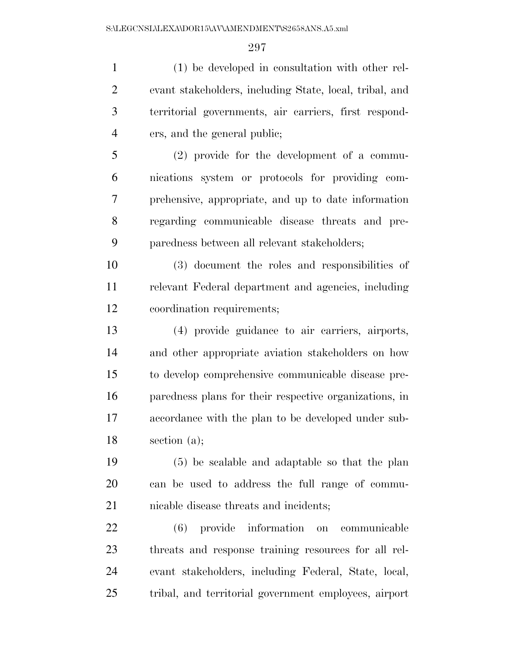(1) be developed in consultation with other rel- evant stakeholders, including State, local, tribal, and territorial governments, air carriers, first respond-ers, and the general public;

 (2) provide for the development of a commu- nications system or protocols for providing com- prehensive, appropriate, and up to date information regarding communicable disease threats and pre-paredness between all relevant stakeholders;

 (3) document the roles and responsibilities of relevant Federal department and agencies, including coordination requirements;

 (4) provide guidance to air carriers, airports, and other appropriate aviation stakeholders on how to develop comprehensive communicable disease pre- paredness plans for their respective organizations, in accordance with the plan to be developed under sub-section (a);

 (5) be scalable and adaptable so that the plan can be used to address the full range of commu-nicable disease threats and incidents;

 (6) provide information on communicable threats and response training resources for all rel- evant stakeholders, including Federal, State, local, tribal, and territorial government employees, airport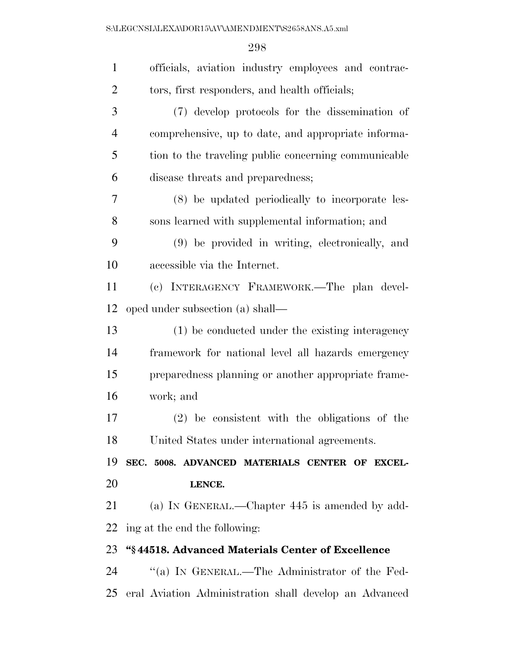| $\mathbf{1}$   | officials, aviation industry employees and contrac-    |
|----------------|--------------------------------------------------------|
| $\overline{2}$ | tors, first responders, and health officials;          |
| 3              | (7) develop protocols for the dissemination of         |
| $\overline{4}$ | comprehensive, up to date, and appropriate informa-    |
| 5              | tion to the traveling public concerning communicable   |
| 6              | disease threats and preparedness;                      |
| 7              | (8) be updated periodically to incorporate les-        |
| 8              | sons learned with supplemental information; and        |
| 9              | (9) be provided in writing, electronically, and        |
| 10             | accessible via the Internet.                           |
| 11             | (c) INTERAGENCY FRAMEWORK.—The plan devel-             |
| 12             | oped under subsection (a) shall—                       |
| 13             | (1) be conducted under the existing interagency        |
| 14             | framework for national level all hazards emergency     |
| 15             | preparedness planning or another appropriate frame-    |
| 16             | work; and                                              |
| 17             | $(2)$ be consistent with the obligations of the        |
| 18             | United States under international agreements.          |
| 19             | SEC. 5008. ADVANCED MATERIALS CENTER OF EXCEL-         |
| 20             | LENCE.                                                 |
| 21             | (a) IN GENERAL.—Chapter 445 is amended by add-         |
| 22             | ing at the end the following:                          |
| 23             | "§44518. Advanced Materials Center of Excellence       |
| 24             | "(a) IN GENERAL.—The Administrator of the Fed-         |
| 25             | eral Aviation Administration shall develop an Advanced |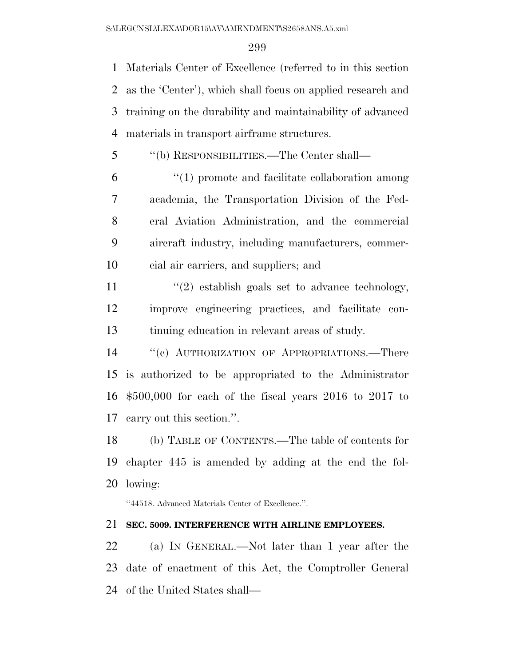Materials Center of Excellence (referred to in this section as the 'Center'), which shall focus on applied research and training on the durability and maintainability of advanced materials in transport airframe structures.

''(b) RESPONSIBILITIES.—The Center shall—

 ''(1) promote and facilitate collaboration among academia, the Transportation Division of the Fed- eral Aviation Administration, and the commercial aircraft industry, including manufacturers, commer-cial air carriers, and suppliers; and

11 ''(2) establish goals set to advance technology, improve engineering practices, and facilitate con-tinuing education in relevant areas of study.

14 "(c) AUTHORIZATION OF APPROPRIATIONS.—There is authorized to be appropriated to the Administrator \$500,000 for each of the fiscal years 2016 to 2017 to carry out this section.''.

 (b) TABLE OF CONTENTS.—The table of contents for chapter 445 is amended by adding at the end the fol-lowing:

''44518. Advanced Materials Center of Excellence.''.

#### **SEC. 5009. INTERFERENCE WITH AIRLINE EMPLOYEES.**

 (a) IN GENERAL.—Not later than 1 year after the date of enactment of this Act, the Comptroller General of the United States shall—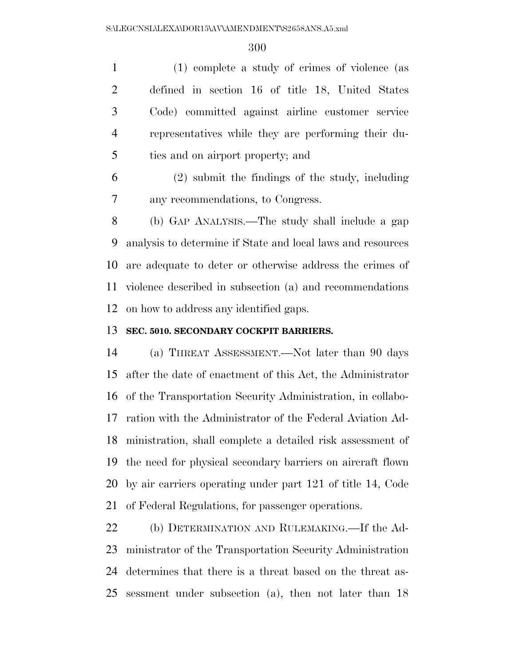(1) complete a study of crimes of violence (as defined in section 16 of title 18, United States Code) committed against airline customer service representatives while they are performing their du-ties and on airport property; and

 (2) submit the findings of the study, including any recommendations, to Congress.

 (b) GAP ANALYSIS.—The study shall include a gap analysis to determine if State and local laws and resources are adequate to deter or otherwise address the crimes of violence described in subsection (a) and recommendations on how to address any identified gaps.

#### **SEC. 5010. SECONDARY COCKPIT BARRIERS.**

 (a) THREAT ASSESSMENT.—Not later than 90 days after the date of enactment of this Act, the Administrator of the Transportation Security Administration, in collabo- ration with the Administrator of the Federal Aviation Ad- ministration, shall complete a detailed risk assessment of the need for physical secondary barriers on aircraft flown by air carriers operating under part 121 of title 14, Code of Federal Regulations, for passenger operations.

 (b) DETERMINATION AND RULEMAKING.—If the Ad- ministrator of the Transportation Security Administration determines that there is a threat based on the threat as-sessment under subsection (a), then not later than 18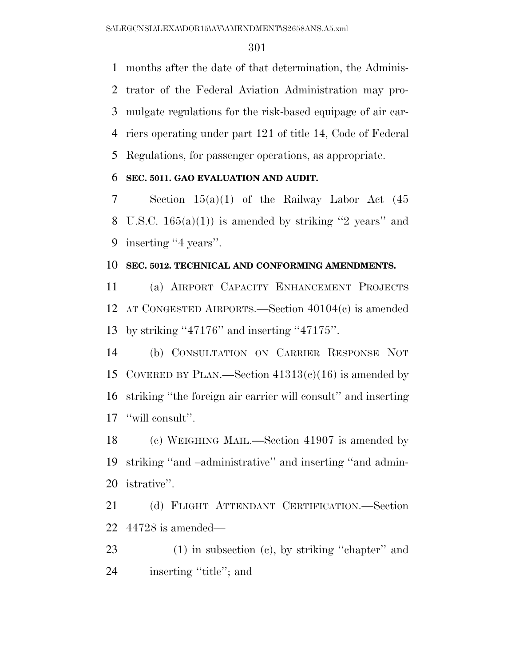months after the date of that determination, the Adminis- trator of the Federal Aviation Administration may pro- mulgate regulations for the risk-based equipage of air car- riers operating under part 121 of title 14, Code of Federal Regulations, for passenger operations, as appropriate.

## **SEC. 5011. GAO EVALUATION AND AUDIT.**

 Section 15(a)(1) of the Railway Labor Act (45 8 U.S.C.  $165(a)(1)$  is amended by striking "2 years" and inserting ''4 years''.

## **SEC. 5012. TECHNICAL AND CONFORMING AMENDMENTS.**

 (a) AIRPORT CAPACITY ENHANCEMENT PROJECTS AT CONGESTED AIRPORTS.—Section 40104(c) is amended by striking ''47176'' and inserting ''47175''.

 (b) CONSULTATION ON CARRIER RESPONSE NOT 15 COVERED BY PLAN.—Section  $41313(c)(16)$  is amended by striking ''the foreign air carrier will consult'' and inserting ''will consult''.

 (c) WEIGHING MAIL.—Section 41907 is amended by striking ''and –administrative'' and inserting ''and admin-istrative''.

 (d) FLIGHT ATTENDANT CERTIFICATION.—Section 44728 is amended—

 (1) in subsection (c), by striking ''chapter'' and inserting ''title''; and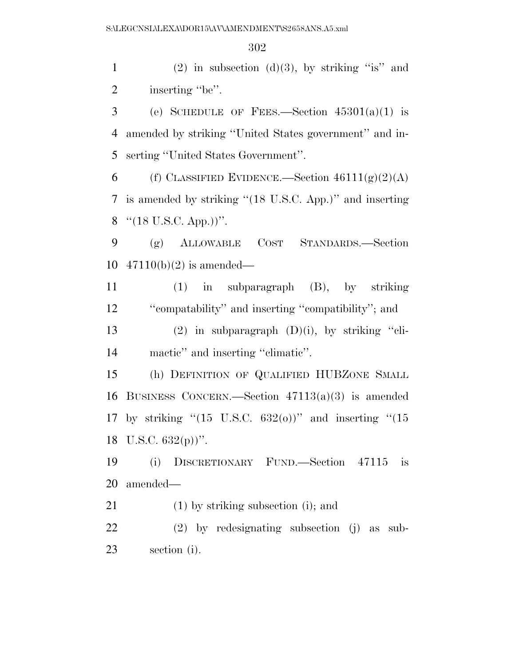1 (2) in subsection (d)(3), by striking "is" and 2 inserting "be".

3 (e) SCHEDULE OF FEES.—Section  $45301(a)(1)$  is amended by striking ''United States government'' and in-serting ''United States Government''.

6 (f) CLASSIFIED EVIDENCE.—Section  $46111(g)(2)(A)$  is amended by striking ''(18 U.S.C. App.)'' and inserting 8  $\text{``(18 U.S.C. App.))''}.$ 

 (g) ALLOWABLE COST STANDARDS.—Section 47110(b)(2) is amended—

 (1) in subparagraph (B), by striking ''compatability'' and inserting ''compatibility''; and

13 (2) in subparagraph  $(D)(i)$ , by striking "cli-mactic'' and inserting ''climatic''.

 (h) DEFINITION OF QUALIFIED HUBZONE SMALL BUSINESS CONCERN.—Section 47113(a)(3) is amended 17 by striking " $(15 \text{ U.S.C. } 632(0))$ " and inserting " $(15$ 18 U.S.C.  $632(p)$ ".

 (i) DISCRETIONARY FUND.—Section 47115 is amended—

(1) by striking subsection (i); and

 (2) by redesignating subsection (j) as sub-section (i).